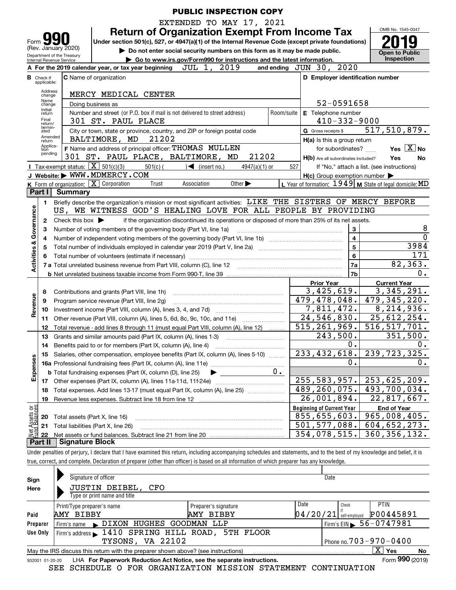|                         |                                                                                                                                    |                                                        |                                                                                                                                                                            |            | <b>PUBLIC INSPECTION COPY</b>                                          |                             |                 |           |     |                                                                                                                  |                         |                                            |             |
|-------------------------|------------------------------------------------------------------------------------------------------------------------------------|--------------------------------------------------------|----------------------------------------------------------------------------------------------------------------------------------------------------------------------------|------------|------------------------------------------------------------------------|-----------------------------|-----------------|-----------|-----|------------------------------------------------------------------------------------------------------------------|-------------------------|--------------------------------------------|-------------|
|                         |                                                                                                                                    |                                                        |                                                                                                                                                                            |            | EXTENDED TO MAY 17, 2021                                               |                             |                 |           |     |                                                                                                                  |                         |                                            |             |
|                         |                                                                                                                                    |                                                        |                                                                                                                                                                            |            |                                                                        |                             |                 |           |     | <b>Return of Organization Exempt From Income Tax</b>                                                             |                         | OMB No. 1545-0047                          |             |
| Form                    |                                                                                                                                    |                                                        | Under section 501(c), 527, or 4947(a)(1) of the Internal Revenue Code (except private foundations)                                                                         |            |                                                                        |                             |                 |           |     |                                                                                                                  |                         |                                            |             |
|                         |                                                                                                                                    | (Rev. January 2020)                                    |                                                                                                                                                                            |            |                                                                        |                             |                 |           |     | Do not enter social security numbers on this form as it may be made public.                                      |                         | <b>Open to Public</b>                      |             |
|                         |                                                                                                                                    | Department of the Treasury<br>Internal Revenue Service |                                                                                                                                                                            |            | Go to www.irs.gov/Form990 for instructions and the latest information. |                             |                 |           |     |                                                                                                                  |                         | Inspection                                 |             |
|                         |                                                                                                                                    |                                                        | A For the 2019 calendar year, or tax year beginning JUL 1, 2019                                                                                                            |            |                                                                        |                             |                 |           |     | and ending JUN 30, 2020                                                                                          |                         |                                            |             |
|                         | <b>B</b> Check if                                                                                                                  |                                                        | <b>C</b> Name of organization                                                                                                                                              |            |                                                                        |                             |                 |           |     | D Employer identification number                                                                                 |                         |                                            |             |
|                         | applicable:                                                                                                                        |                                                        |                                                                                                                                                                            |            |                                                                        |                             |                 |           |     |                                                                                                                  |                         |                                            |             |
|                         | Address<br>change                                                                                                                  |                                                        | MERCY MEDICAL CENTER                                                                                                                                                       |            |                                                                        |                             |                 |           |     |                                                                                                                  |                         |                                            |             |
|                         | Name<br>change                                                                                                                     |                                                        | 52-0591658<br>Doing business as                                                                                                                                            |            |                                                                        |                             |                 |           |     |                                                                                                                  |                         |                                            |             |
|                         | Initial<br>Number and street (or P.O. box if mail is not delivered to street address)<br>Room/suite   E Telephone number<br>return |                                                        |                                                                                                                                                                            |            |                                                                        |                             |                 |           |     |                                                                                                                  |                         |                                            |             |
|                         | Final<br>return/<br>termin-                                                                                                        |                                                        | 301 ST. PAUL PLACE                                                                                                                                                         |            |                                                                        |                             |                 |           |     | $410 - 332 - 9000$                                                                                               |                         |                                            |             |
|                         | ated<br>Amended                                                                                                                    |                                                        | City or town, state or province, country, and ZIP or foreign postal code                                                                                                   |            |                                                                        |                             |                 |           |     | G Gross receipts \$                                                                                              |                         | 517,510,879.                               |             |
|                         | return<br>Applica-                                                                                                                 |                                                        | BALTIMORE, MD                                                                                                                                                              | 21202      |                                                                        |                             |                 |           |     | H(a) Is this a group return                                                                                      |                         |                                            |             |
|                         | tion<br>pending                                                                                                                    |                                                        | F Name and address of principal officer: THOMAS MULLEN                                                                                                                     |            |                                                                        |                             |                 |           |     | for subordinates?                                                                                                |                         |                                            | Yes $X$ No  |
|                         |                                                                                                                                    |                                                        | 301 ST. PAUL PLACE, BALTIMORE, MD                                                                                                                                          |            |                                                                        |                             | 21202           |           |     | H(b) Are all subordinates included?                                                                              |                         | Yes                                        | No          |
|                         |                                                                                                                                    | Tax-exempt status: $\overline{X}$ 501(c)(3)            |                                                                                                                                                                            | $501(c)$ ( | $\sqrt{\frac{1}{1}}$ (insert no.)                                      |                             | $4947(a)(1)$ or |           | 527 |                                                                                                                  |                         | If "No," attach a list. (see instructions) |             |
|                         |                                                                                                                                    |                                                        | J Website: WWW.MDMERCY.COM<br>K Form of organization: $\boxed{\mathbf{X}}$ Corporation                                                                                     | Trust      | Association                                                            | Other $\blacktriangleright$ |                 |           |     | $H(c)$ Group exemption number $\blacktriangleright$<br>L Year of formation: $1949$ M State of legal domicile: MD |                         |                                            |             |
|                         | Part I                                                                                                                             | <b>Summary</b>                                         |                                                                                                                                                                            |            |                                                                        |                             |                 |           |     |                                                                                                                  |                         |                                            |             |
|                         | 1                                                                                                                                  |                                                        | Briefly describe the organization's mission or most significant activities: LIKE THE SISTERS OF MERCY BEFORE                                                               |            |                                                                        |                             |                 |           |     |                                                                                                                  |                         |                                            |             |
|                         |                                                                                                                                    |                                                        | US, WE WITNESS GOD'S HEALING LOVE FOR ALL PEOPLE BY PROVIDING                                                                                                              |            |                                                                        |                             |                 |           |     |                                                                                                                  |                         |                                            |             |
|                         | 2                                                                                                                                  | Check this box $\blacktriangleright$                   |                                                                                                                                                                            |            |                                                                        |                             |                 |           |     | if the organization discontinued its operations or disposed of more than 25% of its net assets.                  |                         |                                            |             |
|                         | 3                                                                                                                                  |                                                        | Number of voting members of the governing body (Part VI, line 1a)                                                                                                          |            |                                                                        |                             |                 |           |     |                                                                                                                  | 3                       |                                            | 8           |
|                         | 4                                                                                                                                  |                                                        |                                                                                                                                                                            |            |                                                                        |                             |                 |           |     |                                                                                                                  | $\overline{\mathbf{4}}$ |                                            | $\mathbf 0$ |
| Activities & Governance | 5                                                                                                                                  |                                                        |                                                                                                                                                                            |            |                                                                        |                             |                 |           |     |                                                                                                                  | 5                       |                                            | 3984        |
|                         | 6                                                                                                                                  |                                                        |                                                                                                                                                                            |            |                                                                        |                             |                 |           |     |                                                                                                                  | 6                       |                                            | 171         |
|                         |                                                                                                                                    |                                                        |                                                                                                                                                                            |            |                                                                        |                             |                 |           |     |                                                                                                                  | 7a                      |                                            | 82, 363.    |
|                         |                                                                                                                                    |                                                        |                                                                                                                                                                            |            |                                                                        |                             |                 |           |     |                                                                                                                  | 7 <sub>b</sub>          |                                            | 0.          |
|                         |                                                                                                                                    |                                                        |                                                                                                                                                                            |            |                                                                        |                             |                 |           |     | <b>Prior Year</b>                                                                                                |                         | <b>Current Year</b>                        |             |
|                         | 8                                                                                                                                  |                                                        | Contributions and grants (Part VIII, line 1h)                                                                                                                              |            |                                                                        |                             |                 |           |     | 3,425,619.                                                                                                       |                         |                                            | 3,345,291.  |
|                         | 9                                                                                                                                  |                                                        | Program service revenue (Part VIII, line 2g)                                                                                                                               |            |                                                                        |                             |                 |           |     | 479,478,048.                                                                                                     |                         | 479, 345, 220.                             |             |
| Revenue                 | 10                                                                                                                                 |                                                        |                                                                                                                                                                            |            |                                                                        |                             |                 |           |     | 7,811,472.                                                                                                       |                         |                                            | 8,214,936.  |
|                         | 11                                                                                                                                 |                                                        | Other revenue (Part VIII, column (A), lines 5, 6d, 8c, 9c, 10c, and 11e)                                                                                                   |            |                                                                        |                             |                 |           |     | 24,546,830.                                                                                                      |                         | 25,612,254.                                |             |
|                         | 12                                                                                                                                 |                                                        | Total revenue - add lines 8 through 11 (must equal Part VIII, column (A), line 12)                                                                                         |            |                                                                        |                             |                 |           |     | 515, 261, 969.                                                                                                   |                         | 516, 517, 701.                             |             |
|                         | 13                                                                                                                                 |                                                        | Grants and similar amounts paid (Part IX, column (A), lines 1-3)                                                                                                           |            |                                                                        |                             |                 |           |     | 243,500.                                                                                                         |                         |                                            | 351,500.    |
|                         | 14                                                                                                                                 |                                                        | Benefits paid to or for members (Part IX, column (A), line 4)                                                                                                              |            |                                                                        |                             |                 |           |     |                                                                                                                  | 0.                      |                                            | 0.          |
|                         | 15                                                                                                                                 |                                                        | Salaries, other compensation, employee benefits (Part IX, column (A), lines 5-10)                                                                                          |            |                                                                        |                             |                 |           |     | 233, 432, 618.                                                                                                   |                         | 239, 723, 325.                             |             |
|                         |                                                                                                                                    |                                                        |                                                                                                                                                                            |            |                                                                        |                             |                 |           |     |                                                                                                                  | 0.                      |                                            | 0.          |
| Expenses                |                                                                                                                                    |                                                        | <b>b</b> Total fundraising expenses (Part IX, column (D), line 25)                                                                                                         |            |                                                                        |                             |                 | $0 \cdot$ |     |                                                                                                                  |                         |                                            |             |
|                         | 17                                                                                                                                 |                                                        |                                                                                                                                                                            |            |                                                                        |                             |                 |           |     | 255, 583, 957.                                                                                                   |                         | 253,625,209.<br>493,700,034.               |             |
|                         | 18                                                                                                                                 |                                                        | Total expenses. Add lines 13-17 (must equal Part IX, column (A), line 25)                                                                                                  |            |                                                                        |                             |                 |           |     | 489,260,075.<br>$\overline{26}$ , 001, 894.                                                                      |                         |                                            |             |
|                         | 19                                                                                                                                 |                                                        |                                                                                                                                                                            |            |                                                                        |                             |                 |           |     |                                                                                                                  |                         | 22,817,667.                                |             |
| Assets or<br>dBalances  |                                                                                                                                    |                                                        |                                                                                                                                                                            |            |                                                                        |                             |                 |           |     | <b>Beginning of Current Year</b><br>855,655,603.                                                                 |                         | <b>End of Year</b><br>965,008,405.         |             |
|                         | 20                                                                                                                                 | Total assets (Part X, line 16)                         | Total liabilities (Part X, line 26)                                                                                                                                        |            |                                                                        |                             |                 |           |     | $\overline{501, 577, 088}$ .                                                                                     |                         | 604,652,273.                               |             |
|                         | 21                                                                                                                                 |                                                        |                                                                                                                                                                            |            |                                                                        |                             |                 |           |     | 354,078,515.                                                                                                     |                         | 360, 356, 132.                             |             |
|                         | 22<br>Part II                                                                                                                      | Signature Block                                        |                                                                                                                                                                            |            |                                                                        |                             |                 |           |     |                                                                                                                  |                         |                                            |             |
|                         |                                                                                                                                    |                                                        | Under penalties of perjury, I declare that I have examined this return, including accompanying schedules and statements, and to the best of my knowledge and belief, it is |            |                                                                        |                             |                 |           |     |                                                                                                                  |                         |                                            |             |
|                         |                                                                                                                                    |                                                        | true, correct, and complete. Declaration of preparer (other than officer) is based on all information of which preparer has any knowledge.                                 |            |                                                                        |                             |                 |           |     |                                                                                                                  |                         |                                            |             |
|                         |                                                                                                                                    |                                                        |                                                                                                                                                                            |            |                                                                        |                             |                 |           |     |                                                                                                                  |                         |                                            |             |

| Sign            | Signature of officer                                                              |                      |          | Date                                         |                     |    |
|-----------------|-----------------------------------------------------------------------------------|----------------------|----------|----------------------------------------------|---------------------|----|
| Here            | JUSTIN DEIBEL,<br>CFO                                                             |                      |          |                                              |                     |    |
|                 | Type or print name and title                                                      |                      |          |                                              |                     |    |
|                 | Print/Type preparer's name                                                        | Preparer's signature | Date     | Check                                        | <b>PTIN</b>         |    |
| Paid            | AMY BIBBY                                                                         | AMY BIBBY            | 04/20/21 | self-emploved                                | P00445891           |    |
| Preparer        | DIXON HUGHES GOODMAN LLP<br>Firm's name                                           |                      |          | $1$ Firm's EIN $\triangleright$ 56 - 0747981 |                     |    |
| Use Only        | Firm's address 1410 SPRING HILL ROAD, 5TH FLOOR                                   |                      |          |                                              |                     |    |
|                 | TYSONS, VA 22102                                                                  |                      |          | Phone no. $703 - 970 - 0400$                 |                     |    |
|                 | May the IRS discuss this return with the preparer shown above? (see instructions) |                      |          |                                              | $\mathbf{X}$<br>Yes | No |
| 932001 01-20-20 | <b>I HA For Paperwork Reduction Act Notice, see the separate instructions.</b>    |                      |          |                                              | Form 990 (2019)     |    |

932001 01-20-20 LHA **For Paperwork Reduction Act Notice, see the separate instructions.**<br>SEE SCHEDULE O FOR ORGANIZATION MISSION STATEMENT CONTINUATION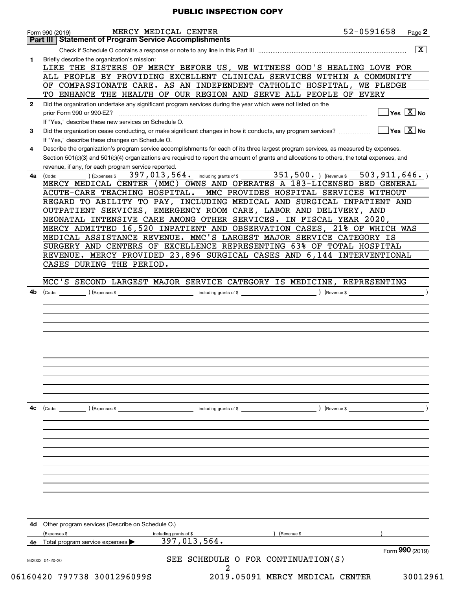| Briefly describe the organization's mission:<br>1<br>OF COMPASSIONATE CARE. AS AN INDEPENDENT CATHOLIC HOSPITAL,<br>WE PLEDGE<br>TO ENHANCE THE HEALTH OF OUR REGION AND SERVE ALL PEOPLE OF EVERY<br>Did the organization undertake any significant program services during the year which were not listed on the<br>$\mathbf{2}$<br>prior Form 990 or 990-EZ?<br>If "Yes," describe these new services on Schedule O.<br>Did the organization cease conducting, or make significant changes in how it conducts, any program services?<br>3<br>If "Yes," describe these changes on Schedule O.<br>Describe the organization's program service accomplishments for each of its three largest program services, as measured by expenses.<br>4<br>revenue, if any, for each program service reported.<br>397, 013, 564. including grants of \$ 351, 500. ) (Revenue \$<br>) (Expenses \$<br>4a<br>(Code:<br>ACUTE-CARE TEACHING HOSPITAL.<br>MMC PROVIDES HOSPITAL SERVICES WITHOUT<br>OUTPATIENT SERVICES, EMERGENCY ROOM CARE, LABOR AND DELIVERY, AND<br>NEONATAL INTENSIVE CARE AMONG OTHER SERVICES. IN FISCAL YEAR 2020,<br>MEDICAL ASSISTANCE REVENUE. MMC'S LARGEST MAJOR SERVICE CATEGORY IS<br>SURGERY AND CENTERS OF EXCELLENCE REPRESENTING 63% OF TOTAL HOSPITAL<br>CASES DURING THE PERIOD.<br>4b<br>4c<br>(Code:<br>(Expenses \$<br>) (Revenue \$<br>including grants of \$<br>Other program services (Describe on Schedule O.)<br>4d<br>(Expenses \$<br>including grants of \$<br>Revenue \$<br>397,013,564.<br>Total program service expenses<br>4е<br>932002 01-20-20 |                                                                                                                                                                                                                                                                                                                                                                                                                                                                                                                                                                                                                                                                                                                                                                                                                                  |                                                       |  |  |
|---------------------------------------------------------------------------------------------------------------------------------------------------------------------------------------------------------------------------------------------------------------------------------------------------------------------------------------------------------------------------------------------------------------------------------------------------------------------------------------------------------------------------------------------------------------------------------------------------------------------------------------------------------------------------------------------------------------------------------------------------------------------------------------------------------------------------------------------------------------------------------------------------------------------------------------------------------------------------------------------------------------------------------------------------------------------------------------------------------------------------------------------------------------------------------------------------------------------------------------------------------------------------------------------------------------------------------------------------------------------------------------------------------------------------------------------------------------------------------------------------------------------------------------------------------------------------------------|----------------------------------------------------------------------------------------------------------------------------------------------------------------------------------------------------------------------------------------------------------------------------------------------------------------------------------------------------------------------------------------------------------------------------------------------------------------------------------------------------------------------------------------------------------------------------------------------------------------------------------------------------------------------------------------------------------------------------------------------------------------------------------------------------------------------------------|-------------------------------------------------------|--|--|
|                                                                                                                                                                                                                                                                                                                                                                                                                                                                                                                                                                                                                                                                                                                                                                                                                                                                                                                                                                                                                                                                                                                                                                                                                                                                                                                                                                                                                                                                                                                                                                                       |                                                                                                                                                                                                                                                                                                                                                                                                                                                                                                                                                                                                                                                                                                                                                                                                                                  |                                                       |  |  |
|                                                                                                                                                                                                                                                                                                                                                                                                                                                                                                                                                                                                                                                                                                                                                                                                                                                                                                                                                                                                                                                                                                                                                                                                                                                                                                                                                                                                                                                                                                                                                                                       |                                                                                                                                                                                                                                                                                                                                                                                                                                                                                                                                                                                                                                                                                                                                                                                                                                  |                                                       |  |  |
|                                                                                                                                                                                                                                                                                                                                                                                                                                                                                                                                                                                                                                                                                                                                                                                                                                                                                                                                                                                                                                                                                                                                                                                                                                                                                                                                                                                                                                                                                                                                                                                       |                                                                                                                                                                                                                                                                                                                                                                                                                                                                                                                                                                                                                                                                                                                                                                                                                                  |                                                       |  |  |
|                                                                                                                                                                                                                                                                                                                                                                                                                                                                                                                                                                                                                                                                                                                                                                                                                                                                                                                                                                                                                                                                                                                                                                                                                                                                                                                                                                                                                                                                                                                                                                                       |                                                                                                                                                                                                                                                                                                                                                                                                                                                                                                                                                                                                                                                                                                                                                                                                                                  |                                                       |  |  |
|                                                                                                                                                                                                                                                                                                                                                                                                                                                                                                                                                                                                                                                                                                                                                                                                                                                                                                                                                                                                                                                                                                                                                                                                                                                                                                                                                                                                                                                                                                                                                                                       |                                                                                                                                                                                                                                                                                                                                                                                                                                                                                                                                                                                                                                                                                                                                                                                                                                  |                                                       |  |  |
|                                                                                                                                                                                                                                                                                                                                                                                                                                                                                                                                                                                                                                                                                                                                                                                                                                                                                                                                                                                                                                                                                                                                                                                                                                                                                                                                                                                                                                                                                                                                                                                       |                                                                                                                                                                                                                                                                                                                                                                                                                                                                                                                                                                                                                                                                                                                                                                                                                                  |                                                       |  |  |
|                                                                                                                                                                                                                                                                                                                                                                                                                                                                                                                                                                                                                                                                                                                                                                                                                                                                                                                                                                                                                                                                                                                                                                                                                                                                                                                                                                                                                                                                                                                                                                                       |                                                                                                                                                                                                                                                                                                                                                                                                                                                                                                                                                                                                                                                                                                                                                                                                                                  |                                                       |  |  |
|                                                                                                                                                                                                                                                                                                                                                                                                                                                                                                                                                                                                                                                                                                                                                                                                                                                                                                                                                                                                                                                                                                                                                                                                                                                                                                                                                                                                                                                                                                                                                                                       |                                                                                                                                                                                                                                                                                                                                                                                                                                                                                                                                                                                                                                                                                                                                                                                                                                  |                                                       |  |  |
|                                                                                                                                                                                                                                                                                                                                                                                                                                                                                                                                                                                                                                                                                                                                                                                                                                                                                                                                                                                                                                                                                                                                                                                                                                                                                                                                                                                                                                                                                                                                                                                       | 52-0591658<br>MERCY MEDICAL CENTER<br>Form 990 (2019)<br><b>Part III   Statement of Program Service Accomplishments</b><br>LIKE THE SISTERS OF MERCY BEFORE US, WE WITNESS GOD'S HEALING LOVE FOR<br>ALL PEOPLE BY PROVIDING EXCELLENT CLINICAL SERVICES WITHIN A COMMUNITY<br>Section 501(c)(3) and 501(c)(4) organizations are required to report the amount of grants and allocations to others, the total expenses, and<br>503, 911, 646.<br>MERCY MEDICAL CENTER (MMC) OWNS AND OPERATES A 183-LICENSED BED GENERAL<br>REGARD TO ABILITY TO PAY, INCLUDING MEDICAL AND SURGICAL INPATIENT AND<br>MERCY ADMITTED 16,520 INPATIENT AND OBSERVATION CASES, 21% OF WHICH WAS<br>REVENUE. MERCY PROVIDED 23,896 SURGICAL CASES AND 6,144 INTERVENTIONAL<br>MCC'S SECOND LARGEST MAJOR SERVICE CATEGORY IS MEDICINE, REPRESENTING |                                                       |  |  |
|                                                                                                                                                                                                                                                                                                                                                                                                                                                                                                                                                                                                                                                                                                                                                                                                                                                                                                                                                                                                                                                                                                                                                                                                                                                                                                                                                                                                                                                                                                                                                                                       | Page 2<br>$\overline{\mathbf{x}}$<br>$\sqrt{}$ Yes $\sqrt{}$ X $\sqrt{}$ No<br>$\overline{\ }$ Yes $\overline{\mathrm{X}}$ No                                                                                                                                                                                                                                                                                                                                                                                                                                                                                                                                                                                                                                                                                                    |                                                       |  |  |
|                                                                                                                                                                                                                                                                                                                                                                                                                                                                                                                                                                                                                                                                                                                                                                                                                                                                                                                                                                                                                                                                                                                                                                                                                                                                                                                                                                                                                                                                                                                                                                                       |                                                                                                                                                                                                                                                                                                                                                                                                                                                                                                                                                                                                                                                                                                                                                                                                                                  |                                                       |  |  |
|                                                                                                                                                                                                                                                                                                                                                                                                                                                                                                                                                                                                                                                                                                                                                                                                                                                                                                                                                                                                                                                                                                                                                                                                                                                                                                                                                                                                                                                                                                                                                                                       |                                                                                                                                                                                                                                                                                                                                                                                                                                                                                                                                                                                                                                                                                                                                                                                                                                  |                                                       |  |  |
|                                                                                                                                                                                                                                                                                                                                                                                                                                                                                                                                                                                                                                                                                                                                                                                                                                                                                                                                                                                                                                                                                                                                                                                                                                                                                                                                                                                                                                                                                                                                                                                       |                                                                                                                                                                                                                                                                                                                                                                                                                                                                                                                                                                                                                                                                                                                                                                                                                                  |                                                       |  |  |
|                                                                                                                                                                                                                                                                                                                                                                                                                                                                                                                                                                                                                                                                                                                                                                                                                                                                                                                                                                                                                                                                                                                                                                                                                                                                                                                                                                                                                                                                                                                                                                                       |                                                                                                                                                                                                                                                                                                                                                                                                                                                                                                                                                                                                                                                                                                                                                                                                                                  |                                                       |  |  |
|                                                                                                                                                                                                                                                                                                                                                                                                                                                                                                                                                                                                                                                                                                                                                                                                                                                                                                                                                                                                                                                                                                                                                                                                                                                                                                                                                                                                                                                                                                                                                                                       |                                                                                                                                                                                                                                                                                                                                                                                                                                                                                                                                                                                                                                                                                                                                                                                                                                  |                                                       |  |  |
|                                                                                                                                                                                                                                                                                                                                                                                                                                                                                                                                                                                                                                                                                                                                                                                                                                                                                                                                                                                                                                                                                                                                                                                                                                                                                                                                                                                                                                                                                                                                                                                       |                                                                                                                                                                                                                                                                                                                                                                                                                                                                                                                                                                                                                                                                                                                                                                                                                                  |                                                       |  |  |
|                                                                                                                                                                                                                                                                                                                                                                                                                                                                                                                                                                                                                                                                                                                                                                                                                                                                                                                                                                                                                                                                                                                                                                                                                                                                                                                                                                                                                                                                                                                                                                                       |                                                                                                                                                                                                                                                                                                                                                                                                                                                                                                                                                                                                                                                                                                                                                                                                                                  |                                                       |  |  |
|                                                                                                                                                                                                                                                                                                                                                                                                                                                                                                                                                                                                                                                                                                                                                                                                                                                                                                                                                                                                                                                                                                                                                                                                                                                                                                                                                                                                                                                                                                                                                                                       |                                                                                                                                                                                                                                                                                                                                                                                                                                                                                                                                                                                                                                                                                                                                                                                                                                  |                                                       |  |  |
|                                                                                                                                                                                                                                                                                                                                                                                                                                                                                                                                                                                                                                                                                                                                                                                                                                                                                                                                                                                                                                                                                                                                                                                                                                                                                                                                                                                                                                                                                                                                                                                       |                                                                                                                                                                                                                                                                                                                                                                                                                                                                                                                                                                                                                                                                                                                                                                                                                                  |                                                       |  |  |
|                                                                                                                                                                                                                                                                                                                                                                                                                                                                                                                                                                                                                                                                                                                                                                                                                                                                                                                                                                                                                                                                                                                                                                                                                                                                                                                                                                                                                                                                                                                                                                                       |                                                                                                                                                                                                                                                                                                                                                                                                                                                                                                                                                                                                                                                                                                                                                                                                                                  |                                                       |  |  |
|                                                                                                                                                                                                                                                                                                                                                                                                                                                                                                                                                                                                                                                                                                                                                                                                                                                                                                                                                                                                                                                                                                                                                                                                                                                                                                                                                                                                                                                                                                                                                                                       |                                                                                                                                                                                                                                                                                                                                                                                                                                                                                                                                                                                                                                                                                                                                                                                                                                  |                                                       |  |  |
|                                                                                                                                                                                                                                                                                                                                                                                                                                                                                                                                                                                                                                                                                                                                                                                                                                                                                                                                                                                                                                                                                                                                                                                                                                                                                                                                                                                                                                                                                                                                                                                       |                                                                                                                                                                                                                                                                                                                                                                                                                                                                                                                                                                                                                                                                                                                                                                                                                                  |                                                       |  |  |
|                                                                                                                                                                                                                                                                                                                                                                                                                                                                                                                                                                                                                                                                                                                                                                                                                                                                                                                                                                                                                                                                                                                                                                                                                                                                                                                                                                                                                                                                                                                                                                                       |                                                                                                                                                                                                                                                                                                                                                                                                                                                                                                                                                                                                                                                                                                                                                                                                                                  |                                                       |  |  |
|                                                                                                                                                                                                                                                                                                                                                                                                                                                                                                                                                                                                                                                                                                                                                                                                                                                                                                                                                                                                                                                                                                                                                                                                                                                                                                                                                                                                                                                                                                                                                                                       |                                                                                                                                                                                                                                                                                                                                                                                                                                                                                                                                                                                                                                                                                                                                                                                                                                  |                                                       |  |  |
|                                                                                                                                                                                                                                                                                                                                                                                                                                                                                                                                                                                                                                                                                                                                                                                                                                                                                                                                                                                                                                                                                                                                                                                                                                                                                                                                                                                                                                                                                                                                                                                       |                                                                                                                                                                                                                                                                                                                                                                                                                                                                                                                                                                                                                                                                                                                                                                                                                                  |                                                       |  |  |
|                                                                                                                                                                                                                                                                                                                                                                                                                                                                                                                                                                                                                                                                                                                                                                                                                                                                                                                                                                                                                                                                                                                                                                                                                                                                                                                                                                                                                                                                                                                                                                                       |                                                                                                                                                                                                                                                                                                                                                                                                                                                                                                                                                                                                                                                                                                                                                                                                                                  |                                                       |  |  |
|                                                                                                                                                                                                                                                                                                                                                                                                                                                                                                                                                                                                                                                                                                                                                                                                                                                                                                                                                                                                                                                                                                                                                                                                                                                                                                                                                                                                                                                                                                                                                                                       |                                                                                                                                                                                                                                                                                                                                                                                                                                                                                                                                                                                                                                                                                                                                                                                                                                  |                                                       |  |  |
|                                                                                                                                                                                                                                                                                                                                                                                                                                                                                                                                                                                                                                                                                                                                                                                                                                                                                                                                                                                                                                                                                                                                                                                                                                                                                                                                                                                                                                                                                                                                                                                       |                                                                                                                                                                                                                                                                                                                                                                                                                                                                                                                                                                                                                                                                                                                                                                                                                                  |                                                       |  |  |
|                                                                                                                                                                                                                                                                                                                                                                                                                                                                                                                                                                                                                                                                                                                                                                                                                                                                                                                                                                                                                                                                                                                                                                                                                                                                                                                                                                                                                                                                                                                                                                                       |                                                                                                                                                                                                                                                                                                                                                                                                                                                                                                                                                                                                                                                                                                                                                                                                                                  |                                                       |  |  |
|                                                                                                                                                                                                                                                                                                                                                                                                                                                                                                                                                                                                                                                                                                                                                                                                                                                                                                                                                                                                                                                                                                                                                                                                                                                                                                                                                                                                                                                                                                                                                                                       |                                                                                                                                                                                                                                                                                                                                                                                                                                                                                                                                                                                                                                                                                                                                                                                                                                  |                                                       |  |  |
|                                                                                                                                                                                                                                                                                                                                                                                                                                                                                                                                                                                                                                                                                                                                                                                                                                                                                                                                                                                                                                                                                                                                                                                                                                                                                                                                                                                                                                                                                                                                                                                       |                                                                                                                                                                                                                                                                                                                                                                                                                                                                                                                                                                                                                                                                                                                                                                                                                                  |                                                       |  |  |
|                                                                                                                                                                                                                                                                                                                                                                                                                                                                                                                                                                                                                                                                                                                                                                                                                                                                                                                                                                                                                                                                                                                                                                                                                                                                                                                                                                                                                                                                                                                                                                                       |                                                                                                                                                                                                                                                                                                                                                                                                                                                                                                                                                                                                                                                                                                                                                                                                                                  |                                                       |  |  |
|                                                                                                                                                                                                                                                                                                                                                                                                                                                                                                                                                                                                                                                                                                                                                                                                                                                                                                                                                                                                                                                                                                                                                                                                                                                                                                                                                                                                                                                                                                                                                                                       |                                                                                                                                                                                                                                                                                                                                                                                                                                                                                                                                                                                                                                                                                                                                                                                                                                  | Form 990 (2019)<br>SEE SCHEDULE O FOR CONTINUATION(S) |  |  |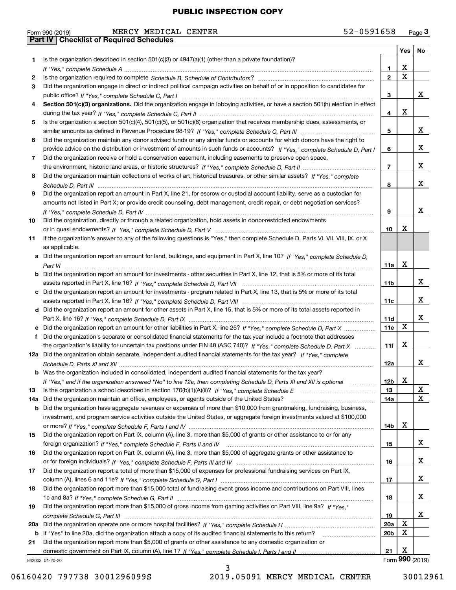|     | 52-0591658<br>MERCY MEDICAL CENTER<br>Form 990 (2019)                                                                                 |                 |     | Page $3$        |
|-----|---------------------------------------------------------------------------------------------------------------------------------------|-----------------|-----|-----------------|
|     | <b>Part IV   Checklist of Required Schedules</b>                                                                                      |                 |     |                 |
|     |                                                                                                                                       |                 | Yes | No              |
| 1   | Is the organization described in section $501(c)(3)$ or $4947(a)(1)$ (other than a private foundation)?                               |                 |     |                 |
|     |                                                                                                                                       | 1.              | x   |                 |
| 2   |                                                                                                                                       | $\mathbf{2}$    | X   |                 |
| З   | Did the organization engage in direct or indirect political campaign activities on behalf of or in opposition to candidates for       |                 |     |                 |
|     |                                                                                                                                       | 3               |     | x               |
| 4   | Section 501(c)(3) organizations. Did the organization engage in lobbying activities, or have a section 501(h) election in effect      |                 |     |                 |
|     |                                                                                                                                       | 4               | x   |                 |
| 5   | Is the organization a section 501(c)(4), 501(c)(5), or 501(c)(6) organization that receives membership dues, assessments, or          |                 |     |                 |
|     |                                                                                                                                       | 5               |     | x               |
| 6   | Did the organization maintain any donor advised funds or any similar funds or accounts for which donors have the right to             |                 |     |                 |
|     | provide advice on the distribution or investment of amounts in such funds or accounts? If "Yes," complete Schedule D, Part I          | 6               |     | x               |
| 7   | Did the organization receive or hold a conservation easement, including easements to preserve open space,                             |                 |     |                 |
|     |                                                                                                                                       | $\overline{7}$  |     | x               |
| 8   | Did the organization maintain collections of works of art, historical treasures, or other similar assets? If "Yes," complete          |                 |     |                 |
|     |                                                                                                                                       | 8               |     | x               |
| 9   | Did the organization report an amount in Part X, line 21, for escrow or custodial account liability, serve as a custodian for         |                 |     |                 |
|     | amounts not listed in Part X; or provide credit counseling, debt management, credit repair, or debt negotiation services?             |                 |     |                 |
|     |                                                                                                                                       | 9               |     | x               |
| 10  | Did the organization, directly or through a related organization, hold assets in donor-restricted endowments                          |                 |     |                 |
|     |                                                                                                                                       | 10              | X   |                 |
| 11  | If the organization's answer to any of the following questions is "Yes," then complete Schedule D, Parts VI, VII, VIII, IX, or X      |                 |     |                 |
|     | as applicable.                                                                                                                        |                 |     |                 |
|     | a Did the organization report an amount for land, buildings, and equipment in Part X, line 10? If "Yes." complete Schedule D.         |                 |     |                 |
|     |                                                                                                                                       | 11a             | Х   |                 |
|     | <b>b</b> Did the organization report an amount for investments - other securities in Part X, line 12, that is 5% or more of its total |                 |     |                 |
|     |                                                                                                                                       | 11 <sub>b</sub> |     | x               |
|     | c Did the organization report an amount for investments - program related in Part X, line 13, that is 5% or more of its total         |                 |     |                 |
|     |                                                                                                                                       | 11c             |     | x               |
|     | d Did the organization report an amount for other assets in Part X, line 15, that is 5% or more of its total assets reported in       |                 |     |                 |
|     |                                                                                                                                       | 11d             |     | x               |
|     |                                                                                                                                       | <b>11e</b>      | X   |                 |
| f   | Did the organization's separate or consolidated financial statements for the tax year include a footnote that addresses               |                 |     |                 |
|     | the organization's liability for uncertain tax positions under FIN 48 (ASC 740)? If "Yes," complete Schedule D, Part X                | 11f             | x   |                 |
|     | 12a Did the organization obtain separate, independent audited financial statements for the tax year? If "Yes." complete               |                 |     |                 |
|     |                                                                                                                                       | 12a             |     | ∡⊾              |
|     | <b>b</b> Was the organization included in consolidated, independent audited financial statements for the tax year?                    |                 |     |                 |
|     | If "Yes," and if the organization answered "No" to line 12a, then completing Schedule D, Parts XI and XII is optional                 | 12b             | х   |                 |
| 13  |                                                                                                                                       | 13              |     | X               |
| 14a | Did the organization maintain an office, employees, or agents outside of the United States?                                           | 14a             |     | X               |
| b   | Did the organization have aggregate revenues or expenses of more than \$10,000 from grantmaking, fundraising, business,               |                 |     |                 |
|     | investment, and program service activities outside the United States, or aggregate foreign investments valued at \$100,000            |                 |     |                 |
|     |                                                                                                                                       | 14b             | х   |                 |
| 15  | Did the organization report on Part IX, column (A), line 3, more than \$5,000 of grants or other assistance to or for any             |                 |     |                 |
|     |                                                                                                                                       | 15              |     | x               |
| 16  | Did the organization report on Part IX, column (A), line 3, more than \$5,000 of aggregate grants or other assistance to              |                 |     |                 |
|     |                                                                                                                                       | 16              |     | x               |
| 17  | Did the organization report a total of more than \$15,000 of expenses for professional fundraising services on Part IX,               |                 |     |                 |
|     |                                                                                                                                       | 17              |     | x               |
| 18  | Did the organization report more than \$15,000 total of fundraising event gross income and contributions on Part VIII, lines          |                 |     |                 |
|     |                                                                                                                                       | 18              |     | x               |
| 19  | Did the organization report more than \$15,000 of gross income from gaming activities on Part VIII, line 9a? If "Yes."                |                 |     |                 |
|     |                                                                                                                                       | 19              |     | x               |
| 20a |                                                                                                                                       | 20a             | Χ   |                 |
| b   | If "Yes" to line 20a, did the organization attach a copy of its audited financial statements to this return?                          | 20 <sub>b</sub> | х   |                 |
| 21  | Did the organization report more than \$5,000 of grants or other assistance to any domestic organization or                           |                 |     |                 |
|     |                                                                                                                                       | 21              | x   |                 |
|     | 932003 01-20-20                                                                                                                       |                 |     | Form 990 (2019) |
|     |                                                                                                                                       |                 |     |                 |

06160420 797738 3001296099S 2019.05091 MERCY MEDICAL CENTER 30012961

3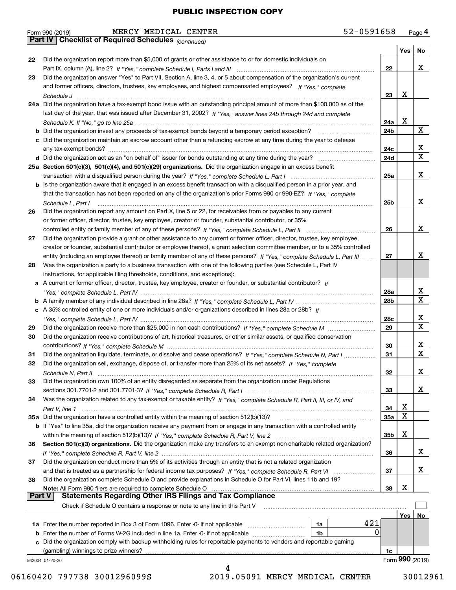|    | 52-0591658<br>MERCY MEDICAL CENTER<br>Form 990 (2019)                                                                              |                 |       | Page 4          |
|----|------------------------------------------------------------------------------------------------------------------------------------|-----------------|-------|-----------------|
|    | Part IV   Checklist of Required Schedules (continued)                                                                              |                 |       |                 |
|    |                                                                                                                                    |                 | Yes l | No              |
| 22 | Did the organization report more than \$5,000 of grants or other assistance to or for domestic individuals on                      |                 |       |                 |
|    |                                                                                                                                    | 22              |       | x               |
| 23 | Did the organization answer "Yes" to Part VII, Section A, line 3, 4, or 5 about compensation of the organization's current         |                 |       |                 |
|    | and former officers, directors, trustees, key employees, and highest compensated employees? If "Yes." complete                     |                 | x     |                 |
|    | 24a Did the organization have a tax-exempt bond issue with an outstanding principal amount of more than \$100,000 as of the        | 23              |       |                 |
|    | last day of the year, that was issued after December 31, 2002? If "Yes," answer lines 24b through 24d and complete                 |                 |       |                 |
|    |                                                                                                                                    | 24a             | X     |                 |
|    | <b>b</b> Did the organization invest any proceeds of tax-exempt bonds beyond a temporary period exception?                         | 24b             |       | X               |
|    | c Did the organization maintain an escrow account other than a refunding escrow at any time during the year to defease             |                 |       |                 |
|    |                                                                                                                                    | 24c             |       | x               |
|    |                                                                                                                                    | 24d             |       | $\mathbf{x}$    |
|    | 25a Section 501(c)(3), 501(c)(4), and 501(c)(29) organizations. Did the organization engage in an excess benefit                   |                 |       |                 |
|    |                                                                                                                                    | 25a             |       | x               |
|    | b Is the organization aware that it engaged in an excess benefit transaction with a disqualified person in a prior year, and       |                 |       |                 |
|    | that the transaction has not been reported on any of the organization's prior Forms 990 or 990-EZ? If "Yes." complete              |                 |       |                 |
|    | Schedule L, Part I                                                                                                                 | 25 <sub>b</sub> |       | x               |
| 26 | Did the organization report any amount on Part X, line 5 or 22, for receivables from or payables to any current                    |                 |       |                 |
|    | or former officer, director, trustee, key employee, creator or founder, substantial contributor, or 35%                            | 26              |       | x               |
| 27 | Did the organization provide a grant or other assistance to any current or former officer, director, trustee, key employee,        |                 |       |                 |
|    | creator or founder, substantial contributor or employee thereof, a grant selection committee member, or to a 35% controlled        |                 |       |                 |
|    | entity (including an employee thereof) or family member of any of these persons? If "Yes," complete Schedule L, Part III           | 27              |       | x               |
| 28 | Was the organization a party to a business transaction with one of the following parties (see Schedule L, Part IV                  |                 |       |                 |
|    | instructions, for applicable filing thresholds, conditions, and exceptions):                                                       |                 |       |                 |
|    | a A current or former officer, director, trustee, key employee, creator or founder, or substantial contributor? If                 |                 |       |                 |
|    |                                                                                                                                    | 28a             |       | x               |
|    |                                                                                                                                    | 28b             |       | $\mathbf{X}$    |
|    | c A 35% controlled entity of one or more individuals and/or organizations described in lines 28a or 28b? If                        |                 |       |                 |
|    |                                                                                                                                    | 28c             |       | x               |
| 29 |                                                                                                                                    | 29              |       | X               |
| 30 | Did the organization receive contributions of art, historical treasures, or other similar assets, or qualified conservation        |                 |       | x               |
| 31 | Did the organization liquidate, terminate, or dissolve and cease operations? If "Yes," complete Schedule N, Part I                 | 30<br>31        |       | $\mathbf{x}$    |
| 32 | Did the organization sell, exchange, dispose of, or transfer more than 25% of its net assets? If "Yes," complete                   |                 |       |                 |
|    | Schedule N. Part II                                                                                                                | 32              |       | x               |
| 33 | Did the organization own 100% of an entity disregarded as separate from the organization under Regulations                         |                 |       |                 |
|    |                                                                                                                                    | 33              |       | x               |
| 34 | Was the organization related to any tax-exempt or taxable entity? If "Yes," complete Schedule R, Part II, III, or IV, and          |                 |       |                 |
|    |                                                                                                                                    | 34              | х     |                 |
|    | 35a Did the organization have a controlled entity within the meaning of section 512(b)(13)?                                        | <b>35a</b>      | X     |                 |
|    | <b>b</b> If "Yes" to line 35a, did the organization receive any payment from or engage in any transaction with a controlled entity |                 |       |                 |
|    |                                                                                                                                    | 35b             | х     |                 |
| 36 | Section 501(c)(3) organizations. Did the organization make any transfers to an exempt non-charitable related organization?         |                 |       | х               |
|    |                                                                                                                                    | 36              |       |                 |
| 37 | Did the organization conduct more than 5% of its activities through an entity that is not a related organization                   | 37              |       | x               |
| 38 | Did the organization complete Schedule O and provide explanations in Schedule O for Part VI, lines 11b and 19?                     |                 |       |                 |
|    |                                                                                                                                    | 38              | х     |                 |
|    | <b>Part V</b>                                                                                                                      |                 |       |                 |
|    | Check if Schedule O contains a response or note to any line in this Part V                                                         |                 |       |                 |
|    |                                                                                                                                    |                 | Yes   | No.             |
|    | 421<br>1a                                                                                                                          |                 |       |                 |
| b  | 0<br>Enter the number of Forms W-2G included in line 1a. Enter -0- if not applicable<br>1b                                         |                 |       |                 |
| c  | Did the organization comply with backup withholding rules for reportable payments to vendors and reportable gaming                 |                 |       |                 |
|    |                                                                                                                                    | 1c              |       | Form 990 (2019) |
|    | 932004 01-20-20<br>4                                                                                                               |                 |       |                 |

<sup>06160420 797738 3001296099</sup>S 2019.05091 MERCY MEDICAL CENTER 30012961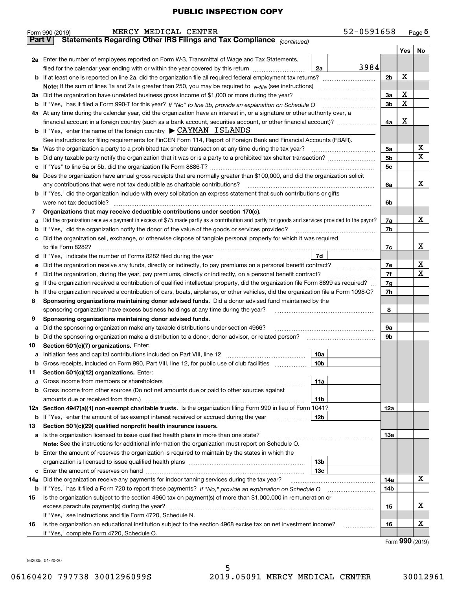|               | Form 990 (2019) | MERCY MEDICAL CENTER                                                                                                                                                                                  |                 | 52-0591658 |                |              | Page $5$         |
|---------------|-----------------|-------------------------------------------------------------------------------------------------------------------------------------------------------------------------------------------------------|-----------------|------------|----------------|--------------|------------------|
| <b>Part V</b> |                 | Statements Regarding Other IRS Filings and Tax Compliance (continued)                                                                                                                                 |                 |            |                |              |                  |
|               |                 |                                                                                                                                                                                                       |                 |            |                | Yes          | No               |
|               |                 | 2a Enter the number of employees reported on Form W-3, Transmittal of Wage and Tax Statements,                                                                                                        |                 |            |                |              |                  |
|               |                 | filed for the calendar year ending with or within the year covered by this return                                                                                                                     | 2a              | 3984       |                |              |                  |
|               |                 |                                                                                                                                                                                                       |                 |            | 2 <sub>b</sub> | x            |                  |
|               |                 |                                                                                                                                                                                                       |                 |            |                |              |                  |
| За            |                 | Did the organization have unrelated business gross income of \$1,000 or more during the year?                                                                                                         |                 |            | За             | x            |                  |
|               |                 |                                                                                                                                                                                                       |                 |            | 3 <sub>b</sub> | X            |                  |
|               |                 | 4a At any time during the calendar year, did the organization have an interest in, or a signature or other authority over, a                                                                          |                 |            |                |              |                  |
|               |                 | financial account in a foreign country (such as a bank account, securities account, or other financial account)?                                                                                      |                 |            | 4a             | X            |                  |
|               |                 | <b>b</b> If "Yes," enter the name of the foreign country $\triangleright$ CAYMAN ISLANDS                                                                                                              |                 |            |                |              |                  |
|               |                 | See instructions for filing requirements for FinCEN Form 114, Report of Foreign Bank and Financial Accounts (FBAR).                                                                                   |                 |            |                |              |                  |
| 5a            |                 | Was the organization a party to a prohibited tax shelter transaction at any time during the tax year?                                                                                                 |                 |            | 5a             |              | x<br>$\mathbf x$ |
| b             |                 |                                                                                                                                                                                                       |                 |            | 5 <sub>b</sub> |              |                  |
| с             |                 |                                                                                                                                                                                                       |                 |            | 5 <sub>c</sub> |              |                  |
|               |                 | 6a Does the organization have annual gross receipts that are normally greater than \$100,000, and did the organization solicit                                                                        |                 |            |                |              | x                |
|               |                 | any contributions that were not tax deductible as charitable contributions?<br>b If "Yes," did the organization include with every solicitation an express statement that such contributions or gifts |                 |            | 6a             |              |                  |
|               |                 | were not tax deductible?                                                                                                                                                                              |                 |            | 6b             |              |                  |
| 7             |                 | Organizations that may receive deductible contributions under section 170(c).                                                                                                                         |                 |            |                |              |                  |
| а             |                 | Did the organization receive a payment in excess of \$75 made partly as a contribution and partly for goods and services provided to the payor?                                                       |                 |            | 7a             |              | x                |
| b             |                 | If "Yes," did the organization notify the donor of the value of the goods or services provided?                                                                                                       |                 |            | 7b             |              |                  |
| с             |                 | Did the organization sell, exchange, or otherwise dispose of tangible personal property for which it was required                                                                                     |                 |            |                |              |                  |
|               |                 | to file Form 8282?                                                                                                                                                                                    |                 |            | 7c             |              | x.               |
| d             |                 | If "Yes," indicate the number of Forms 8282 filed during the year                                                                                                                                     | 7d              |            |                |              |                  |
| е             |                 | Did the organization receive any funds, directly or indirectly, to pay premiums on a personal benefit contract?                                                                                       |                 |            | 7e             |              | x                |
| f             |                 | Did the organization, during the year, pay premiums, directly or indirectly, on a personal benefit contract?                                                                                          |                 |            | 7f             |              | X                |
|               |                 | If the organization received a contribution of qualified intellectual property, did the organization file Form 8899 as required?                                                                      |                 |            | 7g             |              |                  |
| h             |                 | If the organization received a contribution of cars, boats, airplanes, or other vehicles, did the organization file a Form 1098-C?                                                                    |                 |            | 7h             |              |                  |
| 8             |                 | Sponsoring organizations maintaining donor advised funds. Did a donor advised fund maintained by the                                                                                                  |                 |            |                |              |                  |
|               |                 | sponsoring organization have excess business holdings at any time during the year?                                                                                                                    |                 |            | 8              |              |                  |
| 9             |                 | Sponsoring organizations maintaining donor advised funds.                                                                                                                                             |                 |            |                |              |                  |
| а             |                 | Did the sponsoring organization make any taxable distributions under section 4966?                                                                                                                    |                 |            | 9а             |              |                  |
| b             |                 | Did the sponsoring organization make a distribution to a donor, donor advisor, or related person?                                                                                                     |                 |            | 9b             |              |                  |
| 10            |                 | Section 501(c)(7) organizations. Enter:                                                                                                                                                               |                 |            |                |              |                  |
| a             |                 | Initiation fees and capital contributions included on Part VIII, line 12                                                                                                                              | 10a             |            |                |              |                  |
|               |                 | b Gross receipts, included on Form 990, Part VIII, line 12, for public use of club facilities                                                                                                         | 10 <sub>b</sub> |            |                |              |                  |
| 11            |                 | Section 501(c)(12) organizations. Enter:                                                                                                                                                              |                 |            |                |              |                  |
| a             |                 | Gross income from members or shareholders                                                                                                                                                             | 11a             |            |                |              |                  |
| b             |                 | Gross income from other sources (Do not net amounts due or paid to other sources against                                                                                                              |                 |            |                |              |                  |
|               |                 | amounts due or received from them.)                                                                                                                                                                   | 11 <sub>b</sub> |            |                |              |                  |
|               |                 | 12a Section 4947(a)(1) non-exempt charitable trusts. Is the organization filing Form 990 in lieu of Form 1041?                                                                                        | 12 <sub>b</sub> |            | 12a            |              |                  |
|               |                 | <b>b</b> If "Yes," enter the amount of tax-exempt interest received or accrued during the year                                                                                                        |                 |            |                |              |                  |
| 13            |                 | Section 501(c)(29) qualified nonprofit health insurance issuers.<br>Is the organization licensed to issue qualified health plans in more than one state?                                              |                 |            | <b>13a</b>     |              |                  |
| а             |                 | Note: See the instructions for additional information the organization must report on Schedule O.                                                                                                     |                 |            |                |              |                  |
| b             |                 | Enter the amount of reserves the organization is required to maintain by the states in which the                                                                                                      |                 |            |                |              |                  |
|               |                 |                                                                                                                                                                                                       | 13b             |            |                |              |                  |
| с             |                 |                                                                                                                                                                                                       | 13с             |            |                |              |                  |
| 14a           |                 | Did the organization receive any payments for indoor tanning services during the tax year?                                                                                                            |                 |            | 14a            |              | х                |
| b             |                 | If "Yes," has it filed a Form 720 to report these payments? If "No," provide an explanation on Schedule O                                                                                             |                 |            | 14b            |              |                  |
| 15            |                 | Is the organization subject to the section 4960 tax on payment(s) of more than \$1,000,000 in remuneration or                                                                                         |                 |            |                |              |                  |
|               |                 |                                                                                                                                                                                                       |                 |            | 15             |              | x                |
|               |                 | If "Yes," see instructions and file Form 4720, Schedule N.                                                                                                                                            |                 |            |                |              |                  |
| 16            |                 | Is the organization an educational institution subject to the section 4968 excise tax on net investment income?                                                                                       |                 |            | 16             |              | х                |
|               |                 | If "Yes," complete Form 4720, Schedule O.                                                                                                                                                             |                 |            |                |              |                  |
|               |                 |                                                                                                                                                                                                       |                 |            |                | $\mathbf{Q}$ |                  |

5

Form (2019) **990**

932005 01-20-20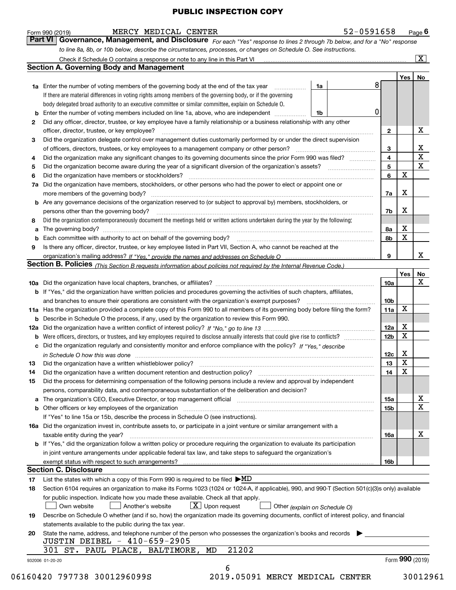|    | Part VI Governance, Management, and Disclosure For each "Yes" response to lines 2 through 7b below, and for a "No" response                                                                                                                                                                                                                                                                                                                                                             |                         |     |                              |
|----|-----------------------------------------------------------------------------------------------------------------------------------------------------------------------------------------------------------------------------------------------------------------------------------------------------------------------------------------------------------------------------------------------------------------------------------------------------------------------------------------|-------------------------|-----|------------------------------|
|    | to line 8a, 8b, or 10b below, describe the circumstances, processes, or changes on Schedule O. See instructions.                                                                                                                                                                                                                                                                                                                                                                        |                         |     |                              |
|    |                                                                                                                                                                                                                                                                                                                                                                                                                                                                                         |                         |     | $\vert X \vert$              |
|    | <b>Section A. Governing Body and Management</b>                                                                                                                                                                                                                                                                                                                                                                                                                                         |                         |     |                              |
|    |                                                                                                                                                                                                                                                                                                                                                                                                                                                                                         |                         | Yes | No                           |
|    | 8<br>1a<br><b>1a</b> Enter the number of voting members of the governing body at the end of the tax year                                                                                                                                                                                                                                                                                                                                                                                |                         |     |                              |
|    | If there are material differences in voting rights among members of the governing body, or if the governing                                                                                                                                                                                                                                                                                                                                                                             |                         |     |                              |
|    | body delegated broad authority to an executive committee or similar committee, explain on Schedule O.                                                                                                                                                                                                                                                                                                                                                                                   |                         |     |                              |
|    | 0<br><b>b</b> Enter the number of voting members included on line 1a, above, who are independent<br>1b                                                                                                                                                                                                                                                                                                                                                                                  |                         |     |                              |
| 2  | Did any officer, director, trustee, or key employee have a family relationship or a business relationship with any other                                                                                                                                                                                                                                                                                                                                                                |                         |     |                              |
|    | officer, director, trustee, or key employee?                                                                                                                                                                                                                                                                                                                                                                                                                                            | $\mathbf{2}$            |     | X                            |
| 3  | Did the organization delegate control over management duties customarily performed by or under the direct supervision                                                                                                                                                                                                                                                                                                                                                                   |                         |     |                              |
|    |                                                                                                                                                                                                                                                                                                                                                                                                                                                                                         | 3                       |     | X<br>$\overline{\mathtt{x}}$ |
| 4  | Did the organization make any significant changes to its governing documents since the prior Form 990 was filed?                                                                                                                                                                                                                                                                                                                                                                        | $\overline{\mathbf{4}}$ |     |                              |
| 5  |                                                                                                                                                                                                                                                                                                                                                                                                                                                                                         | 5                       |     | $\overline{\mathbf{x}}$      |
| 6  |                                                                                                                                                                                                                                                                                                                                                                                                                                                                                         | 6                       | х   |                              |
|    | 7a Did the organization have members, stockholders, or other persons who had the power to elect or appoint one or                                                                                                                                                                                                                                                                                                                                                                       |                         |     |                              |
|    | more members of the governing body?<br>$\begin{minipage}{0.5\textwidth} \begin{tabular}{ l l l } \hline \multicolumn{1}{ l l l } \hline \multicolumn{1}{ l l } \hline \multicolumn{1}{ l } \multicolumn{1}{ l } \hline \multicolumn{1}{ l } \multicolumn{1}{ l } \multicolumn{1}{ l } \hline \multicolumn{1}{ l } \multicolumn{1}{ l } \multicolumn{1}{ l } \hline \multicolumn{1}{ l } \multicolumn{1}{ l } \hline \multicolumn{1}{ l } \multicolumn{1}{ l } \hline \multicolumn{1}{ $ | 7a                      | х   |                              |
|    | b Are any governance decisions of the organization reserved to (or subject to approval by) members, stockholders, or                                                                                                                                                                                                                                                                                                                                                                    |                         |     |                              |
|    | persons other than the governing body?<br>$\begin{minipage}{0.5\textwidth} \begin{tabular}{ l l l } \hline \multicolumn{1}{ l l l } \hline \multicolumn{1}{ l l } \multicolumn{1}{ l } \multicolumn{1}{ l } \multicolumn{1}{ l } \multicolumn{1}{ l } \multicolumn{1}{ l } \multicolumn{1}{ l } \multicolumn{1}{ l } \multicolumn{1}{ l } \multicolumn{1}{ l } \multicolumn{1}{ l } \multicolumn{1}{ l } \multicolumn{1}{ l } \multicolumn{1}{ l } \multicolumn{1}{ l } \multicolumn$   | 7b                      | X   |                              |
| 8  | Did the organization contemporaneously document the meetings held or written actions undertaken during the year by the following:                                                                                                                                                                                                                                                                                                                                                       |                         |     |                              |
| a  |                                                                                                                                                                                                                                                                                                                                                                                                                                                                                         | 8а                      | X   |                              |
|    |                                                                                                                                                                                                                                                                                                                                                                                                                                                                                         | 8b                      | X   |                              |
| 9  | Is there any officer, director, trustee, or key employee listed in Part VII, Section A, who cannot be reached at the                                                                                                                                                                                                                                                                                                                                                                    |                         |     |                              |
|    |                                                                                                                                                                                                                                                                                                                                                                                                                                                                                         | 9                       |     | X                            |
|    | Section B. Policies (This Section B requests information about policies not required by the Internal Revenue Code.)                                                                                                                                                                                                                                                                                                                                                                     |                         |     |                              |
|    |                                                                                                                                                                                                                                                                                                                                                                                                                                                                                         |                         | Yes | No                           |
|    |                                                                                                                                                                                                                                                                                                                                                                                                                                                                                         | 10a                     |     | X                            |
|    | <b>b</b> If "Yes," did the organization have written policies and procedures governing the activities of such chapters, affiliates,                                                                                                                                                                                                                                                                                                                                                     |                         |     |                              |
|    |                                                                                                                                                                                                                                                                                                                                                                                                                                                                                         | 10 <sub>b</sub>         |     |                              |
|    | 11a Has the organization provided a complete copy of this Form 990 to all members of its governing body before filing the form?                                                                                                                                                                                                                                                                                                                                                         | 11a                     | X   |                              |
|    | <b>b</b> Describe in Schedule O the process, if any, used by the organization to review this Form 990.                                                                                                                                                                                                                                                                                                                                                                                  |                         |     |                              |
|    |                                                                                                                                                                                                                                                                                                                                                                                                                                                                                         | 12a                     | Х   |                              |
|    | <b>b</b> Were officers, directors, or trustees, and key employees required to disclose annually interests that could give rise to conflicts?                                                                                                                                                                                                                                                                                                                                            | 12 <sub>b</sub>         | X   |                              |
|    | c Did the organization regularly and consistently monitor and enforce compliance with the policy? If "Yes," describe                                                                                                                                                                                                                                                                                                                                                                    |                         |     |                              |
|    | in Schedule $\Omega$ how this was done                                                                                                                                                                                                                                                                                                                                                                                                                                                  | 12c                     | x   |                              |
| 13 |                                                                                                                                                                                                                                                                                                                                                                                                                                                                                         | 13                      | X   |                              |
| 14 |                                                                                                                                                                                                                                                                                                                                                                                                                                                                                         | 14                      | X   |                              |
| 15 | Did the process for determining compensation of the following persons include a review and approval by independent                                                                                                                                                                                                                                                                                                                                                                      |                         |     |                              |
|    | persons, comparability data, and contemporaneous substantiation of the deliberation and decision?                                                                                                                                                                                                                                                                                                                                                                                       |                         |     |                              |
|    | a The organization's CEO, Executive Director, or top management official manufacture content content of the organization's CEO, Executive Director, or top management official                                                                                                                                                                                                                                                                                                          | 15a                     |     | X                            |
|    |                                                                                                                                                                                                                                                                                                                                                                                                                                                                                         | 15 <sub>b</sub>         |     | $\mathbf X$                  |
|    | If "Yes" to line 15a or 15b, describe the process in Schedule O (see instructions).                                                                                                                                                                                                                                                                                                                                                                                                     |                         |     |                              |
|    | 16a Did the organization invest in, contribute assets to, or participate in a joint venture or similar arrangement with a                                                                                                                                                                                                                                                                                                                                                               |                         |     |                              |
|    | taxable entity during the year?                                                                                                                                                                                                                                                                                                                                                                                                                                                         | 16a                     |     | X                            |
|    | <b>b</b> If "Yes," did the organization follow a written policy or procedure requiring the organization to evaluate its participation                                                                                                                                                                                                                                                                                                                                                   |                         |     |                              |
|    | in joint venture arrangements under applicable federal tax law, and take steps to safeguard the organization's                                                                                                                                                                                                                                                                                                                                                                          |                         |     |                              |
|    |                                                                                                                                                                                                                                                                                                                                                                                                                                                                                         | 16b                     |     |                              |
|    | <b>Section C. Disclosure</b>                                                                                                                                                                                                                                                                                                                                                                                                                                                            |                         |     |                              |
| 17 | List the states with which a copy of this Form 990 is required to be filed $\blacktriangleright \text{MD}$                                                                                                                                                                                                                                                                                                                                                                              |                         |     |                              |
| 18 | Section 6104 requires an organization to make its Forms 1023 (1024 or 1024-A, if applicable), 990, and 990-T (Section 501(c)(3)s only) available                                                                                                                                                                                                                                                                                                                                        |                         |     |                              |
|    | for public inspection. Indicate how you made these available. Check all that apply.                                                                                                                                                                                                                                                                                                                                                                                                     |                         |     |                              |
|    | $X$ Upon request<br>Another's website<br>Own website<br>Other (explain on Schedule O)                                                                                                                                                                                                                                                                                                                                                                                                   |                         |     |                              |
|    | Describe on Schedule O whether (and if so, how) the organization made its governing documents, conflict of interest policy, and financial                                                                                                                                                                                                                                                                                                                                               |                         |     |                              |
|    |                                                                                                                                                                                                                                                                                                                                                                                                                                                                                         |                         |     |                              |
| 19 | statements available to the public during the tax year.                                                                                                                                                                                                                                                                                                                                                                                                                                 |                         |     |                              |
| 20 |                                                                                                                                                                                                                                                                                                                                                                                                                                                                                         |                         |     |                              |
|    | State the name, address, and telephone number of the person who possesses the organization's books and records<br>JUSTIN DEIBEL - 410-659-2905                                                                                                                                                                                                                                                                                                                                          |                         |     |                              |
|    | 21202<br>301 ST. PAUL PLACE, BALTIMORE,<br>MD                                                                                                                                                                                                                                                                                                                                                                                                                                           |                         |     |                              |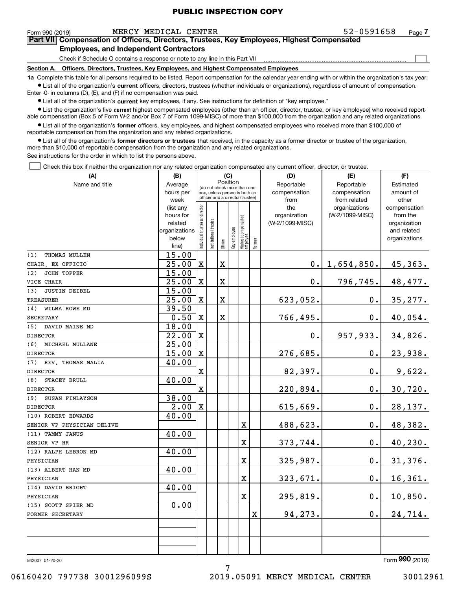| 52-0591658 |  |  |  | Pa |
|------------|--|--|--|----|
|------------|--|--|--|----|

 $\mathcal{L}^{\text{max}}$ 

| Form 990 (2019) |                                               | MERCY MEDICAL CENTER | 52-0591658                                                                                 | Page 7 |
|-----------------|-----------------------------------------------|----------------------|--------------------------------------------------------------------------------------------|--------|
|                 |                                               |                      | Part VII Compensation of Officers, Directors, Trustees, Key Employees, Highest Compensated |        |
|                 | <b>Employees, and Independent Contractors</b> |                      |                                                                                            |        |

Check if Schedule O contains a response or note to any line in this Part VII

**Section A. Officers, Directors, Trustees, Key Employees, and Highest Compensated Employees**

**1a**  Complete this table for all persons required to be listed. Report compensation for the calendar year ending with or within the organization's tax year. **•** List all of the organization's current officers, directors, trustees (whether individuals or organizations), regardless of amount of compensation. Enter -0- in columns (D), (E), and (F) if no compensation was paid.

 $\bullet$  List all of the organization's  $\,$ current key employees, if any. See instructions for definition of "key employee."

• List the organization's five current highest compensated employees (other than an officer, director, trustee, or key employee) who received report-■ List the organization's five current highest compensated employees (other than an officer, director, trustee, or key employee) who received report-<br>able compensation (Box 5 of Form W-2 and/or Box 7 of Form 1099-MISC) of

**•** List all of the organization's former officers, key employees, and highest compensated employees who received more than \$100,000 of reportable compensation from the organization and any related organizations.

**former directors or trustees**  ¥ List all of the organization's that received, in the capacity as a former director or trustee of the organization, more than \$10,000 of reportable compensation from the organization and any related organizations.

See instructions for the order in which to list the persons above.

Check this box if neither the organization nor any related organization compensated any current officer, director, or trustee.  $\mathcal{L}^{\text{max}}$ 

| (A)                         | (B)                      |                                |                                                                  | (C)         |              |                                   |             | (D)             | (E)             | (F)                         |
|-----------------------------|--------------------------|--------------------------------|------------------------------------------------------------------|-------------|--------------|-----------------------------------|-------------|-----------------|-----------------|-----------------------------|
| Name and title              | Average                  |                                | (do not check more than one                                      |             | Position     |                                   |             | Reportable      | Reportable      | Estimated                   |
|                             | hours per                |                                | box, unless person is both an<br>officer and a director/trustee) |             |              |                                   |             | compensation    | compensation    | amount of                   |
|                             | week                     |                                |                                                                  |             |              |                                   |             | from            | from related    | other                       |
|                             | (list any                |                                |                                                                  |             |              |                                   |             | the             | organizations   | compensation                |
|                             | hours for                |                                |                                                                  |             |              |                                   |             | organization    | (W-2/1099-MISC) | from the                    |
|                             | related<br>organizations |                                |                                                                  |             |              |                                   |             | (W-2/1099-MISC) |                 | organization<br>and related |
|                             | below                    |                                |                                                                  |             |              |                                   |             |                 |                 | organizations               |
|                             | line)                    | Individual trustee or director | nstitutional trustee                                             | Officer     | Key employee | Highest compensated<br>  employee | Former      |                 |                 |                             |
| THOMAS MULLEN<br>(1)        | 15.00                    |                                |                                                                  |             |              |                                   |             |                 |                 |                             |
| CHAIR, EX OFFICIO           | 25.00                    | $\mathbf x$                    |                                                                  | $\mathbf X$ |              |                                   |             | $0$ .           | 1,654,850.      | 45,363.                     |
| (2)<br><b>JOHN TOPPER</b>   | 15.00                    |                                |                                                                  |             |              |                                   |             |                 |                 |                             |
| VICE CHAIR                  | 25.00                    | X                              |                                                                  | X           |              |                                   |             | 0.              | 796,745.        | 48, 477.                    |
| <b>JUSTIN DEIBEL</b><br>(3) | 15.00                    |                                |                                                                  |             |              |                                   |             |                 |                 |                             |
| <b>TREASURER</b>            | 25.00                    | $\mathbf X$                    |                                                                  | $\mathbf X$ |              |                                   |             | 623,052.        | $0$ .           | 35, 277.                    |
| WILMA ROWE MD<br>(4)        | 39.50                    |                                |                                                                  |             |              |                                   |             |                 |                 |                             |
| <b>SECRETARY</b>            | 0.50                     | $\mathbf X$                    |                                                                  | $\mathbf X$ |              |                                   |             | 766,495.        | 0.              | 40,054.                     |
| DAVID MAINE MD<br>(5)       | 18.00                    |                                |                                                                  |             |              |                                   |             |                 |                 |                             |
| <b>DIRECTOR</b>             | 22.00                    | $\mathbf X$                    |                                                                  |             |              |                                   |             | $0$ .           | 957,933.        | 34,826.                     |
| (6) MICHAEL MULLANE         | 25.00                    |                                |                                                                  |             |              |                                   |             |                 |                 |                             |
| <b>DIRECTOR</b>             | 15.00                    | $\mathbf X$                    |                                                                  |             |              |                                   |             | 276,685.        | $0$ .           | 23,938.                     |
| (7) REV. THOMAS MALIA       | 40.00                    |                                |                                                                  |             |              |                                   |             |                 |                 |                             |
| <b>DIRECTOR</b>             |                          | X                              |                                                                  |             |              |                                   |             | 82,397.         | 0.              | 9,622.                      |
| STACEY BRULL<br>(8)         | 40.00                    |                                |                                                                  |             |              |                                   |             |                 |                 |                             |
| <b>DIRECTOR</b>             |                          | X                              |                                                                  |             |              |                                   |             | 220,894.        | 0.              | 30,720.                     |
| (9)<br>SUSAN FINLAYSON      | 38.00                    |                                |                                                                  |             |              |                                   |             |                 |                 |                             |
| <b>DIRECTOR</b>             | 2.00                     | $\mathbf X$                    |                                                                  |             |              |                                   |             | 615,669.        | 0.              | 28,137.                     |
| (10) ROBERT EDWARDS         | 40.00                    |                                |                                                                  |             |              |                                   |             |                 |                 |                             |
| SENIOR VP PHYSICIAN DELIVE  |                          |                                |                                                                  |             |              | X                                 |             | 488,623.        | 0.              | 48,382.                     |
| (11) TAMMY JANUS            | 40.00                    |                                |                                                                  |             |              |                                   |             |                 |                 |                             |
| SENIOR VP HR                |                          |                                |                                                                  |             |              | X                                 |             | 373,744.        | 0.              | 40,230.                     |
| (12) RALPH LEBRON MD        | 40.00                    |                                |                                                                  |             |              |                                   |             |                 |                 |                             |
| PHYSICIAN                   |                          |                                |                                                                  |             |              | X                                 |             | 325,987.        | 0.              | 31,376.                     |
| (13) ALBERT HAN MD          | 40.00                    |                                |                                                                  |             |              |                                   |             |                 |                 |                             |
| PHYSICIAN                   |                          |                                |                                                                  |             |              | $\mathbf x$                       |             | 323,671.        | 0.              | 16, 361.                    |
| (14) DAVID BRIGHT           | 40.00                    |                                |                                                                  |             |              |                                   |             |                 |                 |                             |
| PHYSICIAN                   |                          |                                |                                                                  |             |              | $\mathbf X$                       |             | 295,819.        | 0.              | 10,850.                     |
| (15) SCOTT SPIER MD         | 0.00                     |                                |                                                                  |             |              |                                   |             |                 |                 |                             |
| FORMER SECRETARY            |                          |                                |                                                                  |             |              |                                   | $\mathbf X$ | 94,273.         | $0$ .           | 24,714.                     |
|                             |                          |                                |                                                                  |             |              |                                   |             |                 |                 |                             |
|                             |                          |                                |                                                                  |             |              |                                   |             |                 |                 |                             |
|                             |                          |                                |                                                                  |             |              |                                   |             |                 |                 |                             |
|                             |                          |                                |                                                                  |             |              |                                   |             |                 |                 |                             |

7

932007 01-20-20

Form (2019) **990**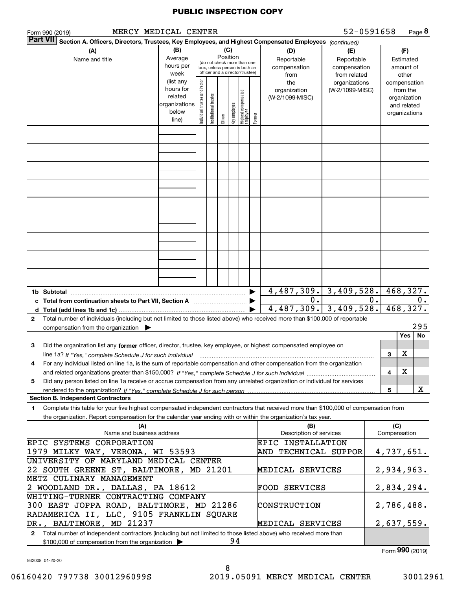| 52-0591658<br>MERCY MEDICAL CENTER<br>Page 8<br>Form 990 (2019)                                                                                                                                                                                                   |                                                                                                        |                                                                                                                                                                                     |                        |         |              |                                 |        |                                                                 |                                  |  |                     |                                                          |  |
|-------------------------------------------------------------------------------------------------------------------------------------------------------------------------------------------------------------------------------------------------------------------|--------------------------------------------------------------------------------------------------------|-------------------------------------------------------------------------------------------------------------------------------------------------------------------------------------|------------------------|---------|--------------|---------------------------------|--------|-----------------------------------------------------------------|----------------------------------|--|---------------------|----------------------------------------------------------|--|
| <b>Part VII</b>                                                                                                                                                                                                                                                   | Section A. Officers, Directors, Trustees, Key Employees, and Highest Compensated Employees (continued) |                                                                                                                                                                                     |                        |         |              |                                 |        |                                                                 |                                  |  |                     |                                                          |  |
| (A)<br>Name and title                                                                                                                                                                                                                                             | (B)<br>Average<br>hours per<br>week                                                                    | (C)<br>(D)<br>Position<br>Reportable<br>(do not check more than one<br>compensation<br>box, unless person is both an<br>officer and a director/trustee)<br>from<br>(list any<br>the |                        |         |              |                                 |        |                                                                 |                                  |  |                     | (F)<br>Estimated<br>amount of<br>other<br>compensation   |  |
|                                                                                                                                                                                                                                                                   | hours for<br>related<br>organizations<br>below<br>line)                                                | Individual trustee or director                                                                                                                                                      | In stitutional trustee | Officer | Key employee | Highest compensated<br>employee | Former | organization<br>(W-2/1099-MISC)                                 | organizations<br>(W-2/1099-MISC) |  |                     | from the<br>organization<br>and related<br>organizations |  |
|                                                                                                                                                                                                                                                                   |                                                                                                        |                                                                                                                                                                                     |                        |         |              |                                 |        |                                                                 |                                  |  |                     |                                                          |  |
|                                                                                                                                                                                                                                                                   |                                                                                                        |                                                                                                                                                                                     |                        |         |              |                                 |        |                                                                 |                                  |  |                     |                                                          |  |
|                                                                                                                                                                                                                                                                   |                                                                                                        |                                                                                                                                                                                     |                        |         |              |                                 |        |                                                                 |                                  |  |                     |                                                          |  |
|                                                                                                                                                                                                                                                                   |                                                                                                        |                                                                                                                                                                                     |                        |         |              |                                 |        |                                                                 |                                  |  |                     |                                                          |  |
|                                                                                                                                                                                                                                                                   |                                                                                                        |                                                                                                                                                                                     |                        |         |              |                                 |        |                                                                 |                                  |  |                     |                                                          |  |
|                                                                                                                                                                                                                                                                   |                                                                                                        |                                                                                                                                                                                     |                        |         |              |                                 |        |                                                                 |                                  |  |                     |                                                          |  |
|                                                                                                                                                                                                                                                                   |                                                                                                        |                                                                                                                                                                                     |                        |         |              |                                 |        |                                                                 |                                  |  |                     |                                                          |  |
|                                                                                                                                                                                                                                                                   |                                                                                                        |                                                                                                                                                                                     |                        |         |              |                                 |        |                                                                 |                                  |  |                     |                                                          |  |
|                                                                                                                                                                                                                                                                   |                                                                                                        |                                                                                                                                                                                     |                        |         |              |                                 |        |                                                                 |                                  |  |                     |                                                          |  |
| 1b Subtotal                                                                                                                                                                                                                                                       |                                                                                                        |                                                                                                                                                                                     |                        |         |              |                                 |        |                                                                 |                                  |  |                     | 468,327.                                                 |  |
|                                                                                                                                                                                                                                                                   |                                                                                                        |                                                                                                                                                                                     |                        |         |              |                                 |        | $\frac{4,487,309. 3,409,528. }{0.0}$<br>$4,487,309.$ 3,409,528. |                                  |  |                     | 0.<br>468,327.                                           |  |
| Total number of individuals (including but not limited to those listed above) who received more than \$100,000 of reportable<br>2                                                                                                                                 |                                                                                                        |                                                                                                                                                                                     |                        |         |              |                                 |        |                                                                 |                                  |  |                     |                                                          |  |
| compensation from the organization $\blacktriangleright$                                                                                                                                                                                                          |                                                                                                        |                                                                                                                                                                                     |                        |         |              |                                 |        |                                                                 |                                  |  |                     | 295<br>No<br><b>Yes</b>                                  |  |
| Did the organization list any former officer, director, trustee, key employee, or highest compensated employee on<br>3<br>line 1a? If "Yes," complete Schedule J for such individual manufactured contained and the Yes," complete Schedule J for such individual |                                                                                                        |                                                                                                                                                                                     |                        |         |              |                                 |        |                                                                 |                                  |  | 3                   | х                                                        |  |
| For any individual listed on line 1a, is the sum of reportable compensation and other compensation from the organization<br>4                                                                                                                                     |                                                                                                        |                                                                                                                                                                                     |                        |         |              |                                 |        |                                                                 |                                  |  |                     |                                                          |  |
| Did any person listed on line 1a receive or accrue compensation from any unrelated organization or individual for services<br>5                                                                                                                                   |                                                                                                        |                                                                                                                                                                                     |                        |         |              |                                 |        |                                                                 |                                  |  | 4                   | X                                                        |  |
| <b>Section B. Independent Contractors</b>                                                                                                                                                                                                                         |                                                                                                        |                                                                                                                                                                                     |                        |         |              |                                 |        |                                                                 |                                  |  | 5                   | X                                                        |  |
| Complete this table for your five highest compensated independent contractors that received more than \$100,000 of compensation from<br>1<br>the organization. Report compensation for the calendar year ending with or within the organization's tax year.       |                                                                                                        |                                                                                                                                                                                     |                        |         |              |                                 |        |                                                                 |                                  |  |                     |                                                          |  |
| (A)<br>Name and business address                                                                                                                                                                                                                                  |                                                                                                        |                                                                                                                                                                                     |                        |         |              |                                 |        | (B)<br>Description of services                                  |                                  |  | (C)<br>Compensation |                                                          |  |
| EPIC SYSTEMS CORPORATION                                                                                                                                                                                                                                          |                                                                                                        |                                                                                                                                                                                     |                        |         |              |                                 |        | EPIC INSTALLATION<br>AND TECHNICAL SUPPOR                       |                                  |  |                     |                                                          |  |
| 1979 MILKY WAY, VERONA, WI 53593<br>UNIVERSITY OF MARYLAND MEDICAL CENTER                                                                                                                                                                                         |                                                                                                        |                                                                                                                                                                                     |                        |         |              |                                 |        |                                                                 |                                  |  | 4,737,651.          |                                                          |  |
| 22 SOUTH GREENE ST, BALTIMORE, MD 21201<br>MEDICAL SERVICES<br>METZ CULINARY MANAGEMENT                                                                                                                                                                           |                                                                                                        |                                                                                                                                                                                     |                        |         |              |                                 |        |                                                                 |                                  |  | 2,934,963.          |                                                          |  |
| 2 WOODLAND DR., DALLAS, PA 18612<br>WHITING-TURNER CONTRACTING COMPANY                                                                                                                                                                                            |                                                                                                        |                                                                                                                                                                                     |                        |         |              |                                 |        | FOOD SERVICES                                                   |                                  |  |                     | 2,834,294.                                               |  |
| 300 EAST JOPPA ROAD, BALTIMORE, MD 21286                                                                                                                                                                                                                          |                                                                                                        |                                                                                                                                                                                     |                        |         |              |                                 |        | CONSTRUCTION                                                    |                                  |  |                     | 2,786,488.                                               |  |
| RADAMERICA II, LLC, 9105 FRANKLIN SQUARE<br>DR., BALTIMORE, MD 21237                                                                                                                                                                                              |                                                                                                        |                                                                                                                                                                                     |                        |         |              |                                 |        | MEDICAL SERVICES                                                |                                  |  |                     | 2,637,559.                                               |  |
| Total number of independent contractors (including but not limited to those listed above) who received more than<br>$\mathbf{2}$<br>94<br>\$100,000 of compensation from the organization                                                                         |                                                                                                        |                                                                                                                                                                                     |                        |         |              |                                 |        |                                                                 |                                  |  |                     |                                                          |  |
|                                                                                                                                                                                                                                                                   |                                                                                                        |                                                                                                                                                                                     |                        |         |              |                                 |        |                                                                 |                                  |  |                     | $F_{\text{arm}}$ 990 $(2010)$                            |  |

8

932008 01-20-20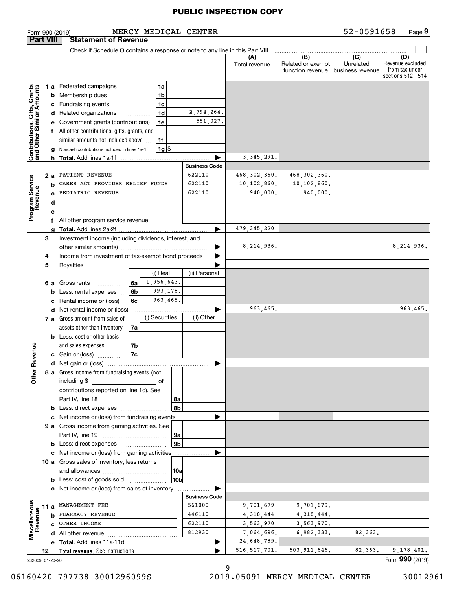|                                                           |    |     | MERCY MEDICAL CENTER<br>Form 990 (2019)                                                                                                                                                                                                              |                      |                      |                                              | 52-0591658                                      | Page 9                                                          |
|-----------------------------------------------------------|----|-----|------------------------------------------------------------------------------------------------------------------------------------------------------------------------------------------------------------------------------------------------------|----------------------|----------------------|----------------------------------------------|-------------------------------------------------|-----------------------------------------------------------------|
| <b>Part VIII</b>                                          |    |     | <b>Statement of Revenue</b>                                                                                                                                                                                                                          |                      |                      |                                              |                                                 |                                                                 |
|                                                           |    |     | Check if Schedule O contains a response or note to any line in this Part VIII                                                                                                                                                                        |                      |                      |                                              |                                                 |                                                                 |
|                                                           |    |     |                                                                                                                                                                                                                                                      |                      | (A)<br>Total revenue | (B)<br>Related or exempt<br>function revenue | $\overline{C}$<br>Unrelated<br>business revenue | (D)<br>Revenue excluded<br>from tax under<br>sections 512 - 514 |
|                                                           |    |     | 1 a Federated campaigns<br>1a                                                                                                                                                                                                                        |                      |                      |                                              |                                                 |                                                                 |
|                                                           |    |     | 1 <sub>b</sub><br><b>b</b> Membership dues                                                                                                                                                                                                           |                      |                      |                                              |                                                 |                                                                 |
|                                                           |    |     | c Fundraising events<br>1c                                                                                                                                                                                                                           |                      |                      |                                              |                                                 |                                                                 |
|                                                           |    |     | 1 <sub>d</sub><br>d Related organizations                                                                                                                                                                                                            | 2,794,264.           |                      |                                              |                                                 |                                                                 |
|                                                           |    |     | e Government grants (contributions)<br>1e                                                                                                                                                                                                            | 551,027.             |                      |                                              |                                                 |                                                                 |
|                                                           |    |     | f All other contributions, gifts, grants, and                                                                                                                                                                                                        |                      |                      |                                              |                                                 |                                                                 |
|                                                           |    |     | 1f<br>similar amounts not included above                                                                                                                                                                                                             |                      |                      |                                              |                                                 |                                                                 |
|                                                           |    |     | $1g$ $\frac{1}{3}$<br>Noncash contributions included in lines 1a-1f                                                                                                                                                                                  |                      |                      |                                              |                                                 |                                                                 |
| Contributions, Gifts, Grants<br>and Other Similar Amounts |    |     |                                                                                                                                                                                                                                                      |                      | 3, 345, 291.         |                                              |                                                 |                                                                 |
|                                                           |    |     |                                                                                                                                                                                                                                                      | <b>Business Code</b> |                      |                                              |                                                 |                                                                 |
|                                                           |    | 2 a | PATIENT REVENUE                                                                                                                                                                                                                                      | 622110               | 468,302,360.         | 468, 302, 360.                               |                                                 |                                                                 |
| Program Service<br>Revenue                                |    | b   | CARES ACT PROVIDER RELIEF FUNDS                                                                                                                                                                                                                      | 622110               | 10,102,860.          | 10,102,860.                                  |                                                 |                                                                 |
|                                                           |    |     | PEDIATRIC REVENUE                                                                                                                                                                                                                                    | 622110               | 940,000.             | 940,000.                                     |                                                 |                                                                 |
|                                                           |    | d   |                                                                                                                                                                                                                                                      |                      |                      |                                              |                                                 |                                                                 |
|                                                           |    | е   |                                                                                                                                                                                                                                                      |                      |                      |                                              |                                                 |                                                                 |
|                                                           |    |     | f All other program service revenue                                                                                                                                                                                                                  |                      |                      |                                              |                                                 |                                                                 |
|                                                           |    | a   |                                                                                                                                                                                                                                                      |                      | 479, 345, 220.       |                                              |                                                 |                                                                 |
|                                                           | 3  |     | Investment income (including dividends, interest, and                                                                                                                                                                                                |                      |                      |                                              |                                                 |                                                                 |
|                                                           |    |     |                                                                                                                                                                                                                                                      | ▶                    | 8, 214, 936.         |                                              |                                                 | 8,214,936.                                                      |
|                                                           | 4  |     | Income from investment of tax-exempt bond proceeds                                                                                                                                                                                                   |                      |                      |                                              |                                                 |                                                                 |
|                                                           | 5  |     |                                                                                                                                                                                                                                                      |                      |                      |                                              |                                                 |                                                                 |
|                                                           |    |     | (i) Real                                                                                                                                                                                                                                             | (ii) Personal        |                      |                                              |                                                 |                                                                 |
|                                                           |    |     | 1,956,643.<br>6 a Gross rents<br>6a ∣                                                                                                                                                                                                                |                      |                      |                                              |                                                 |                                                                 |
|                                                           |    |     | 993,178.<br>6b<br><b>b</b> Less: rental expenses $\ldots$                                                                                                                                                                                            |                      |                      |                                              |                                                 |                                                                 |
|                                                           |    |     | 963,465.<br>c Rental income or (loss)<br>6с                                                                                                                                                                                                          |                      |                      |                                              |                                                 |                                                                 |
|                                                           |    |     | d Net rental income or (loss)                                                                                                                                                                                                                        |                      | 963,465.             |                                              |                                                 | 963,465.                                                        |
|                                                           |    |     | (i) Securities<br>7 a Gross amount from sales of                                                                                                                                                                                                     | (ii) Other           |                      |                                              |                                                 |                                                                 |
|                                                           |    |     |                                                                                                                                                                                                                                                      |                      |                      |                                              |                                                 |                                                                 |
|                                                           |    |     | assets other than inventory<br>7a                                                                                                                                                                                                                    |                      |                      |                                              |                                                 |                                                                 |
|                                                           |    |     | <b>b</b> Less: cost or other basis                                                                                                                                                                                                                   |                      |                      |                                              |                                                 |                                                                 |
| evenue                                                    |    |     | 7b<br>and sales expenses                                                                                                                                                                                                                             |                      |                      |                                              |                                                 |                                                                 |
|                                                           |    |     | 7c<br>c Gain or (loss)                                                                                                                                                                                                                               |                      |                      |                                              |                                                 |                                                                 |
| œ                                                         |    |     | d Net gain or (loss)                                                                                                                                                                                                                                 |                      |                      |                                              |                                                 |                                                                 |
| Other                                                     |    |     | 8 a Gross income from fundraising events (not                                                                                                                                                                                                        |                      |                      |                                              |                                                 |                                                                 |
|                                                           |    |     | including \$<br><u>and the contract of the contract of the contract of the contract of the contract of the contract of the contract of the contract of the contract of the contract of the contract of the contract of the contract of the contr</u> |                      |                      |                                              |                                                 |                                                                 |
|                                                           |    |     | contributions reported on line 1c). See                                                                                                                                                                                                              |                      |                      |                                              |                                                 |                                                                 |
|                                                           |    |     | 8a<br>8b                                                                                                                                                                                                                                             |                      |                      |                                              |                                                 |                                                                 |
|                                                           |    |     |                                                                                                                                                                                                                                                      |                      |                      |                                              |                                                 |                                                                 |
|                                                           |    |     | c Net income or (loss) from fundraising events<br>9 a Gross income from gaming activities. See                                                                                                                                                       |                      |                      |                                              |                                                 |                                                                 |
|                                                           |    |     | 9a                                                                                                                                                                                                                                                   |                      |                      |                                              |                                                 |                                                                 |
|                                                           |    |     | 9 <sub>b</sub><br><b>b</b> Less: direct expenses                                                                                                                                                                                                     |                      |                      |                                              |                                                 |                                                                 |
|                                                           |    |     |                                                                                                                                                                                                                                                      |                      |                      |                                              |                                                 |                                                                 |
|                                                           |    |     | c Net income or (loss) from gaming activities                                                                                                                                                                                                        |                      |                      |                                              |                                                 |                                                                 |
|                                                           |    |     | 10 a Gross sales of inventory, less returns                                                                                                                                                                                                          |                      |                      |                                              |                                                 |                                                                 |
|                                                           |    |     | 10a <br>10b                                                                                                                                                                                                                                          |                      |                      |                                              |                                                 |                                                                 |
|                                                           |    |     | <b>b</b> Less: cost of goods sold                                                                                                                                                                                                                    |                      |                      |                                              |                                                 |                                                                 |
|                                                           |    |     | <b>c</b> Net income or (loss) from sales of inventory                                                                                                                                                                                                | <b>Business Code</b> |                      |                                              |                                                 |                                                                 |
|                                                           |    |     | 11 a MANAGEMENT FEE                                                                                                                                                                                                                                  | 561000               | 9,701,679.           | 9,701,679.                                   |                                                 |                                                                 |
|                                                           |    |     | <b>b</b> PHARMACY REVENUE                                                                                                                                                                                                                            | 446110               | 4, 318, 444.         | 4, 318, 444.                                 |                                                 |                                                                 |
|                                                           |    |     | C OTHER INCOME                                                                                                                                                                                                                                       | 622110               | 3,563,970.           | 3,563,970.                                   |                                                 |                                                                 |
| Miscellaneous<br>Revenue                                  |    |     |                                                                                                                                                                                                                                                      | 812930               |                      |                                              |                                                 |                                                                 |
|                                                           |    |     |                                                                                                                                                                                                                                                      |                      | 7,064,696.           | 6,982,333.                                   | 82,363.                                         |                                                                 |
|                                                           |    |     |                                                                                                                                                                                                                                                      |                      | 24,648,789.          |                                              |                                                 |                                                                 |
|                                                           | 12 |     |                                                                                                                                                                                                                                                      |                      | 516, 517, 701.       | 503, 911, 646.                               | 82,363.                                         | 9,178,401.<br>$L_{\text{max}}$ QQQ                              |

932009 01-20-20

9

Form (2019) **990**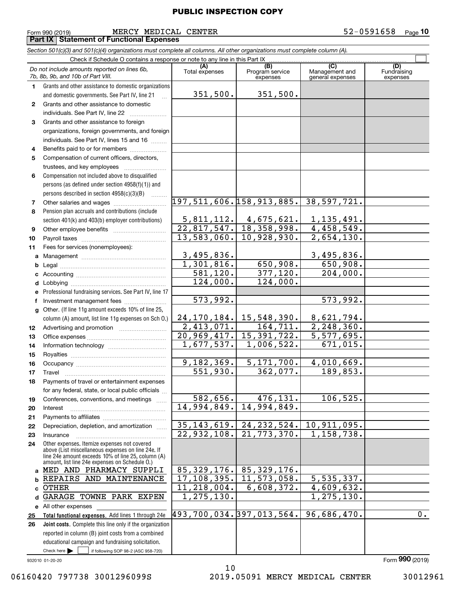**10**

 $\mathcal{L}^{\text{max}}$ 

|              |                                                                                                                            | <b>PUBLIC INSPECTION COPY</b> |                                                                                                                           |                       |                    |
|--------------|----------------------------------------------------------------------------------------------------------------------------|-------------------------------|---------------------------------------------------------------------------------------------------------------------------|-----------------------|--------------------|
|              | MERCY MEDICAL CENTER<br>Form 990 (2019)                                                                                    |                               |                                                                                                                           |                       | 52-0591658<br>Page |
|              | <b>Part IX   Statement of Functional Expenses</b>                                                                          |                               |                                                                                                                           |                       |                    |
|              | Section 501(c)(3) and 501(c)(4) organizations must complete all columns. All other organizations must complete column (A). |                               |                                                                                                                           |                       |                    |
|              | Check if Schedule O contains a response or note to any line in this Part IX.                                               |                               |                                                                                                                           |                       |                    |
|              | Do not include amounts reported on lines 6b,                                                                               | (A)                           | (B)<br>Program service                                                                                                    | (C)<br>Management and | (D)<br>Fundraising |
|              | 7b, 8b, 9b, and 10b of Part VIII.                                                                                          | Total expenses                | expenses                                                                                                                  | general expenses      | expenses           |
| 1            | Grants and other assistance to domestic organizations                                                                      |                               |                                                                                                                           |                       |                    |
|              | and domestic governments. See Part IV, line 21                                                                             | 351,500.                      | 351,500.                                                                                                                  |                       |                    |
| $\mathbf{2}$ | Grants and other assistance to domestic                                                                                    |                               |                                                                                                                           |                       |                    |
|              | individuals. See Part IV, line 22                                                                                          |                               |                                                                                                                           |                       |                    |
| 3            | Grants and other assistance to foreign                                                                                     |                               |                                                                                                                           |                       |                    |
|              | organizations, foreign governments, and foreign                                                                            |                               |                                                                                                                           |                       |                    |
|              | individuals. See Part IV, lines 15 and 16                                                                                  |                               |                                                                                                                           |                       |                    |
| 4            | Benefits paid to or for members                                                                                            |                               |                                                                                                                           |                       |                    |
| 5            | Compensation of current officers, directors,                                                                               |                               |                                                                                                                           |                       |                    |
|              | trustees, and key employees                                                                                                |                               |                                                                                                                           |                       |                    |
| 6            | Compensation not included above to disqualified                                                                            |                               |                                                                                                                           |                       |                    |
|              | persons (as defined under section 4958(f)(1)) and                                                                          |                               |                                                                                                                           |                       |                    |
|              | persons described in section 4958(c)(3)(B)                                                                                 |                               | 197,511,606.158,913,885.                                                                                                  | 38,597,721.           |                    |
| 7            |                                                                                                                            |                               |                                                                                                                           |                       |                    |
| 8            | Pension plan accruals and contributions (include                                                                           |                               |                                                                                                                           | 1, 135, 491.          |                    |
| 9            | section 401(k) and 403(b) employer contributions)                                                                          |                               | $\begin{array}{ c c c c c c }\n\hline\n5,811,112. & 4,675,621. \\ \hline\n22,817,547. & 18,358,998.\n\hline\n\end{array}$ | 4,458,549.            |                    |
| 10           |                                                                                                                            |                               | $13,583,060.$ 10,928,930.                                                                                                 | 2,654,130.            |                    |
| 11           | Fees for services (nonemployees):                                                                                          |                               |                                                                                                                           |                       |                    |
| a            |                                                                                                                            | 3,495,836.                    |                                                                                                                           | 3,495,836.            |                    |
| b            |                                                                                                                            | 1,301,816.                    | 650,908.                                                                                                                  | 650,908.              |                    |
|              |                                                                                                                            | 581, 120.                     | 377,120.                                                                                                                  | 204,000.              |                    |
| d            |                                                                                                                            | 124,000.                      | 124,000.                                                                                                                  |                       |                    |
| е            | Professional fundraising services. See Part IV, line 17                                                                    |                               |                                                                                                                           |                       |                    |
| f            | Investment management fees                                                                                                 | 573,992.                      |                                                                                                                           | 573,992.              |                    |
| g            | Other. (If line 11g amount exceeds 10% of line 25,                                                                         |                               |                                                                                                                           |                       |                    |
|              | column (A) amount, list line 11g expenses on Sch O.)                                                                       |                               | $24, 170, 184.$ 15, 548, 390.                                                                                             | 8,621,794.            |                    |
| 12           |                                                                                                                            | 2,413,071.                    | 164, 711.                                                                                                                 | 2, 248, 360.          |                    |
| 13           |                                                                                                                            |                               | 20, 969, 417. 15, 391, 722.                                                                                               | 5,577,695.            |                    |
| 14           |                                                                                                                            |                               | $1,677,537.$ $1,006,522.$                                                                                                 | 671,015.              |                    |
| 15           |                                                                                                                            |                               |                                                                                                                           |                       |                    |
| 16           |                                                                                                                            | 9,182,369.                    | 5,171,700.                                                                                                                | 4,010,669.            |                    |
| 17           | Travel                                                                                                                     | $\overline{551}$ , 930.       | 362,077.                                                                                                                  | 189,853.              |                    |
| 18           | Payments of travel or entertainment expenses                                                                               |                               |                                                                                                                           |                       |                    |
|              | for any federal, state, or local public officials                                                                          |                               | 476, 131.                                                                                                                 |                       |                    |
| 19           | Conferences, conventions, and meetings                                                                                     | 582,656.<br>14,994,849.       | 14,994,849.                                                                                                               | 106, 525.             |                    |
| 20           | Interest                                                                                                                   |                               |                                                                                                                           |                       |                    |
| 21           | Depreciation, depletion, and amortization                                                                                  |                               | $35, 143, 619.   24, 232, 524.   10, 911, 095.$                                                                           |                       |                    |
| 22           |                                                                                                                            |                               | $22,932,108.$ 21, 773, 370.                                                                                               | 1,158,738.            |                    |
| 23<br>24     | Insurance<br>Other expenses. Itemize expenses not covered                                                                  |                               |                                                                                                                           |                       |                    |
|              | above (List miscellaneous expenses on line 24e. If                                                                         |                               |                                                                                                                           |                       |                    |
|              | line 24e amount exceeds 10% of line 25, column (A)<br>amount, list line 24e expenses on Schedule O.)                       |                               |                                                                                                                           |                       |                    |
| a            | MED AND PHARMACY SUPPLI                                                                                                    |                               | 85, 329, 176. 85, 329, 176.                                                                                               |                       |                    |
| b            | REPAIRS AND MAINTENANCE                                                                                                    |                               | $17, 108, 395.$ 11, 573, 058.                                                                                             | 5,535,337.            |                    |
| c            | OTHER                                                                                                                      | 11, 218, 004.                 | 6,608,372.                                                                                                                | 4,609,632.            |                    |
|              | d GARAGE TOWNE PARK EXPEN                                                                                                  | 1, 275, 130.                  |                                                                                                                           | 1, 275, 130.          |                    |

Check here  $\begin{array}{|c|c|c|c|c|}\hline \text{ } & \text{ if following SOP 98-2 (ASC 958-720)} \hline \end{array}$ **Total functional expenses.**  Add lines 1 through 24e **Joint costs.** Complete this line only if the organization **e** All other expenses **25 26**reported in column (B) joint costs from a combined educational campaign and fundraising solicitation. 493,700,034. 397,013,564. 96,686,470. 0.

932010 01-20-20

10

06160420 797738 3001296099S 2019.05091 MERCY MEDICAL CENTER 30012961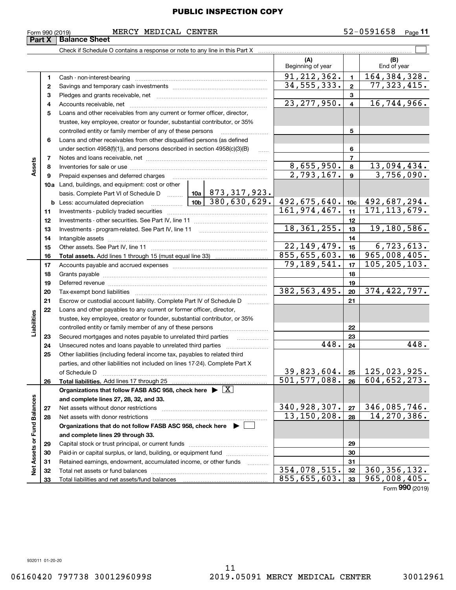Form 990 (2019) MERCY MEDICAL CENTER 5 2-0 5 9 1 6 5 8 <sub>Page</sub> **Part X Balance Sheet**<br>**Part X Balance Sheet** 

|                             |          |                                                                                            | (A)<br>Beginning of year      |                         | (B)<br>End of year                   |
|-----------------------------|----------|--------------------------------------------------------------------------------------------|-------------------------------|-------------------------|--------------------------------------|
|                             | 1        |                                                                                            | 91, 212, 362.                 | $\mathbf{1}$            | 164, 384, 328.                       |
|                             | 2        |                                                                                            | 34, 555, 333.                 | $\mathbf{2}$            | 77,323,415.                          |
|                             | з        |                                                                                            |                               | 3                       |                                      |
|                             | 4        |                                                                                            | 23, 277, 950.                 | $\overline{\mathbf{4}}$ | 16, 744, 966.                        |
|                             | 5        | Loans and other receivables from any current or former officer, director,                  |                               |                         |                                      |
|                             |          | trustee, key employee, creator or founder, substantial contributor, or 35%                 |                               |                         |                                      |
|                             |          | controlled entity or family member of any of these persons                                 |                               | 5                       |                                      |
|                             | 6        | Loans and other receivables from other disqualified persons (as defined                    |                               |                         |                                      |
|                             |          | under section $4958(f)(1)$ , and persons described in section $4958(c)(3)(B)$              |                               | 6                       |                                      |
|                             | 7        |                                                                                            |                               | 7                       |                                      |
| Assets                      | 8        |                                                                                            | 8,655,950.                    | 8                       | 13,094,434.                          |
|                             | 9        | Prepaid expenses and deferred charges                                                      | 2,793,167.                    | $\mathbf{9}$            | 3,756,090.                           |
|                             |          | <b>10a</b> Land, buildings, and equipment: cost or other                                   |                               |                         |                                      |
|                             |          | basis. Complete Part VI of Schedule D    10a   873, 317, 923.                              |                               |                         |                                      |
|                             |          | $\boxed{10b}$ 380, 630, 629.                                                               | 492,675,640.                  | 10c                     | 492,687,294.                         |
|                             | 11       |                                                                                            | 161,974,467.                  | 11                      | 171, 113, 679.                       |
|                             | 12       |                                                                                            |                               | 12                      |                                      |
|                             | 13       |                                                                                            | 18, 361, 255.                 | 13                      | 19,180,586.                          |
|                             | 14       |                                                                                            |                               | 14                      |                                      |
|                             | 15       |                                                                                            | 22, 149, 479.<br>855,655,603. | 15                      | 6,723,613.<br>965,008,405.           |
|                             | 16       |                                                                                            | 79,189,541.                   | 16                      | 105, 205, 103.                       |
|                             | 17       |                                                                                            |                               | 17                      |                                      |
|                             | 18       |                                                                                            |                               | 18                      |                                      |
|                             | 19<br>20 |                                                                                            | 382, 563, 495.                | 19<br>20                | 374,422,797.                         |
|                             | 21       | Escrow or custodial account liability. Complete Part IV of Schedule D                      |                               | 21                      |                                      |
|                             | 22       | Loans and other payables to any current or former officer, director,                       |                               |                         |                                      |
|                             |          | trustee, key employee, creator or founder, substantial contributor, or 35%                 |                               |                         |                                      |
| Liabilities                 |          | controlled entity or family member of any of these persons                                 |                               | 22                      |                                      |
|                             | 23       | Secured mortgages and notes payable to unrelated third parties                             |                               | 23                      |                                      |
|                             | 24       |                                                                                            | 448.                          | 24                      | 448.                                 |
|                             | 25       | Other liabilities (including federal income tax, payables to related third                 |                               |                         |                                      |
|                             |          | parties, and other liabilities not included on lines 17-24). Complete Part X               |                               |                         |                                      |
|                             |          | of Schedule D                                                                              |                               |                         | $39,823,604.$ $25 \mid 125,023,925.$ |
|                             | 26       | Total liabilities. Add lines 17 through 25                                                 | $\overline{501, 577, 088}$ .  | 26                      | 604, 652, 273.                       |
|                             |          | Organizations that follow FASB ASC 958, check here $\blacktriangleright \lfloor X \rfloor$ |                               |                         |                                      |
|                             |          | and complete lines 27, 28, 32, and 33.                                                     |                               |                         |                                      |
|                             | 27       | Net assets without donor restrictions                                                      | 340,928,307.                  | 27                      | 346, 085, 746.                       |
|                             | 28       |                                                                                            | 13, 150, 208.                 | 28                      | 14, 270, 386.                        |
|                             |          | Organizations that do not follow FASB ASC 958, check here $\blacktriangleright$            |                               |                         |                                      |
|                             |          | and complete lines 29 through 33.                                                          |                               |                         |                                      |
|                             | 29       |                                                                                            |                               | 29                      |                                      |
| Net Assets or Fund Balances | 30       | Paid-in or capital surplus, or land, building, or equipment fund                           |                               | 30                      |                                      |
|                             | 31       | Retained earnings, endowment, accumulated income, or other funds<br>.                      |                               | 31                      |                                      |
|                             | 32       |                                                                                            | 354,078,515.                  | 32                      | $\overline{360, 356, 132.}$          |
|                             | 33       |                                                                                            | 855,655,603.                  | 33                      | 965,008,405.                         |
|                             |          |                                                                                            |                               |                         | Form 990 (2019)                      |

932011 01-20-20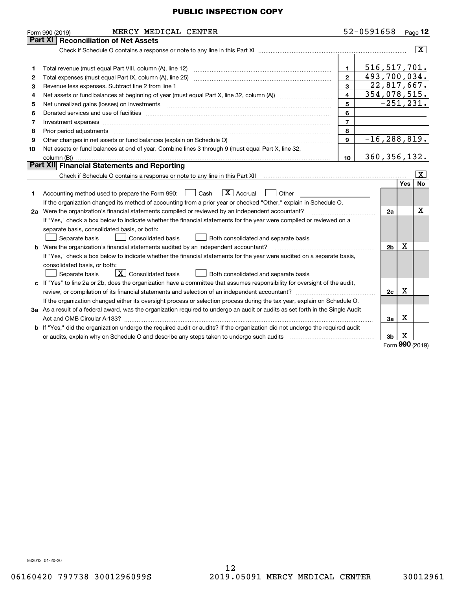|    | MERCY MEDICAL CENTER<br>Form 990 (2019)                                                                                         |                         | 52-0591658       |                |     | $P_{\text{aqe}}$ 12     |
|----|---------------------------------------------------------------------------------------------------------------------------------|-------------------------|------------------|----------------|-----|-------------------------|
|    | <b>Reconciliation of Net Assets</b><br>Part XI                                                                                  |                         |                  |                |     |                         |
|    |                                                                                                                                 |                         |                  |                |     | $\overline{\mathbf{X}}$ |
|    |                                                                                                                                 |                         |                  |                |     |                         |
| 1  | Total revenue (must equal Part VIII, column (A), line 12)                                                                       | $\mathbf{1}$            | 516, 517, 701.   |                |     |                         |
| 2  |                                                                                                                                 | $\overline{2}$          | 493,700,034.     |                |     |                         |
| З  | Revenue less expenses. Subtract line 2 from line 1                                                                              | 3                       |                  |                |     | 22,817,667.             |
| 4  |                                                                                                                                 | $\overline{\mathbf{4}}$ | 354,078,515.     |                |     |                         |
| 5  |                                                                                                                                 | 5                       |                  |                |     | $-251, 231.$            |
| 6  |                                                                                                                                 | 6                       |                  |                |     |                         |
| 7  | Investment expenses www.communication.com/www.communication.com/www.communication.com/www.com                                   | $\overline{7}$          |                  |                |     |                         |
| 8  | Prior period adjustments                                                                                                        | 8                       |                  |                |     |                         |
| 9  | Other changes in net assets or fund balances (explain on Schedule O)                                                            | $\mathbf{9}$            | $-16, 288, 819.$ |                |     |                         |
| 10 | Net assets or fund balances at end of year. Combine lines 3 through 9 (must equal Part X, line 32,                              |                         |                  |                |     |                         |
|    | column (B))                                                                                                                     | 10                      | 360, 356, 132.   |                |     |                         |
|    | Part XII Financial Statements and Reporting                                                                                     |                         |                  |                |     |                         |
|    |                                                                                                                                 |                         |                  |                |     |                         |
|    |                                                                                                                                 |                         |                  |                | Yes | <b>No</b>               |
| 1  | $ X $ Accrual<br>Accounting method used to prepare the Form 990: <u>[</u> Cash<br>Other                                         |                         |                  |                |     |                         |
|    | If the organization changed its method of accounting from a prior year or checked "Other," explain in Schedule O.               |                         |                  |                |     |                         |
|    | 2a Were the organization's financial statements compiled or reviewed by an independent accountant?                              |                         |                  | 2a             |     | х                       |
|    | If "Yes," check a box below to indicate whether the financial statements for the year were compiled or reviewed on a            |                         |                  |                |     |                         |
|    | separate basis, consolidated basis, or both:                                                                                    |                         |                  |                |     |                         |
|    | Separate basis<br><b>Consolidated basis</b><br>Both consolidated and separate basis                                             |                         |                  |                |     |                         |
|    | <b>b</b> Were the organization's financial statements audited by an independent accountant?                                     |                         |                  | 2 <sub>b</sub> | х   |                         |
|    | If "Yes," check a box below to indicate whether the financial statements for the year were audited on a separate basis,         |                         |                  |                |     |                         |
|    | consolidated basis, or both:                                                                                                    |                         |                  |                |     |                         |
|    | $\boxed{\textbf{X}}$ Consolidated basis<br>Separate basis<br>Both consolidated and separate basis                               |                         |                  |                |     |                         |
|    | c If "Yes" to line 2a or 2b, does the organization have a committee that assumes responsibility for oversight of the audit,     |                         |                  |                |     |                         |
|    |                                                                                                                                 |                         |                  | 2c             | Χ   |                         |
|    | If the organization changed either its oversight process or selection process during the tax year, explain on Schedule O.       |                         |                  |                |     |                         |
|    | 3a As a result of a federal award, was the organization required to undergo an audit or audits as set forth in the Single Audit |                         |                  |                |     |                         |
|    |                                                                                                                                 |                         |                  | За             | Χ   |                         |
|    | b If "Yes," did the organization undergo the required audit or audits? If the organization did not undergo the required audit   |                         |                  |                |     |                         |
|    |                                                                                                                                 |                         |                  | 3 <sub>b</sub> | х   |                         |
|    |                                                                                                                                 |                         |                  |                | nnn |                         |

Form (2019) **990**

932012 01-20-20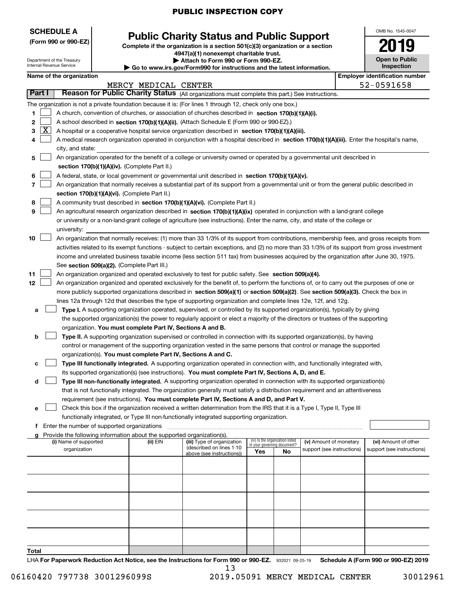| <b>SCHEDULE A</b><br>(Form 990 or 990-EZ) | <b>Public Charity Status and Public Support</b>                               |
|-------------------------------------------|-------------------------------------------------------------------------------|
|                                           | Complete if the organization is a section 501(c)(3) organization or a section |

| 4947(a)(1) nonexempt charitable trust.                                |
|-----------------------------------------------------------------------|
| Attach to Form 990 or Form 990-EZ.                                    |
| Go to www.irs.gov/Form990 for instructions and the latest information |

| ) www.irs.αον/Form990 for instructions and the latest information. |  |
|--------------------------------------------------------------------|--|

| OMB No. 1545-0047                   |
|-------------------------------------|
| 2019                                |
| <b>Open to Public</b><br>Inspection |

|       | <b>Employer identification number</b><br>Name of the organization |                                                                                                                                                                                                                                               |                      |                                                        |     |                                 |                            |  |                            |
|-------|-------------------------------------------------------------------|-----------------------------------------------------------------------------------------------------------------------------------------------------------------------------------------------------------------------------------------------|----------------------|--------------------------------------------------------|-----|---------------------------------|----------------------------|--|----------------------------|
|       |                                                                   |                                                                                                                                                                                                                                               | MERCY MEDICAL CENTER |                                                        |     |                                 |                            |  | 52-0591658                 |
|       | Part I                                                            | Reason for Public Charity Status (All organizations must complete this part.) See instructions.                                                                                                                                               |                      |                                                        |     |                                 |                            |  |                            |
|       |                                                                   | The organization is not a private foundation because it is: (For lines 1 through 12, check only one box.)                                                                                                                                     |                      |                                                        |     |                                 |                            |  |                            |
| 1.    |                                                                   | A church, convention of churches, or association of churches described in section 170(b)(1)(A)(i).                                                                                                                                            |                      |                                                        |     |                                 |                            |  |                            |
| 2     |                                                                   | A school described in section 170(b)(1)(A)(ii). (Attach Schedule E (Form 990 or 990-EZ).)                                                                                                                                                     |                      |                                                        |     |                                 |                            |  |                            |
| 3     | $\lfloor x \rfloor$                                               | A hospital or a cooperative hospital service organization described in section 170(b)(1)(A)(iii).                                                                                                                                             |                      |                                                        |     |                                 |                            |  |                            |
| 4     |                                                                   | A medical research organization operated in conjunction with a hospital described in section 170(b)(1)(A)(iii). Enter the hospital's name,                                                                                                    |                      |                                                        |     |                                 |                            |  |                            |
|       |                                                                   | city, and state:                                                                                                                                                                                                                              |                      |                                                        |     |                                 |                            |  |                            |
| 5     |                                                                   | An organization operated for the benefit of a college or university owned or operated by a governmental unit described in                                                                                                                     |                      |                                                        |     |                                 |                            |  |                            |
|       |                                                                   | section 170(b)(1)(A)(iv). (Complete Part II.)                                                                                                                                                                                                 |                      |                                                        |     |                                 |                            |  |                            |
| 6     |                                                                   |                                                                                                                                                                                                                                               |                      |                                                        |     |                                 |                            |  |                            |
| 7     |                                                                   | A federal, state, or local government or governmental unit described in section 170(b)(1)(A)(v).<br>An organization that normally receives a substantial part of its support from a governmental unit or from the general public described in |                      |                                                        |     |                                 |                            |  |                            |
|       |                                                                   | section 170(b)(1)(A)(vi). (Complete Part II.)                                                                                                                                                                                                 |                      |                                                        |     |                                 |                            |  |                            |
| 8     |                                                                   | A community trust described in section 170(b)(1)(A)(vi). (Complete Part II.)                                                                                                                                                                  |                      |                                                        |     |                                 |                            |  |                            |
| 9     |                                                                   |                                                                                                                                                                                                                                               |                      |                                                        |     |                                 |                            |  |                            |
|       |                                                                   | An agricultural research organization described in section 170(b)(1)(A)(ix) operated in conjunction with a land-grant college                                                                                                                 |                      |                                                        |     |                                 |                            |  |                            |
|       |                                                                   | or university or a non-land-grant college of agriculture (see instructions). Enter the name, city, and state of the college or                                                                                                                |                      |                                                        |     |                                 |                            |  |                            |
|       |                                                                   | university:<br>An organization that normally receives: (1) more than 33 1/3% of its support from contributions, membership fees, and gross receipts from                                                                                      |                      |                                                        |     |                                 |                            |  |                            |
| 10    |                                                                   |                                                                                                                                                                                                                                               |                      |                                                        |     |                                 |                            |  |                            |
|       |                                                                   | activities related to its exempt functions - subject to certain exceptions, and (2) no more than 33 1/3% of its support from gross investment                                                                                                 |                      |                                                        |     |                                 |                            |  |                            |
|       |                                                                   | income and unrelated business taxable income (less section 511 tax) from businesses acquired by the organization after June 30, 1975.                                                                                                         |                      |                                                        |     |                                 |                            |  |                            |
|       |                                                                   | See section 509(a)(2). (Complete Part III.)                                                                                                                                                                                                   |                      |                                                        |     |                                 |                            |  |                            |
| 11    |                                                                   | An organization organized and operated exclusively to test for public safety. See section 509(a)(4).                                                                                                                                          |                      |                                                        |     |                                 |                            |  |                            |
| 12    |                                                                   | An organization organized and operated exclusively for the benefit of, to perform the functions of, or to carry out the purposes of one or                                                                                                    |                      |                                                        |     |                                 |                            |  |                            |
|       |                                                                   | more publicly supported organizations described in section 509(a)(1) or section 509(a)(2). See section 509(a)(3). Check the box in                                                                                                            |                      |                                                        |     |                                 |                            |  |                            |
|       |                                                                   | lines 12a through 12d that describes the type of supporting organization and complete lines 12e, 12f, and 12g.                                                                                                                                |                      |                                                        |     |                                 |                            |  |                            |
| а     |                                                                   | Type I. A supporting organization operated, supervised, or controlled by its supported organization(s), typically by giving                                                                                                                   |                      |                                                        |     |                                 |                            |  |                            |
|       |                                                                   | the supported organization(s) the power to regularly appoint or elect a majority of the directors or trustees of the supporting                                                                                                               |                      |                                                        |     |                                 |                            |  |                            |
|       |                                                                   | organization. You must complete Part IV, Sections A and B.                                                                                                                                                                                    |                      |                                                        |     |                                 |                            |  |                            |
| b     |                                                                   | Type II. A supporting organization supervised or controlled in connection with its supported organization(s), by having                                                                                                                       |                      |                                                        |     |                                 |                            |  |                            |
|       |                                                                   | control or management of the supporting organization vested in the same persons that control or manage the supported                                                                                                                          |                      |                                                        |     |                                 |                            |  |                            |
|       |                                                                   | organization(s). You must complete Part IV, Sections A and C.                                                                                                                                                                                 |                      |                                                        |     |                                 |                            |  |                            |
| с     |                                                                   | Type III functionally integrated. A supporting organization operated in connection with, and functionally integrated with,                                                                                                                    |                      |                                                        |     |                                 |                            |  |                            |
|       |                                                                   | its supported organization(s) (see instructions). You must complete Part IV, Sections A, D, and E.                                                                                                                                            |                      |                                                        |     |                                 |                            |  |                            |
| d     |                                                                   | Type III non-functionally integrated. A supporting organization operated in connection with its supported organization(s)                                                                                                                     |                      |                                                        |     |                                 |                            |  |                            |
|       |                                                                   | that is not functionally integrated. The organization generally must satisfy a distribution requirement and an attentiveness                                                                                                                  |                      |                                                        |     |                                 |                            |  |                            |
|       |                                                                   | requirement (see instructions). You must complete Part IV, Sections A and D, and Part V.                                                                                                                                                      |                      |                                                        |     |                                 |                            |  |                            |
|       |                                                                   | Check this box if the organization received a written determination from the IRS that it is a Type I, Type II, Type III                                                                                                                       |                      |                                                        |     |                                 |                            |  |                            |
|       |                                                                   | functionally integrated, or Type III non-functionally integrated supporting organization.                                                                                                                                                     |                      |                                                        |     |                                 |                            |  |                            |
|       |                                                                   | f Enter the number of supported organizations                                                                                                                                                                                                 |                      |                                                        |     |                                 |                            |  |                            |
|       |                                                                   | Provide the following information about the supported organization(s).                                                                                                                                                                        |                      |                                                        |     | (iv) Is the organization listed |                            |  |                            |
|       |                                                                   | (i) Name of supported                                                                                                                                                                                                                         | (ii) EIN             | (iii) Type of organization<br>(described on lines 1-10 |     | in your governing document?     | (v) Amount of monetary     |  | (vi) Amount of other       |
|       |                                                                   | organization                                                                                                                                                                                                                                  |                      | above (see instructions))                              | Yes | No                              | support (see instructions) |  | support (see instructions) |
|       |                                                                   |                                                                                                                                                                                                                                               |                      |                                                        |     |                                 |                            |  |                            |
|       |                                                                   |                                                                                                                                                                                                                                               |                      |                                                        |     |                                 |                            |  |                            |
|       |                                                                   |                                                                                                                                                                                                                                               |                      |                                                        |     |                                 |                            |  |                            |
|       |                                                                   |                                                                                                                                                                                                                                               |                      |                                                        |     |                                 |                            |  |                            |
|       |                                                                   |                                                                                                                                                                                                                                               |                      |                                                        |     |                                 |                            |  |                            |
|       |                                                                   |                                                                                                                                                                                                                                               |                      |                                                        |     |                                 |                            |  |                            |
|       |                                                                   |                                                                                                                                                                                                                                               |                      |                                                        |     |                                 |                            |  |                            |
|       |                                                                   |                                                                                                                                                                                                                                               |                      |                                                        |     |                                 |                            |  |                            |
|       |                                                                   |                                                                                                                                                                                                                                               |                      |                                                        |     |                                 |                            |  |                            |
|       |                                                                   |                                                                                                                                                                                                                                               |                      |                                                        |     |                                 |                            |  |                            |
| Total |                                                                   |                                                                                                                                                                                                                                               |                      |                                                        |     |                                 |                            |  |                            |
|       |                                                                   |                                                                                                                                                                                                                                               |                      |                                                        |     |                                 |                            |  |                            |

LHA For Paperwork Reduction Act Notice, see the Instructions for Form 990 or 990-EZ. 932021 09-25-19 Schedule A (Form 990 or 990-EZ) 2019 13

Department of the Treasury Internal Revenue Service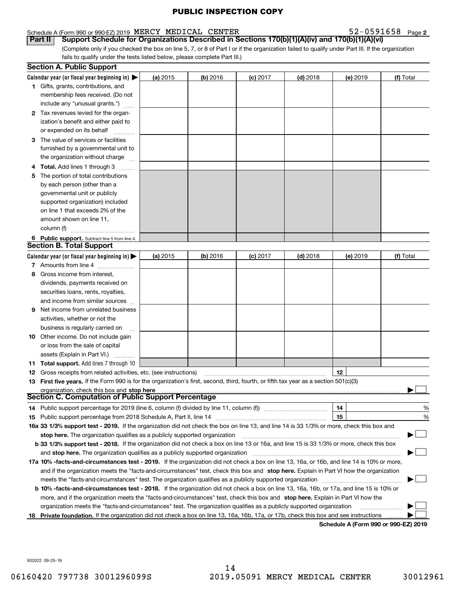#### Schedule A (Form 990 or 990-EZ) 2019 Page MERCY MEDICAL CENTER 52-0591658

(Complete only if you checked the box on line 5, 7, or 8 of Part I or if the organization failed to qualify under Part III. If the organization **Part II Comport Schedule for Organizations Described in Sections 170(b)(1)(A)(iv) and 170(b)(1)(A)(vi)** 

fails to qualify under the tests listed below, please complete Part III.)

| Calendar year (or fiscal year beginning in) $\blacktriangleright$<br>$(b)$ 2016<br>(a) 2015<br>$(c)$ 2017<br>$(d)$ 2018<br>(e) 2019<br><b>1</b> Gifts, grants, contributions, and<br>membership fees received. (Do not<br>include any "unusual grants.")<br>2 Tax revenues levied for the organ-<br>ization's benefit and either paid to<br>or expended on its behalf<br>3 The value of services or facilities<br>furnished by a governmental unit to<br>the organization without charge<br>4 Total. Add lines 1 through 3<br>The portion of total contributions<br>5. | (f) Total |
|------------------------------------------------------------------------------------------------------------------------------------------------------------------------------------------------------------------------------------------------------------------------------------------------------------------------------------------------------------------------------------------------------------------------------------------------------------------------------------------------------------------------------------------------------------------------|-----------|
|                                                                                                                                                                                                                                                                                                                                                                                                                                                                                                                                                                        |           |
|                                                                                                                                                                                                                                                                                                                                                                                                                                                                                                                                                                        |           |
|                                                                                                                                                                                                                                                                                                                                                                                                                                                                                                                                                                        |           |
|                                                                                                                                                                                                                                                                                                                                                                                                                                                                                                                                                                        |           |
|                                                                                                                                                                                                                                                                                                                                                                                                                                                                                                                                                                        |           |
|                                                                                                                                                                                                                                                                                                                                                                                                                                                                                                                                                                        |           |
|                                                                                                                                                                                                                                                                                                                                                                                                                                                                                                                                                                        |           |
|                                                                                                                                                                                                                                                                                                                                                                                                                                                                                                                                                                        |           |
|                                                                                                                                                                                                                                                                                                                                                                                                                                                                                                                                                                        |           |
|                                                                                                                                                                                                                                                                                                                                                                                                                                                                                                                                                                        |           |
|                                                                                                                                                                                                                                                                                                                                                                                                                                                                                                                                                                        |           |
|                                                                                                                                                                                                                                                                                                                                                                                                                                                                                                                                                                        |           |
| by each person (other than a                                                                                                                                                                                                                                                                                                                                                                                                                                                                                                                                           |           |
| governmental unit or publicly                                                                                                                                                                                                                                                                                                                                                                                                                                                                                                                                          |           |
| supported organization) included                                                                                                                                                                                                                                                                                                                                                                                                                                                                                                                                       |           |
| on line 1 that exceeds 2% of the                                                                                                                                                                                                                                                                                                                                                                                                                                                                                                                                       |           |
| amount shown on line 11,                                                                                                                                                                                                                                                                                                                                                                                                                                                                                                                                               |           |
| column (f)                                                                                                                                                                                                                                                                                                                                                                                                                                                                                                                                                             |           |
| 6 Public support. Subtract line 5 from line 4.                                                                                                                                                                                                                                                                                                                                                                                                                                                                                                                         |           |
| <b>Section B. Total Support</b>                                                                                                                                                                                                                                                                                                                                                                                                                                                                                                                                        |           |
| Calendar year (or fiscal year beginning in)<br>$(d)$ 2018<br>(a) 2015<br>$(b)$ 2016<br>$(c)$ 2017<br>(e) 2019                                                                                                                                                                                                                                                                                                                                                                                                                                                          | (f) Total |
| 7 Amounts from line 4                                                                                                                                                                                                                                                                                                                                                                                                                                                                                                                                                  |           |
| 8 Gross income from interest,                                                                                                                                                                                                                                                                                                                                                                                                                                                                                                                                          |           |
| dividends, payments received on                                                                                                                                                                                                                                                                                                                                                                                                                                                                                                                                        |           |
| securities loans, rents, royalties,                                                                                                                                                                                                                                                                                                                                                                                                                                                                                                                                    |           |
| and income from similar sources                                                                                                                                                                                                                                                                                                                                                                                                                                                                                                                                        |           |
| <b>9</b> Net income from unrelated business                                                                                                                                                                                                                                                                                                                                                                                                                                                                                                                            |           |
| activities, whether or not the                                                                                                                                                                                                                                                                                                                                                                                                                                                                                                                                         |           |
| business is regularly carried on                                                                                                                                                                                                                                                                                                                                                                                                                                                                                                                                       |           |
| <b>10</b> Other income. Do not include gain                                                                                                                                                                                                                                                                                                                                                                                                                                                                                                                            |           |
| or loss from the sale of capital                                                                                                                                                                                                                                                                                                                                                                                                                                                                                                                                       |           |
| assets (Explain in Part VI.)                                                                                                                                                                                                                                                                                                                                                                                                                                                                                                                                           |           |
| <b>11 Total support.</b> Add lines 7 through 10                                                                                                                                                                                                                                                                                                                                                                                                                                                                                                                        |           |
| 12<br><b>12</b> Gross receipts from related activities, etc. (see instructions)                                                                                                                                                                                                                                                                                                                                                                                                                                                                                        |           |
| 13 First five years. If the Form 990 is for the organization's first, second, third, fourth, or fifth tax year as a section 501(c)(3)                                                                                                                                                                                                                                                                                                                                                                                                                                  |           |
| organization, check this box and stop here                                                                                                                                                                                                                                                                                                                                                                                                                                                                                                                             |           |
| Section C. Computation of Public Support Percentage                                                                                                                                                                                                                                                                                                                                                                                                                                                                                                                    |           |
| 14<br>14 Public support percentage for 2019 (line 6, column (f) divided by line 11, column (f) <i>mummumumum</i>                                                                                                                                                                                                                                                                                                                                                                                                                                                       | %         |
| 15                                                                                                                                                                                                                                                                                                                                                                                                                                                                                                                                                                     | $\%$      |
| 16a 33 1/3% support test - 2019. If the organization did not check the box on line 13, and line 14 is 33 1/3% or more, check this box and                                                                                                                                                                                                                                                                                                                                                                                                                              |           |
| stop here. The organization qualifies as a publicly supported organization                                                                                                                                                                                                                                                                                                                                                                                                                                                                                             |           |
| b 33 1/3% support test - 2018. If the organization did not check a box on line 13 or 16a, and line 15 is 33 1/3% or more, check this box                                                                                                                                                                                                                                                                                                                                                                                                                               |           |
| and stop here. The organization qualifies as a publicly supported organization                                                                                                                                                                                                                                                                                                                                                                                                                                                                                         |           |
| 17a 10% -facts-and-circumstances test - 2019. If the organization did not check a box on line 13, 16a, or 16b, and line 14 is 10% or more,                                                                                                                                                                                                                                                                                                                                                                                                                             |           |
| and if the organization meets the "facts-and-circumstances" test, check this box and stop here. Explain in Part VI how the organization                                                                                                                                                                                                                                                                                                                                                                                                                                |           |
| meets the "facts-and-circumstances" test. The organization qualifies as a publicly supported organization <i>marroummumumum</i>                                                                                                                                                                                                                                                                                                                                                                                                                                        |           |
| <b>b 10% -facts-and-circumstances test - 2018.</b> If the organization did not check a box on line 13, 16a, 16b, or 17a, and line 15 is 10% or                                                                                                                                                                                                                                                                                                                                                                                                                         |           |
| more, and if the organization meets the "facts-and-circumstances" test, check this box and stop here. Explain in Part VI how the                                                                                                                                                                                                                                                                                                                                                                                                                                       |           |
| organization meets the "facts-and-circumstances" test. The organization qualifies as a publicly supported organization                                                                                                                                                                                                                                                                                                                                                                                                                                                 |           |
| Private foundation. If the organization did not check a box on line 13, 16a, 16b, 17a, or 17b, check this box and see instructions<br>18<br>Schedule A (Form 990 or 990-F7) 2019                                                                                                                                                                                                                                                                                                                                                                                       |           |

**Schedule A (Form 990 or 990-EZ) 2019**

932022 09-25-19

52-0591658 Page 2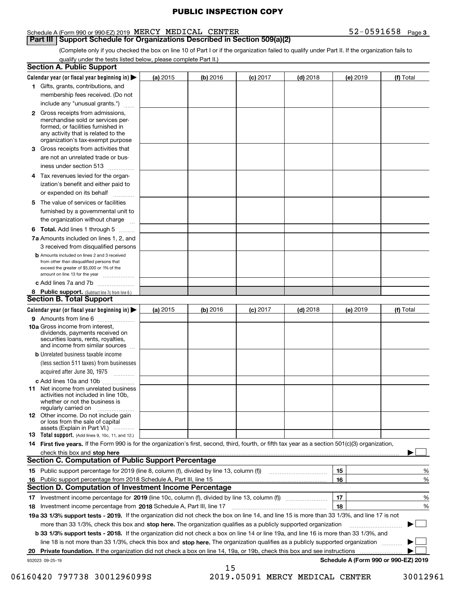#### Schedule A (Form 990 or 990-EZ) 2019 Page MERCY MEDICAL CENTER 52-0591658

**Part III** | Support Schedule for Organizations Described in Section 509(a)(2)

(Complete only if you checked the box on line 10 of Part I or if the organization failed to qualify under Part II. If the organization fails to qualify under the tests listed below, please complete Part II.)

| Section A. Public Support                                                                                                                                                                                                                                                                                                                              |          |          |                 |            |          |                    |
|--------------------------------------------------------------------------------------------------------------------------------------------------------------------------------------------------------------------------------------------------------------------------------------------------------------------------------------------------------|----------|----------|-----------------|------------|----------|--------------------|
| Calendar year (or fiscal year beginning in) $\blacktriangleright$                                                                                                                                                                                                                                                                                      | (a) 2015 | (b) 2016 | <b>(c)</b> 2017 | $(d)$ 2018 | (e) 2019 | (f) Total          |
| 1 Gifts, grants, contributions, and                                                                                                                                                                                                                                                                                                                    |          |          |                 |            |          |                    |
| membership fees received. (Do not                                                                                                                                                                                                                                                                                                                      |          |          |                 |            |          |                    |
| include any "unusual grants.")                                                                                                                                                                                                                                                                                                                         |          |          |                 |            |          |                    |
| <b>2</b> Gross receipts from admissions,<br>merchandise sold or services per-<br>formed, or facilities furnished in<br>any activity that is related to the<br>organization's tax-exempt purpose                                                                                                                                                        |          |          |                 |            |          |                    |
| 3 Gross receipts from activities that<br>are not an unrelated trade or bus-                                                                                                                                                                                                                                                                            |          |          |                 |            |          |                    |
| iness under section 513                                                                                                                                                                                                                                                                                                                                |          |          |                 |            |          |                    |
| 4 Tax revenues levied for the organ-<br>ization's benefit and either paid to<br>or expended on its behalf                                                                                                                                                                                                                                              |          |          |                 |            |          |                    |
| 5 The value of services or facilities<br>furnished by a governmental unit to                                                                                                                                                                                                                                                                           |          |          |                 |            |          |                    |
| the organization without charge                                                                                                                                                                                                                                                                                                                        |          |          |                 |            |          |                    |
| <b>6 Total.</b> Add lines 1 through 5<br>7a Amounts included on lines 1, 2, and<br>3 received from disqualified persons                                                                                                                                                                                                                                |          |          |                 |            |          |                    |
| <b>b</b> Amounts included on lines 2 and 3 received<br>from other than disqualified persons that<br>exceed the greater of \$5,000 or 1% of the<br>amount on line 13 for the year                                                                                                                                                                       |          |          |                 |            |          |                    |
| c Add lines 7a and 7b                                                                                                                                                                                                                                                                                                                                  |          |          |                 |            |          |                    |
| 8 Public support. (Subtract line 7c from line 6.)<br><b>Section B. Total Support</b>                                                                                                                                                                                                                                                                   |          |          |                 |            |          |                    |
| Calendar year (or fiscal year beginning in) $\blacktriangleright$                                                                                                                                                                                                                                                                                      | (a) 2015 | (b) 2016 | $(c)$ 2017      | $(d)$ 2018 | (e) 2019 | (f) Total          |
| 9 Amounts from line 6                                                                                                                                                                                                                                                                                                                                  |          |          |                 |            |          |                    |
| <b>10a</b> Gross income from interest,<br>dividends, payments received on<br>securities loans, rents, royalties,<br>and income from similar sources                                                                                                                                                                                                    |          |          |                 |            |          |                    |
| <b>b</b> Unrelated business taxable income<br>(less section 511 taxes) from businesses                                                                                                                                                                                                                                                                 |          |          |                 |            |          |                    |
| acquired after June 30, 1975                                                                                                                                                                                                                                                                                                                           |          |          |                 |            |          |                    |
| c Add lines 10a and 10b                                                                                                                                                                                                                                                                                                                                |          |          |                 |            |          |                    |
| <b>11</b> Net income from unrelated business<br>activities not included in line 10b.<br>whether or not the business is<br>regularly carried on                                                                                                                                                                                                         |          |          |                 |            |          |                    |
| <b>12</b> Other income. Do not include gain<br>or loss from the sale of capital<br>assets (Explain in Part VI.)                                                                                                                                                                                                                                        |          |          |                 |            |          |                    |
| <b>13 Total support.</b> (Add lines 9, 10c, 11, and 12.)                                                                                                                                                                                                                                                                                               |          |          |                 |            |          |                    |
| 14 First five years. If the Form 990 is for the organization's first, second, third, fourth, or fifth tax year as a section 501(c)(3) organization,                                                                                                                                                                                                    |          |          |                 |            |          |                    |
| check this box and stop here with an intermediate control to the control of the control of the control of the c                                                                                                                                                                                                                                        |          |          |                 |            |          |                    |
| <b>Section C. Computation of Public Support Percentage</b>                                                                                                                                                                                                                                                                                             |          |          |                 |            |          |                    |
| 15 Public support percentage for 2019 (line 8, column (f), divided by line 13, column (f))                                                                                                                                                                                                                                                             |          |          |                 |            | 15       | %                  |
| 16 Public support percentage from 2018 Schedule A, Part III, line 15                                                                                                                                                                                                                                                                                   |          |          |                 |            | 16       | %                  |
| Section D. Computation of Investment Income Percentage                                                                                                                                                                                                                                                                                                 |          |          |                 |            |          |                    |
|                                                                                                                                                                                                                                                                                                                                                        |          |          |                 |            | 17<br>18 | $\frac{9}{6}$<br>% |
|                                                                                                                                                                                                                                                                                                                                                        |          |          |                 |            |          |                    |
|                                                                                                                                                                                                                                                                                                                                                        |          |          |                 |            |          |                    |
| more than 33 1/3%, check this box and stop here. The organization qualifies as a publicly supported organization                                                                                                                                                                                                                                       |          |          |                 |            |          |                    |
| <b>b 33 1/3% support tests - 2018.</b> If the organization did not check a box on line 14 or line 19a, and line 16 is more than 33 1/3%, and                                                                                                                                                                                                           |          |          |                 |            |          |                    |
| line 18 is not more than 33 1/3%, check this box and stop here. The organization qualifies as a publicly supported organization                                                                                                                                                                                                                        |          |          |                 |            |          |                    |
| 18 Investment income percentage from 2018 Schedule A, Part III, line 17<br>19a 33 1/3% support tests - 2019. If the organization did not check the box on line 14, and line 15 is more than 33 1/3%, and line 17 is not<br>20 Private foundation. If the organization did not check a box on line 14, 19a, or 19b, check this box and see instructions |          |          |                 |            |          |                    |

 <sup>06160420 797738 3001296099</sup>S 2019.05091 MERCY MEDICAL CENTER 30012961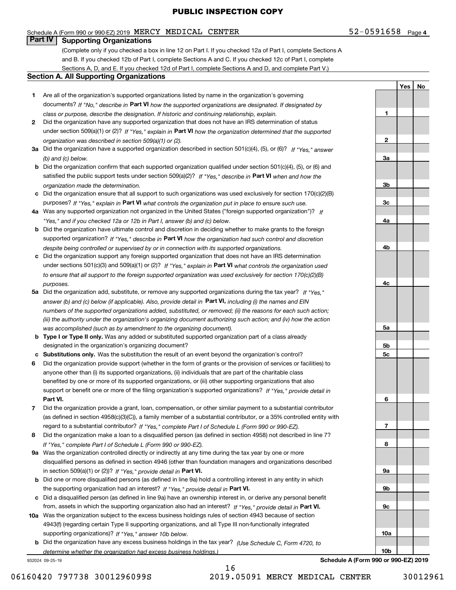#### Schedule A (Form 990 or 990-EZ) 2019 Page MERCY MEDICAL CENTER 52-0591658

#### **Part IV Supporting Organizations**

(Complete only if you checked a box in line 12 on Part I. If you checked 12a of Part I, complete Sections A and B. If you checked 12b of Part I, complete Sections A and C. If you checked 12c of Part I, complete Sections A, D, and E. If you checked 12d of Part I, complete Sections A and D, and complete Part V.)

#### **Section A. All Supporting Organizations**

- **1** Are all of the organization's supported organizations listed by name in the organization's governing documents? If "No," describe in **Part VI** how the supported organizations are designated. If designated by *class or purpose, describe the designation. If historic and continuing relationship, explain.*
- **2** Did the organization have any supported organization that does not have an IRS determination of status under section 509(a)(1) or (2)? If "Yes," explain in Part VI how the organization determined that the supported *organization was described in section 509(a)(1) or (2).*
- **3a** Did the organization have a supported organization described in section 501(c)(4), (5), or (6)? If "Yes," answer *(b) and (c) below.*
- **b** Did the organization confirm that each supported organization qualified under section 501(c)(4), (5), or (6) and satisfied the public support tests under section 509(a)(2)? If "Yes," describe in **Part VI** when and how the *organization made the determination.*
- **c**Did the organization ensure that all support to such organizations was used exclusively for section 170(c)(2)(B) purposes? If "Yes," explain in **Part VI** what controls the organization put in place to ensure such use.
- **4a***If* Was any supported organization not organized in the United States ("foreign supported organization")? *"Yes," and if you checked 12a or 12b in Part I, answer (b) and (c) below.*
- **b** Did the organization have ultimate control and discretion in deciding whether to make grants to the foreign supported organization? If "Yes," describe in **Part VI** how the organization had such control and discretion *despite being controlled or supervised by or in connection with its supported organizations.*
- **c** Did the organization support any foreign supported organization that does not have an IRS determination under sections 501(c)(3) and 509(a)(1) or (2)? If "Yes," explain in **Part VI** what controls the organization used *to ensure that all support to the foreign supported organization was used exclusively for section 170(c)(2)(B) purposes.*
- **5a** Did the organization add, substitute, or remove any supported organizations during the tax year? If "Yes," answer (b) and (c) below (if applicable). Also, provide detail in **Part VI,** including (i) the names and EIN *numbers of the supported organizations added, substituted, or removed; (ii) the reasons for each such action; (iii) the authority under the organization's organizing document authorizing such action; and (iv) how the action was accomplished (such as by amendment to the organizing document).*
- **b** Type I or Type II only. Was any added or substituted supported organization part of a class already designated in the organization's organizing document?
- **cSubstitutions only.**  Was the substitution the result of an event beyond the organization's control?
- **6** Did the organization provide support (whether in the form of grants or the provision of services or facilities) to **Part VI.** *If "Yes," provide detail in* support or benefit one or more of the filing organization's supported organizations? anyone other than (i) its supported organizations, (ii) individuals that are part of the charitable class benefited by one or more of its supported organizations, or (iii) other supporting organizations that also
- **7**Did the organization provide a grant, loan, compensation, or other similar payment to a substantial contributor *If "Yes," complete Part I of Schedule L (Form 990 or 990-EZ).* regard to a substantial contributor? (as defined in section 4958(c)(3)(C)), a family member of a substantial contributor, or a 35% controlled entity with
- **8** Did the organization make a loan to a disqualified person (as defined in section 4958) not described in line 7? *If "Yes," complete Part I of Schedule L (Form 990 or 990-EZ).*
- **9a** Was the organization controlled directly or indirectly at any time during the tax year by one or more in section 509(a)(1) or (2))? If "Yes," *provide detail in* <code>Part VI.</code> disqualified persons as defined in section 4946 (other than foundation managers and organizations described
- **b** Did one or more disqualified persons (as defined in line 9a) hold a controlling interest in any entity in which the supporting organization had an interest? If "Yes," provide detail in P**art VI**.
- **c**Did a disqualified person (as defined in line 9a) have an ownership interest in, or derive any personal benefit from, assets in which the supporting organization also had an interest? If "Yes," provide detail in P**art VI.**
- **10a** Was the organization subject to the excess business holdings rules of section 4943 because of section supporting organizations)? If "Yes," answer 10b below. 4943(f) (regarding certain Type II supporting organizations, and all Type III non-functionally integrated
- **b** Did the organization have any excess business holdings in the tax year? (Use Schedule C, Form 4720, to *determine whether the organization had excess business holdings.)*

16

932024 09-25-19

**9c10a10bSchedule A (Form 990 or 990-EZ) 2019**

**1**

**2**

**3a**

**3b**

**3c**

**4a**

**4b**

**4c**

**5a**

**5b5c**

**6**

**7**

**8**

**9a**

**9b**

**Yes No**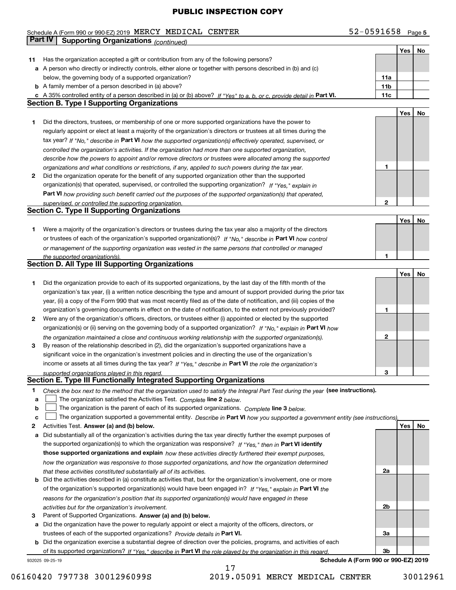#### Schedule A (Form 990 or 990-EZ) 2019 Page MERCY MEDICAL CENTER 52-0591658 **Part IV Supporting Organizations** *(continued)*

|    |                                                                                                                                   |     | <b>Yes</b> | No |
|----|-----------------------------------------------------------------------------------------------------------------------------------|-----|------------|----|
| 11 | Has the organization accepted a gift or contribution from any of the following persons?                                           |     |            |    |
|    | a A person who directly or indirectly controls, either alone or together with persons described in (b) and (c)                    |     |            |    |
|    | below, the governing body of a supported organization?                                                                            | 11a |            |    |
|    | <b>b</b> A family member of a person described in (a) above?                                                                      | 11b |            |    |
|    | c A 35% controlled entity of a person described in (a) or (b) above? If "Yes" to a, b, or c, provide detail in Part VI.           | 11c |            |    |
|    | <b>Section B. Type I Supporting Organizations</b>                                                                                 |     |            |    |
|    |                                                                                                                                   |     | Yes        | No |
| 1  | Did the directors, trustees, or membership of one or more supported organizations have the power to                               |     |            |    |
|    | regularly appoint or elect at least a majority of the organization's directors or trustees at all times during the                |     |            |    |
|    | tax year? If "No," describe in Part VI how the supported organization(s) effectively operated, supervised, or                     |     |            |    |
|    | controlled the organization's activities. If the organization had more than one supported organization,                           |     |            |    |
|    | describe how the powers to appoint and/or remove directors or trustees were allocated among the supported                         |     |            |    |
|    | organizations and what conditions or restrictions, if any, applied to such powers during the tax year.                            | 1   |            |    |
| 2  | Did the organization operate for the benefit of any supported organization other than the supported                               |     |            |    |
|    | organization(s) that operated, supervised, or controlled the supporting organization? If "Yes," explain in                        |     |            |    |
|    | <b>Part VI</b> how providing such benefit carried out the purposes of the supported organization(s) that operated,                |     |            |    |
|    | supervised, or controlled the supporting organization.                                                                            | 2   |            |    |
|    | <b>Section C. Type II Supporting Organizations</b>                                                                                |     |            |    |
|    |                                                                                                                                   |     | Yes        | No |
| 1  | Were a majority of the organization's directors or trustees during the tax year also a majority of the directors                  |     |            |    |
|    | or trustees of each of the organization's supported organization(s)? If "No." describe in Part VI how control                     |     |            |    |
|    | or management of the supporting organization was vested in the same persons that controlled or managed                            |     |            |    |
|    | the supported organization(s).                                                                                                    | 1   |            |    |
|    | <b>Section D. All Type III Supporting Organizations</b>                                                                           |     |            |    |
|    |                                                                                                                                   |     | Yes        | No |
| 1  | Did the organization provide to each of its supported organizations, by the last day of the fifth month of the                    |     |            |    |
|    | organization's tax year, (i) a written notice describing the type and amount of support provided during the prior tax             |     |            |    |
|    | year, (ii) a copy of the Form 990 that was most recently filed as of the date of notification, and (iii) copies of the            |     |            |    |
|    | organization's governing documents in effect on the date of notification, to the extent not previously provided?                  | 1   |            |    |
| 2  | Were any of the organization's officers, directors, or trustees either (i) appointed or elected by the supported                  |     |            |    |
|    | organization(s) or (ii) serving on the governing body of a supported organization? If "No," explain in Part VI how                |     |            |    |
|    | the organization maintained a close and continuous working relationship with the supported organization(s).                       | 2   |            |    |
| з  | By reason of the relationship described in (2), did the organization's supported organizations have a                             |     |            |    |
|    | significant voice in the organization's investment policies and in directing the use of the organization's                        |     |            |    |
|    | income or assets at all times during the tax year? If "Yes," describe in Part VI the role the organization's                      |     |            |    |
|    | supported organizations played in this regard.                                                                                    | З   |            |    |
|    | Section E. Type III Functionally Integrated Supporting Organizations                                                              |     |            |    |
| 1  | Check the box next to the method that the organization used to satisfy the Integral Part Test during the year (see instructions). |     |            |    |
| a  | The organization satisfied the Activities Test. Complete line 2 below.                                                            |     |            |    |
| b  | The organization is the parent of each of its supported organizations. Complete line 3 below.                                     |     |            |    |
| C  | The organization supported a governmental entity. Describe in Part VI how you supported a government entity (see instructions),   |     |            |    |
| 2  | Activities Test. Answer (a) and (b) below.                                                                                        |     | Yes        | No |
| а  | Did substantially all of the organization's activities during the tax year directly further the exempt purposes of                |     |            |    |
|    | the supported organization(s) to which the organization was responsive? If "Yes," then in Part VI identify                        |     |            |    |
|    | those supported organizations and explain how these activities directly furthered their exempt purposes,                          |     |            |    |
|    | how the organization was responsive to those supported organizations, and how the organization determined                         |     |            |    |
|    | that these activities constituted substantially all of its activities.                                                            | 2a  |            |    |
|    | <b>b</b> Did the activities described in (a) constitute activities that, but for the organization's involvement, one or more      |     |            |    |
|    | of the organization's supported organization(s) would have been engaged in? If "Yes," explain in Part VI the                      |     |            |    |
|    | reasons for the organization's position that its supported organization(s) would have engaged in these                            |     |            |    |
|    | activities but for the organization's involvement.                                                                                | 2b  |            |    |
| з  | Parent of Supported Organizations. Answer (a) and (b) below.                                                                      |     |            |    |
|    | a Did the organization have the power to regularly appoint or elect a majority of the officers, directors, or                     |     |            |    |
|    | trustees of each of the supported organizations? Provide details in Part VI.                                                      | За  |            |    |
|    | <b>b</b> Did the organization exercise a substantial degree of direction over the policies, programs, and activities of each      |     |            |    |
|    | of its supported organizations? If "Yes," describe in Part VI the role played by the organization in this regard.                 | Зb  |            |    |
|    | Schedule A (Form 990 or 990-EZ) 2019<br>932025 09-25-19                                                                           |     |            |    |

17

<sup>06160420 797738 3001296099</sup>S 2019.05091 MERCY MEDICAL CENTER 30012961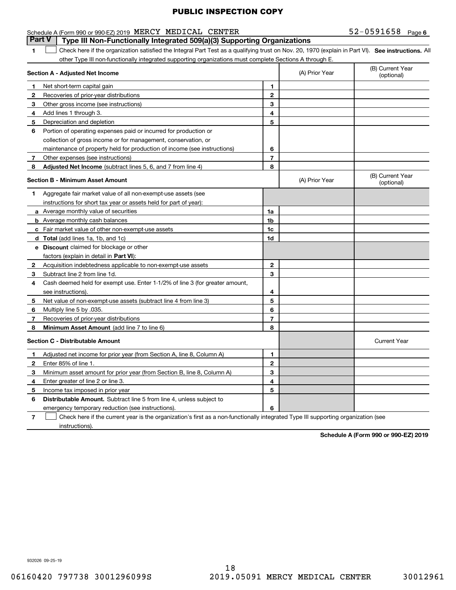#### Schedule A (Form 990 or 990-EZ) 2019 Page MERCY MEDICAL CENTER 52-0591658 **Part V Type III Non-Functionally Integrated 509(a)(3) Supporting Organizations**

52-0591658 Page 6

1 Check here if the organization satisfied the Integral Part Test as a qualifying trust on Nov. 20, 1970 (explain in Part VI). See instructions. All other Type III non-functionally integrated supporting organizations must complete Sections A through E.

|              | Section A - Adjusted Net Income                                                                                                   |                | (A) Prior Year | (B) Current Year<br>(optional) |
|--------------|-----------------------------------------------------------------------------------------------------------------------------------|----------------|----------------|--------------------------------|
| 1.           | Net short-term capital gain                                                                                                       | 1              |                |                                |
| 2            | Recoveries of prior-year distributions                                                                                            | $\overline{2}$ |                |                                |
| з            | Other gross income (see instructions)                                                                                             | 3              |                |                                |
| 4            | Add lines 1 through 3.                                                                                                            | 4              |                |                                |
| 5            | Depreciation and depletion                                                                                                        | 5              |                |                                |
| 6            | Portion of operating expenses paid or incurred for production or                                                                  |                |                |                                |
|              | collection of gross income or for management, conservation, or                                                                    |                |                |                                |
|              | maintenance of property held for production of income (see instructions)                                                          | 6              |                |                                |
| 7            | Other expenses (see instructions)                                                                                                 | $\overline{7}$ |                |                                |
| 8            | Adjusted Net Income (subtract lines 5, 6, and 7 from line 4)                                                                      | 8              |                |                                |
|              | <b>Section B - Minimum Asset Amount</b>                                                                                           |                | (A) Prior Year | (B) Current Year<br>(optional) |
| 1.           | Aggregate fair market value of all non-exempt-use assets (see                                                                     |                |                |                                |
|              | instructions for short tax year or assets held for part of year):                                                                 |                |                |                                |
|              | <b>a</b> Average monthly value of securities                                                                                      | 1a             |                |                                |
|              | <b>b</b> Average monthly cash balances                                                                                            | 1b             |                |                                |
|              | c Fair market value of other non-exempt-use assets                                                                                | 1 <sub>c</sub> |                |                                |
|              | d Total (add lines 1a, 1b, and 1c)                                                                                                | 1d             |                |                                |
|              | <b>e</b> Discount claimed for blockage or other                                                                                   |                |                |                                |
|              | factors (explain in detail in Part VI):                                                                                           |                |                |                                |
| $\mathbf{2}$ | Acquisition indebtedness applicable to non-exempt-use assets                                                                      | 2              |                |                                |
| 3            | Subtract line 2 from line 1d.                                                                                                     | 3              |                |                                |
| 4            | Cash deemed held for exempt use. Enter 1-1/2% of line 3 (for greater amount,                                                      |                |                |                                |
|              | see instructions).                                                                                                                | 4              |                |                                |
| 5            | Net value of non-exempt-use assets (subtract line 4 from line 3)                                                                  | 5              |                |                                |
| 6            | Multiply line 5 by .035.                                                                                                          | 6              |                |                                |
| 7            | Recoveries of prior-year distributions                                                                                            | $\overline{7}$ |                |                                |
| 8            | Minimum Asset Amount (add line 7 to line 6)                                                                                       | 8              |                |                                |
|              | <b>Section C - Distributable Amount</b>                                                                                           |                |                | <b>Current Year</b>            |
| 1            | Adjusted net income for prior year (from Section A, line 8, Column A)                                                             | 1              |                |                                |
| 2            | Enter 85% of line 1.                                                                                                              | $\overline{2}$ |                |                                |
| з            | Minimum asset amount for prior year (from Section B, line 8, Column A)                                                            | 3              |                |                                |
| 4            | Enter greater of line 2 or line 3.                                                                                                | 4              |                |                                |
| 5            | Income tax imposed in prior year                                                                                                  | 5              |                |                                |
| 6            | <b>Distributable Amount.</b> Subtract line 5 from line 4, unless subject to                                                       |                |                |                                |
|              | emergency temporary reduction (see instructions).                                                                                 | 6              |                |                                |
| 7            | Check here if the current year is the organization's first as a non-functionally integrated Type III supporting organization (see |                |                |                                |

instructions).

**1**

**Schedule A (Form 990 or 990-EZ) 2019**

932026 09-25-19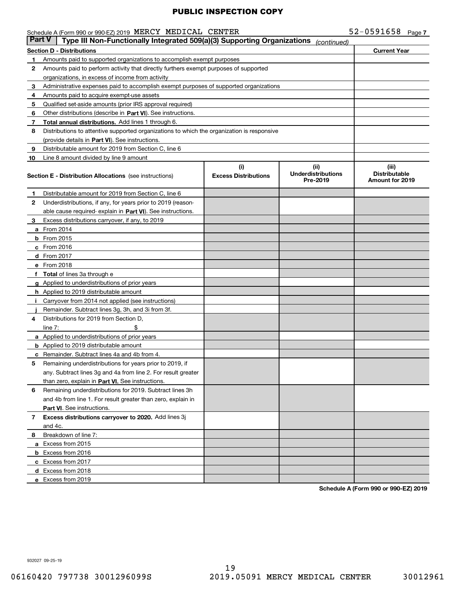| Schedule A (Form 990 or 990-EZ) 2019 MERCY MEDICAL CENTER |  |  | 52-0591658 | Page |
|-----------------------------------------------------------|--|--|------------|------|
|-----------------------------------------------------------|--|--|------------|------|

| <b>Part V</b> | Type III Non-Functionally Integrated 509(a)(3) Supporting Organizations                    |                             | (continued)                           |                                                |  |  |
|---------------|--------------------------------------------------------------------------------------------|-----------------------------|---------------------------------------|------------------------------------------------|--|--|
|               | <b>Current Year</b><br><b>Section D - Distributions</b>                                    |                             |                                       |                                                |  |  |
| 1.            | Amounts paid to supported organizations to accomplish exempt purposes                      |                             |                                       |                                                |  |  |
| 2             | Amounts paid to perform activity that directly furthers exempt purposes of supported       |                             |                                       |                                                |  |  |
|               | organizations, in excess of income from activity                                           |                             |                                       |                                                |  |  |
| 3             | Administrative expenses paid to accomplish exempt purposes of supported organizations      |                             |                                       |                                                |  |  |
| 4             | Amounts paid to acquire exempt-use assets                                                  |                             |                                       |                                                |  |  |
| 5             | Qualified set-aside amounts (prior IRS approval required)                                  |                             |                                       |                                                |  |  |
| 6             | Other distributions (describe in Part VI). See instructions.                               |                             |                                       |                                                |  |  |
| 7             | Total annual distributions. Add lines 1 through 6.                                         |                             |                                       |                                                |  |  |
| 8             | Distributions to attentive supported organizations to which the organization is responsive |                             |                                       |                                                |  |  |
|               | (provide details in Part VI). See instructions.                                            |                             |                                       |                                                |  |  |
| 9             | Distributable amount for 2019 from Section C, line 6                                       |                             |                                       |                                                |  |  |
| 10            | Line 8 amount divided by line 9 amount                                                     |                             |                                       |                                                |  |  |
|               |                                                                                            | (i)                         | (ii)                                  | (iii)                                          |  |  |
|               | <b>Section E - Distribution Allocations</b> (see instructions)                             | <b>Excess Distributions</b> | <b>Underdistributions</b><br>Pre-2019 | <b>Distributable</b><br><b>Amount for 2019</b> |  |  |
| 1             | Distributable amount for 2019 from Section C, line 6                                       |                             |                                       |                                                |  |  |
| 2             | Underdistributions, if any, for years prior to 2019 (reason-                               |                             |                                       |                                                |  |  |
|               | able cause required- explain in Part VI). See instructions.                                |                             |                                       |                                                |  |  |
| 3             | Excess distributions carryover, if any, to 2019                                            |                             |                                       |                                                |  |  |
|               | <b>a</b> From 2014                                                                         |                             |                                       |                                                |  |  |
|               | <b>b</b> From $2015$                                                                       |                             |                                       |                                                |  |  |
|               | $c$ From 2016                                                                              |                             |                                       |                                                |  |  |
|               | $d$ From 2017                                                                              |                             |                                       |                                                |  |  |
|               | e From 2018                                                                                |                             |                                       |                                                |  |  |
|               | f Total of lines 3a through e                                                              |                             |                                       |                                                |  |  |
|               | <b>g</b> Applied to underdistributions of prior years                                      |                             |                                       |                                                |  |  |
|               | <b>h</b> Applied to 2019 distributable amount                                              |                             |                                       |                                                |  |  |
| Ť.            | Carryover from 2014 not applied (see instructions)                                         |                             |                                       |                                                |  |  |
|               | Remainder. Subtract lines 3g, 3h, and 3i from 3f.                                          |                             |                                       |                                                |  |  |
| 4             | Distributions for 2019 from Section D,                                                     |                             |                                       |                                                |  |  |
|               | \$<br>line $7:$                                                                            |                             |                                       |                                                |  |  |
|               | <b>a</b> Applied to underdistributions of prior years                                      |                             |                                       |                                                |  |  |
|               | <b>b</b> Applied to 2019 distributable amount                                              |                             |                                       |                                                |  |  |
|               | <b>c</b> Remainder. Subtract lines 4a and 4b from 4.                                       |                             |                                       |                                                |  |  |
| 5             | Remaining underdistributions for years prior to 2019, if                                   |                             |                                       |                                                |  |  |
|               | any. Subtract lines 3g and 4a from line 2. For result greater                              |                             |                                       |                                                |  |  |
|               | than zero, explain in Part VI. See instructions.                                           |                             |                                       |                                                |  |  |
| 6             | Remaining underdistributions for 2019. Subtract lines 3h                                   |                             |                                       |                                                |  |  |
|               | and 4b from line 1. For result greater than zero, explain in                               |                             |                                       |                                                |  |  |
|               | Part VI. See instructions.                                                                 |                             |                                       |                                                |  |  |
| 7             | Excess distributions carryover to 2020. Add lines 3j                                       |                             |                                       |                                                |  |  |
|               | and 4c.                                                                                    |                             |                                       |                                                |  |  |
| 8             | Breakdown of line 7:                                                                       |                             |                                       |                                                |  |  |
|               | a Excess from 2015                                                                         |                             |                                       |                                                |  |  |
|               | <b>b</b> Excess from 2016                                                                  |                             |                                       |                                                |  |  |
|               | c Excess from 2017                                                                         |                             |                                       |                                                |  |  |
|               | d Excess from 2018                                                                         |                             |                                       |                                                |  |  |
|               | e Excess from 2019                                                                         |                             |                                       |                                                |  |  |

**Schedule A (Form 990 or 990-EZ) 2019**

932027 09-25-19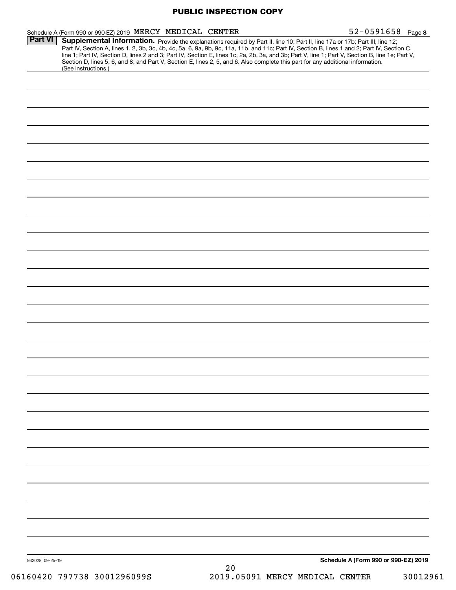| Schedule A (Form 990 or 990-EZ) 2019 MERCY MEDICAL CENTER |                                                                                                                                                                                                                                                                                                                                                                                                                                   | $52 - 0591658$ Page 8                |
|-----------------------------------------------------------|-----------------------------------------------------------------------------------------------------------------------------------------------------------------------------------------------------------------------------------------------------------------------------------------------------------------------------------------------------------------------------------------------------------------------------------|--------------------------------------|
| <b>Part VI</b>                                            | Supplemental Information. Provide the explanations required by Part II, line 10; Part II, line 17a or 17b; Part III, line 12;<br>Part IV, Section A, lines 1, 2, 3b, 3c, 4b, 4c, 5a, 6, 9a, 9b, 9c, 11a, 11b, and 11c; Part IV, Section B, lines 1 and 2; Part IV, Section C,<br>line 1; Part IV, Section D, lines 2 and 3; Part IV, Section E, lines 1c, 2a, 2b, 3a, and 3b; Part V, line 1; Part V, Section B, line 1e; Part V, |                                      |
| (See instructions.)                                       | Section D, lines 5, 6, and 8; and Part V, Section E, lines 2, 5, and 6. Also complete this part for any additional information.                                                                                                                                                                                                                                                                                                   |                                      |
|                                                           |                                                                                                                                                                                                                                                                                                                                                                                                                                   |                                      |
|                                                           |                                                                                                                                                                                                                                                                                                                                                                                                                                   |                                      |
|                                                           |                                                                                                                                                                                                                                                                                                                                                                                                                                   |                                      |
|                                                           |                                                                                                                                                                                                                                                                                                                                                                                                                                   |                                      |
|                                                           |                                                                                                                                                                                                                                                                                                                                                                                                                                   |                                      |
|                                                           |                                                                                                                                                                                                                                                                                                                                                                                                                                   |                                      |
|                                                           |                                                                                                                                                                                                                                                                                                                                                                                                                                   |                                      |
|                                                           |                                                                                                                                                                                                                                                                                                                                                                                                                                   |                                      |
|                                                           |                                                                                                                                                                                                                                                                                                                                                                                                                                   |                                      |
|                                                           |                                                                                                                                                                                                                                                                                                                                                                                                                                   |                                      |
|                                                           |                                                                                                                                                                                                                                                                                                                                                                                                                                   |                                      |
|                                                           |                                                                                                                                                                                                                                                                                                                                                                                                                                   |                                      |
|                                                           |                                                                                                                                                                                                                                                                                                                                                                                                                                   |                                      |
|                                                           |                                                                                                                                                                                                                                                                                                                                                                                                                                   |                                      |
|                                                           |                                                                                                                                                                                                                                                                                                                                                                                                                                   |                                      |
|                                                           |                                                                                                                                                                                                                                                                                                                                                                                                                                   |                                      |
|                                                           |                                                                                                                                                                                                                                                                                                                                                                                                                                   |                                      |
|                                                           |                                                                                                                                                                                                                                                                                                                                                                                                                                   |                                      |
|                                                           |                                                                                                                                                                                                                                                                                                                                                                                                                                   |                                      |
|                                                           |                                                                                                                                                                                                                                                                                                                                                                                                                                   |                                      |
|                                                           |                                                                                                                                                                                                                                                                                                                                                                                                                                   |                                      |
|                                                           |                                                                                                                                                                                                                                                                                                                                                                                                                                   |                                      |
|                                                           |                                                                                                                                                                                                                                                                                                                                                                                                                                   |                                      |
|                                                           |                                                                                                                                                                                                                                                                                                                                                                                                                                   |                                      |
|                                                           |                                                                                                                                                                                                                                                                                                                                                                                                                                   |                                      |
|                                                           |                                                                                                                                                                                                                                                                                                                                                                                                                                   |                                      |
|                                                           |                                                                                                                                                                                                                                                                                                                                                                                                                                   |                                      |
|                                                           |                                                                                                                                                                                                                                                                                                                                                                                                                                   |                                      |
|                                                           |                                                                                                                                                                                                                                                                                                                                                                                                                                   |                                      |
|                                                           |                                                                                                                                                                                                                                                                                                                                                                                                                                   |                                      |
|                                                           |                                                                                                                                                                                                                                                                                                                                                                                                                                   |                                      |
|                                                           |                                                                                                                                                                                                                                                                                                                                                                                                                                   |                                      |
|                                                           |                                                                                                                                                                                                                                                                                                                                                                                                                                   |                                      |
|                                                           |                                                                                                                                                                                                                                                                                                                                                                                                                                   |                                      |
|                                                           |                                                                                                                                                                                                                                                                                                                                                                                                                                   |                                      |
| 932028 09-25-19                                           |                                                                                                                                                                                                                                                                                                                                                                                                                                   | Schedule A (Form 990 or 990-EZ) 2019 |
|                                                           | 20                                                                                                                                                                                                                                                                                                                                                                                                                                |                                      |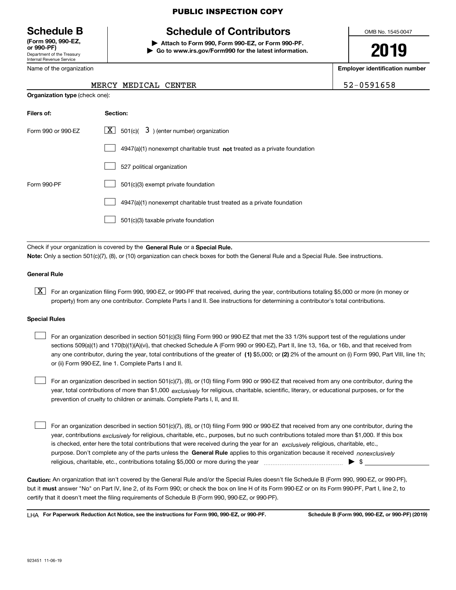Department of the Treasury Internal Revenue Service **(Form 990, 990-EZ, or 990-PF)**

Name of the organization

**Organization type** (check one):

#### PUBLIC INSPECTION COPY

# **Schedule B Schedule of Contributors**

**| Attach to Form 990, Form 990-EZ, or Form 990-PF. | Go to www.irs.gov/Form990 for the latest information.** OMB No. 1545-0047

# **2019**

**Employer identification number**

52-0591658

| MERCY MEDICAL CENTER |  |
|----------------------|--|
|                      |  |

| Filers of:         | Section:                                                                           |
|--------------------|------------------------------------------------------------------------------------|
| Form 990 or 990-EZ | $\lfloor x \rfloor$ 501(c)( 3) (enter number) organization                         |
|                    | $4947(a)(1)$ nonexempt charitable trust <b>not</b> treated as a private foundation |
|                    | 527 political organization                                                         |
| Form 990-PF        | 501(c)(3) exempt private foundation                                                |
|                    | 4947(a)(1) nonexempt charitable trust treated as a private foundation              |
|                    | 501(c)(3) taxable private foundation                                               |

Check if your organization is covered by the **General Rule** or a **Special Rule.**<br>Nota: Only a section 501(c)(7), (8), or (10) erganization can chock boxes for be **Note:**  Only a section 501(c)(7), (8), or (10) organization can check boxes for both the General Rule and a Special Rule. See instructions.

#### **General Rule**

 $\boxed{\textbf{X}}$  For an organization filing Form 990, 990-EZ, or 990-PF that received, during the year, contributions totaling \$5,000 or more (in money or property) from any one contributor. Complete Parts I and II. See instructions for determining a contributor's total contributions.

#### **Special Rules**

any one contributor, during the year, total contributions of the greater of  $\,$  (1) \$5,000; or **(2)** 2% of the amount on (i) Form 990, Part VIII, line 1h; For an organization described in section 501(c)(3) filing Form 990 or 990-EZ that met the 33 1/3% support test of the regulations under sections 509(a)(1) and 170(b)(1)(A)(vi), that checked Schedule A (Form 990 or 990-EZ), Part II, line 13, 16a, or 16b, and that received from or (ii) Form 990-EZ, line 1. Complete Parts I and II.  $\mathcal{L}^{\text{max}}$ 

year, total contributions of more than \$1,000 *exclusively* for religious, charitable, scientific, literary, or educational purposes, or for the For an organization described in section 501(c)(7), (8), or (10) filing Form 990 or 990-EZ that received from any one contributor, during the prevention of cruelty to children or animals. Complete Parts I, II, and III.  $\mathcal{L}^{\text{max}}$ 

purpose. Don't complete any of the parts unless the **General Rule** applies to this organization because it received *nonexclusively* year, contributions <sub>exclusively</sub> for religious, charitable, etc., purposes, but no such contributions totaled more than \$1,000. If this box is checked, enter here the total contributions that were received during the year for an  $\;$ exclusively religious, charitable, etc., For an organization described in section 501(c)(7), (8), or (10) filing Form 990 or 990-EZ that received from any one contributor, during the religious, charitable, etc., contributions totaling \$5,000 or more during the year  $\Box$ — $\Box$   $\Box$  $\mathcal{L}^{\text{max}}$ 

**Caution:**  An organization that isn't covered by the General Rule and/or the Special Rules doesn't file Schedule B (Form 990, 990-EZ, or 990-PF), but it **must** answer "No" on Part IV, line 2, of its Form 990; or check the box on line H of its Form 990-EZ or on its Form 990-PF, Part I, line 2, to<br>cortify that it doesn't meet the filipe requirements of Schodule B (Fer certify that it doesn't meet the filing requirements of Schedule B (Form 990, 990-EZ, or 990-PF).

**For Paperwork Reduction Act Notice, see the instructions for Form 990, 990-EZ, or 990-PF. Schedule B (Form 990, 990-EZ, or 990-PF) (2019)** LHA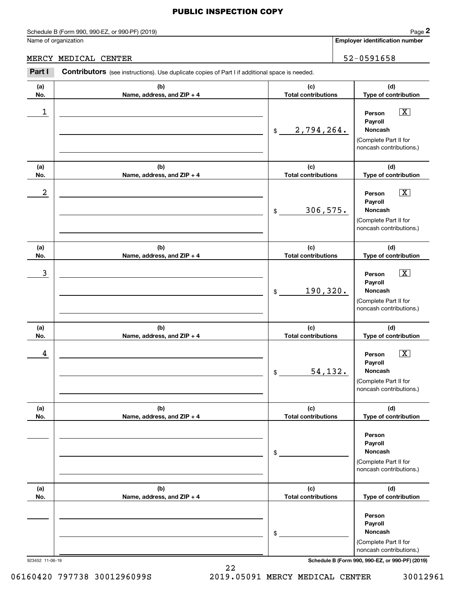Schedule B (Form 990, 990-EZ, or 990-PF) (2019) Page 2

#### MERCY MEDICAL CENTER 32-0591658

|                      | Schedule B (Form 990, 990-EZ, or 990-PF) (2019)                                                       |                                   | Page 2                                                                                                 |
|----------------------|-------------------------------------------------------------------------------------------------------|-----------------------------------|--------------------------------------------------------------------------------------------------------|
| Name of organization |                                                                                                       |                                   | Employer identification number                                                                         |
|                      | MERCY MEDICAL CENTER                                                                                  |                                   | 52-0591658                                                                                             |
| Part I               | <b>Contributors</b> (see instructions). Use duplicate copies of Part I if additional space is needed. |                                   |                                                                                                        |
| (a)<br>No.           | (b)<br>Name, address, and ZIP + 4                                                                     | (c)<br><b>Total contributions</b> | (d)<br>Type of contribution                                                                            |
| 1                    |                                                                                                       | 2,794,264.<br>$$\mathbb{S}$$      | $\boxed{\text{X}}$<br>Person<br>Payroll<br>Noncash<br>(Complete Part II for<br>noncash contributions.) |
| (a)<br>No.           | (b)<br>Name, address, and ZIP + 4                                                                     | (c)<br><b>Total contributions</b> | (d)<br>Type of contribution                                                                            |
| $\boldsymbol{2}$     |                                                                                                       | 306,575.<br>\$                    | $\boxed{\text{X}}$<br>Person<br>Payroll<br>Noncash<br>(Complete Part II for<br>noncash contributions.) |
| (a)<br>No.           | (b)<br>Name, address, and ZIP + 4                                                                     | (c)<br><b>Total contributions</b> | (d)<br>Type of contribution                                                                            |
| 3                    |                                                                                                       | 190,320.<br>\$                    | $\boxed{\text{X}}$<br>Person<br>Payroll<br>Noncash<br>(Complete Part II for<br>noncash contributions.) |
| (a)<br>No.           | (b)<br>Name, address, and ZIP + 4                                                                     | (c)<br><b>Total contributions</b> | (d)<br>Type of contribution                                                                            |
| 4                    |                                                                                                       | 54,132.<br>\$                     | $\boxed{\text{X}}$<br>Person<br>Payroll<br>Noncash<br>(Complete Part II for<br>noncash contributions.) |
| (a)<br>No.           | (b)<br>Name, address, and ZIP + 4                                                                     | (c)<br><b>Total contributions</b> | (d)<br>Type of contribution                                                                            |
|                      |                                                                                                       | \$                                | Person<br>Payroll<br>Noncash<br>(Complete Part II for<br>noncash contributions.)                       |
| (a)<br>No.           | (b)<br>Name, address, and ZIP + 4                                                                     | (c)<br><b>Total contributions</b> | (d)<br>Type of contribution                                                                            |
|                      |                                                                                                       | \$                                | Person<br>Payroll<br>Noncash<br>(Complete Part II for<br>noncash contributions.)                       |

923452 11-06-19 **Schedule B (Form 990, 990-EZ, or 990-PF) (2019)**

22 06160420 797738 3001296099S 2019.05091 MERCY MEDICAL CENTER 30012961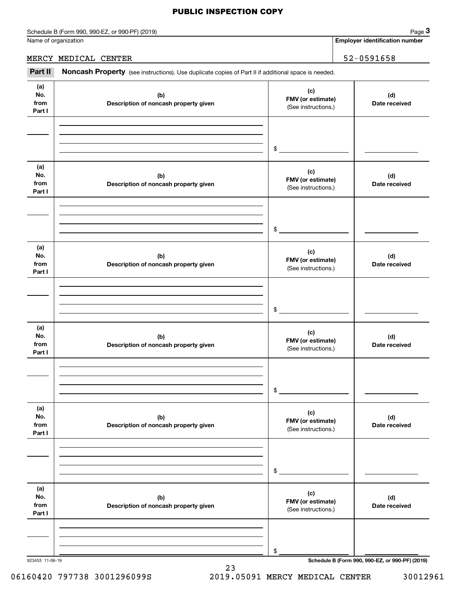#### Schedule B (Form 990, 990-EZ, or 990-PF) (2019) Page 3

#### MERCY MEDICAL CENTER 52-0591658

|                              | Schedule B (Form 990, 990-EZ, or 990-PF) (2019)                                                     |                                                 | Page 3                                          |
|------------------------------|-----------------------------------------------------------------------------------------------------|-------------------------------------------------|-------------------------------------------------|
|                              | Name of organization                                                                                |                                                 | <b>Employer identification number</b>           |
|                              | MERCY MEDICAL CENTER                                                                                |                                                 | 52-0591658                                      |
| Part II                      | Noncash Property (see instructions). Use duplicate copies of Part II if additional space is needed. |                                                 |                                                 |
| (a)<br>No.<br>from<br>Part I | (b)<br>Description of noncash property given                                                        | (c)<br>FMV (or estimate)<br>(See instructions.) | (d)<br>Date received                            |
|                              |                                                                                                     | \$                                              |                                                 |
| (a)<br>No.<br>from<br>Part I | (b)<br>Description of noncash property given                                                        | (c)<br>FMV (or estimate)<br>(See instructions.) | (d)<br>Date received                            |
|                              |                                                                                                     | \$                                              |                                                 |
| (a)<br>No.<br>from<br>Part I | (b)<br>Description of noncash property given                                                        | (c)<br>FMV (or estimate)<br>(See instructions.) | (d)<br>Date received                            |
|                              |                                                                                                     | \$                                              |                                                 |
| (a)<br>No.<br>from<br>Part I | (b)<br>Description of noncash property given                                                        | (c)<br>FMV (or estimate)<br>(See instructions.) | (d)<br>Date received                            |
|                              |                                                                                                     | \$                                              |                                                 |
| (a)<br>No.<br>from<br>Part I | (b)<br>Description of noncash property given                                                        | (c)<br>FMV (or estimate)<br>(See instructions.) | (d)<br>Date received                            |
|                              |                                                                                                     | \$                                              |                                                 |
| (a)<br>No.<br>from<br>Part I | (b)<br>Description of noncash property given                                                        | (c)<br>FMV (or estimate)<br>(See instructions.) | (d)<br>Date received                            |
|                              |                                                                                                     | \$                                              |                                                 |
| 923453 11-06-19              |                                                                                                     |                                                 | Schedule B (Form 990, 990-EZ, or 990-PF) (2019) |

06160420 797738 3001296099S 2019.05091 MERCY MEDICAL CENTER 30012961

23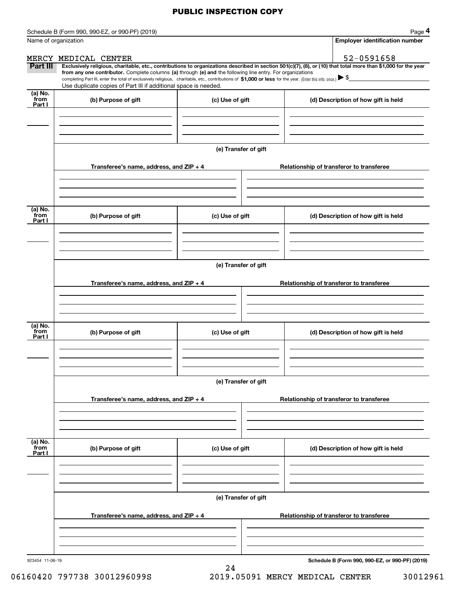|                             | Schedule B (Form 990, 990-EZ, or 990-PF) (2019)                                                                                                                                                                                                                                                                                               |                      | Page 4                                                                                                                                                         |  |  |
|-----------------------------|-----------------------------------------------------------------------------------------------------------------------------------------------------------------------------------------------------------------------------------------------------------------------------------------------------------------------------------------------|----------------------|----------------------------------------------------------------------------------------------------------------------------------------------------------------|--|--|
|                             | Name of organization                                                                                                                                                                                                                                                                                                                          |                      | <b>Employer identification number</b>                                                                                                                          |  |  |
|                             | MERCY MEDICAL CENTER                                                                                                                                                                                                                                                                                                                          |                      | 52-0591658                                                                                                                                                     |  |  |
| Part III                    | from any one contributor. Complete columns (a) through (e) and the following line entry. For organizations<br>completing Part III, enter the total of exclusively religious, charitable, etc., contributions of \$1,000 or less for the year. (Enter this info. once.) \\$<br>Use duplicate copies of Part III if additional space is needed. |                      | Exclusively religious, charitable, etc., contributions to organizations described in section 501(c)(7), (8), or (10) that total more than \$1,000 for the year |  |  |
| (a) No.<br>from<br>Part I   | (b) Purpose of gift                                                                                                                                                                                                                                                                                                                           | (c) Use of gift      | (d) Description of how gift is held                                                                                                                            |  |  |
|                             |                                                                                                                                                                                                                                                                                                                                               |                      |                                                                                                                                                                |  |  |
|                             |                                                                                                                                                                                                                                                                                                                                               | (e) Transfer of gift |                                                                                                                                                                |  |  |
|                             | Transferee's name, address, and ZIP + 4                                                                                                                                                                                                                                                                                                       |                      | Relationship of transferor to transferee                                                                                                                       |  |  |
|                             |                                                                                                                                                                                                                                                                                                                                               |                      |                                                                                                                                                                |  |  |
| (a) No.<br>from<br>Part I   | (b) Purpose of gift                                                                                                                                                                                                                                                                                                                           | (c) Use of gift      | (d) Description of how gift is held                                                                                                                            |  |  |
|                             |                                                                                                                                                                                                                                                                                                                                               |                      |                                                                                                                                                                |  |  |
|                             | (e) Transfer of gift                                                                                                                                                                                                                                                                                                                          |                      |                                                                                                                                                                |  |  |
|                             | Transferee's name, address, and ZIP + 4                                                                                                                                                                                                                                                                                                       |                      | Relationship of transferor to transferee                                                                                                                       |  |  |
|                             |                                                                                                                                                                                                                                                                                                                                               |                      |                                                                                                                                                                |  |  |
| (a) No.<br>from<br>Part I   | (b) Purpose of gift                                                                                                                                                                                                                                                                                                                           | (c) Use of gift      | (d) Description of how gift is held                                                                                                                            |  |  |
|                             |                                                                                                                                                                                                                                                                                                                                               |                      |                                                                                                                                                                |  |  |
|                             |                                                                                                                                                                                                                                                                                                                                               | (e) Transfer of gift |                                                                                                                                                                |  |  |
|                             | Transferee's name, address, and $ZIP + 4$                                                                                                                                                                                                                                                                                                     |                      | Relationship of transferor to transferee                                                                                                                       |  |  |
|                             |                                                                                                                                                                                                                                                                                                                                               |                      |                                                                                                                                                                |  |  |
| $(a)$ No.<br>from<br>Part I | (b) Purpose of gift                                                                                                                                                                                                                                                                                                                           | (c) Use of gift      | (d) Description of how gift is held                                                                                                                            |  |  |
|                             |                                                                                                                                                                                                                                                                                                                                               |                      |                                                                                                                                                                |  |  |
|                             | (e) Transfer of gift                                                                                                                                                                                                                                                                                                                          |                      |                                                                                                                                                                |  |  |
|                             | Transferee's name, address, and $ZIP + 4$                                                                                                                                                                                                                                                                                                     |                      | Relationship of transferor to transferee                                                                                                                       |  |  |
|                             |                                                                                                                                                                                                                                                                                                                                               |                      |                                                                                                                                                                |  |  |
| 923454 11-06-19             |                                                                                                                                                                                                                                                                                                                                               |                      | Schedule B (Form 990, 990-EZ, or 990-PF) (2019)                                                                                                                |  |  |

24

**Schedule B (Form 990, 990-EZ, or 990-PF) (2019)**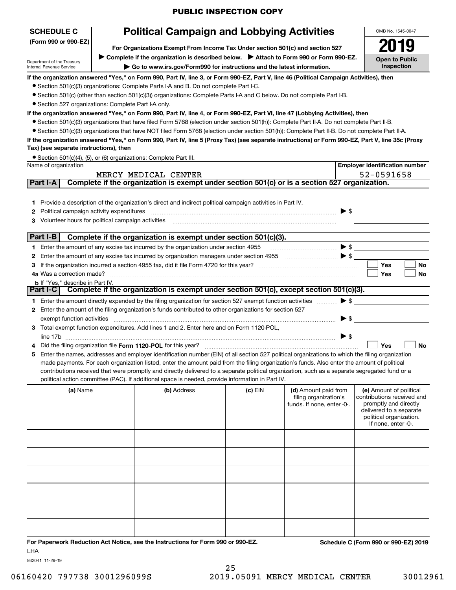# **Political Campaign and Lobbying Activities**

**(Form 990 or 990-EZ)**

**For Organizations Exempt From Income Tax Under section 501(c) and section 527**

Department of the Treasury Internal Revenue Service

**SCHEDULE C**

▶ Complete if the organization is described below. ▶ Attach to Form 990 or Form 990-EZ. **| Go to www.irs.gov/Form990 for instructions and the latest information.**

OMB No. 1545-0047 **Open to Public Inspection2019**

**If the organization answered "Yes," on Form 990, Part IV, line 3, or Form 990-EZ, Part V, line 46 (Political Campaign Activities), then**

- Section 501(c)(3) organizations: Complete Parts I-A and B. Do not complete Part I-C.
- ¥ Section 501(c) (other than section 501(c)(3)) organizations: Complete Parts I-A and C below. Do not complete Part I-B.
- Section 527 organizations: Complete Part I-A only.

#### **If the organization answered "Yes," on Form 990, Part IV, line 4, or Form 990-EZ, Part VI, line 47 (Lobbying Activities), then**

- Section 501(c)(3) organizations that have filed Form 5768 (election under section 501(h)): Complete Part II-A. Do not complete Part II-B.
- ¥ Section 501(c)(3) organizations that have NOT filed Form 5768 (election under section 501(h)): Complete Part II-B. Do not complete Part II-A.

#### **If the organization answered "Yes," on Form 990, Part IV, line 5 (Proxy Tax) (see separate instructions) or Form 990-EZ, Part V, line 35c (Proxy Tax) (see separate instructions), then**

| • Section 501(c)(4), (5), or (6) organizations: Complete Part III. |  |
|--------------------------------------------------------------------|--|
| Name of organization                                               |  |

|              | Name of organization                                                                                                                                                                                                                                                                                                                                                                                                                                        | <b>Employer identification number</b> |
|--------------|-------------------------------------------------------------------------------------------------------------------------------------------------------------------------------------------------------------------------------------------------------------------------------------------------------------------------------------------------------------------------------------------------------------------------------------------------------------|---------------------------------------|
|              | MERCY MEDICAL CENTER                                                                                                                                                                                                                                                                                                                                                                                                                                        | 52-0591658                            |
|              | Complete if the organization is exempt under section 501(c) or is a section 527 organization.<br>  Part I-A                                                                                                                                                                                                                                                                                                                                                 |                                       |
|              |                                                                                                                                                                                                                                                                                                                                                                                                                                                             |                                       |
|              | Provide a description of the organization's direct and indirect political campaign activities in Part IV.                                                                                                                                                                                                                                                                                                                                                   |                                       |
| 2.           | Political campaign activity expenditures                                                                                                                                                                                                                                                                                                                                                                                                                    | $\triangleright$ \$                   |
| 3            | Volunteer hours for political campaign activities                                                                                                                                                                                                                                                                                                                                                                                                           |                                       |
|              |                                                                                                                                                                                                                                                                                                                                                                                                                                                             |                                       |
|              | Complete if the organization is exempt under section 501(c)(3).<br>Part I-B                                                                                                                                                                                                                                                                                                                                                                                 |                                       |
|              | $\begin{picture}(20,10) \put(0,0){\vector(1,0){100}} \put(15,0){\vector(1,0){100}} \put(15,0){\vector(1,0){100}} \put(15,0){\vector(1,0){100}} \put(15,0){\vector(1,0){100}} \put(15,0){\vector(1,0){100}} \put(15,0){\vector(1,0){100}} \put(15,0){\vector(1,0){100}} \put(15,0){\vector(1,0){100}} \put(15,0){\vector(1,0){100}} \put(15,0){\vector(1,0){100}} \$<br>1 Enter the amount of any excise tax incurred by the organization under section 4955 |                                       |
|              |                                                                                                                                                                                                                                                                                                                                                                                                                                                             |                                       |
|              |                                                                                                                                                                                                                                                                                                                                                                                                                                                             | Yes<br><b>No</b>                      |
|              | 4a Was a correction made?                                                                                                                                                                                                                                                                                                                                                                                                                                   | Yes<br>No                             |
|              | <b>b</b> If "Yes." describe in Part IV.                                                                                                                                                                                                                                                                                                                                                                                                                     |                                       |
|              | Complete if the organization is exempt under section 501(c), except section 501(c)(3).<br><b>Part I-CI</b>                                                                                                                                                                                                                                                                                                                                                  |                                       |
|              | Enter the amount directly expended by the filing organization for section 527 exempt function activities                                                                                                                                                                                                                                                                                                                                                    | $\blacktriangleright$ \$              |
| $\mathbf{2}$ | Enter the amount of the filing organization's funds contributed to other organizations for section 527                                                                                                                                                                                                                                                                                                                                                      |                                       |
|              | exempt function activities                                                                                                                                                                                                                                                                                                                                                                                                                                  | $\blacktriangleright$ \$              |
| 3            | Total exempt function expenditures. Add lines 1 and 2. Enter here and on Form 1120-POL,                                                                                                                                                                                                                                                                                                                                                                     |                                       |
|              | line 17b                                                                                                                                                                                                                                                                                                                                                                                                                                                    | $\triangleright$ \$                   |
| 4            | Did the filing organization file Form 1120-POL for this year?                                                                                                                                                                                                                                                                                                                                                                                               | <b>No</b><br>Yes                      |
| 5            | Enter the names, addresses and employer identification number (EIN) of all section 527 political organizations to which the filing organization                                                                                                                                                                                                                                                                                                             |                                       |
|              | made payments. For each organization listed, enter the amount paid from the filing organization's funds. Also enter the amount of political                                                                                                                                                                                                                                                                                                                 |                                       |
|              | contributions received that were promptly and directly delivered to a separate political organization, such as a separate segregated fund or a                                                                                                                                                                                                                                                                                                              |                                       |
|              | political action committee (PAC). If additional space is needed, provide information in Part IV.                                                                                                                                                                                                                                                                                                                                                            |                                       |
|              | $\overline{a}$ and $\overline{a}$ and $\overline{a}$ and $\overline{a}$ and $\overline{a}$ and $\overline{a}$ and $\overline{a}$ and $\overline{a}$ and $\overline{a}$ and $\overline{a}$ and $\overline{a}$ and $\overline{a}$ and $\overline{a}$ and $\overline{a}$ and $\overline{a}$ and $\overline{a}$ and $\overline{a}$ and<br>$\mathbf{r}$ and $\mathbf{r}$ and $\mathbf{r}$<br>$\lambda$ $\lambda$ $\lambda$ $\lambda$ $\lambda$ $\lambda$         | $\cdots$                              |

| (a) Name | (b) Address | $(c)$ EIN | (d) Amount paid from<br>filing organization's<br>funds. If none, enter -0-. | (e) Amount of political<br>contributions received and<br>promptly and directly<br>delivered to a separate<br>political organization.<br>If none, enter -0-. |
|----------|-------------|-----------|-----------------------------------------------------------------------------|-------------------------------------------------------------------------------------------------------------------------------------------------------------|
|          |             |           |                                                                             |                                                                                                                                                             |
|          |             |           |                                                                             |                                                                                                                                                             |
|          |             |           |                                                                             |                                                                                                                                                             |
|          |             |           |                                                                             |                                                                                                                                                             |
|          |             |           |                                                                             |                                                                                                                                                             |
|          |             |           |                                                                             |                                                                                                                                                             |

**For Paperwork Reduction Act Notice, see the Instructions for Form 990 or 990-EZ. Schedule C (Form 990 or 990-EZ) 2019** LHA

932041 11-26-19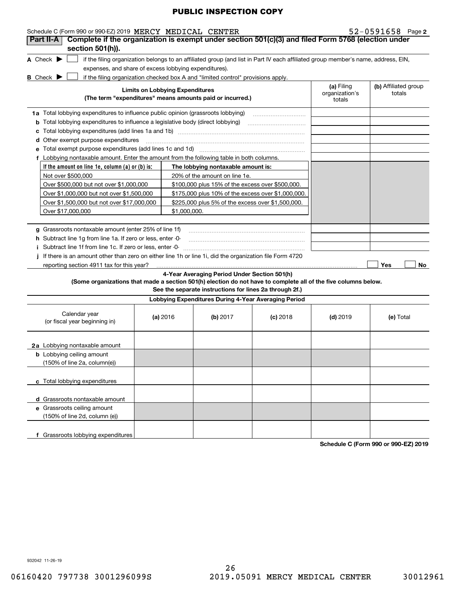| Schedule C (Form 990 or 990-EZ) 2019 MERCY MEDICAL CENTER                                                                           |                                        |                                                                                                                                   |            |                                        | $52 - 0591658$ Page 2          |
|-------------------------------------------------------------------------------------------------------------------------------------|----------------------------------------|-----------------------------------------------------------------------------------------------------------------------------------|------------|----------------------------------------|--------------------------------|
| Complete if the organization is exempt under section 501(c)(3) and filed Form 5768 (election under<br>Part II-A<br>section 501(h)). |                                        |                                                                                                                                   |            |                                        |                                |
| A Check $\blacktriangleright$                                                                                                       |                                        | if the filing organization belongs to an affiliated group (and list in Part IV each affiliated group member's name, address, EIN, |            |                                        |                                |
| expenses, and share of excess lobbying expenditures).                                                                               |                                        |                                                                                                                                   |            |                                        |                                |
| <b>B</b> Check $\blacktriangleright$                                                                                                |                                        | if the filing organization checked box A and "limited control" provisions apply.                                                  |            |                                        |                                |
|                                                                                                                                     | <b>Limits on Lobbying Expenditures</b> | (The term "expenditures" means amounts paid or incurred.)                                                                         |            | (a) Filing<br>organization's<br>totals | (b) Affiliated group<br>totals |
| 1a Total lobbying expenditures to influence public opinion (grassroots lobbying)                                                    |                                        |                                                                                                                                   |            |                                        |                                |
| Total lobbying expenditures to influence a legislative body (direct lobbying)<br>b                                                  |                                        |                                                                                                                                   |            |                                        |                                |
| с                                                                                                                                   |                                        |                                                                                                                                   |            |                                        |                                |
| Other exempt purpose expenditures<br>d                                                                                              |                                        |                                                                                                                                   |            |                                        |                                |
| е                                                                                                                                   |                                        |                                                                                                                                   |            |                                        |                                |
| Lobbying nontaxable amount. Enter the amount from the following table in both columns.<br>f                                         |                                        |                                                                                                                                   |            |                                        |                                |
| If the amount on line 1e, column $(a)$ or $(b)$ is:                                                                                 |                                        | The lobbying nontaxable amount is:                                                                                                |            |                                        |                                |
| Not over \$500,000                                                                                                                  |                                        | 20% of the amount on line 1e.                                                                                                     |            |                                        |                                |
| Over \$500,000 but not over \$1,000,000                                                                                             |                                        | \$100,000 plus 15% of the excess over \$500,000.                                                                                  |            |                                        |                                |
| Over \$1,000,000 but not over \$1,500,000                                                                                           |                                        | \$175,000 plus 10% of the excess over \$1,000,000.                                                                                |            |                                        |                                |
| Over \$1,500,000 but not over \$17,000,000                                                                                          |                                        | \$225,000 plus 5% of the excess over \$1,500,000.                                                                                 |            |                                        |                                |
| Over \$17,000,000                                                                                                                   |                                        | \$1,000,000.                                                                                                                      |            |                                        |                                |
|                                                                                                                                     |                                        |                                                                                                                                   |            |                                        |                                |
| g Grassroots nontaxable amount (enter 25% of line 1f)                                                                               |                                        |                                                                                                                                   |            |                                        |                                |
| h Subtract line 1g from line 1a. If zero or less, enter -0-                                                                         |                                        |                                                                                                                                   |            |                                        |                                |
| Subtract line 1f from line 1c. If zero or less, enter -0-                                                                           |                                        |                                                                                                                                   |            |                                        |                                |
| If there is an amount other than zero on either line 1h or line 1i, did the organization file Form 4720                             |                                        |                                                                                                                                   |            |                                        |                                |
| reporting section 4911 tax for this year?                                                                                           |                                        |                                                                                                                                   |            |                                        | No<br>Yes                      |
|                                                                                                                                     |                                        | 4-Year Averaging Period Under Section 501(h)                                                                                      |            |                                        |                                |
| (Some organizations that made a section 501(h) election do not have to complete all of the five columns below.                      |                                        | See the separate instructions for lines 2a through 2f.)                                                                           |            |                                        |                                |
|                                                                                                                                     |                                        | Lobbying Expenditures During 4-Year Averaging Period                                                                              |            |                                        |                                |
| Calendar year<br>(or fiscal year beginning in)                                                                                      | (a) 2016                               | (b) $2017$                                                                                                                        | $(c)$ 2018 | $(d)$ 2019                             | (e) Total                      |
| <b>2a</b> Lobbying nontaxable amount                                                                                                |                                        |                                                                                                                                   |            |                                        |                                |
| <b>b</b> Lobbying ceiling amount                                                                                                    |                                        |                                                                                                                                   |            |                                        |                                |
| (150% of line 2a, column(e))                                                                                                        |                                        |                                                                                                                                   |            |                                        |                                |
| c Total lobbying expenditures                                                                                                       |                                        |                                                                                                                                   |            |                                        |                                |
| d Grassroots nontaxable amount                                                                                                      |                                        |                                                                                                                                   |            |                                        |                                |
| e Grassroots ceiling amount                                                                                                         |                                        |                                                                                                                                   |            |                                        |                                |
| (150% of line 2d, column (e))                                                                                                       |                                        |                                                                                                                                   |            |                                        |                                |
|                                                                                                                                     |                                        |                                                                                                                                   |            |                                        |                                |

**Schedule C (Form 990 or 990-EZ) 2019**

932042 11-26-19

**f** Grassroots lobbying expenditures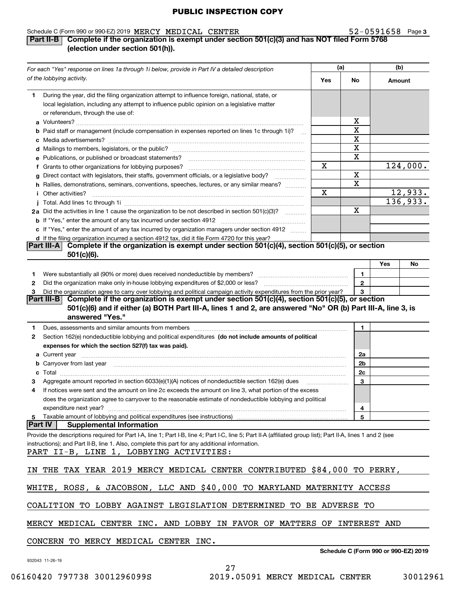#### Schedule C (Form 990 or 990-EZ) 2019  $\texttt{MER}$   $\texttt{MEDICAL}$   $\texttt{CRWTER}$   $\texttt{52-0591658}$  Page MERCY MEDICAL CENTER 52-0591658

#### **3**

#### **Part II-B Complete if the organization is exempt under section 501(c)(3) and has NOT filed Form 5768 (election under section 501(h)).**

|        | For each "Yes" response on lines 1a through 1i below, provide in Part IV a detailed description                                                                                                                                      |     | (a)                 | (b)    |                                      |
|--------|--------------------------------------------------------------------------------------------------------------------------------------------------------------------------------------------------------------------------------------|-----|---------------------|--------|--------------------------------------|
|        | of the lobbying activity.                                                                                                                                                                                                            | Yes | No                  | Amount |                                      |
| 1      | During the year, did the filing organization attempt to influence foreign, national, state, or<br>local legislation, including any attempt to influence public opinion on a legislative matter<br>or referendum, through the use of: |     |                     |        |                                      |
|        |                                                                                                                                                                                                                                      |     | x                   |        |                                      |
|        | b Paid staff or management (include compensation in expenses reported on lines 1c through 1i)?                                                                                                                                       |     | X                   |        |                                      |
|        |                                                                                                                                                                                                                                      |     | X                   |        |                                      |
|        |                                                                                                                                                                                                                                      |     | X                   |        |                                      |
|        | e Publications, or published or broadcast statements?                                                                                                                                                                                |     | X                   |        |                                      |
|        | f Grants to other organizations for lobbying purposes?                                                                                                                                                                               | x   |                     |        | 124,000.                             |
|        | g Direct contact with legislators, their staffs, government officials, or a legislative body?                                                                                                                                        |     | X                   |        |                                      |
|        | h Rallies, demonstrations, seminars, conventions, speeches, lectures, or any similar means?                                                                                                                                          |     | X                   |        |                                      |
|        | <i>i</i> Other activities?                                                                                                                                                                                                           | X   |                     |        | 12,933.                              |
|        |                                                                                                                                                                                                                                      |     |                     |        | 136,933.                             |
|        | 2a Did the activities in line 1 cause the organization to be not described in section 501(c)(3)?                                                                                                                                     |     | X                   |        |                                      |
|        |                                                                                                                                                                                                                                      |     |                     |        |                                      |
|        | c If "Yes," enter the amount of any tax incurred by organization managers under section 4912                                                                                                                                         |     |                     |        |                                      |
|        | d If the filing organization incurred a section 4912 tax, did it file Form 4720 for this year?                                                                                                                                       |     |                     |        |                                      |
|        | Complete if the organization is exempt under section $501(c)(4)$ , section $501(c)(5)$ , or section<br> Part III-A <br>$501(c)(6)$ .                                                                                                 |     |                     |        |                                      |
|        |                                                                                                                                                                                                                                      |     |                     | Yes    | No                                   |
|        |                                                                                                                                                                                                                                      |     |                     |        |                                      |
| 1      |                                                                                                                                                                                                                                      |     | 1<br>$\overline{2}$ |        |                                      |
| 2<br>З | Did the organization agree to carry over lobbying and political campaign activity expenditures from the prior year?                                                                                                                  |     | 3                   |        |                                      |
|        | Complete if the organization is exempt under section $501(c)(4)$ , section $501(c)(5)$ , or section<br>Part III-B                                                                                                                    |     |                     |        |                                      |
|        | 501(c)(6) and if either (a) BOTH Part III-A, lines 1 and 2, are answered "No" OR (b) Part III-A, line 3, is                                                                                                                          |     |                     |        |                                      |
|        | answered "Yes."                                                                                                                                                                                                                      |     |                     |        |                                      |
| 1      | Dues, assessments and similar amounts from members [11] matter content to the state of the state of the state of the state of the state of the state of the state of the state of the state of the state of the state of the s       |     | $\mathbf{1}$        |        |                                      |
| 2      | Section 162(e) nondeductible lobbying and political expenditures (do not include amounts of political                                                                                                                                |     |                     |        |                                      |
|        | expenses for which the section 527(f) tax was paid).                                                                                                                                                                                 |     |                     |        |                                      |
|        |                                                                                                                                                                                                                                      |     | 2a                  |        |                                      |
|        | b Carryover from last year manufactured and content to content the content of the content of the content of the content of the content of the content of the content of the content of the content of the content of the conte       |     | 2b                  |        |                                      |
|        |                                                                                                                                                                                                                                      |     | 2c                  |        |                                      |
|        | Aggregate amount reported in section 6033(e)(1)(A) notices of nondeductible section 162(e) dues                                                                                                                                      |     | 3                   |        |                                      |
| 4      | If notices were sent and the amount on line 2c exceeds the amount on line 3, what portion of the excess                                                                                                                              |     |                     |        |                                      |
|        | does the organization agree to carryover to the reasonable estimate of nondeductible lobbying and political                                                                                                                          |     |                     |        |                                      |
|        | expenditure next year?                                                                                                                                                                                                               |     | 4                   |        |                                      |
|        | 5 Taxable amount of lobbying and political expenditures (see instructions)                                                                                                                                                           |     | 5                   |        |                                      |
|        | <b>Part IV</b><br><b>Supplemental Information</b>                                                                                                                                                                                    |     |                     |        |                                      |
|        | Provide the descriptions required for Part I-A, line 1; Part I-B, line 4; Part I-C, line 5; Part II-A (affiliated group list); Part II-A, lines 1 and 2 (see                                                                         |     |                     |        |                                      |
|        | instructions); and Part II-B, line 1. Also, complete this part for any additional information.                                                                                                                                       |     |                     |        |                                      |
|        | PART II-B, LINE 1, LOBBYING ACTIVITIES:                                                                                                                                                                                              |     |                     |        |                                      |
|        | IN THE TAX YEAR 2019 MERCY MEDICAL CENTER CONTRIBUTED \$84,000 TO PERRY,                                                                                                                                                             |     |                     |        |                                      |
|        | WHITE, ROSS, & JACOBSON, LLC AND \$40,000 TO MARYLAND MATERNITY ACCESS                                                                                                                                                               |     |                     |        |                                      |
|        | COALITION TO LOBBY AGAINST LEGISLATION DETERMINED TO BE ADVERSE TO                                                                                                                                                                   |     |                     |        |                                      |
|        | MERCY MEDICAL CENTER INC. AND LOBBY IN FAVOR OF MATTERS OF INTEREST AND                                                                                                                                                              |     |                     |        |                                      |
|        | CONCERN TO MERCY MEDICAL CENTER INC.                                                                                                                                                                                                 |     |                     |        |                                      |
|        |                                                                                                                                                                                                                                      |     |                     |        | Schedule C (Form 990 or 990-EZ) 2019 |

27

932043 11-26-19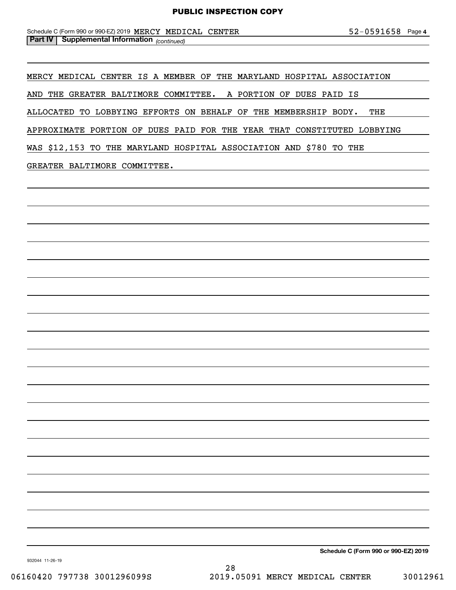#### *(continued)* **Part IV Supplemental Information**  Schedule C (Form 990 or 990-EZ) 2019  $\texttt{MER}$   $\texttt{MEDICAL}$   $\texttt{CBNTER}$   $\texttt{S2-0591658}$  Page

MERCY MEDICAL CENTER IS A MEMBER OF THE MARYLAND HOSPITAL ASSOCIATION

AND THE GREATER BALTIMORE COMMITTEE. A PORTION OF DUES PAID IS

ALLOCATED TO LOBBYING EFFORTS ON BEHALF OF THE MEMBERSHIP BODY. THE

APPROXIMATE PORTION OF DUES PAID FOR THE YEAR THAT CONSTITUTED LOBBYING

WAS \$12,153 TO THE MARYLAND HOSPITAL ASSOCIATION AND \$780 TO THE

#### GREATER BALTIMORE COMMITTEE.

**Schedule C (Form 990 or 990-EZ) 2019**

932044 11-26-19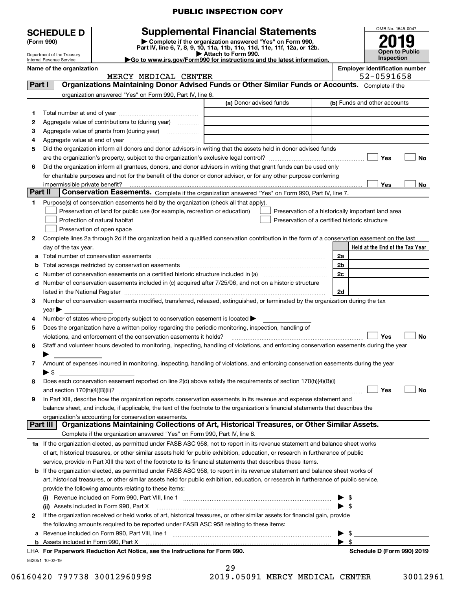|                | <b>SCHEDULE D</b>                            |                                                                                                        | <b>Supplemental Financial Statements</b>                                                                                                       |                                                     |                         | OMB No. 1545-0047               |
|----------------|----------------------------------------------|--------------------------------------------------------------------------------------------------------|------------------------------------------------------------------------------------------------------------------------------------------------|-----------------------------------------------------|-------------------------|---------------------------------|
|                | (Form 990)                                   |                                                                                                        | Complete if the organization answered "Yes" on Form 990,                                                                                       |                                                     |                         |                                 |
|                | Department of the Treasury                   |                                                                                                        | Part IV, line 6, 7, 8, 9, 10, 11a, 11b, 11c, 11d, 11e, 11f, 12a, or 12b.<br>Attach to Form 990.                                                |                                                     |                         | <b>Open to Public</b>           |
|                | <b>Internal Revenue Service</b>              |                                                                                                        | Go to www.irs.gov/Form990 for instructions and the latest information.                                                                         |                                                     |                         | Inspection                      |
|                | Name of the organization                     |                                                                                                        |                                                                                                                                                | <b>Employer identification number</b><br>52-0591658 |                         |                                 |
| Part I         |                                              | MERCY MEDICAL CENTER                                                                                   | Organizations Maintaining Donor Advised Funds or Other Similar Funds or Accounts. Complete if the                                              |                                                     |                         |                                 |
|                |                                              | organization answered "Yes" on Form 990, Part IV, line 6.                                              |                                                                                                                                                |                                                     |                         |                                 |
|                |                                              |                                                                                                        | (a) Donor advised funds                                                                                                                        |                                                     |                         | (b) Funds and other accounts    |
| 1              |                                              |                                                                                                        |                                                                                                                                                |                                                     |                         |                                 |
| 2              |                                              | Aggregate value of contributions to (during year)                                                      |                                                                                                                                                |                                                     |                         |                                 |
| 3              |                                              |                                                                                                        |                                                                                                                                                |                                                     |                         |                                 |
| 4              |                                              |                                                                                                        |                                                                                                                                                |                                                     |                         |                                 |
| 5              |                                              |                                                                                                        | Did the organization inform all donors and donor advisors in writing that the assets held in donor advised funds                               |                                                     |                         |                                 |
|                |                                              |                                                                                                        |                                                                                                                                                |                                                     |                         | Yes<br>No                       |
| 6              |                                              |                                                                                                        | Did the organization inform all grantees, donors, and donor advisors in writing that grant funds can be used only                              |                                                     |                         |                                 |
|                |                                              |                                                                                                        | for charitable purposes and not for the benefit of the donor or donor advisor, or for any other purpose conferring                             |                                                     |                         |                                 |
|                |                                              |                                                                                                        |                                                                                                                                                |                                                     |                         | <b>Yes</b><br>No                |
| <b>Part II</b> |                                              |                                                                                                        | Conservation Easements. Complete if the organization answered "Yes" on Form 990, Part IV, line 7.                                              |                                                     |                         |                                 |
| 1              |                                              | Purpose(s) of conservation easements held by the organization (check all that apply).                  |                                                                                                                                                |                                                     |                         |                                 |
|                |                                              | Preservation of land for public use (for example, recreation or education)                             | Preservation of a historically important land area                                                                                             |                                                     |                         |                                 |
|                |                                              | Protection of natural habitat                                                                          | Preservation of a certified historic structure                                                                                                 |                                                     |                         |                                 |
|                |                                              | Preservation of open space                                                                             |                                                                                                                                                |                                                     |                         |                                 |
| 2              |                                              |                                                                                                        | Complete lines 2a through 2d if the organization held a qualified conservation contribution in the form of a conservation easement on the last |                                                     |                         |                                 |
|                | day of the tax year.                         |                                                                                                        |                                                                                                                                                |                                                     |                         | Held at the End of the Tax Year |
|                |                                              | Total number of conservation easements                                                                 |                                                                                                                                                | 2a                                                  |                         |                                 |
|                |                                              |                                                                                                        |                                                                                                                                                | 2 <sub>b</sub>                                      |                         |                                 |
|                |                                              |                                                                                                        | Number of conservation easements on a certified historic structure included in (a) manufacture included in (a)                                 | 2c                                                  |                         |                                 |
| d              |                                              |                                                                                                        | Number of conservation easements included in (c) acquired after 7/25/06, and not on a historic structure                                       |                                                     |                         |                                 |
|                |                                              |                                                                                                        |                                                                                                                                                | 2d                                                  |                         |                                 |
| 3              |                                              |                                                                                                        | Number of conservation easements modified, transferred, released, extinguished, or terminated by the organization during the tax               |                                                     |                         |                                 |
| 4              | $year \triangleright$                        | Number of states where property subject to conservation easement is located $\blacktriangleright$      |                                                                                                                                                |                                                     |                         |                                 |
| 5              |                                              | Does the organization have a written policy regarding the periodic monitoring, inspection, handling of |                                                                                                                                                |                                                     |                         |                                 |
|                |                                              | violations, and enforcement of the conservation easements it holds?                                    |                                                                                                                                                |                                                     |                         | <b>Yes</b><br>No                |
| 6              |                                              |                                                                                                        | Staff and volunteer hours devoted to monitoring, inspecting, handling of violations, and enforcing conservation easements during the year      |                                                     |                         |                                 |
|                |                                              |                                                                                                        |                                                                                                                                                |                                                     |                         |                                 |
| 7              |                                              |                                                                                                        | Amount of expenses incurred in monitoring, inspecting, handling of violations, and enforcing conservation easements during the year            |                                                     |                         |                                 |
|                | $\blacktriangleright$ S                      |                                                                                                        |                                                                                                                                                |                                                     |                         |                                 |
| 8              |                                              |                                                                                                        | Does each conservation easement reported on line 2(d) above satisfy the requirements of section 170(h)(4)(B)(i)                                |                                                     |                         |                                 |
|                |                                              |                                                                                                        |                                                                                                                                                |                                                     |                         | Yes<br>No                       |
| 9              |                                              |                                                                                                        | In Part XIII, describe how the organization reports conservation easements in its revenue and expense statement and                            |                                                     |                         |                                 |
|                |                                              |                                                                                                        | balance sheet, and include, if applicable, the text of the footnote to the organization's financial statements that describes the              |                                                     |                         |                                 |
|                |                                              | organization's accounting for conservation easements.                                                  |                                                                                                                                                |                                                     |                         |                                 |
|                | <b>Part III</b>                              |                                                                                                        | Organizations Maintaining Collections of Art, Historical Treasures, or Other Similar Assets.                                                   |                                                     |                         |                                 |
|                |                                              | Complete if the organization answered "Yes" on Form 990, Part IV, line 8.                              |                                                                                                                                                |                                                     |                         |                                 |
|                |                                              |                                                                                                        | 1a If the organization elected, as permitted under FASB ASC 958, not to report in its revenue statement and balance sheet works                |                                                     |                         |                                 |
|                |                                              |                                                                                                        | of art, historical treasures, or other similar assets held for public exhibition, education, or research in furtherance of public              |                                                     |                         |                                 |
|                |                                              |                                                                                                        | service, provide in Part XIII the text of the footnote to its financial statements that describes these items.                                 |                                                     |                         |                                 |
| b              |                                              |                                                                                                        | If the organization elected, as permitted under FASB ASC 958, to report in its revenue statement and balance sheet works of                    |                                                     |                         |                                 |
|                |                                              |                                                                                                        | art, historical treasures, or other similar assets held for public exhibition, education, or research in furtherance of public service,        |                                                     |                         |                                 |
|                |                                              | provide the following amounts relating to these items:                                                 |                                                                                                                                                |                                                     |                         |                                 |
|                |                                              |                                                                                                        |                                                                                                                                                |                                                     |                         |                                 |
|                |                                              | (ii) Assets included in Form 990, Part X                                                               |                                                                                                                                                |                                                     |                         | $\mathbb{S}$                    |
| 2              |                                              |                                                                                                        | If the organization received or held works of art, historical treasures, or other similar assets for financial gain, provide                   |                                                     |                         |                                 |
|                |                                              | the following amounts required to be reported under FASB ASC 958 relating to these items:              |                                                                                                                                                |                                                     |                         |                                 |
| а              |                                              |                                                                                                        |                                                                                                                                                |                                                     | \$                      |                                 |
|                | <b>b</b> Assets included in Form 990, Part X |                                                                                                        |                                                                                                                                                |                                                     | $\blacktriangleright$ s |                                 |
|                |                                              | LHA For Paperwork Reduction Act Notice, see the Instructions for Form 990.                             |                                                                                                                                                |                                                     |                         | Schedule D (Form 990) 2019      |

06160420 797738 3001296099S 2019.05091 MERCY MEDICAL CENTER 30012961

932051 10-02-19

| 29            |  |
|---------------|--|
| 10 05001 MPDC |  |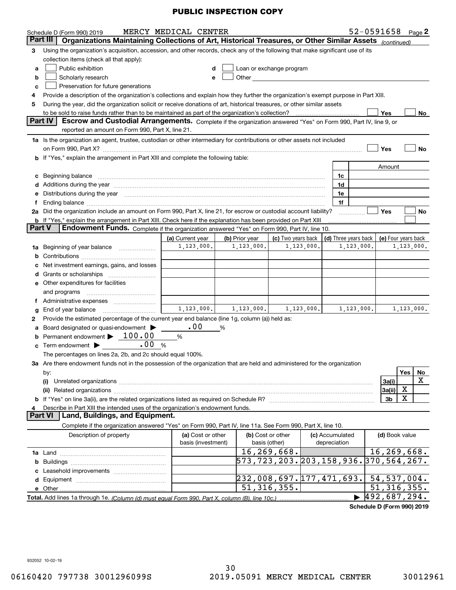|               | Schedule D (Form 990) 2019                                                                                                                                                                                                     | MERCY MEDICAL CENTER |   |                                                                                                                                                                                                                               |                    |              |                 |                                            | $52 - 0591658$ Page 2      |            |    |
|---------------|--------------------------------------------------------------------------------------------------------------------------------------------------------------------------------------------------------------------------------|----------------------|---|-------------------------------------------------------------------------------------------------------------------------------------------------------------------------------------------------------------------------------|--------------------|--------------|-----------------|--------------------------------------------|----------------------------|------------|----|
|               | Organizations Maintaining Collections of Art, Historical Treasures, or Other Similar Assets (continued)<br>Part III                                                                                                            |                      |   |                                                                                                                                                                                                                               |                    |              |                 |                                            |                            |            |    |
| 3             | Using the organization's acquisition, accession, and other records, check any of the following that make significant use of its                                                                                                |                      |   |                                                                                                                                                                                                                               |                    |              |                 |                                            |                            |            |    |
|               | collection items (check all that apply):                                                                                                                                                                                       |                      |   |                                                                                                                                                                                                                               |                    |              |                 |                                            |                            |            |    |
| a             | Public exhibition                                                                                                                                                                                                              | d                    |   | Loan or exchange program                                                                                                                                                                                                      |                    |              |                 |                                            |                            |            |    |
| b             | Scholarly research                                                                                                                                                                                                             | е                    |   | Other and the contract of the contract of the contract of the contract of the contract of the contract of the contract of the contract of the contract of the contract of the contract of the contract of the contract of the |                    |              |                 |                                            |                            |            |    |
| c             | Preservation for future generations                                                                                                                                                                                            |                      |   |                                                                                                                                                                                                                               |                    |              |                 |                                            |                            |            |    |
| 4             | Provide a description of the organization's collections and explain how they further the organization's exempt purpose in Part XIII.                                                                                           |                      |   |                                                                                                                                                                                                                               |                    |              |                 |                                            |                            |            |    |
| 5             | During the year, did the organization solicit or receive donations of art, historical treasures, or other similar assets                                                                                                       |                      |   |                                                                                                                                                                                                                               |                    |              |                 |                                            |                            |            |    |
|               |                                                                                                                                                                                                                                |                      |   |                                                                                                                                                                                                                               |                    |              |                 |                                            | Yes                        |            | No |
|               | <b>Part IV</b><br>Escrow and Custodial Arrangements. Complete if the organization answered "Yes" on Form 990, Part IV, line 9, or                                                                                              |                      |   |                                                                                                                                                                                                                               |                    |              |                 |                                            |                            |            |    |
|               | reported an amount on Form 990, Part X, line 21.                                                                                                                                                                               |                      |   |                                                                                                                                                                                                                               |                    |              |                 |                                            |                            |            |    |
|               | 1a Is the organization an agent, trustee, custodian or other intermediary for contributions or other assets not included                                                                                                       |                      |   |                                                                                                                                                                                                                               |                    |              |                 |                                            |                            |            |    |
|               | on Form 990, Part X? [11] matter contracts and contracts and contracts are contracted as a function of the set of the set of the set of the set of the set of the set of the set of the set of the set of the set of the set o |                      |   |                                                                                                                                                                                                                               |                    |              |                 |                                            | Yes                        |            | No |
|               | b If "Yes," explain the arrangement in Part XIII and complete the following table:                                                                                                                                             |                      |   |                                                                                                                                                                                                                               |                    |              |                 |                                            |                            |            |    |
|               |                                                                                                                                                                                                                                |                      |   |                                                                                                                                                                                                                               |                    |              |                 |                                            | Amount                     |            |    |
|               | c Beginning balance                                                                                                                                                                                                            |                      |   |                                                                                                                                                                                                                               |                    |              | 1c              |                                            |                            |            |    |
|               |                                                                                                                                                                                                                                |                      |   |                                                                                                                                                                                                                               |                    |              | 1d              |                                            |                            |            |    |
|               | e Distributions during the year manufactured and contain an account of the year manufactured and the year manufactured and the year manufactured and the year manufactured and the year manufactured and the year manufactured |                      |   |                                                                                                                                                                                                                               |                    |              | 1e              |                                            |                            |            |    |
| f             |                                                                                                                                                                                                                                |                      |   |                                                                                                                                                                                                                               |                    |              | 1f              |                                            |                            |            |    |
|               | 2a Did the organization include an amount on Form 990, Part X, line 21, for escrow or custodial account liability?                                                                                                             |                      |   |                                                                                                                                                                                                                               |                    |              |                 |                                            | <b>Yes</b>                 |            | No |
|               | b If "Yes," explain the arrangement in Part XIII. Check here if the explanation has been provided on Part XIII                                                                                                                 |                      |   |                                                                                                                                                                                                                               |                    |              |                 |                                            |                            |            |    |
| <b>Part V</b> | Endowment Funds. Complete if the organization answered "Yes" on Form 990, Part IV, line 10.                                                                                                                                    |                      |   |                                                                                                                                                                                                                               |                    |              |                 |                                            |                            |            |    |
|               |                                                                                                                                                                                                                                | (a) Current year     |   | (b) Prior year                                                                                                                                                                                                                | (c) Two years back |              |                 | (d) Three years back   (e) Four years back |                            |            |    |
|               | 1a Beginning of year balance                                                                                                                                                                                                   | 1, 123, 000.         |   | 1,123,000.                                                                                                                                                                                                                    |                    | 1, 123, 000. |                 | 1, 123, 000.                               |                            | 1,123,000. |    |
|               |                                                                                                                                                                                                                                |                      |   |                                                                                                                                                                                                                               |                    |              |                 |                                            |                            |            |    |
|               | c Net investment earnings, gains, and losses                                                                                                                                                                                   |                      |   |                                                                                                                                                                                                                               |                    |              |                 |                                            |                            |            |    |
|               |                                                                                                                                                                                                                                |                      |   |                                                                                                                                                                                                                               |                    |              |                 |                                            |                            |            |    |
|               | e Other expenditures for facilities                                                                                                                                                                                            |                      |   |                                                                                                                                                                                                                               |                    |              |                 |                                            |                            |            |    |
|               | and programs                                                                                                                                                                                                                   |                      |   |                                                                                                                                                                                                                               |                    |              |                 |                                            |                            |            |    |
|               | f Administrative expenses <i></i>                                                                                                                                                                                              |                      |   |                                                                                                                                                                                                                               |                    |              |                 |                                            |                            |            |    |
| g             |                                                                                                                                                                                                                                | 1, 123, 000.         |   | 1,123,000.                                                                                                                                                                                                                    |                    | 1,123,000.   |                 | 1, 123, 000.                               |                            | 1,123,000. |    |
| 2             | Provide the estimated percentage of the current year end balance (line 1g, column (a)) held as:                                                                                                                                |                      |   |                                                                                                                                                                                                                               |                    |              |                 |                                            |                            |            |    |
|               | a Board designated or quasi-endowment >                                                                                                                                                                                        | .00                  | % |                                                                                                                                                                                                                               |                    |              |                 |                                            |                            |            |    |
|               | Permanent endowment > 100.00                                                                                                                                                                                                   | %                    |   |                                                                                                                                                                                                                               |                    |              |                 |                                            |                            |            |    |
| c             | .00<br>Term endowment ><br>%                                                                                                                                                                                                   |                      |   |                                                                                                                                                                                                                               |                    |              |                 |                                            |                            |            |    |
|               | The percentages on lines 2a, 2b, and 2c should equal 100%.                                                                                                                                                                     |                      |   |                                                                                                                                                                                                                               |                    |              |                 |                                            |                            |            |    |
|               | 3a Are there endowment funds not in the possession of the organization that are held and administered for the organization                                                                                                     |                      |   |                                                                                                                                                                                                                               |                    |              |                 |                                            |                            |            |    |
|               | by:                                                                                                                                                                                                                            |                      |   |                                                                                                                                                                                                                               |                    |              |                 |                                            |                            | Yes        | No |
|               | (i)                                                                                                                                                                                                                            |                      |   |                                                                                                                                                                                                                               |                    |              |                 |                                            | 3a(i)                      |            | X  |
|               |                                                                                                                                                                                                                                |                      |   |                                                                                                                                                                                                                               |                    |              |                 |                                            | 3a(ii)                     | X          |    |
|               |                                                                                                                                                                                                                                |                      |   |                                                                                                                                                                                                                               |                    |              |                 |                                            | 3b                         | X          |    |
| 4             | Describe in Part XIII the intended uses of the organization's endowment funds.                                                                                                                                                 |                      |   |                                                                                                                                                                                                                               |                    |              |                 |                                            |                            |            |    |
|               | Part VI   Land, Buildings, and Equipment.                                                                                                                                                                                      |                      |   |                                                                                                                                                                                                                               |                    |              |                 |                                            |                            |            |    |
|               | Complete if the organization answered "Yes" on Form 990, Part IV, line 11a. See Form 990, Part X, line 10.                                                                                                                     |                      |   |                                                                                                                                                                                                                               |                    |              |                 |                                            |                            |            |    |
|               | Description of property                                                                                                                                                                                                        | (a) Cost or other    |   |                                                                                                                                                                                                                               | (b) Cost or other  |              | (c) Accumulated |                                            | (d) Book value             |            |    |
|               |                                                                                                                                                                                                                                | basis (investment)   |   |                                                                                                                                                                                                                               | basis (other)      |              | depreciation    |                                            |                            |            |    |
|               |                                                                                                                                                                                                                                |                      |   |                                                                                                                                                                                                                               | 16,269,668.        |              |                 |                                            | 16, 269, 668.              |            |    |
|               |                                                                                                                                                                                                                                |                      |   | 573,723,203.203,158,936.370,564,267.                                                                                                                                                                                          |                    |              |                 |                                            |                            |            |    |
|               |                                                                                                                                                                                                                                |                      |   |                                                                                                                                                                                                                               |                    |              |                 |                                            |                            |            |    |
|               |                                                                                                                                                                                                                                |                      |   | $\left  232,008,697.177,471,693. \right $ 54,537,004.                                                                                                                                                                         |                    |              |                 |                                            |                            |            |    |
|               |                                                                                                                                                                                                                                |                      |   |                                                                                                                                                                                                                               | 51, 316, 355.      |              |                 |                                            | 51, 316, 355.              |            |    |
|               |                                                                                                                                                                                                                                |                      |   |                                                                                                                                                                                                                               |                    |              |                 |                                            | 492,687,294.               |            |    |
|               |                                                                                                                                                                                                                                |                      |   |                                                                                                                                                                                                                               |                    |              |                 |                                            | Schedule D (Form 990) 2019 |            |    |
|               |                                                                                                                                                                                                                                |                      |   |                                                                                                                                                                                                                               |                    |              |                 |                                            |                            |            |    |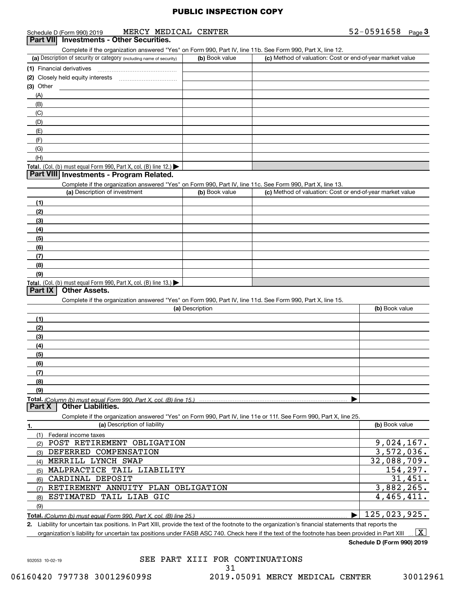|           | Schedule D (Form 990) 2019                                              |                              | MERCY MEDICAL CENTER |                                                                                                                                                      | $52 - 0591658$ Page 3 |
|-----------|-------------------------------------------------------------------------|------------------------------|----------------------|------------------------------------------------------------------------------------------------------------------------------------------------------|-----------------------|
| Part VII  | <b>Investments - Other Securities.</b>                                  |                              |                      |                                                                                                                                                      |                       |
|           |                                                                         |                              |                      | Complete if the organization answered "Yes" on Form 990, Part IV, line 11b. See Form 990, Part X, line 12.                                           |                       |
|           | (a) Description of security or category (including name of security)    |                              | (b) Book value       | (c) Method of valuation: Cost or end-of-year market value                                                                                            |                       |
|           | (1) Financial derivatives                                               |                              |                      |                                                                                                                                                      |                       |
|           |                                                                         |                              |                      |                                                                                                                                                      |                       |
| (3) Other |                                                                         |                              |                      |                                                                                                                                                      |                       |
| (A)       |                                                                         |                              |                      |                                                                                                                                                      |                       |
| (B)       |                                                                         |                              |                      |                                                                                                                                                      |                       |
| (C)       |                                                                         |                              |                      |                                                                                                                                                      |                       |
| (D)       |                                                                         |                              |                      |                                                                                                                                                      |                       |
| (E)       |                                                                         |                              |                      |                                                                                                                                                      |                       |
| (F)       |                                                                         |                              |                      |                                                                                                                                                      |                       |
| (G)       |                                                                         |                              |                      |                                                                                                                                                      |                       |
| (H)       |                                                                         |                              |                      |                                                                                                                                                      |                       |
|           | <b>Total.</b> (Col. (b) must equal Form 990, Part X, col. (B) line 12.) |                              |                      |                                                                                                                                                      |                       |
|           | Part VIII Investments - Program Related.                                |                              |                      |                                                                                                                                                      |                       |
|           |                                                                         |                              |                      | Complete if the organization answered "Yes" on Form 990, Part IV, line 11c. See Form 990, Part X, line 13.                                           |                       |
|           | (a) Description of investment                                           |                              | (b) Book value       | (c) Method of valuation: Cost or end-of-year market value                                                                                            |                       |
| (1)       |                                                                         |                              |                      |                                                                                                                                                      |                       |
| (2)       |                                                                         |                              |                      |                                                                                                                                                      |                       |
| (3)       |                                                                         |                              |                      |                                                                                                                                                      |                       |
| (4)       |                                                                         |                              |                      |                                                                                                                                                      |                       |
| (5)       |                                                                         |                              |                      |                                                                                                                                                      |                       |
| (6)       |                                                                         |                              |                      |                                                                                                                                                      |                       |
| (7)       |                                                                         |                              |                      |                                                                                                                                                      |                       |
| (8)       |                                                                         |                              |                      |                                                                                                                                                      |                       |
| (9)       |                                                                         |                              |                      |                                                                                                                                                      |                       |
|           | Total. (Col. (b) must equal Form 990, Part X, col. (B) line 13.)        |                              |                      |                                                                                                                                                      |                       |
| Part IX   | <b>Other Assets.</b>                                                    |                              |                      |                                                                                                                                                      |                       |
|           |                                                                         |                              |                      | Complete if the organization answered "Yes" on Form 990, Part IV, line 11d. See Form 990, Part X, line 15.                                           |                       |
|           |                                                                         |                              | (a) Description      |                                                                                                                                                      | (b) Book value        |
| (1)       |                                                                         |                              |                      |                                                                                                                                                      |                       |
| (2)       |                                                                         |                              |                      |                                                                                                                                                      |                       |
| (3)       |                                                                         |                              |                      |                                                                                                                                                      |                       |
| (4)       |                                                                         |                              |                      |                                                                                                                                                      |                       |
| (5)       |                                                                         |                              |                      |                                                                                                                                                      |                       |
| (6)       |                                                                         |                              |                      |                                                                                                                                                      |                       |
| (7)       |                                                                         |                              |                      |                                                                                                                                                      |                       |
| (8)       |                                                                         |                              |                      |                                                                                                                                                      |                       |
| (9)       |                                                                         |                              |                      |                                                                                                                                                      |                       |
|           |                                                                         |                              |                      |                                                                                                                                                      |                       |
| Part X    | <b>Other Liabilities.</b>                                               |                              |                      |                                                                                                                                                      |                       |
|           |                                                                         |                              |                      | Complete if the organization answered "Yes" on Form 990, Part IV, line 11e or 11f. See Form 990, Part X, line 25.                                    |                       |
| 1.        |                                                                         | (a) Description of liability |                      |                                                                                                                                                      | (b) Book value        |
|           | (1) Federal income taxes                                                |                              |                      |                                                                                                                                                      |                       |
|           | (2) POST RETIREMENT OBLIGATION                                          |                              |                      |                                                                                                                                                      | 9,024,167.            |
|           | (3) DEFERRED COMPENSATION                                               |                              |                      |                                                                                                                                                      | 3,572,036.            |
|           | (4) MERRILL LYNCH SWAP                                                  |                              |                      |                                                                                                                                                      | 32,088,709.           |
|           | (5) MALPRACTICE TAIL LIABILITY                                          |                              |                      |                                                                                                                                                      | 154, 297.             |
|           | (6) CARDINAL DEPOSIT                                                    |                              |                      |                                                                                                                                                      | 31,451.               |
| (7)       | RETIREMENT ANNUITY PLAN OBLIGATION                                      |                              |                      |                                                                                                                                                      | 3,882,265.            |
| (8)       | ESTIMATED TAIL LIAB GIC                                                 |                              |                      |                                                                                                                                                      | 4,465,411.            |
| (9)       |                                                                         |                              |                      |                                                                                                                                                      |                       |
|           |                                                                         |                              |                      | Total. (Column (b) must equal Form 990. Part X. col. (B) line 25.) ……………………………………………………………………                                                        | 125,023,925.          |
|           |                                                                         |                              |                      | 2. Liability for uncertain tax positions. In Part XIII, provide the text of the footnote to the organization's financial statements that reports the |                       |
|           |                                                                         |                              |                      | opization's lisbility for unpertain toy positions under EACR ACC 740. Check here if the toyt of the features here here neavided in Dert VIII         | $\sqrt{r}$            |

organization's liability for uncertain tax positions under FASB ASC 740. Check here if the text of the footnote has been provided in Part XIII  $\vert$  X  $\vert$ X

**Schedule D (Form 990) 2019**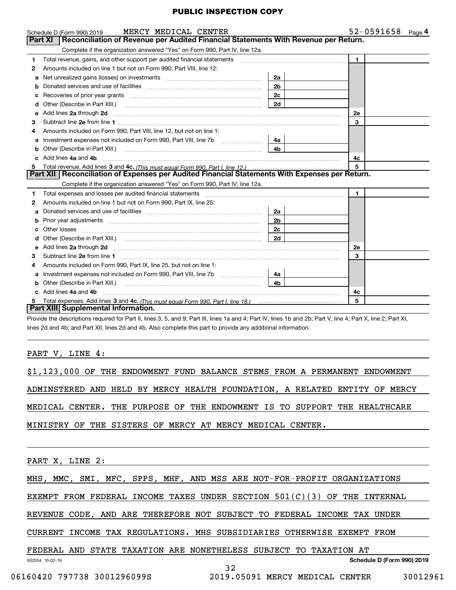|    | MERCY MEDICAL CENTER<br>Schedule D (Form 990) 2019                                                                                                                                                                                                                                       |                | $52 - 0591658$ Page 4 |
|----|------------------------------------------------------------------------------------------------------------------------------------------------------------------------------------------------------------------------------------------------------------------------------------------|----------------|-----------------------|
|    | Part XI   Reconciliation of Revenue per Audited Financial Statements With Revenue per Return.                                                                                                                                                                                            |                |                       |
|    | Complete if the organization answered "Yes" on Form 990, Part IV, line 12a.                                                                                                                                                                                                              |                |                       |
| 1  | Total revenue, gains, and other support per audited financial statements                                                                                                                                                                                                                 |                | $\mathbf{1}$          |
| 2  | Amounts included on line 1 but not on Form 990, Part VIII, line 12:                                                                                                                                                                                                                      |                |                       |
| a  |                                                                                                                                                                                                                                                                                          | 2a             |                       |
| b  |                                                                                                                                                                                                                                                                                          | 2 <sub>b</sub> |                       |
|    |                                                                                                                                                                                                                                                                                          | 2c             |                       |
| d  | Other (Describe in Part XIII.)                                                                                                                                                                                                                                                           | 2d             |                       |
| е  | Add lines 2a through 2d <b>[10]</b> [20] <b>All (20)</b> [20] [20] <b>All (20)</b> [30] <b>All (20)</b> [30] <b>All (20)</b> [30] <b>All (20)</b> [30] <b>All (20)</b> [30] <b>All (20)</b> [30] <b>All (20)</b> [30] <b>All (20)</b> [30] <b>All (20)</b> [30] <b>All (20) All (20)</b> |                | 2e                    |
| 3  |                                                                                                                                                                                                                                                                                          |                | 3                     |
| 4  | Amounts included on Form 990, Part VIII, line 12, but not on line 1:                                                                                                                                                                                                                     |                |                       |
|    |                                                                                                                                                                                                                                                                                          | 4a             |                       |
|    |                                                                                                                                                                                                                                                                                          | 4 <sub>b</sub> |                       |
|    | c Add lines 4a and 4b                                                                                                                                                                                                                                                                    |                | 4c                    |
|    |                                                                                                                                                                                                                                                                                          |                | 5                     |
|    | Part XII   Reconciliation of Expenses per Audited Financial Statements With Expenses per Return.                                                                                                                                                                                         |                |                       |
|    | Complete if the organization answered "Yes" on Form 990, Part IV, line 12a.                                                                                                                                                                                                              |                |                       |
| 1  | Total expenses and losses per audited financial statements [11] [11] Total expenses and losses per audited financial statements [11] [11] Total expenses and losses per audited financial statements                                                                                     |                | $\mathbf 1$           |
| 2  | Amounts included on line 1 but not on Form 990, Part IX, line 25:                                                                                                                                                                                                                        |                |                       |
|    |                                                                                                                                                                                                                                                                                          | 2a             |                       |
| b  |                                                                                                                                                                                                                                                                                          | 2 <sub>b</sub> |                       |
| C. |                                                                                                                                                                                                                                                                                          | 2c             |                       |
|    |                                                                                                                                                                                                                                                                                          | 2d             |                       |
| е  | Add lines 2a through 2d <b>must be a constructed as the constant of the constant of the constant of the construction</b>                                                                                                                                                                 |                | 2e                    |
| 3  |                                                                                                                                                                                                                                                                                          |                | 3                     |
| 4  | Amounts included on Form 990, Part IX, line 25, but not on line 1:                                                                                                                                                                                                                       |                |                       |
| a  | Investment expenses not included on Form 990, Part VIII, line 7b [                                                                                                                                                                                                                       | 4a             |                       |
|    | Other (Describe in Part XIII.) <b>2006</b> 2006 2010 2010 2010 2010 2011 2013 2014 2015 2016 2017 2018 2019 2016 2017                                                                                                                                                                    | 4b             |                       |
|    | Add lines 4a and 4b                                                                                                                                                                                                                                                                      |                | 4c                    |
| 5  |                                                                                                                                                                                                                                                                                          |                | 5                     |
|    | Part XIII Supplemental Information.                                                                                                                                                                                                                                                      |                |                       |
|    | Provide the descriptions required for Part II, lines 3, 5, and 9; Part III, lines 1a and 4; Part IV, lines 1b and 2b; Part V, line 4; Part X, line 2; Part XI,                                                                                                                           |                |                       |

lines 2d and 4b; and Part XII, lines 2d and 4b. Also complete this part to provide any additional information.

#### PART V, LINE 4:

| \$1,123,000 OF THE ENDOWMENT FUND BALANCE STEMS FROM A PERMANENT ENDOWMENT |
|----------------------------------------------------------------------------|
| ADMINSTERED AND HELD BY MERCY HEALTH FOUNDATION, A RELATED ENTITY OF MERCY |
|                                                                            |
| MEDICAL CENTER. THE PURPOSE OF THE ENDOWMENT IS TO SUPPORT THE HEALTHCARE  |
| MINISTRY OF THE SISTERS OF MERCY AT MERCY MEDICAL CENTER.                  |

PART X, LINE 2:

MHS, MMC, SMI, MFC, SPPS, MHF, AND MSS ARE NOT-FOR-PROFIT ORGANIZATIONS

EXEMPT FROM FEDERAL INCOME TAXES UNDER SECTION 501(C)(3) OF THE INTERNAL

REVENUE CODE, AND ARE THEREFORE NOT SUBJECT TO FEDERAL INCOME TAX UNDER

CURRENT INCOME TAX REGULATIONS. MHS SUBSIDIARIES OTHERWISE EXEMPT FROM

#### FEDERAL AND STATE TAXATION ARE NONETHELESS SUBJECT TO TAXATION AT

932054 10-02-19

**Schedule D (Form 990) 2019**

06160420 797738 3001296099S 2019.05091 MERCY MEDICAL CENTER 30012961

32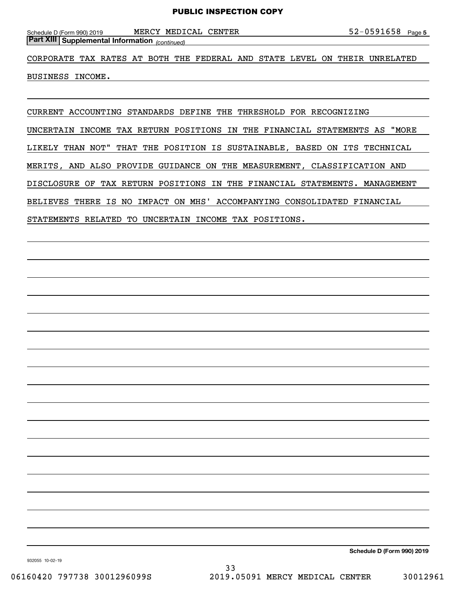*(continued)* **Part XIII Supplemental Information** 

CORPORATE TAX RATES AT BOTH THE FEDERAL AND STATE LEVEL ON THEIR UNRELATED

BUSINESS INCOME.

CURRENT ACCOUNTING STANDARDS DEFINE THE THRESHOLD FOR RECOGNIZING

UNCERTAIN INCOME TAX RETURN POSITIONS IN THE FINANCIAL STATEMENTS AS "MORE

LIKELY THAN NOT" THAT THE POSITION IS SUSTAINABLE, BASED ON ITS TECHNICAL

MERITS, AND ALSO PROVIDE GUIDANCE ON THE MEASUREMENT, CLASSIFICATION AND

DISCLOSURE OF TAX RETURN POSITIONS IN THE FINANCIAL STATEMENTS. MANAGEMENT

BELIEVES THERE IS NO IMPACT ON MHS' ACCOMPANYING CONSOLIDATED FINANCIAL

STATEMENTS RELATED TO UNCERTAIN INCOME TAX POSITIONS.

**Schedule D (Form 990) 2019**

932055 10-02-19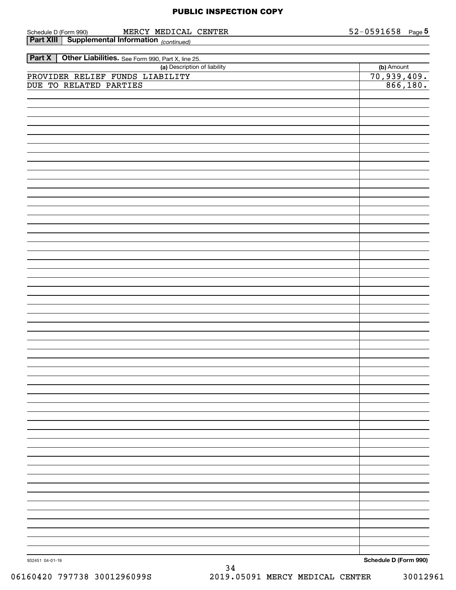| Schedule D (Form 990)<br>MERCY MEDICAL CENTER                      | <u>52-0591658</u>              | Page 5 |
|--------------------------------------------------------------------|--------------------------------|--------|
| <b>Part XIII</b> Supplemental Information (continued)              |                                |        |
|                                                                    |                                |        |
| Other Liabilities. See Form 990, Part X, line 25.<br><b>Part X</b> |                                |        |
| (a) Description of liability                                       | (b) Amount                     |        |
| PROVIDER RELIEF FUNDS LIABILITY                                    |                                |        |
| DUE TO RELATED PARTIES                                             | $\frac{70,939,409.}{866,180.}$ |        |
|                                                                    |                                |        |
|                                                                    |                                |        |
|                                                                    |                                |        |
|                                                                    |                                |        |
|                                                                    |                                |        |
|                                                                    |                                |        |
|                                                                    |                                |        |
|                                                                    |                                |        |
|                                                                    |                                |        |
|                                                                    |                                |        |
|                                                                    |                                |        |
|                                                                    |                                |        |
|                                                                    |                                |        |
|                                                                    |                                |        |
|                                                                    |                                |        |
|                                                                    |                                |        |
|                                                                    |                                |        |
|                                                                    |                                |        |
|                                                                    |                                |        |
|                                                                    |                                |        |
|                                                                    |                                |        |
|                                                                    |                                |        |
|                                                                    |                                |        |
|                                                                    |                                |        |
|                                                                    |                                |        |
|                                                                    |                                |        |
|                                                                    |                                |        |
|                                                                    |                                |        |
|                                                                    |                                |        |
|                                                                    |                                |        |
|                                                                    |                                |        |
|                                                                    |                                |        |
|                                                                    |                                |        |
|                                                                    |                                |        |
|                                                                    |                                |        |
|                                                                    |                                |        |
|                                                                    |                                |        |
|                                                                    |                                |        |
|                                                                    |                                |        |
|                                                                    |                                |        |
|                                                                    |                                |        |
|                                                                    |                                |        |
|                                                                    |                                |        |
|                                                                    |                                |        |
|                                                                    |                                |        |
|                                                                    |                                |        |
|                                                                    |                                |        |
|                                                                    |                                |        |
|                                                                    |                                |        |
|                                                                    |                                |        |
|                                                                    |                                |        |
|                                                                    |                                |        |
|                                                                    |                                |        |
|                                                                    |                                |        |
|                                                                    |                                |        |
|                                                                    |                                |        |
|                                                                    |                                |        |
| 932451 04-01-19                                                    | Schedule D (Form 990)          |        |

**Schedule D (Form 990)**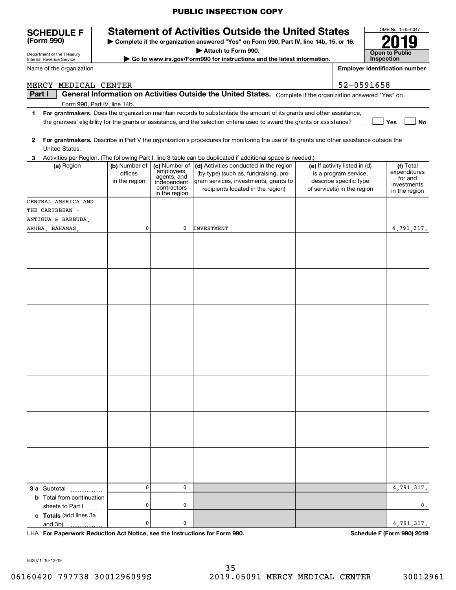# **SCHEDULE F Statement of Activities Outside the United States**

**| Complete if the organization answered "Yes" on Form 990, Part IV, line 14b, 15, or 16.**

**| Attach to Form 990.**

**| Go to www.irs.gov/Form990 for instructions and the latest information.**

| es:                                   | OMB No. 1545-0047                   |  |  |  |  |  |
|---------------------------------------|-------------------------------------|--|--|--|--|--|
| or 16.                                | 2019                                |  |  |  |  |  |
|                                       | <b>Open to Public</b><br>Inspection |  |  |  |  |  |
| <b>Employer identification number</b> |                                     |  |  |  |  |  |

 **No**

Department of the Treasury Internal Revenue Service

**(Form 990)**

Name of the organization

#### MERCY MEDICAL CENTER 52-0591658

**Part I | General Information on Activities Outside the United States.** Complete if the organization answered "Yes" on<br>Form 990, Part IV, line 14b Form 990, Part IV, line 14b.

- **1For grantmakers.**  Does the organization maintain records to substantiate the amount of its grants and other assistance, **Yes** the grantees' eligibility for the grants or assistance, and the selection criteria used to award the grants or assistance?  $\frac{1}{2}$
- **2For grantmakers.**  Describe in Part V the organization's procedures for monitoring the use of its grants and other assistance outside the United States.
- **3** Activities per Region. (The following Part I, line 3 table can be duplicated if additional space is needed.)

| (a) Region                                                                 | (b) Number of<br>offices<br>in the region | (c) Number of<br>employees,<br>agents, and<br>independent<br>contractors<br>in the region | (d) Activities conducted in the region<br>(by type) (such as, fundraising, pro-<br>gram services, investments, grants to<br>recipients located in the region) | (e) If activity listed in (d)<br>is a program service,<br>describe specific type<br>of service(s) in the region | (f) Total<br>expenditures<br>for and<br>investments<br>in the region |
|----------------------------------------------------------------------------|-------------------------------------------|-------------------------------------------------------------------------------------------|---------------------------------------------------------------------------------------------------------------------------------------------------------------|-----------------------------------------------------------------------------------------------------------------|----------------------------------------------------------------------|
| CENTRAL AMERICA AND                                                        |                                           |                                                                                           |                                                                                                                                                               |                                                                                                                 |                                                                      |
| THE CARIBBEAN -                                                            |                                           |                                                                                           |                                                                                                                                                               |                                                                                                                 |                                                                      |
| ANTIGUA & BARBUDA,                                                         |                                           |                                                                                           |                                                                                                                                                               |                                                                                                                 |                                                                      |
| ARUBA, BAHAMAS,                                                            | 0                                         | 0                                                                                         | <b>INVESTMENT</b>                                                                                                                                             |                                                                                                                 | 4,791,317.                                                           |
|                                                                            |                                           |                                                                                           |                                                                                                                                                               |                                                                                                                 |                                                                      |
|                                                                            |                                           |                                                                                           |                                                                                                                                                               |                                                                                                                 |                                                                      |
|                                                                            |                                           |                                                                                           |                                                                                                                                                               |                                                                                                                 |                                                                      |
|                                                                            |                                           |                                                                                           |                                                                                                                                                               |                                                                                                                 |                                                                      |
|                                                                            |                                           |                                                                                           |                                                                                                                                                               |                                                                                                                 |                                                                      |
|                                                                            |                                           |                                                                                           |                                                                                                                                                               |                                                                                                                 |                                                                      |
|                                                                            |                                           |                                                                                           |                                                                                                                                                               |                                                                                                                 |                                                                      |
|                                                                            |                                           |                                                                                           |                                                                                                                                                               |                                                                                                                 |                                                                      |
|                                                                            |                                           |                                                                                           |                                                                                                                                                               |                                                                                                                 |                                                                      |
|                                                                            |                                           |                                                                                           |                                                                                                                                                               |                                                                                                                 |                                                                      |
|                                                                            |                                           |                                                                                           |                                                                                                                                                               |                                                                                                                 |                                                                      |
|                                                                            |                                           |                                                                                           |                                                                                                                                                               |                                                                                                                 |                                                                      |
|                                                                            |                                           |                                                                                           |                                                                                                                                                               |                                                                                                                 |                                                                      |
|                                                                            |                                           |                                                                                           |                                                                                                                                                               |                                                                                                                 |                                                                      |
| 3 a Subtotal<br>.                                                          | 0                                         | 0                                                                                         |                                                                                                                                                               |                                                                                                                 | 4,791,317.                                                           |
| <b>b</b> Total from continuation<br>sheets to Part I                       | 0                                         | 0                                                                                         |                                                                                                                                                               |                                                                                                                 | 0.                                                                   |
| c Totals (add lines 3a<br>and 3b)<br>.                                     | 0                                         | $\pmb{0}$                                                                                 |                                                                                                                                                               |                                                                                                                 | 4,791,317.                                                           |
| LHA For Paperwork Reduction Act Notice, see the Instructions for Form 990. |                                           |                                                                                           |                                                                                                                                                               |                                                                                                                 | Schedule F (Form 990) 2019                                           |

932071 10-12-19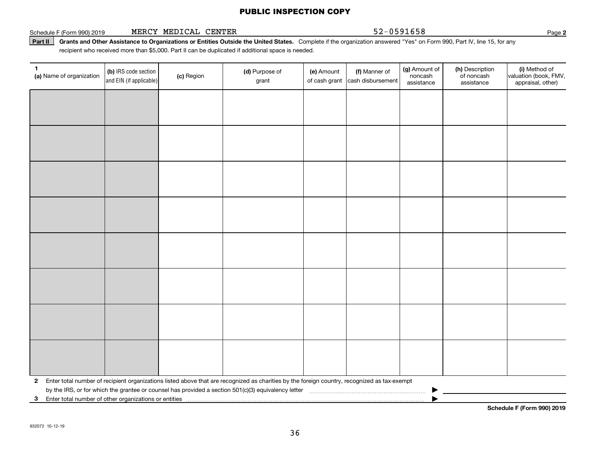#### Schedule F (Form 990) 2019 **MERCY MEDICAL CENTER** 52-0591658 Page

**2**

**Part II** Grants and Other Assistance to Organizations or Entities Outside the United States. Complete if the organization answered "Yes" on Form 990, Part IV, line 15, for any<br>recisiont who received more than \$5,000. Part recipient who received more than \$5,000. Part II can be duplicated if additional space is needed.

| 1.<br>(a) Name of organization                             | (b) IRS code section<br>and EIN (if applicable) | (c) Region | (d) Purpose of<br>grant                                                                                                                      | (e) Amount | (f) Manner of<br>of cash grant cash disbursement | (g) Amount of<br>noncash<br>assistance | (h) Description<br>of noncash<br>assistance | (i) Method of<br>valuation (book, FMV,<br>appraisal, other) |
|------------------------------------------------------------|-------------------------------------------------|------------|----------------------------------------------------------------------------------------------------------------------------------------------|------------|--------------------------------------------------|----------------------------------------|---------------------------------------------|-------------------------------------------------------------|
|                                                            |                                                 |            |                                                                                                                                              |            |                                                  |                                        |                                             |                                                             |
|                                                            |                                                 |            |                                                                                                                                              |            |                                                  |                                        |                                             |                                                             |
|                                                            |                                                 |            |                                                                                                                                              |            |                                                  |                                        |                                             |                                                             |
|                                                            |                                                 |            |                                                                                                                                              |            |                                                  |                                        |                                             |                                                             |
|                                                            |                                                 |            |                                                                                                                                              |            |                                                  |                                        |                                             |                                                             |
|                                                            |                                                 |            |                                                                                                                                              |            |                                                  |                                        |                                             |                                                             |
|                                                            |                                                 |            |                                                                                                                                              |            |                                                  |                                        |                                             |                                                             |
|                                                            |                                                 |            |                                                                                                                                              |            |                                                  |                                        |                                             |                                                             |
|                                                            |                                                 |            |                                                                                                                                              |            |                                                  |                                        |                                             |                                                             |
|                                                            |                                                 |            |                                                                                                                                              |            |                                                  |                                        |                                             |                                                             |
|                                                            |                                                 |            |                                                                                                                                              |            |                                                  |                                        |                                             |                                                             |
|                                                            |                                                 |            |                                                                                                                                              |            |                                                  |                                        |                                             |                                                             |
|                                                            |                                                 |            |                                                                                                                                              |            |                                                  |                                        |                                             |                                                             |
|                                                            |                                                 |            |                                                                                                                                              |            |                                                  |                                        |                                             |                                                             |
|                                                            |                                                 |            |                                                                                                                                              |            |                                                  |                                        |                                             |                                                             |
|                                                            |                                                 |            |                                                                                                                                              |            |                                                  |                                        |                                             |                                                             |
| $\mathbf{2}$                                               |                                                 |            | Enter total number of recipient organizations listed above that are recognized as charities by the foreign country, recognized as tax-exempt |            |                                                  |                                        |                                             |                                                             |
|                                                            |                                                 |            | by the IRS, or for which the grantee or counsel has provided a section 501(c)(3) equivalency letter                                          |            |                                                  |                                        |                                             |                                                             |
| Enter total number of other organizations or entities<br>3 |                                                 |            |                                                                                                                                              |            |                                                  |                                        |                                             | Cahadula E (Fauna 000) 0040                                 |

**Schedule F (Form 990) 2019**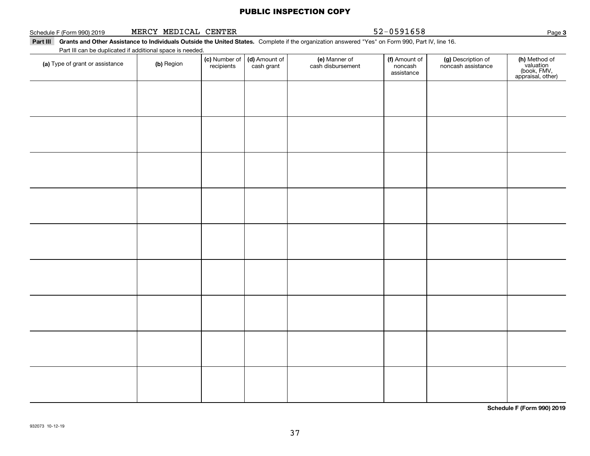| Schedule F (Form 990) 2019      | MERCY MEDICAL CENTER                                                    |                             |                             |                                                                                                                                                           | 52-0591658                             |                                          | Page 3                                                         |
|---------------------------------|-------------------------------------------------------------------------|-----------------------------|-----------------------------|-----------------------------------------------------------------------------------------------------------------------------------------------------------|----------------------------------------|------------------------------------------|----------------------------------------------------------------|
|                                 |                                                                         |                             |                             | Part III Grants and Other Assistance to Individuals Outside the United States. Complete if the organization answered "Yes" on Form 990, Part IV, line 16. |                                        |                                          |                                                                |
| (a) Type of grant or assistance | Part III can be duplicated if additional space is needed.<br>(b) Region | (c) Number of<br>recipients | (d) Amount of<br>cash grant | (e) Manner of<br>cash disbursement                                                                                                                        | (f) Amount of<br>noncash<br>assistance | (g) Description of<br>noncash assistance | (h) Method of<br>valuation<br>(book, FMV,<br>appraisal, other) |
|                                 |                                                                         |                             |                             |                                                                                                                                                           |                                        |                                          |                                                                |
|                                 |                                                                         |                             |                             |                                                                                                                                                           |                                        |                                          |                                                                |
|                                 |                                                                         |                             |                             |                                                                                                                                                           |                                        |                                          |                                                                |
|                                 |                                                                         |                             |                             |                                                                                                                                                           |                                        |                                          |                                                                |
|                                 |                                                                         |                             |                             |                                                                                                                                                           |                                        |                                          |                                                                |
|                                 |                                                                         |                             |                             |                                                                                                                                                           |                                        |                                          |                                                                |
|                                 |                                                                         |                             |                             |                                                                                                                                                           |                                        |                                          |                                                                |
|                                 |                                                                         |                             |                             |                                                                                                                                                           |                                        |                                          |                                                                |
|                                 |                                                                         |                             |                             |                                                                                                                                                           |                                        |                                          |                                                                |
|                                 |                                                                         |                             |                             |                                                                                                                                                           |                                        |                                          |                                                                |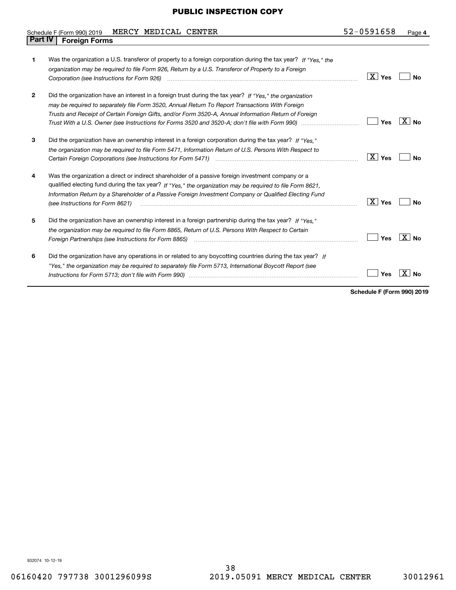#### Schedule F (Form 990) 2019 MERCY MEDICAL CENTER 5 Z-U 5 9 I 6 58 Page **Part IV Foreign Forms** MERCY MEDICAL CENTER 52-0591658

| 1            | Was the organization a U.S. transferor of property to a foreign corporation during the tax year? If "Yes." the                                                                                                                |                               |           |
|--------------|-------------------------------------------------------------------------------------------------------------------------------------------------------------------------------------------------------------------------------|-------------------------------|-----------|
|              |                                                                                                                                                                                                                               |                               |           |
|              | organization may be required to file Form 926, Return by a U.S. Transferor of Property to a Foreign                                                                                                                           |                               |           |
|              |                                                                                                                                                                                                                               | $\boxed{\text{X}}$ Yes        | Nο        |
| $\mathbf{2}$ | Did the organization have an interest in a foreign trust during the tax year? If "Yes." the organization                                                                                                                      |                               |           |
|              | may be required to separately file Form 3520, Annual Return To Report Transactions With Foreign                                                                                                                               |                               |           |
|              | Trusts and Receipt of Certain Foreign Gifts, and/or Form 3520-A, Annual Information Return of Foreign                                                                                                                         |                               |           |
|              | Trust With a U.S. Owner (see Instructions for Forms 3520 and 3520-A; don't file with Form 990) manual manual manual                                                                                                           | Yes                           | X<br>No   |
| 3            | Did the organization have an ownership interest in a foreign corporation during the tax year? If "Yes."                                                                                                                       |                               |           |
|              | the organization may be required to file Form 5471, Information Return of U.S. Persons With Respect to                                                                                                                        |                               |           |
|              |                                                                                                                                                                                                                               | $\boxed{\text{X}}$ Yes        | Nο        |
|              |                                                                                                                                                                                                                               |                               |           |
| 4            | Was the organization a direct or indirect shareholder of a passive foreign investment company or a                                                                                                                            |                               |           |
|              | qualified electing fund during the tax year? If "Yes," the organization may be required to file Form 8621.                                                                                                                    |                               |           |
|              | Information Return by a Shareholder of a Passive Foreign Investment Company or Qualified Electing Fund                                                                                                                        |                               |           |
|              | (see Instructions for Form 8621)                                                                                                                                                                                              | $\overline{\mathbf{X}}$   Yes | No        |
| 5            | Did the organization have an ownership interest in a foreign partnership during the tax year? If "Yes."                                                                                                                       |                               |           |
|              |                                                                                                                                                                                                                               |                               |           |
|              | the organization may be required to file Form 8865, Return of U.S. Persons With Respect to Certain                                                                                                                            |                               | X         |
|              | Foreign Partnerships (see Instructions for Form 8865) manufactured contain the control of the control of the control of the control of the control of the control of the control of the control of the control of the control | Yes                           | <b>No</b> |
| 6            | Did the organization have any operations in or related to any boycotting countries during the tax year? If                                                                                                                    |                               |           |
|              | "Yes," the organization may be required to separately file Form 5713, International Boycott Report (see                                                                                                                       |                               |           |
|              |                                                                                                                                                                                                                               | Yes                           |           |
|              |                                                                                                                                                                                                                               |                               |           |

**Schedule F (Form 990) 2019**

932074 10-12-19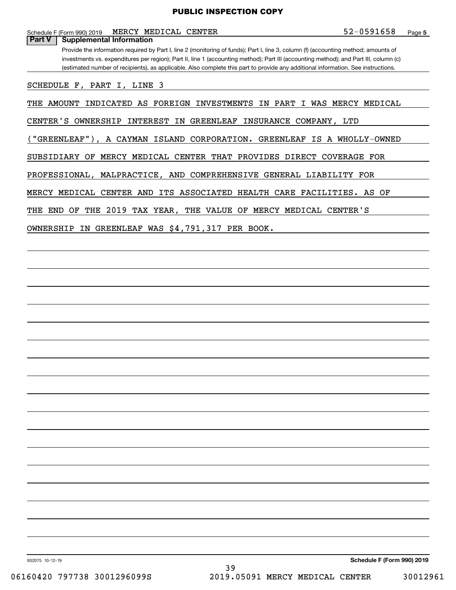Schedule F (Form 990) 2019 **MERCY MEDICAL CENTER 5** 2-0 5 9 1 6 5 8 Page

**Part V Supplemental Information**

Provide the information required by Part I, line 2 (monitoring of funds); Part I, line 3, column (f) (accounting method; amounts of investments vs. expenditures per region); Part II, line 1 (accounting method); Part III (accounting method); and Part III, column (c) (estimated number of recipients), as applicable. Also complete this part to provide any additional information. See instructions.

SCHEDULE F, PART I, LINE 3

THE AMOUNT INDICATED AS FOREIGN INVESTMENTS IN PART I WAS MERCY MEDICAL

CENTER'S OWNERSHIP INTEREST IN GREENLEAF INSURANCE COMPANY, LTD

("GREENLEAF"), A CAYMAN ISLAND CORPORATION. GREENLEAF IS A WHOLLY-OWNED

SUBSIDIARY OF MERCY MEDICAL CENTER THAT PROVIDES DIRECT COVERAGE FOR

PROFESSIONAL, MALPRACTICE, AND COMPREHENSIVE GENERAL LIABILITY FOR

MERCY MEDICAL CENTER AND ITS ASSOCIATED HEALTH CARE FACILITIES. AS OF

THE END OF THE 2019 TAX YEAR, THE VALUE OF MERCY MEDICAL CENTER'S

OWNERSHIP IN GREENLEAF WAS \$4,791,317 PER BOOK.

932075 10-12-19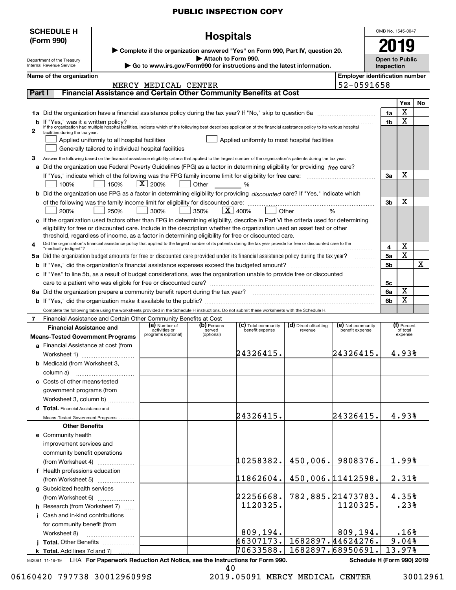|          | <b>SCHEDULE H</b>                                                        |                                                                                               |                                |                       |                                                                                                                                                                      |                                  |                                       | OMB No. 1545-0047                          |                         |     |
|----------|--------------------------------------------------------------------------|-----------------------------------------------------------------------------------------------|--------------------------------|-----------------------|----------------------------------------------------------------------------------------------------------------------------------------------------------------------|----------------------------------|---------------------------------------|--------------------------------------------|-------------------------|-----|
|          | (Form 990)                                                               |                                                                                               |                                | <b>Hospitals</b>      |                                                                                                                                                                      |                                  |                                       |                                            |                         |     |
|          |                                                                          |                                                                                               |                                |                       | ▶ Complete if the organization answered "Yes" on Form 990, Part IV, question 20.                                                                                     |                                  |                                       |                                            |                         |     |
|          | Department of the Treasury<br>Internal Revenue Service                   | Attach to Form 990.<br>Go to www.irs.gov/Form990 for instructions and the latest information. |                                |                       |                                                                                                                                                                      |                                  |                                       | <b>Open to Public</b><br><b>Inspection</b> |                         |     |
|          | Name of the organization                                                 |                                                                                               |                                |                       |                                                                                                                                                                      |                                  | <b>Employer identification number</b> |                                            |                         |     |
|          |                                                                          |                                                                                               | MERCY MEDICAL CENTER           |                       |                                                                                                                                                                      |                                  | 52-0591658                            |                                            |                         |     |
| Part I   |                                                                          |                                                                                               |                                |                       | Financial Assistance and Certain Other Community Benefits at Cost                                                                                                    |                                  |                                       |                                            |                         |     |
|          |                                                                          |                                                                                               |                                |                       |                                                                                                                                                                      |                                  |                                       |                                            | Yes                     | No. |
|          |                                                                          |                                                                                               |                                |                       | 1a Did the organization have a financial assistance policy during the tax year? If "No," skip to question 6a                                                         |                                  |                                       | 1a                                         | х                       |     |
| b        |                                                                          |                                                                                               |                                |                       |                                                                                                                                                                      |                                  |                                       | 1 <sub>b</sub>                             | x                       |     |
| 2        | facilities during the tax year.                                          |                                                                                               |                                |                       |                                                                                                                                                                      |                                  |                                       |                                            |                         |     |
|          |                                                                          | Applied uniformly to all hospital facilities                                                  |                                |                       | Applied uniformly to most hospital facilities                                                                                                                        |                                  |                                       |                                            |                         |     |
|          |                                                                          | Generally tailored to individual hospital facilities                                          |                                |                       |                                                                                                                                                                      |                                  |                                       |                                            |                         |     |
| 3        |                                                                          |                                                                                               |                                |                       | Answer the following based on the financial assistance eligibility criteria that applied to the largest number of the organization's patients during the tax year.   |                                  |                                       |                                            |                         |     |
|          |                                                                          |                                                                                               |                                |                       | a Did the organization use Federal Poverty Guidelines (FPG) as a factor in determining eligibility for providing free care?                                          |                                  |                                       |                                            |                         |     |
|          | 100%                                                                     | 150%                                                                                          | $\vert$ X $\vert$ 200%         | Other %               |                                                                                                                                                                      |                                  |                                       | За                                         | х                       |     |
|          |                                                                          |                                                                                               |                                |                       | <b>b</b> Did the organization use FPG as a factor in determining eligibility for providing discounted care? If "Yes," indicate which                                 |                                  |                                       |                                            |                         |     |
|          |                                                                          |                                                                                               |                                |                       |                                                                                                                                                                      |                                  |                                       | 3b                                         | x                       |     |
|          | 200%                                                                     | 250%                                                                                          | 300%                           | 350%                  | $\vert$ X $\vert$ 400%                                                                                                                                               | Other %                          |                                       |                                            |                         |     |
|          |                                                                          |                                                                                               |                                |                       | c If the organization used factors other than FPG in determining eligibility, describe in Part VI the criteria used for determining                                  |                                  |                                       |                                            |                         |     |
|          |                                                                          |                                                                                               |                                |                       | eligibility for free or discounted care. Include in the description whether the organization used an asset test or other                                             |                                  |                                       |                                            |                         |     |
|          |                                                                          |                                                                                               |                                |                       | threshold, regardless of income, as a factor in determining eligibility for free or discounted care.                                                                 |                                  |                                       |                                            |                         |     |
| 4        | "medically indigent"?                                                    |                                                                                               |                                |                       | Did the organization's financial assistance policy that applied to the largest number of its patients during the tax year provide for free or discounted care to the |                                  |                                       | 4                                          | х                       |     |
|          |                                                                          |                                                                                               |                                |                       | 5a Did the organization budget amounts for free or discounted care provided under its financial assistance policy during the tax year?                               |                                  |                                       | 5a                                         | х                       |     |
|          |                                                                          |                                                                                               |                                |                       |                                                                                                                                                                      |                                  |                                       | 5b                                         |                         | x   |
|          |                                                                          |                                                                                               |                                |                       | c If "Yes" to line 5b, as a result of budget considerations, was the organization unable to provide free or discounted                                               |                                  |                                       |                                            |                         |     |
|          |                                                                          |                                                                                               |                                |                       |                                                                                                                                                                      |                                  |                                       | 5с                                         |                         |     |
|          |                                                                          |                                                                                               |                                |                       |                                                                                                                                                                      |                                  |                                       | 6a                                         | х<br>х                  |     |
|          |                                                                          |                                                                                               |                                |                       |                                                                                                                                                                      |                                  |                                       | 6b                                         |                         |     |
| <b>7</b> | Financial Assistance and Certain Other Community Benefits at Cost        |                                                                                               |                                |                       | Complete the following table using the worksheets provided in the Schedule H instructions. Do not submit these worksheets with the Schedule H.                       |                                  |                                       |                                            |                         |     |
|          | <b>Financial Assistance and</b>                                          |                                                                                               | (a) Number of<br>activities or | (b) Persons<br>served | (c) Total community<br>benefit expense                                                                                                                               | (d) Direct offsetting<br>revenue | (e) Net community<br>benefit expense  |                                            | (f) Percent<br>of total |     |
|          | <b>Means-Tested Government Programs</b>                                  |                                                                                               | programs (optional)            | (optional)            |                                                                                                                                                                      |                                  |                                       |                                            | expense                 |     |
|          | a Financial Assistance at cost (from                                     |                                                                                               |                                |                       |                                                                                                                                                                      |                                  |                                       |                                            |                         |     |
|          | Worksheet 1)                                                             |                                                                                               |                                |                       | 24326415.                                                                                                                                                            |                                  | 24326415.                             |                                            | 4.93%                   |     |
|          | <b>b</b> Medicaid (from Worksheet 3,                                     |                                                                                               |                                |                       |                                                                                                                                                                      |                                  |                                       |                                            |                         |     |
|          | column a)                                                                |                                                                                               |                                |                       |                                                                                                                                                                      |                                  |                                       |                                            |                         |     |
|          | c Costs of other means-tested                                            |                                                                                               |                                |                       |                                                                                                                                                                      |                                  |                                       |                                            |                         |     |
|          | government programs (from                                                |                                                                                               |                                |                       |                                                                                                                                                                      |                                  |                                       |                                            |                         |     |
|          | Worksheet 3, column b)<br>d Total. Financial Assistance and              |                                                                                               |                                |                       |                                                                                                                                                                      |                                  |                                       |                                            |                         |     |
|          | Means-Tested Government Programs                                         |                                                                                               |                                |                       | 24326415.                                                                                                                                                            |                                  | 24326415.                             |                                            | 4.93%                   |     |
|          | <b>Other Benefits</b>                                                    |                                                                                               |                                |                       |                                                                                                                                                                      |                                  |                                       |                                            |                         |     |
|          | e Community health                                                       |                                                                                               |                                |                       |                                                                                                                                                                      |                                  |                                       |                                            |                         |     |
|          | improvement services and                                                 |                                                                                               |                                |                       |                                                                                                                                                                      |                                  |                                       |                                            |                         |     |
|          | community benefit operations                                             |                                                                                               |                                |                       |                                                                                                                                                                      |                                  |                                       |                                            |                         |     |
|          | (from Worksheet 4)                                                       |                                                                                               |                                |                       | 10258382.                                                                                                                                                            | 450,006.                         | 9808376.                              |                                            | 1.99%                   |     |
|          | f Health professions education                                           |                                                                                               |                                |                       |                                                                                                                                                                      |                                  |                                       |                                            |                         |     |
|          | (from Worksheet 5)                                                       |                                                                                               |                                |                       | 11862604.                                                                                                                                                            | 450,006.11412598.                |                                       |                                            | 2.31%                   |     |
|          | g Subsidized health services                                             |                                                                                               |                                |                       |                                                                                                                                                                      |                                  |                                       |                                            |                         |     |
|          | (from Worksheet 6)                                                       |                                                                                               |                                |                       | 22256668.<br>1120325.                                                                                                                                                | 782,885.21473783.                | 1120325.                              |                                            | 4.35%<br>.23%           |     |
|          | <b>h</b> Research (from Worksheet 7)<br>i Cash and in-kind contributions |                                                                                               |                                |                       |                                                                                                                                                                      |                                  |                                       |                                            |                         |     |
|          | for community benefit (from                                              |                                                                                               |                                |                       |                                                                                                                                                                      |                                  |                                       |                                            |                         |     |
|          | Worksheet 8)                                                             |                                                                                               |                                |                       | 809, 194.                                                                                                                                                            |                                  | 809, 194.                             |                                            | .16%                    |     |
|          | j Total. Other Benefits                                                  |                                                                                               |                                |                       | 46307173.                                                                                                                                                            | 1682897.44624276.                |                                       |                                            | 9.04%                   |     |
|          | k Total. Add lines 7d and 7j                                             |                                                                                               |                                |                       | 70633588.                                                                                                                                                            | 1682897.68950691.                |                                       |                                            | 13.97%                  |     |

932091 11-19-19 **For Paperwork Reduction Act Notice, see the Instructions for Form 990. Schedule H (Form 990) 2019** LHA

40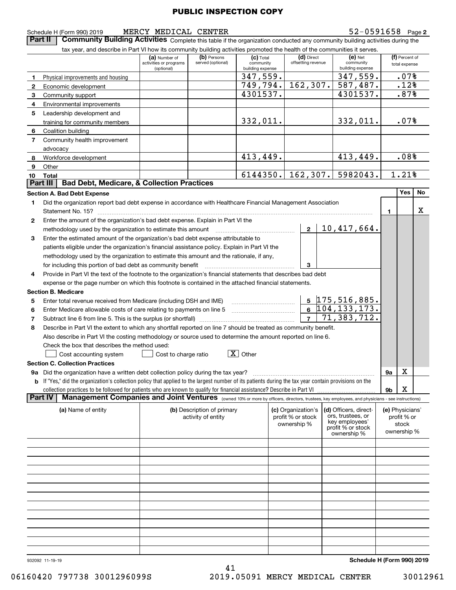$\begin{pmatrix} a \end{pmatrix}$  Number of  $\begin{pmatrix} b \end{pmatrix}$  Persons  $\begin{pmatrix} c \end{pmatrix}$  **(c)** Total  $\begin{pmatrix} d \end{pmatrix}$  Direct  $\begin{pmatrix} e \end{pmatrix}$  Net  $\begin{pmatrix} f \end{pmatrix}$ 

 $(c)$  Total community building expens

347,559. 749,794. 4301537.

332,011.

413,449.

6144350.

|  | 932092 11-19-19 |  |  |
|--|-----------------|--|--|
|  |                 |  |  |
|  |                 |  |  |

| Schedule H (Form 990) 2019 |  |
|----------------------------|--|
|                            |  |

|                                                             | methodology used by the organization to estimate this amount mathodology used by the organization to estimate this amount                                    | $\mathbf{2}$                                           | $10,417,664$ .                                                                                   |                |                                                                                                |  |
|-------------------------------------------------------------|--------------------------------------------------------------------------------------------------------------------------------------------------------------|--------------------------------------------------------|--------------------------------------------------------------------------------------------------|----------------|------------------------------------------------------------------------------------------------|--|
| 3                                                           | Enter the estimated amount of the organization's bad debt expense attributable to                                                                            |                                                        |                                                                                                  |                |                                                                                                |  |
|                                                             | patients eligible under the organization's financial assistance policy. Explain in Part VI the                                                               |                                                        |                                                                                                  |                |                                                                                                |  |
|                                                             | methodology used by the organization to estimate this amount and the rationale, if any,                                                                      |                                                        |                                                                                                  |                |                                                                                                |  |
| for including this portion of bad debt as community benefit |                                                                                                                                                              | 3                                                      |                                                                                                  |                |                                                                                                |  |
| 4                                                           | Provide in Part VI the text of the footnote to the organization's financial statements that describes bad debt                                               |                                                        |                                                                                                  |                | X<br>X<br>(e) Physicians'<br>profit % or<br>stock<br>ownership %<br>Schedule H (Form 990) 2019 |  |
|                                                             | expense or the page number on which this footnote is contained in the attached financial statements.                                                         |                                                        |                                                                                                  |                |                                                                                                |  |
| <b>Section B. Medicare</b>                                  |                                                                                                                                                              |                                                        |                                                                                                  |                |                                                                                                |  |
| 5                                                           | Enter total revenue received from Medicare (including DSH and IME)                                                                                           |                                                        | 5 175,516,885.                                                                                   |                |                                                                                                |  |
| 6                                                           | Enter Medicare allowable costs of care relating to payments on line 5                                                                                        |                                                        | $6\;104,133,173.$                                                                                |                |                                                                                                |  |
| 7                                                           |                                                                                                                                                              | 7 <sup>1</sup>                                         | 71, 383, 712.                                                                                    |                |                                                                                                |  |
| 8                                                           | Describe in Part VI the extent to which any shortfall reported on line 7 should be treated as community benefit.                                             |                                                        |                                                                                                  |                |                                                                                                |  |
|                                                             | Also describe in Part VI the costing methodology or source used to determine the amount reported on line 6.                                                  |                                                        |                                                                                                  |                |                                                                                                |  |
| Check the box that describes the method used:               |                                                                                                                                                              |                                                        |                                                                                                  |                |                                                                                                |  |
| Cost accounting system                                      | $\boxed{\mathbf{X}}$ Other<br>Cost to charge ratio                                                                                                           |                                                        |                                                                                                  |                |                                                                                                |  |
| <b>Section C. Collection Practices</b>                      |                                                                                                                                                              |                                                        |                                                                                                  |                |                                                                                                |  |
|                                                             | <b>9a</b> Did the organization have a written debt collection policy during the tax year?                                                                    |                                                        |                                                                                                  | <b>9a</b>      |                                                                                                |  |
|                                                             | <b>b</b> If "Yes," did the organization's collection policy that applied to the largest number of its patients during the tax year contain provisions on the |                                                        |                                                                                                  |                |                                                                                                |  |
|                                                             |                                                                                                                                                              |                                                        |                                                                                                  | 9 <sub>b</sub> |                                                                                                |  |
|                                                             |                                                                                                                                                              |                                                        |                                                                                                  |                |                                                                                                |  |
|                                                             | Management Companies and Joint Ventures (owned 10% or more by officers, directors, trustees, key employees, and physicians - see instructions)               |                                                        |                                                                                                  |                |                                                                                                |  |
| (a) Name of entity                                          | (b) Description of primary<br>activity of entity                                                                                                             | (c) Organization's<br>profit % or stock<br>ownership % | (d) Officers, direct-<br>ors, trustees, or<br>key employees'<br>profit % or stock<br>ownership % |                |                                                                                                |  |
|                                                             |                                                                                                                                                              |                                                        |                                                                                                  |                |                                                                                                |  |
| <b>Part IV</b>                                              |                                                                                                                                                              |                                                        |                                                                                                  |                |                                                                                                |  |
|                                                             |                                                                                                                                                              |                                                        |                                                                                                  |                |                                                                                                |  |

activities or programs (optional)

52-0591658 Page 2

**1**

(f) Percent of total expense

> .12% .87%

.07%

.07%

.08%

1.21%

X

| Schedule H (Form 990) 2019 | MERCY MEDICAL CENTER | 52-0591658 | Page |
|----------------------------|----------------------|------------|------|
|                            |                      |            |      |

Physical improvements and housing

Community health improvement

Economic development Community support Environmental improvements Leadership development and training for community members

Coalition building

Workforce development

advocacy

**Other** 

**67**

**891010** Total<br>**Part III** 

**1**

**2**

**Part II Community Building Activities** Complete this table if the organization conducted any community building activities during the tax year, and describe in Part VI how its community building activities promoted the

tax year, and describe in Part VI how its community building activities promoted the health of the communities it serves.

**Section A. Bad Debt Expense Yes No** Did the organization report bad debt expense in accordance with Healthcare Financial Management Association

Statement No. 15?  $\ldots$   $\ldots$   $\ldots$   $\ldots$   $\ldots$   $\ldots$   $\ldots$   $\ldots$   $\ldots$   $\ldots$   $\ldots$   $\ldots$   $\ldots$   $\ldots$   $\ldots$   $\ldots$ 

Enter the amount of the organization's bad debt expense. Explain in Part VI the

**Part III** | **Bad Debt, Medicare, & Collection Practices**<br>Section A. Bad Debt Expense

(b) Persons served (optional)

 $(e)$  Net communitybuilding expense

347,559. 587,487. 4301537.

332,011.

413,449.

5982043.

(d) Direct offsetting revenue

162,307.

162,307.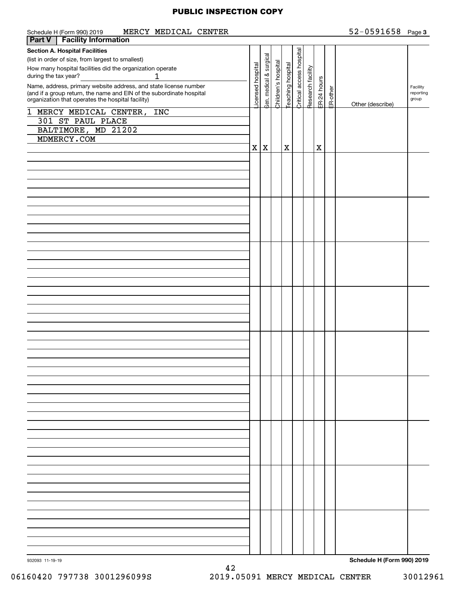| MERCY MEDICAL CENTER<br>Schedule H (Form 990) 2019                                                                                       |                  |                         |                     |             |                                               |                   |             |          | $52 - 0591658$ Page 3      |                       |
|------------------------------------------------------------------------------------------------------------------------------------------|------------------|-------------------------|---------------------|-------------|-----------------------------------------------|-------------------|-------------|----------|----------------------------|-----------------------|
| <b>Facility Information</b><br><b>Part V</b>                                                                                             |                  |                         |                     |             |                                               |                   |             |          |                            |                       |
| <b>Section A. Hospital Facilities</b>                                                                                                    |                  |                         |                     |             | Teaching hospital<br>Critical access hospital |                   |             |          |                            |                       |
| (list in order of size, from largest to smallest)                                                                                        |                  | aen. medical & surgical |                     |             |                                               |                   |             |          |                            |                       |
| How many hospital facilities did the organization operate                                                                                | icensed hospital |                         | Children's hospital |             |                                               |                   |             |          |                            |                       |
| 1<br>during the tax year?                                                                                                                |                  |                         |                     |             |                                               |                   |             |          |                            |                       |
|                                                                                                                                          |                  |                         |                     |             |                                               | Research facility | ER-24 hours |          |                            |                       |
| Name, address, primary website address, and state license number<br>(and if a group return, the name and EIN of the subordinate hospital |                  |                         |                     |             |                                               |                   |             | ER-other |                            | Facility<br>reporting |
| organization that operates the hospital facility)                                                                                        |                  |                         |                     |             |                                               |                   |             |          |                            | group                 |
|                                                                                                                                          |                  |                         |                     |             |                                               |                   |             |          | Other (describe)           |                       |
| 1 MERCY MEDICAL CENTER, INC                                                                                                              |                  |                         |                     |             |                                               |                   |             |          |                            |                       |
| 301 ST PAUL PLACE                                                                                                                        |                  |                         |                     |             |                                               |                   |             |          |                            |                       |
| BALTIMORE, MD 21202                                                                                                                      |                  |                         |                     |             |                                               |                   |             |          |                            |                       |
| MDMERCY.COM                                                                                                                              |                  |                         |                     |             |                                               |                   |             |          |                            |                       |
|                                                                                                                                          |                  |                         |                     |             |                                               |                   |             |          |                            |                       |
|                                                                                                                                          | $\mathbf X$      | X                       |                     | $\mathbf X$ |                                               |                   | X           |          |                            |                       |
|                                                                                                                                          |                  |                         |                     |             |                                               |                   |             |          |                            |                       |
|                                                                                                                                          |                  |                         |                     |             |                                               |                   |             |          |                            |                       |
|                                                                                                                                          |                  |                         |                     |             |                                               |                   |             |          |                            |                       |
|                                                                                                                                          |                  |                         |                     |             |                                               |                   |             |          |                            |                       |
|                                                                                                                                          |                  |                         |                     |             |                                               |                   |             |          |                            |                       |
|                                                                                                                                          |                  |                         |                     |             |                                               |                   |             |          |                            |                       |
|                                                                                                                                          |                  |                         |                     |             |                                               |                   |             |          |                            |                       |
|                                                                                                                                          |                  |                         |                     |             |                                               |                   |             |          |                            |                       |
|                                                                                                                                          |                  |                         |                     |             |                                               |                   |             |          |                            |                       |
|                                                                                                                                          |                  |                         |                     |             |                                               |                   |             |          |                            |                       |
|                                                                                                                                          |                  |                         |                     |             |                                               |                   |             |          |                            |                       |
|                                                                                                                                          |                  |                         |                     |             |                                               |                   |             |          |                            |                       |
|                                                                                                                                          |                  |                         |                     |             |                                               |                   |             |          |                            |                       |
|                                                                                                                                          |                  |                         |                     |             |                                               |                   |             |          |                            |                       |
|                                                                                                                                          |                  |                         |                     |             |                                               |                   |             |          |                            |                       |
|                                                                                                                                          |                  |                         |                     |             |                                               |                   |             |          |                            |                       |
|                                                                                                                                          |                  |                         |                     |             |                                               |                   |             |          |                            |                       |
|                                                                                                                                          |                  |                         |                     |             |                                               |                   |             |          |                            |                       |
|                                                                                                                                          |                  |                         |                     |             |                                               |                   |             |          |                            |                       |
|                                                                                                                                          |                  |                         |                     |             |                                               |                   |             |          |                            |                       |
|                                                                                                                                          |                  |                         |                     |             |                                               |                   |             |          |                            |                       |
|                                                                                                                                          |                  |                         |                     |             |                                               |                   |             |          |                            |                       |
|                                                                                                                                          |                  |                         |                     |             |                                               |                   |             |          |                            |                       |
|                                                                                                                                          |                  |                         |                     |             |                                               |                   |             |          |                            |                       |
|                                                                                                                                          |                  |                         |                     |             |                                               |                   |             |          |                            |                       |
|                                                                                                                                          |                  |                         |                     |             |                                               |                   |             |          |                            |                       |
|                                                                                                                                          |                  |                         |                     |             |                                               |                   |             |          |                            |                       |
|                                                                                                                                          |                  |                         |                     |             |                                               |                   |             |          |                            |                       |
|                                                                                                                                          |                  |                         |                     |             |                                               |                   |             |          |                            |                       |
|                                                                                                                                          |                  |                         |                     |             |                                               |                   |             |          |                            |                       |
|                                                                                                                                          |                  |                         |                     |             |                                               |                   |             |          |                            |                       |
|                                                                                                                                          |                  |                         |                     |             |                                               |                   |             |          |                            |                       |
|                                                                                                                                          |                  |                         |                     |             |                                               |                   |             |          |                            |                       |
|                                                                                                                                          |                  |                         |                     |             |                                               |                   |             |          |                            |                       |
|                                                                                                                                          |                  |                         |                     |             |                                               |                   |             |          |                            |                       |
|                                                                                                                                          |                  |                         |                     |             |                                               |                   |             |          |                            |                       |
|                                                                                                                                          |                  |                         |                     |             |                                               |                   |             |          |                            |                       |
|                                                                                                                                          |                  |                         |                     |             |                                               |                   |             |          |                            |                       |
|                                                                                                                                          |                  |                         |                     |             |                                               |                   |             |          |                            |                       |
|                                                                                                                                          |                  |                         |                     |             |                                               |                   |             |          |                            |                       |
|                                                                                                                                          |                  |                         |                     |             |                                               |                   |             |          |                            |                       |
|                                                                                                                                          |                  |                         |                     |             |                                               |                   |             |          |                            |                       |
|                                                                                                                                          |                  |                         |                     |             |                                               |                   |             |          |                            |                       |
|                                                                                                                                          |                  |                         |                     |             |                                               |                   |             |          |                            |                       |
|                                                                                                                                          |                  |                         |                     |             |                                               |                   |             |          |                            |                       |
|                                                                                                                                          |                  |                         |                     |             |                                               |                   |             |          |                            |                       |
|                                                                                                                                          |                  |                         |                     |             |                                               |                   |             |          |                            |                       |
|                                                                                                                                          |                  |                         |                     |             |                                               |                   |             |          |                            |                       |
|                                                                                                                                          |                  |                         |                     |             |                                               |                   |             |          |                            |                       |
|                                                                                                                                          |                  |                         |                     |             |                                               |                   |             |          |                            |                       |
|                                                                                                                                          |                  |                         |                     |             |                                               |                   |             |          |                            |                       |
|                                                                                                                                          |                  |                         |                     |             |                                               |                   |             |          |                            |                       |
|                                                                                                                                          |                  |                         |                     |             |                                               |                   |             |          |                            |                       |
| 932093 11-19-19                                                                                                                          |                  |                         |                     |             |                                               |                   |             |          | Schedule H (Form 990) 2019 |                       |

42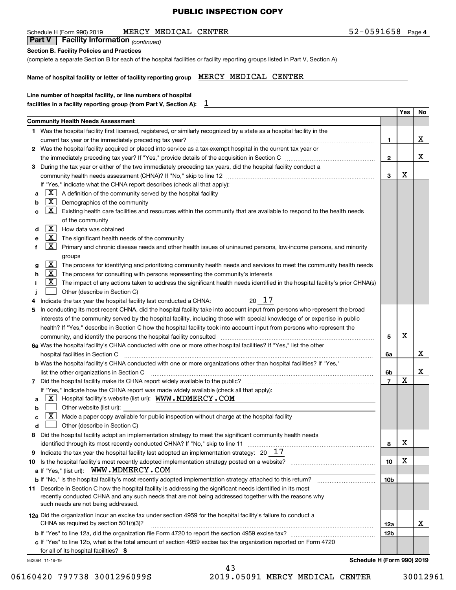| MERCY<br>MEDICAL<br><b>CENTER</b><br>Schedule H (Form 990) 2019                                                                     | 52-0591658 | Page 4                       |
|-------------------------------------------------------------------------------------------------------------------------------------|------------|------------------------------|
| <b>Part V</b><br><b>Facility Information</b> (continued)                                                                            |            |                              |
| <b>Section B. Facility Policies and Practices</b>                                                                                   |            |                              |
| (complete a separate Section B for each of the hospital facilities or facility reporting groups listed in Part V, Section A)        |            |                              |
| MEDICAL<br>MERCY<br><b>CENTER</b><br>Name of hospital facility or letter of facility reporting group                                |            |                              |
| Line number of hospital facility, or line numbers of hospital<br>facilities in a facility reporting group (from Part V, Section A): |            |                              |
|                                                                                                                                     |            | N <sub>0</sub><br><b>Yes</b> |

|   |                                                                                                                                                              |                | Yes | No. |
|---|--------------------------------------------------------------------------------------------------------------------------------------------------------------|----------------|-----|-----|
|   | <b>Community Health Needs Assessment</b>                                                                                                                     |                |     |     |
|   | 1 Was the hospital facility first licensed, registered, or similarly recognized by a state as a hospital facility in the                                     |                |     |     |
|   | current tax year or the immediately preceding tax year?                                                                                                      | 1              |     | х   |
|   | 2 Was the hospital facility acquired or placed into service as a tax-exempt hospital in the current tax year or                                              |                |     |     |
|   |                                                                                                                                                              | $\mathbf{2}$   |     | x   |
| 3 | During the tax year or either of the two immediately preceding tax years, did the hospital facility conduct a                                                |                |     |     |
|   |                                                                                                                                                              | 3              | Х   |     |
|   | If "Yes," indicate what the CHNA report describes (check all that apply):                                                                                    |                |     |     |
| a | X <br>A definition of the community served by the hospital facility                                                                                          |                |     |     |
| b | $\lfloor x \rfloor$<br>Demographics of the community                                                                                                         |                |     |     |
| с | $\lfloor x \rfloor$<br>Existing health care facilities and resources within the community that are available to respond to the health needs                  |                |     |     |
|   | of the community                                                                                                                                             |                |     |     |
| d | $\lfloor x \rfloor$<br>How data was obtained                                                                                                                 |                |     |     |
| е | $\lfloor x \rfloor$<br>The significant health needs of the community                                                                                         |                |     |     |
| f | $\lfloor x \rfloor$<br>Primary and chronic disease needs and other health issues of uninsured persons, low-income persons, and minority                      |                |     |     |
|   | groups                                                                                                                                                       |                |     |     |
| g | $\lfloor x \rfloor$<br>The process for identifying and prioritizing community health needs and services to meet the community health needs                   |                |     |     |
| h | $\lfloor x \rfloor$<br>The process for consulting with persons representing the community's interests                                                        |                |     |     |
|   | $\lfloor x \rfloor$<br>The impact of any actions taken to address the significant health needs identified in the hospital facility's prior CHNA(s)           |                |     |     |
|   | Other (describe in Section C)                                                                                                                                |                |     |     |
| 4 | 20 17<br>Indicate the tax year the hospital facility last conducted a CHNA:                                                                                  |                |     |     |
| 5 | In conducting its most recent CHNA, did the hospital facility take into account input from persons who represent the broad                                   |                |     |     |
|   | interests of the community served by the hospital facility, including those with special knowledge of or expertise in public                                 |                |     |     |
|   | health? If "Yes," describe in Section C how the hospital facility took into account input from persons who represent the                                     |                |     |     |
|   | community, and identify the persons the hospital facility consulted                                                                                          | 5              | х   |     |
|   | 6a Was the hospital facility's CHNA conducted with one or more other hospital facilities? If "Yes," list the other                                           |                |     |     |
|   | hospital facilities in Section C                                                                                                                             | 6a             |     | x   |
|   | b Was the hospital facility's CHNA conducted with one or more organizations other than hospital facilities? If "Yes,"                                        |                |     |     |
|   | list the other organizations in Section C                                                                                                                    | 6b             |     | х   |
|   |                                                                                                                                                              | $\overline{7}$ | X   |     |
|   | If "Yes," indicate how the CHNA report was made widely available (check all that apply):                                                                     |                |     |     |
| a | <u>  X  </u><br>Hospital facility's website (list url): WWW.MDMERCY.COM                                                                                      |                |     |     |
| b | Other website (list url):                                                                                                                                    |                |     |     |
| c | $\lfloor x \rfloor$<br>Made a paper copy available for public inspection without charge at the hospital facility                                             |                |     |     |
| d | Other (describe in Section C)                                                                                                                                |                |     |     |
| 8 | Did the hospital facility adopt an implementation strategy to meet the significant community health needs                                                    |                |     |     |
|   | identified through its most recently conducted CHNA? If "No," skip to line 11                                                                                | 8              | х   |     |
|   | 9 Indicate the tax year the hospital facility last adopted an implementation strategy: $20 - 17$                                                             |                |     |     |
|   | 10 Is the hospital facility's most recently adopted implementation strategy posted on a website?                                                             | 10             | х   |     |
|   | a If "Yes," (list url): WWW.MDMERCY.COM                                                                                                                      |                |     |     |
|   | b If "No," is the hospital facility's most recently adopted implementation strategy attached to this return?                                                 | 10b            |     |     |
|   | 11 Describe in Section C how the hospital facility is addressing the significant needs identified in its most                                                |                |     |     |
|   | recently conducted CHNA and any such needs that are not being addressed together with the reasons why                                                        |                |     |     |
|   | such needs are not being addressed.                                                                                                                          |                |     |     |
|   | 12a Did the organization incur an excise tax under section 4959 for the hospital facility's failure to conduct a                                             |                |     |     |
|   | CHNA as required by section $501(r)(3)?$                                                                                                                     | 12a            |     | x   |
|   |                                                                                                                                                              | 12b            |     |     |
|   |                                                                                                                                                              |                |     |     |
|   | c If "Yes" to line 12b, what is the total amount of section 4959 excise tax the organization reported on Form 4720<br>for all of its hospital facilities? \$ |                |     |     |
|   |                                                                                                                                                              |                |     |     |

43

932094 11-19-19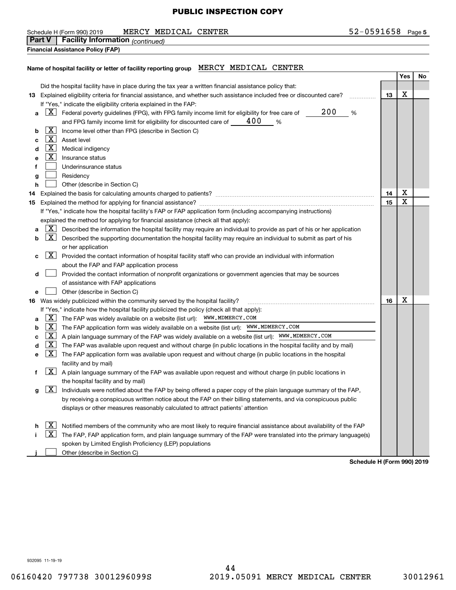#### Schedule H (Form 990) 2019 **MERCY MEDICAL CENTER** 52-0591658 Page

**5**

**Financial Assistance Policy (FAP) Part V Facility Information** *(continued)*

#### **Name of hospital facility or letter of facility reporting group** MERCY MEDICAL CENTER

|   |                     |                                                                                                                              |    | Yes | No |
|---|---------------------|------------------------------------------------------------------------------------------------------------------------------|----|-----|----|
|   |                     | Did the hospital facility have in place during the tax year a written financial assistance policy that:                      |    |     |    |
|   |                     | 13 Explained eligibility criteria for financial assistance, and whether such assistance included free or discounted care?    | 13 | X   |    |
|   |                     | If "Yes," indicate the eligibility criteria explained in the FAP:                                                            |    |     |    |
| a |                     | 200<br>$X$ Federal poverty guidelines (FPG), with FPG family income limit for eligibility for free care of $\qquad$<br>%     |    |     |    |
|   |                     | and FPG family income limit for eligibility for discounted care of $\_\_\_$ 400<br>%                                         |    |     |    |
| b | $\boxed{\text{X}}$  | Income level other than FPG (describe in Section C)                                                                          |    |     |    |
| с | X                   | Asset level                                                                                                                  |    |     |    |
| d | $\lfloor x \rfloor$ | Medical indigency                                                                                                            |    |     |    |
| е | X                   | Insurance status                                                                                                             |    |     |    |
| f |                     | Underinsurance status                                                                                                        |    |     |    |
| g |                     | Residency                                                                                                                    |    |     |    |
| h |                     | Other (describe in Section C)                                                                                                |    |     |    |
|   |                     |                                                                                                                              | 14 | Χ   |    |
|   |                     |                                                                                                                              | 15 | X   |    |
|   |                     | If "Yes," indicate how the hospital facility's FAP or FAP application form (including accompanying instructions)             |    |     |    |
|   |                     | explained the method for applying for financial assistance (check all that apply):                                           |    |     |    |
| a | $\mathbf{X}$        | Described the information the hospital facility may require an individual to provide as part of his or her application       |    |     |    |
| b | X                   | Described the supporting documentation the hospital facility may require an individual to submit as part of his              |    |     |    |
|   |                     | or her application                                                                                                           |    |     |    |
| с | X                   | Provided the contact information of hospital facility staff who can provide an individual with information                   |    |     |    |
|   |                     | about the FAP and FAP application process                                                                                    |    |     |    |
| d |                     | Provided the contact information of nonprofit organizations or government agencies that may be sources                       |    |     |    |
|   |                     | of assistance with FAP applications                                                                                          |    |     |    |
| е |                     | Other (describe in Section C)                                                                                                |    |     |    |
|   |                     | 16 Was widely publicized within the community served by the hospital facility?                                               | 16 | х   |    |
|   |                     | If "Yes," indicate how the hospital facility publicized the policy (check all that apply):                                   |    |     |    |
| a | X                   | The FAP was widely available on a website (list url): WWW.MDMERCY.COM                                                        |    |     |    |
| b | $\lfloor x \rfloor$ | The FAP application form was widely available on a website (list url): WWW.MDMERCY.COM                                       |    |     |    |
| c | X                   | A plain language summary of the FAP was widely available on a website (list url): WWW.MDMERCY.COM                            |    |     |    |
| d | X                   | The FAP was available upon request and without charge (in public locations in the hospital facility and by mail)             |    |     |    |
| е | $\lfloor x \rfloor$ | The FAP application form was available upon request and without charge (in public locations in the hospital                  |    |     |    |
|   |                     | facility and by mail)                                                                                                        |    |     |    |
| f |                     | $\boxed{\text{X}}$ A plain language summary of the FAP was available upon request and without charge (in public locations in |    |     |    |
|   |                     | the hospital facility and by mail)                                                                                           |    |     |    |
| g | $\lfloor x \rfloor$ | Individuals were notified about the FAP by being offered a paper copy of the plain language summary of the FAP,              |    |     |    |
|   |                     | by receiving a conspicuous written notice about the FAP on their billing statements, and via conspicuous public              |    |     |    |
|   |                     | displays or other measures reasonably calculated to attract patients' attention                                              |    |     |    |
|   |                     |                                                                                                                              |    |     |    |
| h | X<br>$\mathbf{X}$   | Notified members of the community who are most likely to require financial assistance about availability of the FAP          |    |     |    |
|   |                     | The FAP, FAP application form, and plain language summary of the FAP were translated into the primary language(s)            |    |     |    |
|   |                     | spoken by Limited English Proficiency (LEP) populations                                                                      |    |     |    |
|   |                     | Other (describe in Section C)                                                                                                |    |     |    |

**Schedule H (Form 990) 2019**

932095 11-19-19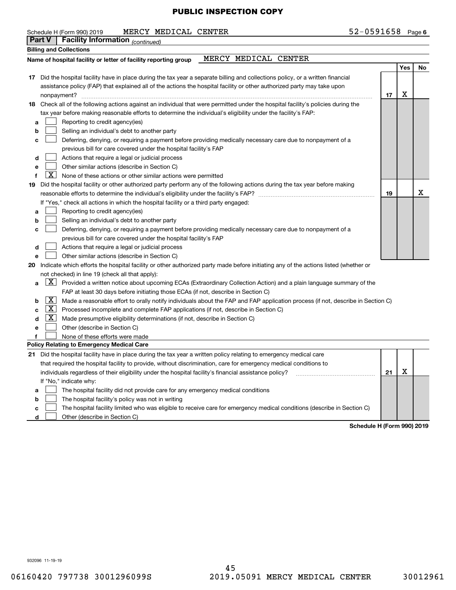#### Schedule H (Form 990) 2019 **MERCY MEDICAL CENTER** 52-0591658 Page

|    | <b>Part V</b>       | Facility Information (continued)                                                                                                    |    |     |    |
|----|---------------------|-------------------------------------------------------------------------------------------------------------------------------------|----|-----|----|
|    |                     | <b>Billing and Collections</b>                                                                                                      |    |     |    |
|    |                     | MERCY MEDICAL CENTER<br>Name of hospital facility or letter of facility reporting group                                             |    |     |    |
|    |                     |                                                                                                                                     |    | Yes | No |
|    |                     | 17 Did the hospital facility have in place during the tax year a separate billing and collections policy, or a written financial    |    |     |    |
|    |                     | assistance policy (FAP) that explained all of the actions the hospital facility or other authorized party may take upon             |    |     |    |
|    |                     | nonpayment?                                                                                                                         | 17 | X   |    |
|    |                     | 18 Check all of the following actions against an individual that were permitted under the hospital facility's policies during the   |    |     |    |
|    |                     | tax year before making reasonable efforts to determine the individual's eligibility under the facility's FAP:                       |    |     |    |
| a  |                     | Reporting to credit agency(ies)                                                                                                     |    |     |    |
| b  |                     | Selling an individual's debt to another party                                                                                       |    |     |    |
| c  |                     | Deferring, denying, or requiring a payment before providing medically necessary care due to nonpayment of a                         |    |     |    |
|    |                     | previous bill for care covered under the hospital facility's FAP                                                                    |    |     |    |
| d  |                     | Actions that require a legal or judicial process                                                                                    |    |     |    |
| e  |                     | Other similar actions (describe in Section C)                                                                                       |    |     |    |
| f  | X                   | None of these actions or other similar actions were permitted                                                                       |    |     |    |
| 19 |                     | Did the hospital facility or other authorized party perform any of the following actions during the tax year before making          |    |     |    |
|    |                     | reasonable efforts to determine the individual's eligibility under the facility's FAP? [[[[[[[[[[[[[[[[[[[[[[                       | 19 |     | х  |
|    |                     | If "Yes," check all actions in which the hospital facility or a third party engaged:                                                |    |     |    |
| a  |                     | Reporting to credit agency(ies)                                                                                                     |    |     |    |
| b  |                     | Selling an individual's debt to another party                                                                                       |    |     |    |
| c  |                     | Deferring, denying, or requiring a payment before providing medically necessary care due to nonpayment of a                         |    |     |    |
|    |                     | previous bill for care covered under the hospital facility's FAP                                                                    |    |     |    |
| d  |                     | Actions that require a legal or judicial process                                                                                    |    |     |    |
| е  |                     | Other similar actions (describe in Section C)                                                                                       |    |     |    |
| 20 |                     | Indicate which efforts the hospital facility or other authorized party made before initiating any of the actions listed (whether or |    |     |    |
|    |                     | not checked) in line 19 (check all that apply):                                                                                     |    |     |    |
| a  |                     | $ X $ Provided a written notice about upcoming ECAs (Extraordinary Collection Action) and a plain language summary of the           |    |     |    |
|    |                     | FAP at least 30 days before initiating those ECAs (if not, describe in Section C)                                                   |    |     |    |
| b  | X                   | Made a reasonable effort to orally notify individuals about the FAP and FAP application process (if not, describe in Section C)     |    |     |    |
| c  | $\lfloor x \rfloor$ | Processed incomplete and complete FAP applications (if not, describe in Section C)                                                  |    |     |    |
| d  | $\lfloor x \rfloor$ | Made presumptive eligibility determinations (if not, describe in Section C)                                                         |    |     |    |
| e  |                     | Other (describe in Section C)                                                                                                       |    |     |    |
|    |                     | None of these efforts were made                                                                                                     |    |     |    |
|    |                     | Policy Relating to Emergency Medical Care                                                                                           |    |     |    |
|    |                     | 21 Did the hospital facility have in place during the tax year a written policy relating to emergency medical care                  |    |     |    |
|    |                     | that required the hospital facility to provide, without discrimination, care for emergency medical conditions to                    |    |     |    |
|    |                     | individuals regardless of their eligibility under the hospital facility's financial assistance policy?                              | 21 | X   |    |
|    |                     | If "No," indicate why:                                                                                                              |    |     |    |
| а  |                     | The hospital facility did not provide care for any emergency medical conditions                                                     |    |     |    |
| b  |                     | The hospital facility's policy was not in writing                                                                                   |    |     |    |
| C  |                     | The hospital facility limited who was eligible to receive care for emergency medical conditions (describe in Section C)             |    |     |    |

**d** Other (describe in Section C)

**Schedule H (Form 990) 2019**

932096 11-19-19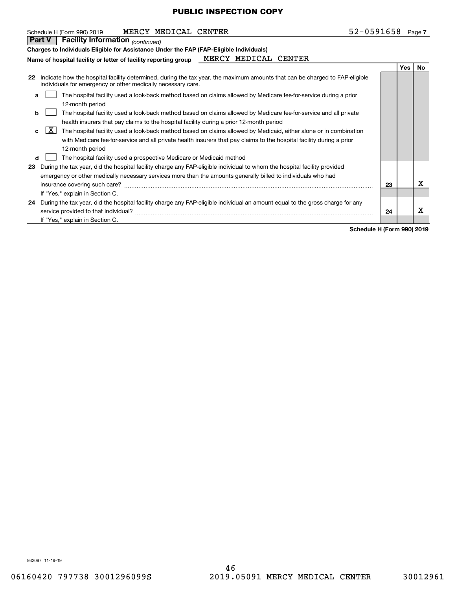|    | $52 - 0591658$ Page 7<br>MERCY MEDICAL CENTER<br>Schedule H (Form 990) 2019                                                                                                                                  |    |     |     |
|----|--------------------------------------------------------------------------------------------------------------------------------------------------------------------------------------------------------------|----|-----|-----|
|    | <b>Facility Information</b> (continued)<br>Part V                                                                                                                                                            |    |     |     |
|    | Charges to Individuals Eligible for Assistance Under the FAP (FAP-Eligible Individuals)                                                                                                                      |    |     |     |
|    | MERCY<br>MEDICAL CENTER<br>Name of hospital facility or letter of facility reporting group                                                                                                                   |    |     |     |
|    |                                                                                                                                                                                                              |    | Yes | No. |
| 22 | Indicate how the hospital facility determined, during the tax year, the maximum amounts that can be charged to FAP-eligible<br>individuals for emergency or other medically necessary care.                  |    |     |     |
| a  | The hospital facility used a look-back method based on claims allowed by Medicare fee-for-service during a prior<br>12-month period                                                                          |    |     |     |
| b  | The hospital facility used a look-back method based on claims allowed by Medicare fee-for-service and all private<br>health insurers that pay claims to the hospital facility during a prior 12-month period |    |     |     |
| c. | X  <br>The hospital facility used a look-back method based on claims allowed by Medicaid, either alone or in combination                                                                                     |    |     |     |
|    | with Medicare fee-for-service and all private health insurers that pay claims to the hospital facility during a prior<br>12-month period                                                                     |    |     |     |
| d  | The hospital facility used a prospective Medicare or Medicaid method                                                                                                                                         |    |     |     |
| 23 | During the tax year, did the hospital facility charge any FAP-eligible individual to whom the hospital facility provided                                                                                     |    |     |     |
|    | emergency or other medically necessary services more than the amounts generally billed to individuals who had                                                                                                |    |     |     |
|    | insurance covering such care?                                                                                                                                                                                | 23 |     | х   |
|    | If "Yes," explain in Section C.                                                                                                                                                                              |    |     |     |
|    | 24 During the tax year, did the hospital facility charge any FAP-eligible individual an amount equal to the gross charge for any                                                                             |    |     |     |
|    | service provided to that individual?                                                                                                                                                                         | 24 |     | х   |
|    | If "Yes," explain in Section C.                                                                                                                                                                              |    |     |     |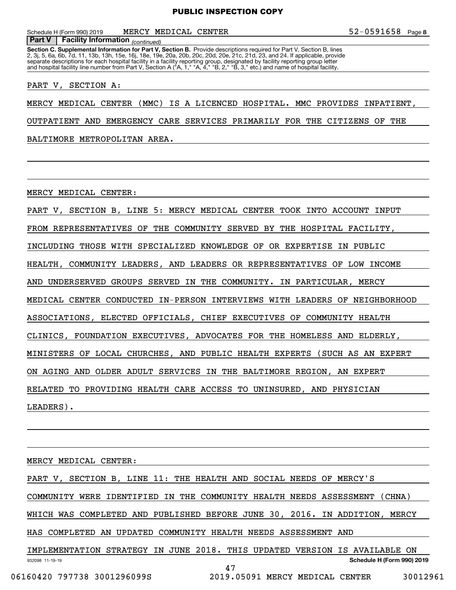Schedule H (Form 990) 2019 **MERCY MEDICAL CENTER** 52-0591658 Page

**Facility Information** (continued)

**Section C. Supplemental Information for Part V, Section B.** Provide descriptions required for Part V, Section B, lines<br>2, 3j, 5, 6a, 6b, 7d, 11, 13b, 13h, 15e, 16j, 18e, 19e, 20a, 20b, 20c, 20d, 20e, 21c, 21d, 23, and 24. separate descriptions for each hospital facility in a facility reporting group, designated by facility reporting group letter<br>and hospital facility line number from Part V, Section A ("A, 1," "A, 4," "B, 2," "B, 3," etc.) **Part V Facility Information**

PART V, SECTION A:

MERCY MEDICAL CENTER (MMC) IS A LICENCED HOSPITAL. MMC PROVIDES INPATIENT,

OUTPATIENT AND EMERGENCY CARE SERVICES PRIMARILY FOR THE CITIZENS OF THE

BALTIMORE METROPOLITAN AREA.

MERCY MEDICAL CENTER:

PART V, SECTION B, LINE 5: MERCY MEDICAL CENTER TOOK INTO ACCOUNT INPUT FROM REPRESENTATIVES OF THE COMMUNITY SERVED BY THE HOSPITAL FACILITY, INCLUDING THOSE WITH SPECIALIZED KNOWLEDGE OF OR EXPERTISE IN PUBLIC HEALTH, COMMUNITY LEADERS, AND LEADERS OR REPRESENTATIVES OF LOW INCOME AND UNDERSERVED GROUPS SERVED IN THE COMMUNITY. IN PARTICULAR, MERCY MEDICAL CENTER CONDUCTED IN-PERSON INTERVIEWS WITH LEADERS OF NEIGHBORHOOD ASSOCIATIONS, ELECTED OFFICIALS, CHIEF EXECUTIVES OF COMMUNITY HEALTH CLINICS, FOUNDATION EXECUTIVES, ADVOCATES FOR THE HOMELESS AND ELDERLY, MINISTERS OF LOCAL CHURCHES, AND PUBLIC HEALTH EXPERTS (SUCH AS AN EXPERT ON AGING AND OLDER ADULT SERVICES IN THE BALTIMORE REGION, AN EXPERT RELATED TO PROVIDING HEALTH CARE ACCESS TO UNINSURED, AND PHYSICIAN LEADERS).

932098 11-19-19 **Schedule H (Form 990) 2019** MERCY MEDICAL CENTER: PART V, SECTION B, LINE 11: THE HEALTH AND SOCIAL NEEDS OF MERCY'S COMMUNITY WERE IDENTIFIED IN THE COMMUNITY HEALTH NEEDS ASSESSMENT (CHNA) WHICH WAS COMPLETED AND PUBLISHED BEFORE JUNE 30, 2016. IN ADDITION, MERCY HAS COMPLETED AN UPDATED COMMUNITY HEALTH NEEDS ASSESSMENT AND IMPLEMENTATION STRATEGY IN JUNE 2018. THIS UPDATED VERSION IS AVAILABLE ON 47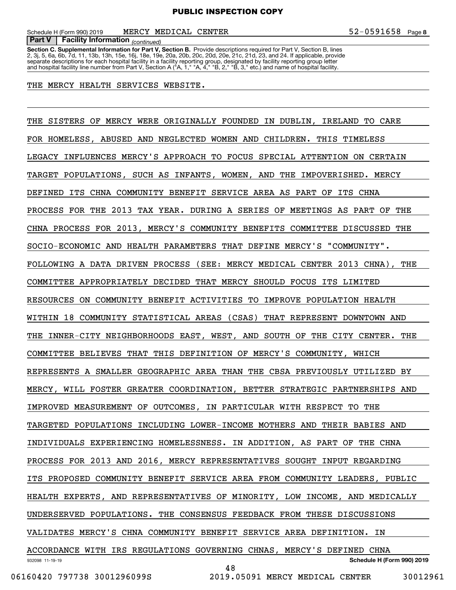**Facility Information** (continued) **Part V Facility Information**

**Section C. Supplemental Information for Part V, Section B.** Provide descriptions required for Part V, Section B, lines<br>2, 3j, 5, 6a, 6b, 7d, 11, 13b, 13h, 15e, 16j, 18e, 19e, 20a, 20b, 20c, 20d, 20e, 21c, 21d, 23, and 24. separate descriptions for each hospital facility in a facility reporting group, designated by facility reporting group letter<br>and hospital facility line number from Part V, Section A ("A, 1," "A, 4," "B, 2," "B, 3," etc.)

#### THE MERCY HEALTH SERVICES WEBSITE.

932098 11-19-19 **Schedule H (Form 990) 2019** THE SISTERS OF MERCY WERE ORIGINALLY FOUNDED IN DUBLIN, IRELAND TO CARE FOR HOMELESS, ABUSED AND NEGLECTED WOMEN AND CHILDREN. THIS TIMELESS LEGACY INFLUENCES MERCY'S APPROACH TO FOCUS SPECIAL ATTENTION ON CERTAIN TARGET POPULATIONS, SUCH AS INFANTS, WOMEN, AND THE IMPOVERISHED. MERCY DEFINED ITS CHNA COMMUNITY BENEFIT SERVICE AREA AS PART OF ITS CHNA PROCESS FOR THE 2013 TAX YEAR. DURING A SERIES OF MEETINGS AS PART OF THE CHNA PROCESS FOR 2013, MERCY'S COMMUNITY BENEFITS COMMITTEE DISCUSSED THE SOCIO-ECONOMIC AND HEALTH PARAMETERS THAT DEFINE MERCY'S "COMMUNITY". FOLLOWING A DATA DRIVEN PROCESS (SEE: MERCY MEDICAL CENTER 2013 CHNA), THE COMMITTEE APPROPRIATELY DECIDED THAT MERCY SHOULD FOCUS ITS LIMITED RESOURCES ON COMMUNITY BENEFIT ACTIVITIES TO IMPROVE POPULATION HEALTH WITHIN 18 COMMUNITY STATISTICAL AREAS (CSAS) THAT REPRESENT DOWNTOWN AND THE INNER-CITY NEIGHBORHOODS EAST, WEST, AND SOUTH OF THE CITY CENTER. THE COMMITTEE BELIEVES THAT THIS DEFINITION OF MERCY'S COMMUNITY, WHICH REPRESENTS A SMALLER GEOGRAPHIC AREA THAN THE CBSA PREVIOUSLY UTILIZED BY MERCY, WILL FOSTER GREATER COORDINATION, BETTER STRATEGIC PARTNERSHIPS AND IMPROVED MEASUREMENT OF OUTCOMES, IN PARTICULAR WITH RESPECT TO THE TARGETED POPULATIONS INCLUDING LOWER-INCOME MOTHERS AND THEIR BABIES AND INDIVIDUALS EXPERIENCING HOMELESSNESS. IN ADDITION, AS PART OF THE CHNA PROCESS FOR 2013 AND 2016, MERCY REPRESENTATIVES SOUGHT INPUT REGARDING ITS PROPOSED COMMUNITY BENEFIT SERVICE AREA FROM COMMUNITY LEADERS, PUBLIC HEALTH EXPERTS, AND REPRESENTATIVES OF MINORITY, LOW INCOME, AND MEDICALLY UNDERSERVED POPULATIONS. THE CONSENSUS FEEDBACK FROM THESE DISCUSSIONS VALIDATES MERCY'S CHNA COMMUNITY BENEFIT SERVICE AREA DEFINITION. IN ACCORDANCE WITH IRS REGULATIONS GOVERNING CHNAS, MERCY'S DEFINED CHNA 48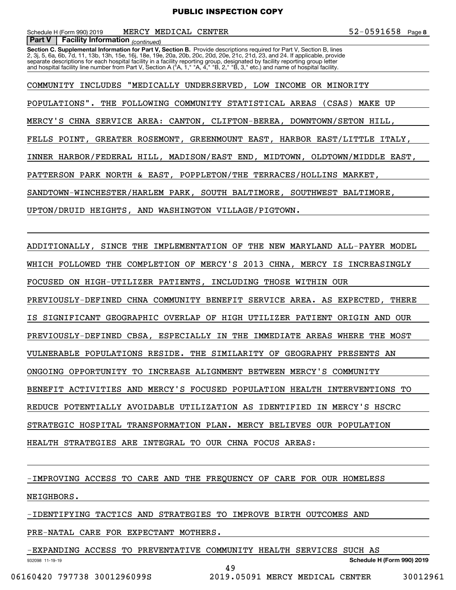Schedule H (Form 990) 2019 **MERCY MEDICAL CENTER** 52-0591658 Page

**Facility Information** (continued)

**Section C. Supplemental Information for Part V, Section B.** Provide descriptions required for Part V, Section B, lines<br>2, 3j, 5, 6a, 6b, 7d, 11, 13b, 13h, 15e, 16j, 18e, 19e, 20a, 20b, 20c, 20d, 20e, 21c, 21d, 23, and 24. separate descriptions for each hospital facility in a facility reporting group, designated by facility reporting group letter<br>and hospital facility line number from Part V, Section A ("A, 1," "A, 4," "B, 2," "B, 3," etc.) **Part V Facility Information**

COMMUNITY INCLUDES "MEDICALLY UNDERSERVED, LOW INCOME OR MINORITY POPULATIONS". THE FOLLOWING COMMUNITY STATISTICAL AREAS (CSAS) MAKE UP MERCY'S CHNA SERVICE AREA: CANTON, CLIFTON-BEREA, DOWNTOWN/SETON HILL, FELLS POINT, GREATER ROSEMONT, GREENMOUNT EAST, HARBOR EAST/LITTLE ITALY, INNER HARBOR/FEDERAL HILL, MADISON/EAST END, MIDTOWN, OLDTOWN/MIDDLE EAST, PATTERSON PARK NORTH & EAST, POPPLETON/THE TERRACES/HOLLINS MARKET, SANDTOWN-WINCHESTER/HARLEM PARK, SOUTH BALTIMORE, SOUTHWEST BALTIMORE, UPTON/DRUID HEIGHTS, AND WASHINGTON VILLAGE/PIGTOWN.

ADDITIONALLY, SINCE THE IMPLEMENTATION OF THE NEW MARYLAND ALL-PAYER MODEL WHICH FOLLOWED THE COMPLETION OF MERCY'S 2013 CHNA, MERCY IS INCREASINGLY FOCUSED ON HIGH-UTILIZER PATIENTS, INCLUDING THOSE WITHIN OUR PREVIOUSLY-DEFINED CHNA COMMUNITY BENEFIT SERVICE AREA. AS EXPECTED, THERE IS SIGNIFICANT GEOGRAPHIC OVERLAP OF HIGH UTILIZER PATIENT ORIGIN AND OUR PREVIOUSLY-DEFINED CBSA, ESPECIALLY IN THE IMMEDIATE AREAS WHERE THE MOST VULNERABLE POPULATIONS RESIDE. THE SIMILARITY OF GEOGRAPHY PRESENTS AN ONGOING OPPORTUNITY TO INCREASE ALIGNMENT BETWEEN MERCY'S COMMUNITY BENEFIT ACTIVITIES AND MERCY'S FOCUSED POPULATION HEALTH INTERVENTIONS TO REDUCE POTENTIALLY AVOIDABLE UTILIZATION AS IDENTIFIED IN MERCY'S HSCRC STRATEGIC HOSPITAL TRANSFORMATION PLAN. MERCY BELIEVES OUR POPULATION HEALTH STRATEGIES ARE INTEGRAL TO OUR CHNA FOCUS AREAS:

-IMPROVING ACCESS TO CARE AND THE FREQUENCY OF CARE FOR OUR HOMELESS NEIGHBORS.

-IDENTIFYING TACTICS AND STRATEGIES TO IMPROVE BIRTH OUTCOMES AND

PRE-NATAL CARE FOR EXPECTANT MOTHERS.

932098 11-19-19 **Schedule H (Form 990) 2019** -EXPANDING ACCESS TO PREVENTATIVE COMMUNITY HEALTH SERVICES SUCH AS 49

06160420 797738 3001296099S 2019.05091 MERCY MEDICAL CENTER 30012961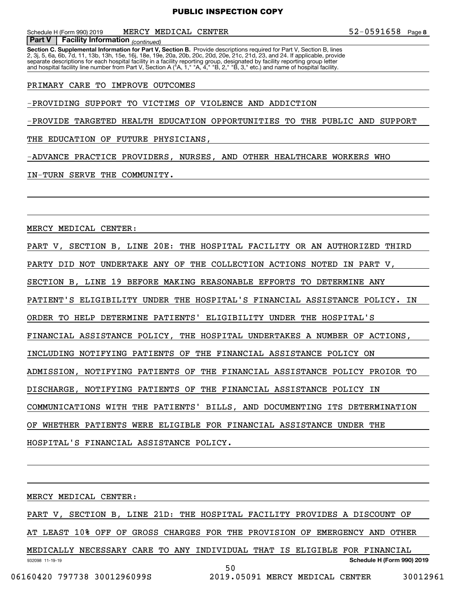Schedule H (Form 990) 2019 **MERCY MEDICAL CENTER** 52-0591658 Page

**Section C. Supplemental Information for Part V, Section B.** Provide descriptions required for Part V, Section B, lines<br>2, 3j, 5, 6a, 6b, 7d, 11, 13b, 13h, 15e, 16j, 18e, 19e, 20a, 20b, 20c, 20d, 20e, 21c, 21d, 23, and 24. **Facility Information** (continued) separate descriptions for each hospital facility in a facility reporting group, designated by facility reporting group letter<br>and hospital facility line number from Part V, Section A ("A, 1," "A, 4," "B, 2," "B, 3," etc.) **Part V Facility Information**

PRIMARY CARE TO IMPROVE OUTCOMES

-PROVIDING SUPPORT TO VICTIMS OF VIOLENCE AND ADDICTION

-PROVIDE TARGETED HEALTH EDUCATION OPPORTUNITIES TO THE PUBLIC AND SUPPORT

THE EDUCATION OF FUTURE PHYSICIANS,

-ADVANCE PRACTICE PROVIDERS, NURSES, AND OTHER HEALTHCARE WORKERS WHO

IN-TURN SERVE THE COMMUNITY.

MERCY MEDICAL CENTER:

PART V, SECTION B, LINE 20E: THE HOSPITAL FACILITY OR AN AUTHORIZED THIRD PARTY DID NOT UNDERTAKE ANY OF THE COLLECTION ACTIONS NOTED IN PART V, SECTION B, LINE 19 BEFORE MAKING REASONABLE EFFORTS TO DETERMINE ANY PATIENT'S ELIGIBILITY UNDER THE HOSPITAL'S FINANCIAL ASSISTANCE POLICY. IN ORDER TO HELP DETERMINE PATIENTS' ELIGIBILITY UNDER THE HOSPITAL'S FINANCIAL ASSISTANCE POLICY, THE HOSPITAL UNDERTAKES A NUMBER OF ACTIONS, INCLUDING NOTIFYING PATIENTS OF THE FINANCIAL ASSISTANCE POLICY ON ADMISSION, NOTIFYING PATIENTS OF THE FINANCIAL ASSISTANCE POLICY PROIOR TO DISCHARGE, NOTIFYING PATIENTS OF THE FINANCIAL ASSISTANCE POLICY IN COMMUNICATIONS WITH THE PATIENTS' BILLS, AND DOCUMENTING ITS DETERMINATION OF WHETHER PATIENTS WERE ELIGIBLE FOR FINANCIAL ASSISTANCE UNDER THE HOSPITAL'S FINANCIAL ASSISTANCE POLICY.

932098 11-19-19 **Schedule H (Form 990) 2019** MERCY MEDICAL CENTER: PART V, SECTION B, LINE 21D: THE HOSPITAL FACILITY PROVIDES A DISCOUNT OF AT LEAST 10% OFF OF GROSS CHARGES FOR THE PROVISION OF EMERGENCY AND OTHER MEDICALLY NECESSARY CARE TO ANY INDIVIDUAL THAT IS ELIGIBLE FOR FINANCIAL 50

06160420 797738 3001296099S 2019.05091 MERCY MEDICAL CENTER 30012961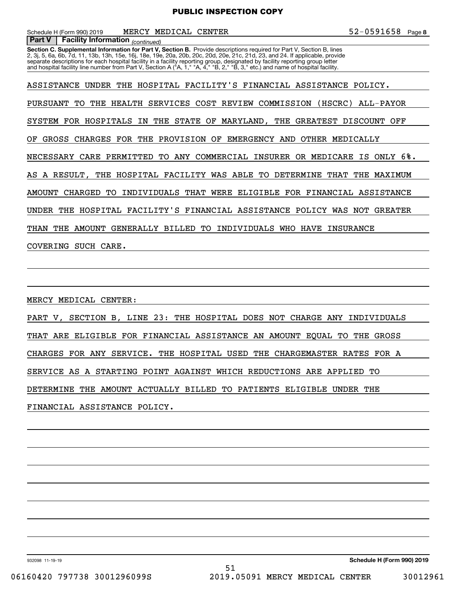Schedule H (Form 990) 2019 **MERCY MEDICAL CENTER** 52-0591658 Page

**Facility Information** (continued)

**Section C. Supplemental Information for Part V, Section B.** Provide descriptions required for Part V, Section B, lines<br>2, 3j, 5, 6a, 6b, 7d, 11, 13b, 13h, 15e, 16j, 18e, 19e, 20a, 20b, 20c, 20d, 20e, 21c, 21d, 23, and 24. separate descriptions for each hospital facility in a facility reporting group, designated by facility reporting group letter<br>and hospital facility line number from Part V, Section A ("A, 1," "A, 4," "B, 2," "B, 3," etc.) **Part V Facility Information**

ASSISTANCE UNDER THE HOSPITAL FACILITY'S FINANCIAL ASSISTANCE POLICY. PURSUANT TO THE HEALTH SERVICES COST REVIEW COMMISSION (HSCRC) ALL-PAYOR SYSTEM FOR HOSPITALS IN THE STATE OF MARYLAND, THE GREATEST DISCOUNT OFF OF GROSS CHARGES FOR THE PROVISION OF EMERGENCY AND OTHER MEDICALLY NECESSARY CARE PERMITTED TO ANY COMMERCIAL INSURER OR MEDICARE IS ONLY 6%. AS A RESULT, THE HOSPITAL FACILITY WAS ABLE TO DETERMINE THAT THE MAXIMUM AMOUNT CHARGED TO INDIVIDUALS THAT WERE ELIGIBLE FOR FINANCIAL ASSISTANCE UNDER THE HOSPITAL FACILITY'S FINANCIAL ASSISTANCE POLICY WAS NOT GREATER THAN THE AMOUNT GENERALLY BILLED TO INDIVIDUALS WHO HAVE INSURANCE COVERING SUCH CARE.

MERCY MEDICAL CENTER:

PART V, SECTION B, LINE 23: THE HOSPITAL DOES NOT CHARGE ANY INDIVIDUALS THAT ARE ELIGIBLE FOR FINANCIAL ASSISTANCE AN AMOUNT EQUAL TO THE GROSS CHARGES FOR ANY SERVICE. THE HOSPITAL USED THE CHARGEMASTER RATES FOR A SERVICE AS A STARTING POINT AGAINST WHICH REDUCTIONS ARE APPLIED TO DETERMINE THE AMOUNT ACTUALLY BILLED TO PATIENTS ELIGIBLE UNDER THE FINANCIAL ASSISTANCE POLICY.

932098 11-19-19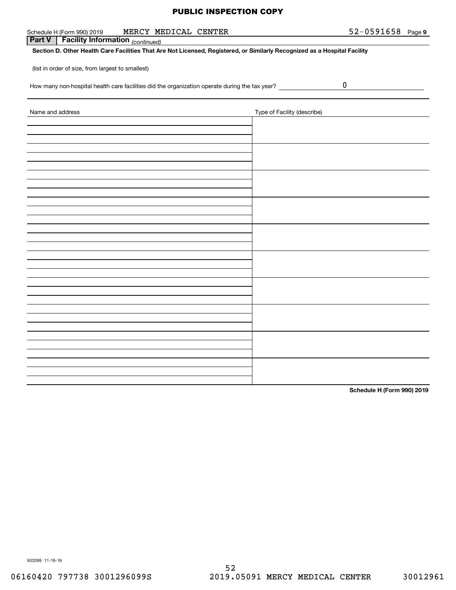| MERCY MEDICAL CENTER<br>Schedule H (Form 990) 2019                                                                        |                             | $52 - 0591658$ Page 9 |  |
|---------------------------------------------------------------------------------------------------------------------------|-----------------------------|-----------------------|--|
| <b>Facility Information</b> (continued)<br>Part V                                                                         |                             |                       |  |
| Section D. Other Health Care Facilities That Are Not Licensed, Registered, or Similarly Recognized as a Hospital Facility |                             |                       |  |
| (list in order of size, from largest to smallest)                                                                         |                             |                       |  |
| How many non-hospital health care facilities did the organization operate during the tax year? _______________            |                             | $\boldsymbol{0}$      |  |
| Name and address                                                                                                          | Type of Facility (describe) |                       |  |
|                                                                                                                           |                             |                       |  |
|                                                                                                                           |                             |                       |  |
|                                                                                                                           |                             |                       |  |
|                                                                                                                           |                             |                       |  |
|                                                                                                                           |                             |                       |  |
|                                                                                                                           |                             |                       |  |
|                                                                                                                           |                             |                       |  |
|                                                                                                                           |                             |                       |  |
|                                                                                                                           |                             |                       |  |
|                                                                                                                           |                             |                       |  |
|                                                                                                                           |                             |                       |  |
|                                                                                                                           |                             |                       |  |
|                                                                                                                           |                             |                       |  |
|                                                                                                                           |                             |                       |  |
|                                                                                                                           |                             |                       |  |
|                                                                                                                           |                             |                       |  |
|                                                                                                                           |                             |                       |  |
|                                                                                                                           |                             |                       |  |
|                                                                                                                           |                             |                       |  |

**Schedule H (Form 990) 2019**

932099 11-19-19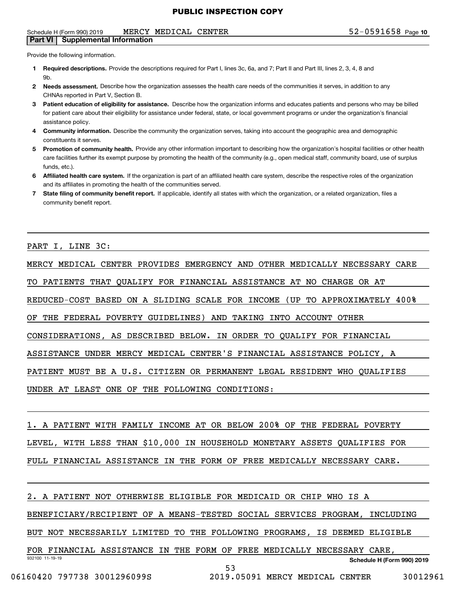#### Schedule H (Form 990) 2019 **MERCY MEDICAL CENTER** 5 2 – 0 5 9 1 6 5 8 Page **Part VI Supplemental Information**

Provide the following information.

- **1 Required descriptions.** Provide the descriptions required for Part I, lines 3c, 6a, and 7; Part II and Part III, lines 2, 3, 4, 8 and **Qh**
- **2Needs assessment.** Describe how the organization assesses the health care needs of the communities it serves, in addition to any CHNAs reported in Part V, Section B.
- **3** Patient education of eligibility for assistance. Describe how the organization informs and educates patients and persons who may be billed for patient care about their eligibility for assistance under federal, state, or local government programs or under the organization's financial assistance policy.
- **4 Community information.** Describe the community the organization serves, taking into account the geographic area and demographic constituents it serves.
- 5 Promotion of community health. Provide any other information important to describing how the organization's hospital facilities or other health care facilities further its exempt purpose by promoting the health of the community (e.g., open medical staff, community board, use of surplus funds, etc.).
- **6Affiliated health care system.** If the organization is part of an affiliated health care system, describe the respective roles of the organization and its affiliates in promoting the health of the communities served.
- **7** State filing of community benefit report. If applicable, identify all states with which the organization, or a related organization, files a community benefit report.

PART I, LINE 3C:

MERCY MEDICAL CENTER PROVIDES EMERGENCY AND OTHER MEDICALLY NECESSARY CARE TO PATIENTS THAT QUALIFY FOR FINANCIAL ASSISTANCE AT NO CHARGE OR AT REDUCED-COST BASED ON A SLIDING SCALE FOR INCOME (UP TO APPROXIMATELY 400% OF THE FEDERAL POVERTY GUIDELINES) AND TAKING INTO ACCOUNT OTHER CONSIDERATIONS, AS DESCRIBED BELOW. IN ORDER TO QUALIFY FOR FINANCIAL ASSISTANCE UNDER MERCY MEDICAL CENTER'S FINANCIAL ASSISTANCE POLICY, A PATIENT MUST BE A U.S. CITIZEN OR PERMANENT LEGAL RESIDENT WHO QUALIFIES UNDER AT LEAST ONE OF THE FOLLOWING CONDITIONS:

1. A PATIENT WITH FAMILY INCOME AT OR BELOW 200% OF THE FEDERAL POVERTY LEVEL, WITH LESS THAN \$10,000 IN HOUSEHOLD MONETARY ASSETS QUALIFIES FOR FULL FINANCIAL ASSISTANCE IN THE FORM OF FREE MEDICALLY NECESSARY CARE.

2. A PATIENT NOT OTHERWISE ELIGIBLE FOR MEDICAID OR CHIP WHO IS A

BENEFICIARY/RECIPIENT OF A MEANS-TESTED SOCIAL SERVICES PROGRAM, INCLUDING

BUT NOT NECESSARILY LIMITED TO THE FOLLOWING PROGRAMS, IS DEEMED ELIGIBLE

932100 11-19-19 **Schedule H (Form 990) 2019** FOR FINANCIAL ASSISTANCE IN THE FORM OF FREE MEDICALLY NECESSARY CARE, 53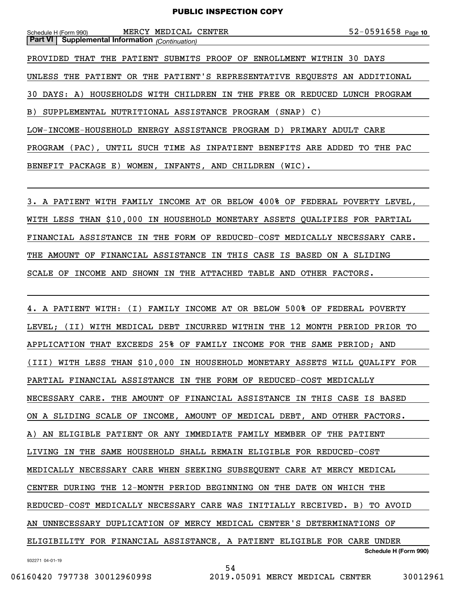| Schedule H (Form 990) |  |  | MERCY MEDICAL CENTER |  |  | $52 - 0591658$ Page 10 |  |
|-----------------------|--|--|----------------------|--|--|------------------------|--|
|-----------------------|--|--|----------------------|--|--|------------------------|--|

**Part VI Supplemental Information** *(Continuation)* PROVIDED THAT THE PATIENT SUBMITS PROOF OF ENROLLMENT WITHIN 30 DAYS UNLESS THE PATIENT OR THE PATIENT'S REPRESENTATIVE REQUESTS AN ADDITIONAL 30 DAYS: A) HOUSEHOLDS WITH CHILDREN IN THE FREE OR REDUCED LUNCH PROGRAM B) SUPPLEMENTAL NUTRITIONAL ASSISTANCE PROGRAM (SNAP) C) LOW-INCOME-HOUSEHOLD ENERGY ASSISTANCE PROGRAM D) PRIMARY ADULT CARE PROGRAM (PAC), UNTIL SUCH TIME AS INPATIENT BENEFITS ARE ADDED TO THE PAC BENEFIT PACKAGE E) WOMEN, INFANTS, AND CHILDREN (WIC).

3. A PATIENT WITH FAMILY INCOME AT OR BELOW 400% OF FEDERAL POVERTY LEVEL, WITH LESS THAN \$10,000 IN HOUSEHOLD MONETARY ASSETS QUALIFIES FOR PARTIAL FINANCIAL ASSISTANCE IN THE FORM OF REDUCED-COST MEDICALLY NECESSARY CARE. THE AMOUNT OF FINANCIAL ASSISTANCE IN THIS CASE IS BASED ON A SLIDING SCALE OF INCOME AND SHOWN IN THE ATTACHED TABLE AND OTHER FACTORS.

**Schedule H (Form 990)** 4. A PATIENT WITH: (I) FAMILY INCOME AT OR BELOW 500% OF FEDERAL POVERTY LEVEL; (II) WITH MEDICAL DEBT INCURRED WITHIN THE 12 MONTH PERIOD PRIOR TO APPLICATION THAT EXCEEDS 25% OF FAMILY INCOME FOR THE SAME PERIOD; AND (III) WITH LESS THAN \$10,000 IN HOUSEHOLD MONETARY ASSETS WILL QUALIFY FOR PARTIAL FINANCIAL ASSISTANCE IN THE FORM OF REDUCED-COST MEDICALLY NECESSARY CARE. THE AMOUNT OF FINANCIAL ASSISTANCE IN THIS CASE IS BASED ON A SLIDING SCALE OF INCOME, AMOUNT OF MEDICAL DEBT, AND OTHER FACTORS. A) AN ELIGIBLE PATIENT OR ANY IMMEDIATE FAMILY MEMBER OF THE PATIENT LIVING IN THE SAME HOUSEHOLD SHALL REMAIN ELIGIBLE FOR REDUCED-COST MEDICALLY NECESSARY CARE WHEN SEEKING SUBSEQUENT CARE AT MERCY MEDICAL CENTER DURING THE 12-MONTH PERIOD BEGINNING ON THE DATE ON WHICH THE REDUCED-COST MEDICALLY NECESSARY CARE WAS INITIALLY RECEIVED. B) TO AVOID AN UNNECESSARY DUPLICATION OF MERCY MEDICAL CENTER'S DETERMINATIONS OF ELIGIBILITY FOR FINANCIAL ASSISTANCE, A PATIENT ELIGIBLE FOR CARE UNDER

54

932271 04-01-19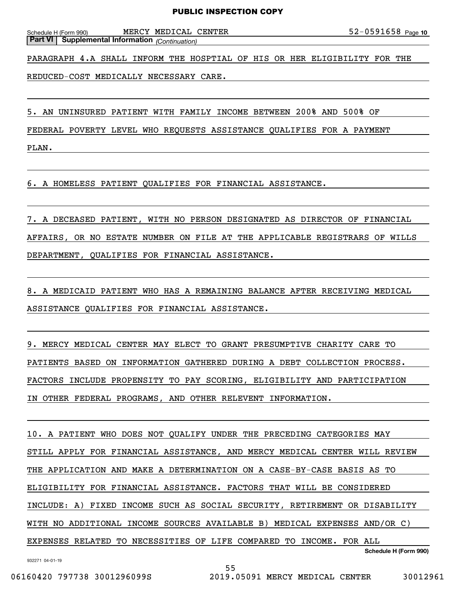Schedule H (Form 990) MERCY MEDICAL CENTER 5 2 – 0 5 9 1 6 5 8 Page **Part VI Supplemental Information** *(Continuation)*

PARAGRAPH 4.A SHALL INFORM THE HOSPTIAL OF HIS OR HER ELIGIBILITY FOR THE

REDUCED-COST MEDICALLY NECESSARY CARE.

5. AN UNINSURED PATIENT WITH FAMILY INCOME BETWEEN 200% AND 500% OF

FEDERAL POVERTY LEVEL WHO REQUESTS ASSISTANCE QUALIFIES FOR A PAYMENT

PLAN.

6. A HOMELESS PATIENT QUALIFIES FOR FINANCIAL ASSISTANCE.

7. A DECEASED PATIENT, WITH NO PERSON DESIGNATED AS DIRECTOR OF FINANCIAL AFFAIRS, OR NO ESTATE NUMBER ON FILE AT THE APPLICABLE REGISTRARS OF WILLS DEPARTMENT, QUALIFIES FOR FINANCIAL ASSISTANCE.

8. A MEDICAID PATIENT WHO HAS A REMAINING BALANCE AFTER RECEIVING MEDICAL ASSISTANCE QUALIFIES FOR FINANCIAL ASSISTANCE.

9. MERCY MEDICAL CENTER MAY ELECT TO GRANT PRESUMPTIVE CHARITY CARE TO PATIENTS BASED ON INFORMATION GATHERED DURING A DEBT COLLECTION PROCESS. FACTORS INCLUDE PROPENSITY TO PAY SCORING, ELIGIBILITY AND PARTICIPATION IN OTHER FEDERAL PROGRAMS, AND OTHER RELEVENT INFORMATION.

10. A PATIENT WHO DOES NOT QUALIFY UNDER THE PRECEDING CATEGORIES MAY STILL APPLY FOR FINANCIAL ASSISTANCE, AND MERCY MEDICAL CENTER WILL REVIEW THE APPLICATION AND MAKE A DETERMINATION ON A CASE-BY-CASE BASIS AS TO ELIGIBILITY FOR FINANCIAL ASSISTANCE. FACTORS THAT WILL BE CONSIDERED INCLUDE: A) FIXED INCOME SUCH AS SOCIAL SECURITY, RETIREMENT OR DISABILITY WITH NO ADDITIONAL INCOME SOURCES AVAILABLE B) MEDICAL EXPENSES AND/OR C) EXPENSES RELATED TO NECESSITIES OF LIFE COMPARED TO INCOME. FOR ALL

55

932271 04-01-19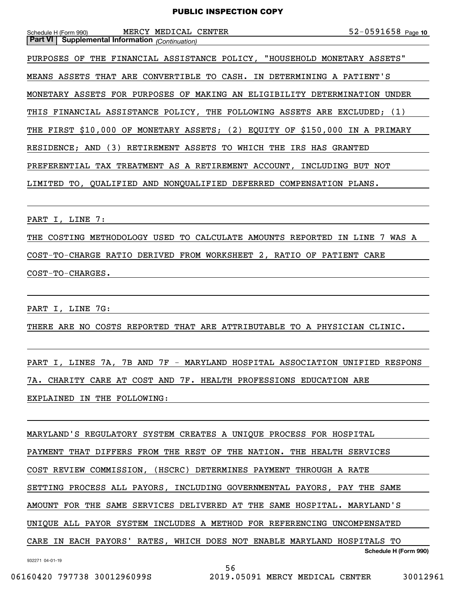| Schedule H (Form 990)                                  | MERCY MEDICAL CENTER |                                                                             | 52-0591658 Page 10 |
|--------------------------------------------------------|----------------------|-----------------------------------------------------------------------------|--------------------|
| <b>Part VI</b> Supplemental Information (Continuation) |                      |                                                                             |                    |
|                                                        |                      | PURPOSES OF THE FINANCIAL ASSISTANCE POLICY, "HOUSEHOLD MONETARY ASSETS"    |                    |
|                                                        |                      | MEANS ASSETS THAT ARE CONVERTIBLE TO CASH. IN DETERMINING A PATIENT'S       |                    |
|                                                        |                      | MONETARY ASSETS FOR PURPOSES OF MAKING AN ELIGIBILITY DETERMINATION UNDER   |                    |
|                                                        |                      | THIS FINANCIAL ASSISTANCE POLICY, THE FOLLOWING ASSETS ARE EXCLUDED; (1)    |                    |
|                                                        |                      | THE FIRST \$10,000 OF MONETARY ASSETS; (2) EQUITY OF \$150,000 IN A PRIMARY |                    |
|                                                        |                      | RESIDENCE; AND (3) RETIREMENT ASSETS TO WHICH THE IRS HAS GRANTED           |                    |
|                                                        |                      | PREFERENTIAL TAX TREATMENT AS A RETIREMENT ACCOUNT, INCLUDING BUT NOT       |                    |
|                                                        |                      | LIMITED TO, QUALIFIED AND NONQUALIFIED DEFERRED COMPENSATION PLANS.         |                    |
|                                                        |                      |                                                                             |                    |

PART I, LINE 7:

THE COSTING METHODOLOGY USED TO CALCULATE AMOUNTS REPORTED IN LINE 7 WAS A COST-TO-CHARGE RATIO DERIVED FROM WORKSHEET 2, RATIO OF PATIENT CARE COST-TO-CHARGES.

PART I, LINE 7G:

THERE ARE NO COSTS REPORTED THAT ARE ATTRIBUTABLE TO A PHYSICIAN CLINIC.

PART I, LINES 7A, 7B AND 7F - MARYLAND HOSPITAL ASSOCIATION UNIFIED RESPONS 7A. CHARITY CARE AT COST AND 7F. HEALTH PROFESSIONS EDUCATION ARE EXPLAINED IN THE FOLLOWING:

**Schedule H (Form 990)** MARYLAND'S REGULATORY SYSTEM CREATES A UNIQUE PROCESS FOR HOSPITAL PAYMENT THAT DIFFERS FROM THE REST OF THE NATION. THE HEALTH SERVICES COST REVIEW COMMISSION, (HSCRC) DETERMINES PAYMENT THROUGH A RATE SETTING PROCESS ALL PAYORS, INCLUDING GOVERNMENTAL PAYORS, PAY THE SAME AMOUNT FOR THE SAME SERVICES DELIVERED AT THE SAME HOSPITAL. MARYLAND'S UNIQUE ALL PAYOR SYSTEM INCLUDES A METHOD FOR REFERENCING UNCOMPENSATED CARE IN EACH PAYORS' RATES, WHICH DOES NOT ENABLE MARYLAND HOSPITALS TO

56

932271 04-01-19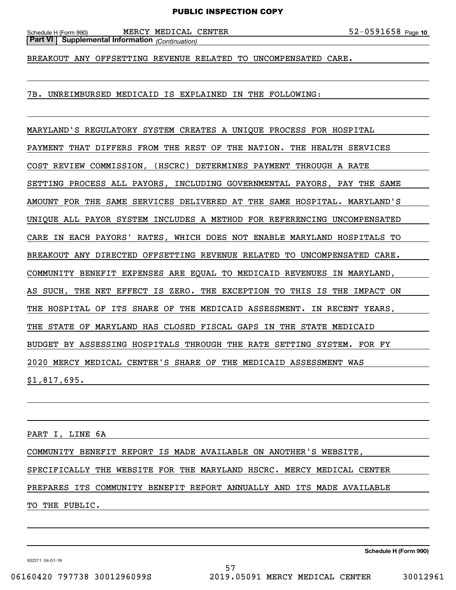Schedule H (Form 990) MERCY MEDICAL CENTER 5 2 – 0 5 9 1 6 5 8 Page **Part VI Supplemental Information** *(Continuation)*

BREAKOUT ANY OFFSETTING REVENUE RELATED TO UNCOMPENSATED CARE.

7B. UNREIMBURSED MEDICAID IS EXPLAINED IN THE FOLLOWING:

MARYLAND'S REGULATORY SYSTEM CREATES A UNIQUE PROCESS FOR HOSPITAL PAYMENT THAT DIFFERS FROM THE REST OF THE NATION. THE HEALTH SERVICES COST REVIEW COMMISSION, (HSCRC) DETERMINES PAYMENT THROUGH A RATE SETTING PROCESS ALL PAYORS, INCLUDING GOVERNMENTAL PAYORS, PAY THE SAME AMOUNT FOR THE SAME SERVICES DELIVERED AT THE SAME HOSPITAL. MARYLAND'S UNIQUE ALL PAYOR SYSTEM INCLUDES A METHOD FOR REFERENCING UNCOMPENSATED CARE IN EACH PAYORS' RATES, WHICH DOES NOT ENABLE MARYLAND HOSPITALS TO BREAKOUT ANY DIRECTED OFFSETTING REVENUE RELATED TO UNCOMPENSATED CARE. COMMUNITY BENEFIT EXPENSES ARE EQUAL TO MEDICAID REVENUES IN MARYLAND, AS SUCH, THE NET EFFECT IS ZERO. THE EXCEPTION TO THIS IS THE IMPACT ON THE HOSPITAL OF ITS SHARE OF THE MEDICAID ASSESSMENT. IN RECENT YEARS, THE STATE OF MARYLAND HAS CLOSED FISCAL GAPS IN THE STATE MEDICAID BUDGET BY ASSESSING HOSPITALS THROUGH THE RATE SETTING SYSTEM. FOR FY 2020 MERCY MEDICAL CENTER'S SHARE OF THE MEDICAID ASSESSMENT WAS \$1,817,695.

PART I, LINE 6A

COMMUNITY BENEFIT REPORT IS MADE AVAILABLE ON ANOTHER'S WEBSITE, SPECIFICALLY THE WEBSITE FOR THE MARYLAND HSCRC. MERCY MEDICAL CENTER PREPARES ITS COMMUNITY BENEFIT REPORT ANNUALLY AND ITS MADE AVAILABLE TO THE PUBLIC.

**Schedule H (Form 990)**

932271 04-01-19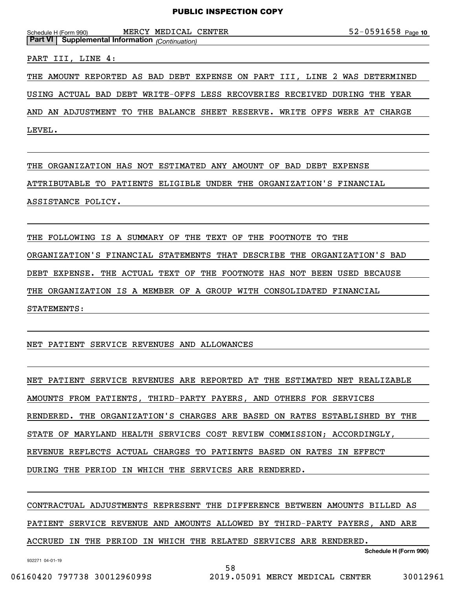52-0591658 Page 10 Schedule H (Form 990) MERCY MEDICAL CENTER 5 2 – 0 5 9 1 6 5 8 Page

**Part VI Supplemental Information** *(Continuation)*

PART III, LINE 4:

THE AMOUNT REPORTED AS BAD DEBT EXPENSE ON PART III, LINE 2 WAS DETERMINED

USING ACTUAL BAD DEBT WRITE-OFFS LESS RECOVERIES RECEIVED DURING THE YEAR

AND AN ADJUSTMENT TO THE BALANCE SHEET RESERVE. WRITE OFFS WERE AT CHARGE

LEVEL.

THE ORGANIZATION HAS NOT ESTIMATED ANY AMOUNT OF BAD DEBT EXPENSE ATTRIBUTABLE TO PATIENTS ELIGIBLE UNDER THE ORGANIZATION'S FINANCIAL ASSISTANCE POLICY.

THE FOLLOWING IS A SUMMARY OF THE TEXT OF THE FOOTNOTE TO THE ORGANIZATION'S FINANCIAL STATEMENTS THAT DESCRIBE THE ORGANIZATION'S BAD DEBT EXPENSE. THE ACTUAL TEXT OF THE FOOTNOTE HAS NOT BEEN USED BECAUSE THE ORGANIZATION IS A MEMBER OF A GROUP WITH CONSOLIDATED FINANCIAL STATEMENTS:

NET PATIENT SERVICE REVENUES AND ALLOWANCES

NET PATIENT SERVICE REVENUES ARE REPORTED AT THE ESTIMATED NET REALIZABLE AMOUNTS FROM PATIENTS, THIRD-PARTY PAYERS, AND OTHERS FOR SERVICES RENDERED. THE ORGANIZATION'S CHARGES ARE BASED ON RATES ESTABLISHED BY THE STATE OF MARYLAND HEALTH SERVICES COST REVIEW COMMISSION; ACCORDINGLY, REVENUE REFLECTS ACTUAL CHARGES TO PATIENTS BASED ON RATES IN EFFECT DURING THE PERIOD IN WHICH THE SERVICES ARE RENDERED.

CONTRACTUAL ADJUSTMENTS REPRESENT THE DIFFERENCE BETWEEN AMOUNTS BILLED AS PATIENT SERVICE REVENUE AND AMOUNTS ALLOWED BY THIRD-PARTY PAYERS, AND ARE ACCRUED IN THE PERIOD IN WHICH THE RELATED SERVICES ARE RENDERED.

58

932271 04-01-19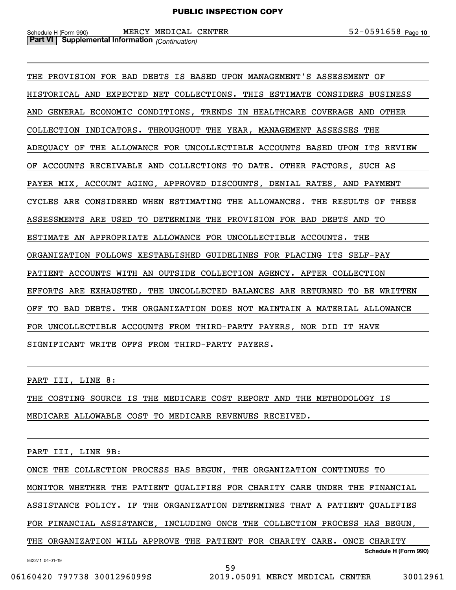THE PROVISION FOR BAD DEBTS IS BASED UPON MANAGEMENT'S ASSESSMENT OF HISTORICAL AND EXPECTED NET COLLECTIONS. THIS ESTIMATE CONSIDERS BUSINESS AND GENERAL ECONOMIC CONDITIONS, TRENDS IN HEALTHCARE COVERAGE AND OTHER COLLECTION INDICATORS. THROUGHOUT THE YEAR, MANAGEMENT ASSESSES THE ADEQUACY OF THE ALLOWANCE FOR UNCOLLECTIBLE ACCOUNTS BASED UPON ITS REVIEW OF ACCOUNTS RECEIVABLE AND COLLECTIONS TO DATE. OTHER FACTORS, SUCH AS PAYER MIX, ACCOUNT AGING, APPROVED DISCOUNTS, DENIAL RATES, AND PAYMENT CYCLES ARE CONSIDERED WHEN ESTIMATING THE ALLOWANCES. THE RESULTS OF THESE ASSESSMENTS ARE USED TO DETERMINE THE PROVISION FOR BAD DEBTS AND TO ESTIMATE AN APPROPRIATE ALLOWANCE FOR UNCOLLECTIBLE ACCOUNTS. THE ORGANIZATION FOLLOWS XESTABLISHED GUIDELINES FOR PLACING ITS SELF-PAY PATIENT ACCOUNTS WITH AN OUTSIDE COLLECTION AGENCY. AFTER COLLECTION EFFORTS ARE EXHAUSTED, THE UNCOLLECTED BALANCES ARE RETURNED TO BE WRITTEN OFF TO BAD DEBTS. THE ORGANIZATION DOES NOT MAINTAIN A MATERIAL ALLOWANCE FOR UNCOLLECTIBLE ACCOUNTS FROM THIRD-PARTY PAYERS, NOR DID IT HAVE SIGNIFICANT WRITE OFFS FROM THIRD-PARTY PAYERS.

PART III, LINE 8:

THE COSTING SOURCE IS THE MEDICARE COST REPORT AND THE METHODOLOGY IS MEDICARE ALLOWABLE COST TO MEDICARE REVENUES RECEIVED.

PART III, LINE 9B:

932271 04-01-19 **Schedule H (Form 990)** ONCE THE COLLECTION PROCESS HAS BEGUN, THE ORGANIZATION CONTINUES TO MONITOR WHETHER THE PATIENT QUALIFIES FOR CHARITY CARE UNDER THE FINANCIAL ASSISTANCE POLICY. IF THE ORGANIZATION DETERMINES THAT A PATIENT QUALIFIES FOR FINANCIAL ASSISTANCE, INCLUDING ONCE THE COLLECTION PROCESS HAS BEGUN, THE ORGANIZATION WILL APPROVE THE PATIENT FOR CHARITY CARE. ONCE CHARITY

59

06160420 797738 3001296099S 2019.05091 MERCY MEDICAL CENTER 30012961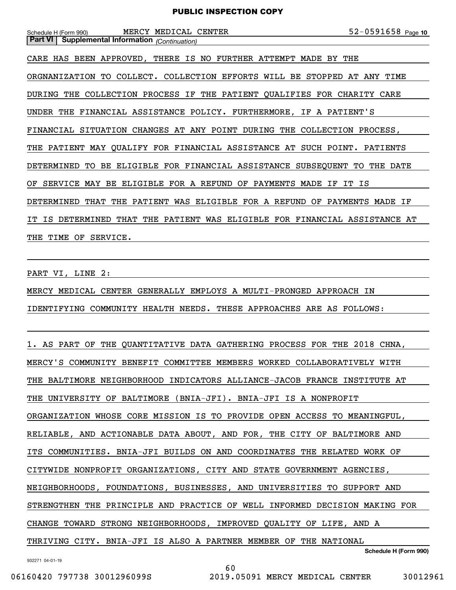| MERCY MEDICAL CENTER<br>Schedule H (Form 990)                              | $52 - 0591658$ Page 10 |
|----------------------------------------------------------------------------|------------------------|
| <b>Part VI   Supplemental Information</b> (Continuation)                   |                        |
| CARE HAS BEEN APPROVED, THERE IS NO FURTHER ATTEMPT MADE BY THE            |                        |
| ORGNANIZATION TO COLLECT. COLLECTION EFFORTS WILL BE STOPPED AT ANY TIME   |                        |
| DURING THE COLLECTION PROCESS IF THE PATIENT QUALIFIES FOR CHARITY CARE    |                        |
| UNDER THE FINANCIAL ASSISTANCE POLICY. FURTHERMORE, IF A PATIENT'S         |                        |
| FINANCIAL SITUATION CHANGES AT ANY POINT DURING THE COLLECTION PROCESS,    |                        |
| THE PATIENT MAY QUALIFY FOR FINANCIAL ASSISTANCE AT SUCH POINT. PATIENTS   |                        |
| DETERMINED TO BE ELIGIBLE FOR FINANCIAL ASSISTANCE SUBSEQUENT TO THE DATE  |                        |
| OF SERVICE MAY BE ELIGIBLE FOR A REFUND OF PAYMENTS MADE IF IT IS          |                        |
| DETERMINED THAT THE PATIENT WAS ELIGIBLE FOR A REFUND OF PAYMENTS MADE IF  |                        |
| IT IS DETERMINED THAT THE PATIENT WAS ELIGIBLE FOR FINANCIAL ASSISTANCE AT |                        |
| THE TIME OF SERVICE.                                                       |                        |

PART VI, LINE 2:

MERCY MEDICAL CENTER GENERALLY EMPLOYS A MULTI-PRONGED APPROACH IN IDENTIFYING COMMUNITY HEALTH NEEDS. THESE APPROACHES ARE AS FOLLOWS:

| 1. AS PART OF THE QUANTITATIVE DATA GATHERING PROCESS FOR THE 2018 CHNA,   |
|----------------------------------------------------------------------------|
| MERCY'S COMMUNITY BENEFIT COMMITTEE MEMBERS WORKED COLLABORATIVELY WITH    |
| THE BALTIMORE NEIGHBORHOOD INDICATORS ALLIANCE-JACOB FRANCE INSTITUTE AT   |
| THE UNIVERSITY OF BALTIMORE (BNIA-JFI). BNIA-JFI IS A NONPROFIT            |
| ORGANIZATION WHOSE CORE MISSION IS TO PROVIDE OPEN ACCESS TO MEANINGFUL,   |
| RELIABLE, AND ACTIONABLE DATA ABOUT, AND FOR, THE CITY OF BALTIMORE AND    |
| ITS COMMUNITIES. BNIA-JFI BUILDS ON AND COORDINATES THE RELATED WORK OF    |
| CITYWIDE NONPROFIT ORGANIZATIONS, CITY AND STATE GOVERNMENT AGENCIES,      |
| NEIGHBORHOODS, FOUNDATIONS, BUSINESSES, AND UNIVERSITIES TO SUPPORT AND    |
| STRENGTHEN THE PRINCIPLE AND PRACTICE OF WELL INFORMED DECISION MAKING FOR |
| CHANGE TOWARD STRONG NEIGHBORHOODS, IMPROVED QUALITY OF LIFE, AND A        |
| THRIVING CITY. BNIA-JFI IS ALSO A PARTNER MEMBER OF THE NATIONAL           |
| Schedule H (Form 990)                                                      |

60

932271 04-01-19

06160420 797738 3001296099S 2019.05091 MERCY MEDICAL CENTER 30012961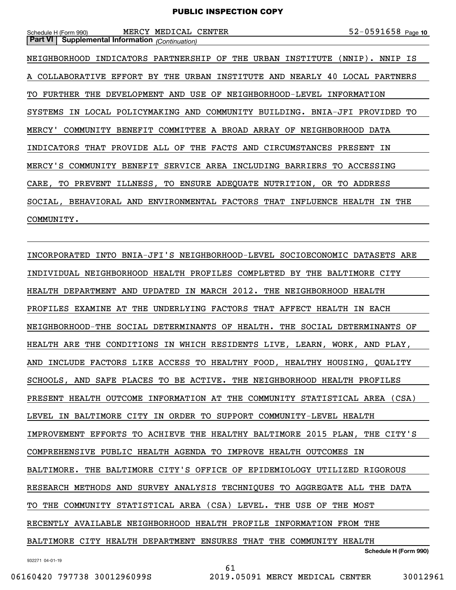| MERCY MEDICAL CENTER<br>Schedule H (Form 990)                              | $52 - 0591658$ Page 10 |
|----------------------------------------------------------------------------|------------------------|
| <b>Part VI</b> Supplemental Information (Continuation)                     |                        |
| NEIGHBORHOOD INDICATORS PARTNERSHIP OF THE URBAN INSTITUTE (NNIP). NNIP IS |                        |
| A COLLABORATIVE EFFORT BY THE URBAN INSTITUTE AND NEARLY 40 LOCAL PARTNERS |                        |
| TO FURTHER THE DEVELOPMENT AND USE OF NEIGHBORHOOD-LEVEL INFORMATION       |                        |
| SYSTEMS IN LOCAL POLICYMAKING AND COMMUNITY BUILDING. BNIA-JFI PROVIDED TO |                        |
| MERCY' COMMUNITY BENEFIT COMMITTEE A BROAD ARRAY OF NEIGHBORHOOD DATA      |                        |
| INDICATORS THAT PROVIDE ALL OF THE FACTS AND CIRCUMSTANCES PRESENT IN      |                        |
| MERCY'S COMMUNITY BENEFIT SERVICE AREA INCLUDING BARRIERS TO ACCESSING     |                        |
| CARE, TO PREVENT ILLNESS, TO ENSURE ADEQUATE NUTRITION, OR TO ADDRESS      |                        |
| SOCIAL, BEHAVIORAL AND ENVIRONMENTAL FACTORS THAT INFLUENCE HEALTH         | IN THE                 |
| COMMUNITY.                                                                 |                        |

INCORPORATED INTO BNIA-JFI'S NEIGHBORHOOD-LEVEL SOCIOECONOMIC DATASETS ARE INDIVIDUAL NEIGHBORHOOD HEALTH PROFILES COMPLETED BY THE BALTIMORE CITY HEALTH DEPARTMENT AND UPDATED IN MARCH 2012. THE NEIGHBORHOOD HEALTH PROFILES EXAMINE AT THE UNDERLYING FACTORS THAT AFFECT HEALTH IN EACH NEIGHBORHOOD-THE SOCIAL DETERMINANTS OF HEALTH. THE SOCIAL DETERMINANTS OF HEALTH ARE THE CONDITIONS IN WHICH RESIDENTS LIVE, LEARN, WORK, AND PLAY, AND INCLUDE FACTORS LIKE ACCESS TO HEALTHY FOOD, HEALTHY HOUSING, QUALITY SCHOOLS, AND SAFE PLACES TO BE ACTIVE. THE NEIGHBORHOOD HEALTH PROFILES PRESENT HEALTH OUTCOME INFORMATION AT THE COMMUNITY STATISTICAL AREA (CSA) LEVEL IN BALTIMORE CITY IN ORDER TO SUPPORT COMMUNITY-LEVEL HEALTH IMPROVEMENT EFFORTS TO ACHIEVE THE HEALTHY BALTIMORE 2015 PLAN, THE CITY'S COMPREHENSIVE PUBLIC HEALTH AGENDA TO IMPROVE HEALTH OUTCOMES IN BALTIMORE. THE BALTIMORE CITY'S OFFICE OF EPIDEMIOLOGY UTILIZED RIGOROUS RESEARCH METHODS AND SURVEY ANALYSIS TECHNIQUES TO AGGREGATE ALL THE DATA TO THE COMMUNITY STATISTICAL AREA (CSA) LEVEL. THE USE OF THE MOST RECENTLY AVAILABLE NEIGHBORHOOD HEALTH PROFILE INFORMATION FROM THE BALTIMORE CITY HEALTH DEPARTMENT ENSURES THAT THE COMMUNITY HEALTH

61

932271 04-01-19

```
Schedule H (Form 990)
```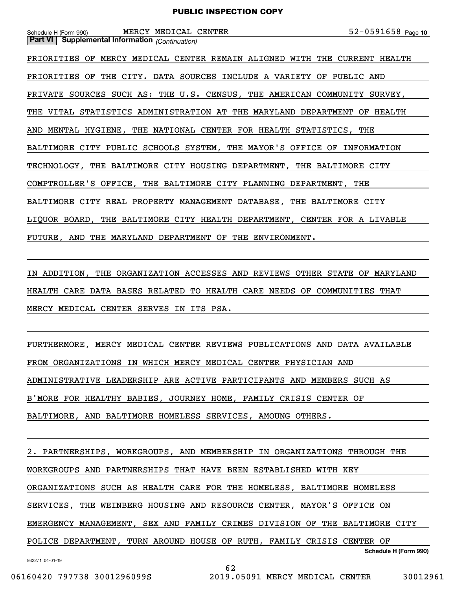| Schedule H (Form 990) MERCY MEDICAL CENTER                                | $52 - 0591658$ Page 10 |
|---------------------------------------------------------------------------|------------------------|
| <b>Part VI</b> Supplemental Information (Continuation)                    |                        |
| PRIORITIES OF MERCY MEDICAL CENTER REMAIN ALIGNED WITH THE CURRENT HEALTH |                        |
| PRIORITIES OF THE CITY. DATA SOURCES INCLUDE A VARIETY OF PUBLIC AND      |                        |
| PRIVATE SOURCES SUCH AS: THE U.S. CENSUS, THE AMERICAN COMMUNITY SURVEY,  |                        |
| THE VITAL STATISTICS ADMINISTRATION AT THE MARYLAND DEPARTMENT OF HEALTH  |                        |
| AND MENTAL HYGIENE, THE NATIONAL CENTER FOR HEALTH STATISTICS, THE        |                        |
| BALTIMORE CITY PUBLIC SCHOOLS SYSTEM, THE MAYOR'S OFFICE OF INFORMATION   |                        |
| TECHNOLOGY, THE BALTIMORE CITY HOUSING DEPARTMENT, THE BALTIMORE CITY     |                        |
| COMPTROLLER'S OFFICE, THE BALTIMORE CITY PLANNING DEPARTMENT, THE         |                        |
| BALTIMORE CITY REAL PROPERTY MANAGEMENT DATABASE, THE BALTIMORE CITY      |                        |
| LIQUOR BOARD, THE BALTIMORE CITY HEALTH DEPARTMENT, CENTER FOR A LIVABLE  |                        |
| FUTURE, AND THE MARYLAND DEPARTMENT OF THE ENVIRONMENT.                   |                        |

IN ADDITION, THE ORGANIZATION ACCESSES AND REVIEWS OTHER STATE OF MARYLAND HEALTH CARE DATA BASES RELATED TO HEALTH CARE NEEDS OF COMMUNITIES THAT MERCY MEDICAL CENTER SERVES IN ITS PSA.

FURTHERMORE, MERCY MEDICAL CENTER REVIEWS PUBLICATIONS AND DATA AVAILABLE FROM ORGANIZATIONS IN WHICH MERCY MEDICAL CENTER PHYSICIAN AND ADMINISTRATIVE LEADERSHIP ARE ACTIVE PARTICIPANTS AND MEMBERS SUCH AS B'MORE FOR HEALTHY BABIES, JOURNEY HOME, FAMILY CRISIS CENTER OF BALTIMORE, AND BALTIMORE HOMELESS SERVICES, AMOUNG OTHERS.

932271 04-01-19 **Schedule H (Form 990)** 2. PARTNERSHIPS, WORKGROUPS, AND MEMBERSHIP IN ORGANIZATIONS THROUGH THE WORKGROUPS AND PARTNERSHIPS THAT HAVE BEEN ESTABLISHED WITH KEY ORGANIZATIONS SUCH AS HEALTH CARE FOR THE HOMELESS, BALTIMORE HOMELESS SERVICES, THE WEINBERG HOUSING AND RESOURCE CENTER, MAYOR'S OFFICE ON EMERGENCY MANAGEMENT, SEX AND FAMILY CRIMES DIVISION OF THE BALTIMORE CITY POLICE DEPARTMENT, TURN AROUND HOUSE OF RUTH, FAMILY CRISIS CENTER OF

62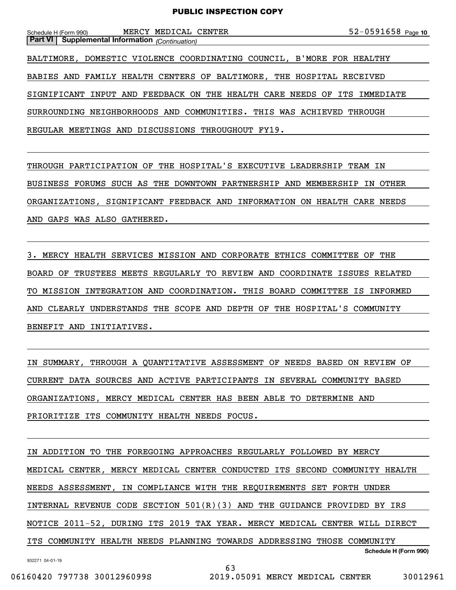| Schedule H (Form 990) |  | MERCY MEDICAL CENTER |  |  | $52 - 0591658$ Page 10 |  |
|-----------------------|--|----------------------|--|--|------------------------|--|
|-----------------------|--|----------------------|--|--|------------------------|--|

**Part VI Supplemental Information** *(Continuation)* BALTIMORE, DOMESTIC VIOLENCE COORDINATING COUNCIL, B'MORE FOR HEALTHY BABIES AND FAMILY HEALTH CENTERS OF BALTIMORE, THE HOSPITAL RECEIVED SIGNIFICANT INPUT AND FEEDBACK ON THE HEALTH CARE NEEDS OF ITS IMMEDIATE SURROUNDING NEIGHBORHOODS AND COMMUNITIES. THIS WAS ACHIEVED THROUGH REGULAR MEETINGS AND DISCUSSIONS THROUGHOUT FY19.

THROUGH PARTICIPATION OF THE HOSPITAL'S EXECUTIVE LEADERSHIP TEAM IN BUSINESS FORUMS SUCH AS THE DOWNTOWN PARTNERSHIP AND MEMBERSHIP IN OTHER ORGANIZATIONS, SIGNIFICANT FEEDBACK AND INFORMATION ON HEALTH CARE NEEDS AND GAPS WAS ALSO GATHERED.

3. MERCY HEALTH SERVICES MISSION AND CORPORATE ETHICS COMMITTEE OF THE BOARD OF TRUSTEES MEETS REGULARLY TO REVIEW AND COORDINATE ISSUES RELATED TO MISSION INTEGRATION AND COORDINATION. THIS BOARD COMMITTEE IS INFORMED AND CLEARLY UNDERSTANDS THE SCOPE AND DEPTH OF THE HOSPITAL'S COMMUNITY BENEFIT AND INITIATIVES.

IN SUMMARY, THROUGH A QUANTITATIVE ASSESSMENT OF NEEDS BASED ON REVIEW OF CURRENT DATA SOURCES AND ACTIVE PARTICIPANTS IN SEVERAL COMMUNITY BASED ORGANIZATIONS, MERCY MEDICAL CENTER HAS BEEN ABLE TO DETERMINE AND PRIORITIZE ITS COMMUNITY HEALTH NEEDS FOCUS.

**Schedule H (Form 990)** IN ADDITION TO THE FOREGOING APPROACHES REGULARLY FOLLOWED BY MERCY MEDICAL CENTER, MERCY MEDICAL CENTER CONDUCTED ITS SECOND COMMUNITY HEALTH NEEDS ASSESSMENT, IN COMPLIANCE WITH THE REQUIREMENTS SET FORTH UNDER INTERNAL REVENUE CODE SECTION 501(R)(3) AND THE GUIDANCE PROVIDED BY IRS NOTICE 2011-52, DURING ITS 2019 TAX YEAR. MERCY MEDICAL CENTER WILL DIRECT ITS COMMUNITY HEALTH NEEDS PLANNING TOWARDS ADDRESSING THOSE COMMUNITY

63

932271 04-01-19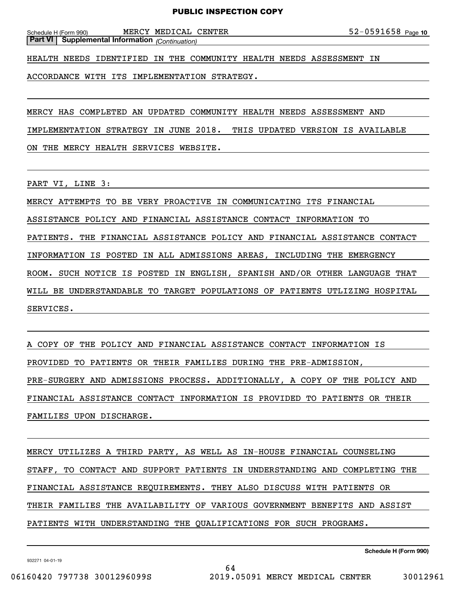Schedule H (Form 990) MERCY MEDICAL CENTER 5 2 – 0 5 9 1 6 5 8 Page **Part VI Supplemental Information** *(Continuation)*

HEALTH NEEDS IDENTIFIED IN THE COMMUNITY HEALTH NEEDS ASSESSMENT IN

ACCORDANCE WITH ITS IMPLEMENTATION STRATEGY.

MERCY HAS COMPLETED AN UPDATED COMMUNITY HEALTH NEEDS ASSESSMENT AND

IMPLEMENTATION STRATEGY IN JUNE 2018. THIS UPDATED VERSION IS AVAILABLE

ON THE MERCY HEALTH SERVICES WEBSITE.

PART VI, LINE 3:

SERVICES.

MERCY ATTEMPTS TO BE VERY PROACTIVE IN COMMUNICATING ITS FINANCIAL

ASSISTANCE POLICY AND FINANCIAL ASSISTANCE CONTACT INFORMATION TO

PATIENTS. THE FINANCIAL ASSISTANCE POLICY AND FINANCIAL ASSISTANCE CONTACT

INFORMATION IS POSTED IN ALL ADMISSIONS AREAS, INCLUDING THE EMERGENCY

ROOM. SUCH NOTICE IS POSTED IN ENGLISH, SPANISH AND/OR OTHER LANGUAGE THAT

WILL BE UNDERSTANDABLE TO TARGET POPULATIONS OF PATIENTS UTLIZING HOSPITAL

A COPY OF THE POLICY AND FINANCIAL ASSISTANCE CONTACT INFORMATION IS PROVIDED TO PATIENTS OR THEIR FAMILIES DURING THE PRE-ADMISSION, PRE-SURGERY AND ADMISSIONS PROCESS. ADDITIONALLY, A COPY OF THE POLICY AND FINANCIAL ASSISTANCE CONTACT INFORMATION IS PROVIDED TO PATIENTS OR THEIR FAMILIES UPON DISCHARGE.

MERCY UTILIZES A THIRD PARTY, AS WELL AS IN-HOUSE FINANCIAL COUNSELING STAFF, TO CONTACT AND SUPPORT PATIENTS IN UNDERSTANDING AND COMPLETING THE FINANCIAL ASSISTANCE REQUIREMENTS. THEY ALSO DISCUSS WITH PATIENTS OR THEIR FAMILIES THE AVAILABILITY OF VARIOUS GOVERNMENT BENEFITS AND ASSIST PATIENTS WITH UNDERSTANDING THE QUALIFICATIONS FOR SUCH PROGRAMS.

932271 04-01-19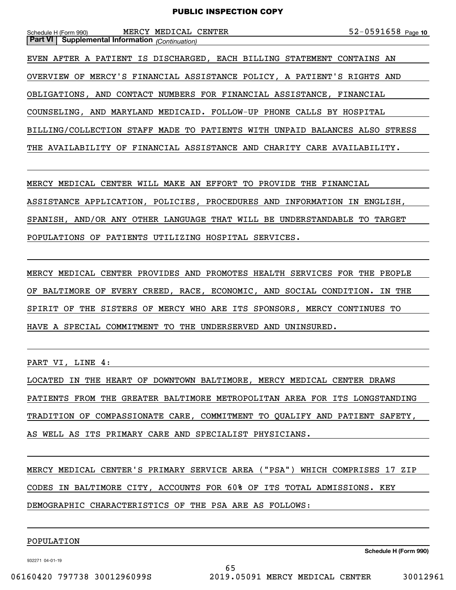| MERCY MEDICAL CENTER<br>Schedule H (Form 990)                              | $52 - 0591658$ Page 10 |
|----------------------------------------------------------------------------|------------------------|
| <b>Part VI</b> Supplemental Information (Continuation)                     |                        |
| EVEN AFTER A PATIENT IS DISCHARGED, EACH BILLING STATEMENT CONTAINS AN     |                        |
| OVERVIEW OF MERCY'S FINANCIAL ASSISTANCE POLICY, A PATIENT'S RIGHTS AND    |                        |
| OBLIGATIONS, AND CONTACT NUMBERS FOR FINANCIAL ASSISTANCE, FINANCIAL       |                        |
| COUNSELING, AND MARYLAND MEDICAID. FOLLOW-UP PHONE CALLS BY HOSPITAL       |                        |
| BILLING/COLLECTION STAFF MADE TO PATIENTS WITH UNPAID BALANCES ALSO STRESS |                        |
| THE AVAILABILITY OF FINANCIAL ASSISTANCE AND CHARITY CARE AVAILABILITY.    |                        |

MERCY MEDICAL CENTER WILL MAKE AN EFFORT TO PROVIDE THE FINANCIAL ASSISTANCE APPLICATION, POLICIES, PROCEDURES AND INFORMATION IN ENGLISH, SPANISH, AND/OR ANY OTHER LANGUAGE THAT WILL BE UNDERSTANDABLE TO TARGET POPULATIONS OF PATIENTS UTILIZING HOSPITAL SERVICES.

MERCY MEDICAL CENTER PROVIDES AND PROMOTES HEALTH SERVICES FOR THE PEOPLE OF BALTIMORE OF EVERY CREED, RACE, ECONOMIC, AND SOCIAL CONDITION. IN THE SPIRIT OF THE SISTERS OF MERCY WHO ARE ITS SPONSORS, MERCY CONTINUES TO HAVE A SPECIAL COMMITMENT TO THE UNDERSERVED AND UNINSURED.

PART VI, LINE 4:

LOCATED IN THE HEART OF DOWNTOWN BALTIMORE, MERCY MEDICAL CENTER DRAWS PATIENTS FROM THE GREATER BALTIMORE METROPOLITAN AREA FOR ITS LONGSTANDING TRADITION OF COMPASSIONATE CARE, COMMITMENT TO QUALIFY AND PATIENT SAFETY, AS WELL AS ITS PRIMARY CARE AND SPECIALIST PHYSICIANS.

MERCY MEDICAL CENTER'S PRIMARY SERVICE AREA ("PSA") WHICH COMPRISES 17 ZIP CODES IN BALTIMORE CITY, ACCOUNTS FOR 60% OF ITS TOTAL ADMISSIONS. KEY DEMOGRAPHIC CHARACTERISTICS OF THE PSA ARE AS FOLLOWS:

65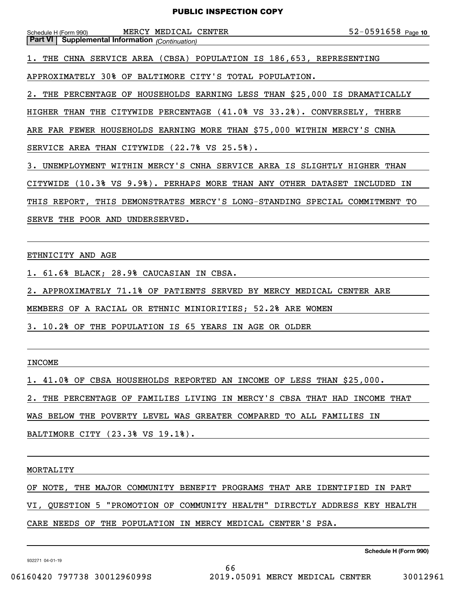| Schedule H (Form 990) MERCY MEDICAL CENTER<br><b>Supplemental Information</b> (Continuation)<br>  Part VI | $52 - 0591658$ Page 10 |  |  |  |
|-----------------------------------------------------------------------------------------------------------|------------------------|--|--|--|
| 1. THE CHNA SERVICE AREA (CBSA) POPULATION IS 186,653, REPRESENTING                                       |                        |  |  |  |
| APPROXIMATELY 30% OF BALTIMORE CITY'S TOTAL POPULATION.                                                   |                        |  |  |  |
| 2. THE PERCENTAGE OF HOUSEHOLDS EARNING LESS THAN \$25,000 IS DRAMATICALLY                                |                        |  |  |  |
| HIGHER THAN THE CITYWIDE PERCENTAGE (41.0% VS 33.2%). CONVERSELY, THERE                                   |                        |  |  |  |
| ARE FAR FEWER HOUSEHOLDS EARNING MORE THAN \$75,000 WITHIN MERCY'S CNHA                                   |                        |  |  |  |
| SERVICE AREA THAN CITYWIDE (22.7% VS 25.5%).                                                              |                        |  |  |  |
| 3. UNEMPLOYMENT WITHIN MERCY'S CNHA SERVICE AREA IS SLIGHTLY HIGHER THAN                                  |                        |  |  |  |
| CITYWIDE (10.3% VS 9.9%). PERHAPS MORE THAN ANY OTHER DATASET INCLUDED IN                                 |                        |  |  |  |
| THIS REPORT, THIS DEMONSTRATES MERCY'S LONG-STANDING SPECIAL COMMITMENT TO                                |                        |  |  |  |
| SERVE THE POOR AND UNDERSERVED.                                                                           |                        |  |  |  |
|                                                                                                           |                        |  |  |  |
| ETHNICITY AND AGE                                                                                         |                        |  |  |  |

INCOME

1. 41.0% OF CBSA HOUSEHOLDS REPORTED AN INCOME OF LESS THAN \$25,000.

2. APPROXIMATELY 71.1% OF PATIENTS SERVED BY MERCY MEDICAL CENTER ARE

MEMBERS OF A RACIAL OR ETHNIC MINIORITIES; 52.2% ARE WOMEN

3. 10.2% OF THE POPULATION IS 65 YEARS IN AGE OR OLDER

2. THE PERCENTAGE OF FAMILIES LIVING IN MERCY'S CBSA THAT HAD INCOME THAT

WAS BELOW THE POVERTY LEVEL WAS GREATER COMPARED TO ALL FAMILIES IN

BALTIMORE CITY (23.3% VS 19.1%).

1. 61.6% BLACK; 28.9% CAUCASIAN IN CBSA.

MORTALITY

OF NOTE, THE MAJOR COMMUNITY BENEFIT PROGRAMS THAT ARE IDENTIFIED IN PART

VI, QUESTION 5 "PROMOTION OF COMMUNITY HEALTH" DIRECTLY ADDRESS KEY HEALTH

CARE NEEDS OF THE POPULATION IN MERCY MEDICAL CENTER'S PSA.

932271 04-01-19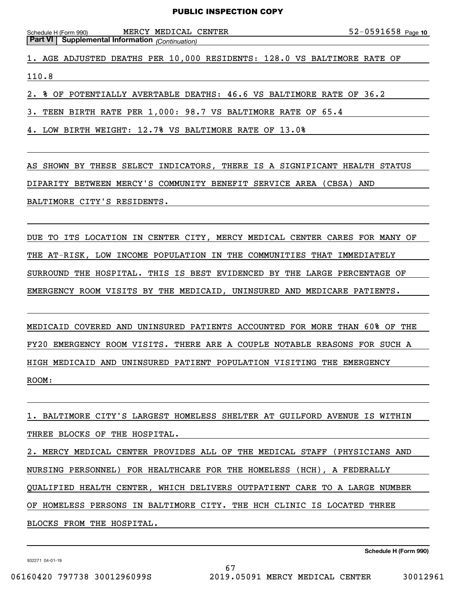| Schedule H (Form 990) |  |  | MERCY MEDICAL CENTER |  |  | $52 - 0591658$ Page 10 |  |
|-----------------------|--|--|----------------------|--|--|------------------------|--|
|-----------------------|--|--|----------------------|--|--|------------------------|--|

110.8

2. % OF POTENTIALLY AVERTABLE DEATHS: 46.6 VS BALTIMORE RATE OF 36.2

1. AGE ADJUSTED DEATHS PER 10,000 RESIDENTS: 128.0 VS BALTIMORE RATE OF

3. TEEN BIRTH RATE PER 1,000: 98.7 VS BALTIMORE RATE OF 65.4

4. LOW BIRTH WEIGHT: 12.7% VS BALTIMORE RATE OF 13.0%

AS SHOWN BY THESE SELECT INDICATORS, THERE IS A SIGNIFICANT HEALTH STATUS

DIPARITY BETWEEN MERCY'S COMMUNITY BENEFIT SERVICE AREA (CBSA) AND

BALTIMORE CITY'S RESIDENTS.

**Part VI Supplemental Information** *(Continuation)*

DUE TO ITS LOCATION IN CENTER CITY, MERCY MEDICAL CENTER CARES FOR MANY OF THE AT-RISK, LOW INCOME POPULATION IN THE COMMUNITIES THAT IMMEDIATELY SURROUND THE HOSPITAL. THIS IS BEST EVIDENCED BY THE LARGE PERCENTAGE OF EMERGENCY ROOM VISITS BY THE MEDICAID, UNINSURED AND MEDICARE PATIENTS.

MEDICAID COVERED AND UNINSURED PATIENTS ACCOUNTED FOR MORE THAN 60% OF THE FY20 EMERGENCY ROOM VISITS. THERE ARE A COUPLE NOTABLE REASONS FOR SUCH A HIGH MEDICAID AND UNINSURED PATIENT POPULATION VISITING THE EMERGENCY ROOM:

1. BALTIMORE CITY'S LARGEST HOMELESS SHELTER AT GUILFORD AVENUE IS WITHIN THREE BLOCKS OF THE HOSPITAL.

2. MERCY MEDICAL CENTER PROVIDES ALL OF THE MEDICAL STAFF (PHYSICIANS AND NURSING PERSONNEL) FOR HEALTHCARE FOR THE HOMELESS (HCH), A FEDERALLY QUALIFIED HEALTH CENTER, WHICH DELIVERS OUTPATIENT CARE TO A LARGE NUMBER OF HOMELESS PERSONS IN BALTIMORE CITY. THE HCH CLINIC IS LOCATED THREE BLOCKS FROM THE HOSPITAL.

67

932271 04-01-19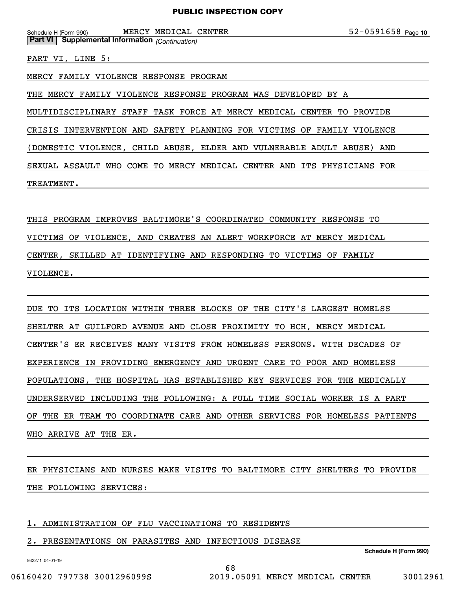Schedule H (Form 990) MERCY MEDICAL CENTER 5 2 – 0 5 9 1 6 5 8 Page **Part VI Supplemental Information** *(Continuation)*

PART VI, LINE 5:

MERCY FAMILY VIOLENCE RESPONSE PROGRAM

THE MERCY FAMILY VIOLENCE RESPONSE PROGRAM WAS DEVELOPED BY A

MULTIDISCIPLINARY STAFF TASK FORCE AT MERCY MEDICAL CENTER TO PROVIDE

CRISIS INTERVENTION AND SAFETY PLANNING FOR VICTIMS OF FAMILY VIOLENCE

(DOMESTIC VIOLENCE, CHILD ABUSE, ELDER AND VULNERABLE ADULT ABUSE) AND

SEXUAL ASSAULT WHO COME TO MERCY MEDICAL CENTER AND ITS PHYSICIANS FOR

TREATMENT.

THIS PROGRAM IMPROVES BALTIMORE'S COORDINATED COMMUNITY RESPONSE TO VICTIMS OF VIOLENCE, AND CREATES AN ALERT WORKFORCE AT MERCY MEDICAL CENTER, SKILLED AT IDENTIFYING AND RESPONDING TO VICTIMS OF FAMILY VIOLENCE.

DUE TO ITS LOCATION WITHIN THREE BLOCKS OF THE CITY'S LARGEST HOMELSS SHELTER AT GUILFORD AVENUE AND CLOSE PROXIMITY TO HCH, MERCY MEDICAL CENTER'S ER RECEIVES MANY VISITS FROM HOMELESS PERSONS. WITH DECADES OF EXPERIENCE IN PROVIDING EMERGENCY AND URGENT CARE TO POOR AND HOMELESS POPULATIONS, THE HOSPITAL HAS ESTABLISHED KEY SERVICES FOR THE MEDICALLY UNDERSERVED INCLUDING THE FOLLOWING: A FULL TIME SOCIAL WORKER IS A PART OF THE ER TEAM TO COORDINATE CARE AND OTHER SERVICES FOR HOMELESS PATIENTS WHO ARRIVE AT THE ER.

ER PHYSICIANS AND NURSES MAKE VISITS TO BALTIMORE CITY SHELTERS TO PROVIDE THE FOLLOWING SERVICES:

1. ADMINISTRATION OF FLU VACCINATIONS TO RESIDENTS

2. PRESENTATIONS ON PARASITES AND INFECTIOUS DISEASE

**Schedule H (Form 990)**

932271 04-01-19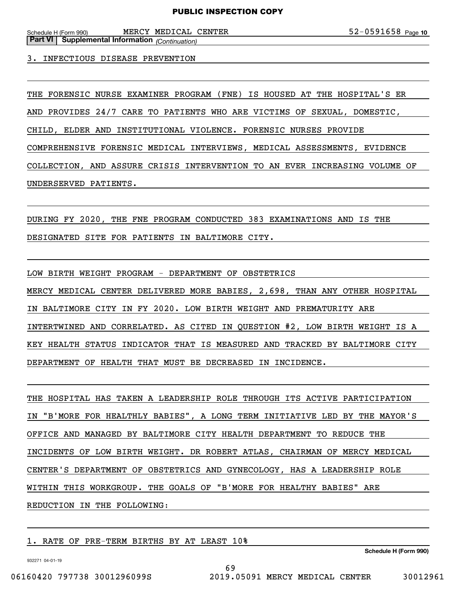Schedule H (Form 990) MERCY MEDICAL CENTER 5 2 – 0 5 9 1 6 5 8 Page **Part VI Supplemental Information** *(Continuation)*

3. INFECTIOUS DISEASE PREVENTION

THE FORENSIC NURSE EXAMINER PROGRAM (FNE) IS HOUSED AT THE HOSPITAL'S ER AND PROVIDES 24/7 CARE TO PATIENTS WHO ARE VICTIMS OF SEXUAL, DOMESTIC, CHILD, ELDER AND INSTITUTIONAL VIOLENCE. FORENSIC NURSES PROVIDE COMPREHENSIVE FORENSIC MEDICAL INTERVIEWS, MEDICAL ASSESSMENTS, EVIDENCE COLLECTION, AND ASSURE CRISIS INTERVENTION TO AN EVER INCREASING VOLUME OF UNDERSERVED PATIENTS.

DURING FY 2020, THE FNE PROGRAM CONDUCTED 383 EXAMINATIONS AND IS THE DESIGNATED SITE FOR PATIENTS IN BALTIMORE CITY.

LOW BIRTH WEIGHT PROGRAM - DEPARTMENT OF OBSTETRICS MERCY MEDICAL CENTER DELIVERED MORE BABIES, 2,698, THAN ANY OTHER HOSPITAL IN BALTIMORE CITY IN FY 2020. LOW BIRTH WEIGHT AND PREMATURITY ARE INTERTWINED AND CORRELATED. AS CITED IN QUESTION #2, LOW BIRTH WEIGHT IS A KEY HEALTH STATUS INDICATOR THAT IS MEASURED AND TRACKED BY BALTIMORE CITY DEPARTMENT OF HEALTH THAT MUST BE DECREASED IN INCIDENCE.

THE HOSPITAL HAS TAKEN A LEADERSHIP ROLE THROUGH ITS ACTIVE PARTICIPATION IN "B'MORE FOR HEALTHLY BABIES", A LONG TERM INITIATIVE LED BY THE MAYOR'S OFFICE AND MANAGED BY BALTIMORE CITY HEALTH DEPARTMENT TO REDUCE THE INCIDENTS OF LOW BIRTH WEIGHT. DR ROBERT ATLAS, CHAIRMAN OF MERCY MEDICAL CENTER'S DEPARTMENT OF OBSTETRICS AND GYNECOLOGY, HAS A LEADERSHIP ROLE WITHIN THIS WORKGROUP. THE GOALS OF "B'MORE FOR HEALTHY BABIES" ARE REDUCTION IN THE FOLLOWING:

69

1. RATE OF PRE-TERM BIRTHS BY AT LEAST 10%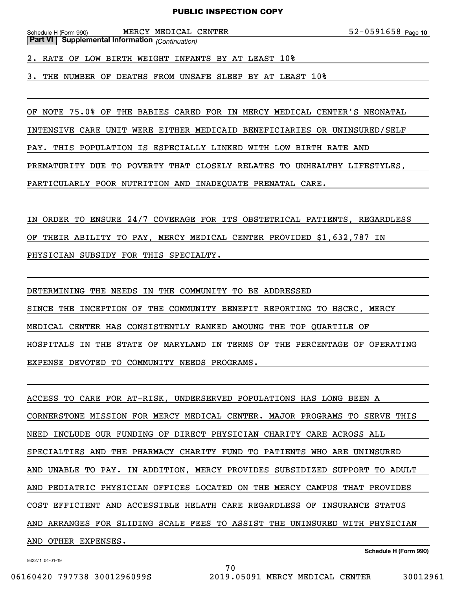Schedule H (Form 990) MERCY MEDICAL CENTER 5 2 – 0 5 9 1 6 5 8 Page **Part VI Supplemental Information** *(Continuation)*

2. RATE OF LOW BIRTH WEIGHT INFANTS BY AT LEAST 10%

3. THE NUMBER OF DEATHS FROM UNSAFE SLEEP BY AT LEAST 10%

OF NOTE 75.0% OF THE BABIES CARED FOR IN MERCY MEDICAL CENTER'S NEONATAL

INTENSIVE CARE UNIT WERE EITHER MEDICAID BENEFICIARIES OR UNINSURED/SELF

PAY. THIS POPULATION IS ESPECIALLY LINKED WITH LOW BIRTH RATE AND

PREMATURITY DUE TO POVERTY THAT CLOSELY RELATES TO UNHEALTHY LIFESTYLES,

PARTICULARLY POOR NUTRITION AND INADEQUATE PRENATAL CARE.

IN ORDER TO ENSURE 24/7 COVERAGE FOR ITS OBSTETRICAL PATIENTS, REGARDLESS OF THEIR ABILITY TO PAY, MERCY MEDICAL CENTER PROVIDED \$1,632,787 IN PHYSICIAN SUBSIDY FOR THIS SPECIALTY.

DETERMINING THE NEEDS IN THE COMMUNITY TO BE ADDRESSED SINCE THE INCEPTION OF THE COMMUNITY BENEFIT REPORTING TO HSCRC, MERCY MEDICAL CENTER HAS CONSISTENTLY RANKED AMOUNG THE TOP QUARTILE OF HOSPITALS IN THE STATE OF MARYLAND IN TERMS OF THE PERCENTAGE OF OPERATING EXPENSE DEVOTED TO COMMUNITY NEEDS PROGRAMS.

ACCESS TO CARE FOR AT-RISK, UNDERSERVED POPULATIONS HAS LONG BEEN A CORNERSTONE MISSION FOR MERCY MEDICAL CENTER. MAJOR PROGRAMS TO SERVE THIS NEED INCLUDE OUR FUNDING OF DIRECT PHYSICIAN CHARITY CARE ACROSS ALL SPECIALTIES AND THE PHARMACY CHARITY FUND TO PATIENTS WHO ARE UNINSURED AND UNABLE TO PAY. IN ADDITION, MERCY PROVIDES SUBSIDIZED SUPPORT TO ADULT AND PEDIATRIC PHYSICIAN OFFICES LOCATED ON THE MERCY CAMPUS THAT PROVIDES COST EFFICIENT AND ACCESSIBLE HELATH CARE REGARDLESS OF INSURANCE STATUS AND ARRANGES FOR SLIDING SCALE FEES TO ASSIST THE UNINSURED WITH PHYSICIAN AND OTHER EXPENSES.

70

932271 04-01-19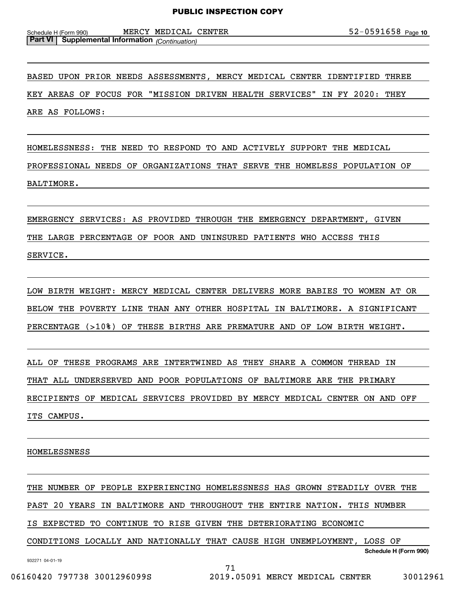Schedule H (Form 990) MERCY MEDICAL CENTER 5 2 – 0 5 9 1 6 5 8 Page **Part VI Supplemental Information** *(Continuation)*

BASED UPON PRIOR NEEDS ASSESSMENTS, MERCY MEDICAL CENTER IDENTIFIED THREE KEY AREAS OF FOCUS FOR "MISSION DRIVEN HEALTH SERVICES" IN FY 2020: THEY ARE AS FOLLOWS:

HOMELESSNESS: THE NEED TO RESPOND TO AND ACTIVELY SUPPORT THE MEDICAL PROFESSIONAL NEEDS OF ORGANIZATIONS THAT SERVE THE HOMELESS POPULATION OF BALTIMORE.

EMERGENCY SERVICES: AS PROVIDED THROUGH THE EMERGENCY DEPARTMENT, GIVEN THE LARGE PERCENTAGE OF POOR AND UNINSURED PATIENTS WHO ACCESS THIS SERVICE.

LOW BIRTH WEIGHT: MERCY MEDICAL CENTER DELIVERS MORE BABIES TO WOMEN AT OR BELOW THE POVERTY LINE THAN ANY OTHER HOSPITAL IN BALTIMORE. A SIGNIFICANT PERCENTAGE (>10%) OF THESE BIRTHS ARE PREMATURE AND OF LOW BIRTH WEIGHT.

ALL OF THESE PROGRAMS ARE INTERTWINED AS THEY SHARE A COMMON THREAD IN THAT ALL UNDERSERVED AND POOR POPULATIONS OF BALTIMORE ARE THE PRIMARY RECIPIENTS OF MEDICAL SERVICES PROVIDED BY MERCY MEDICAL CENTER ON AND OFF ITS CAMPUS.

HOMELESSNESS

THE NUMBER OF PEOPLE EXPERIENCING HOMELESSNESS HAS GROWN STEADILY OVER THE PAST 20 YEARS IN BALTIMORE AND THROUGHOUT THE ENTIRE NATION. THIS NUMBER IS EXPECTED TO CONTINUE TO RISE GIVEN THE DETERIORATING ECONOMIC

CONDITIONS LOCALLY AND NATIONALLY THAT CAUSE HIGH UNEMPLOYMENT, LOSS OF

71

932271 04-01-19

**Schedule H (Form 990)**

06160420 797738 3001296099S 2019.05091 MERCY MEDICAL CENTER 30012961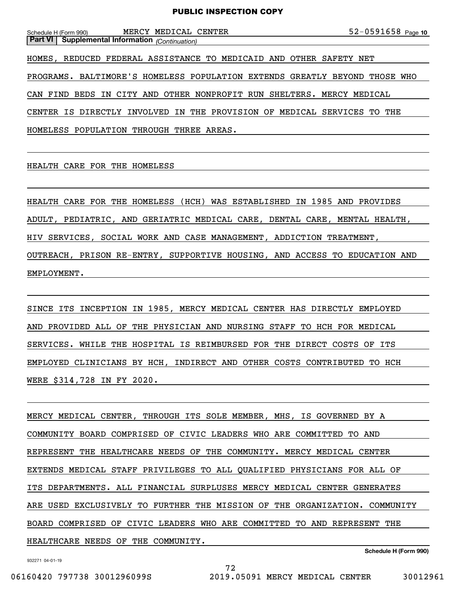| MEDICAL CENTER<br>MERCY<br>Schedule H (Form 990)                           | $52 - 0591658$ Page 10 |
|----------------------------------------------------------------------------|------------------------|
| <b>Part VI</b> Supplemental Information (Continuation)                     |                        |
| HOMES, REDUCED FEDERAL ASSISTANCE TO MEDICAID AND OTHER SAFETY NET         |                        |
| PROGRAMS. BALTIMORE'S HOMELESS POPULATION EXTENDS GREATLY BEYOND           | THOSE WHO              |
| CAN FIND<br>BEDS IN CITY AND OTHER NONPROFIT RUN SHELTERS. MERCY MEDICAL   |                        |
| IS DIRECTLY INVOLVED IN THE PROVISION OF MEDICAL SERVICES TO THE<br>CENTER |                        |
| HOMELESS POPULATION THROUGH THREE AREAS.                                   |                        |

HEALTH CARE FOR THE HOMELESS

HEALTH CARE FOR THE HOMELESS (HCH) WAS ESTABLISHED IN 1985 AND PROVIDES ADULT, PEDIATRIC, AND GERIATRIC MEDICAL CARE, DENTAL CARE, MENTAL HEALTH, HIV SERVICES, SOCIAL WORK AND CASE MANAGEMENT, ADDICTION TREATMENT, OUTREACH, PRISON RE-ENTRY, SUPPORTIVE HOUSING, AND ACCESS TO EDUCATION AND EMPLOYMENT.

SINCE ITS INCEPTION IN 1985, MERCY MEDICAL CENTER HAS DIRECTLY EMPLOYED AND PROVIDED ALL OF THE PHYSICIAN AND NURSING STAFF TO HCH FOR MEDICAL SERVICES. WHILE THE HOSPITAL IS REIMBURSED FOR THE DIRECT COSTS OF ITS EMPLOYED CLINICIANS BY HCH, INDIRECT AND OTHER COSTS CONTRIBUTED TO HCH WERE \$314,728 IN FY 2020.

MERCY MEDICAL CENTER, THROUGH ITS SOLE MEMBER, MHS, IS GOVERNED BY A COMMUNITY BOARD COMPRISED OF CIVIC LEADERS WHO ARE COMMITTED TO AND REPRESENT THE HEALTHCARE NEEDS OF THE COMMUNITY. MERCY MEDICAL CENTER EXTENDS MEDICAL STAFF PRIVILEGES TO ALL QUALIFIED PHYSICIANS FOR ALL OF ITS DEPARTMENTS. ALL FINANCIAL SURPLUSES MERCY MEDICAL CENTER GENERATES ARE USED EXCLUSIVELY TO FURTHER THE MISSION OF THE ORGANIZATION. COMMUNITY BOARD COMPRISED OF CIVIC LEADERS WHO ARE COMMITTED TO AND REPRESENT THE HEALTHCARE NEEDS OF THE COMMUNITY.

72

932271 04-01-19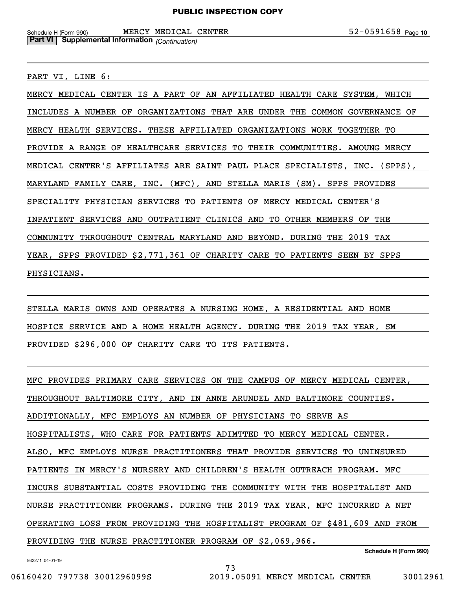Schedule H (Form 990) MERCY MEDICAL CENTER 5 2 – 0 5 9 1 6 5 8 Page **Part VI Supplemental Information** *(Continuation)*

PART VI, LINE 6:

MERCY MEDICAL CENTER IS A PART OF AN AFFILIATED HEALTH CARE SYSTEM, WHICH INCLUDES A NUMBER OF ORGANIZATIONS THAT ARE UNDER THE COMMON GOVERNANCE OF MERCY HEALTH SERVICES. THESE AFFILIATED ORGANIZATIONS WORK TOGETHER TO PROVIDE A RANGE OF HEALTHCARE SERVICES TO THEIR COMMUNITIES. AMOUNG MERCY MEDICAL CENTER'S AFFILIATES ARE SAINT PAUL PLACE SPECIALISTS, INC. (SPPS), MARYLAND FAMILY CARE, INC. (MFC), AND STELLA MARIS (SM). SPPS PROVIDES SPECIALITY PHYSICIAN SERVICES TO PATIENTS OF MERCY MEDICAL CENTER'S INPATIENT SERVICES AND OUTPATIENT CLINICS AND TO OTHER MEMBERS OF THE COMMUNITY THROUGHOUT CENTRAL MARYLAND AND BEYOND. DURING THE 2019 TAX YEAR, SPPS PROVIDED \$2,771,361 OF CHARITY CARE TO PATIENTS SEEN BY SPPS PHYSICIANS.

STELLA MARIS OWNS AND OPERATES A NURSING HOME, A RESIDENTIAL AND HOME HOSPICE SERVICE AND A HOME HEALTH AGENCY. DURING THE 2019 TAX YEAR, SM PROVIDED \$296,000 OF CHARITY CARE TO ITS PATIENTS.

MFC PROVIDES PRIMARY CARE SERVICES ON THE CAMPUS OF MERCY MEDICAL CENTER, THROUGHOUT BALTIMORE CITY, AND IN ANNE ARUNDEL AND BALTIMORE COUNTIES. ADDITIONALLY, MFC EMPLOYS AN NUMBER OF PHYSICIANS TO SERVE AS HOSPITALISTS, WHO CARE FOR PATIENTS ADIMTTED TO MERCY MEDICAL CENTER. ALSO, MFC EMPLOYS NURSE PRACTITIONERS THAT PROVIDE SERVICES TO UNINSURED PATIENTS IN MERCY'S NURSERY AND CHILDREN'S HEALTH OUTREACH PROGRAM. MFC INCURS SUBSTANTIAL COSTS PROVIDING THE COMMUNITY WITH THE HOSPITALIST AND NURSE PRACTITIONER PROGRAMS. DURING THE 2019 TAX YEAR, MFC INCURRED A NET OPERATING LOSS FROM PROVIDING THE HOSPITALIST PROGRAM OF \$481,609 AND FROM PROVIDING THE NURSE PRACTITIONER PROGRAM OF \$2,069,966.

73

932271 04-01-19

**Schedule H (Form 990)**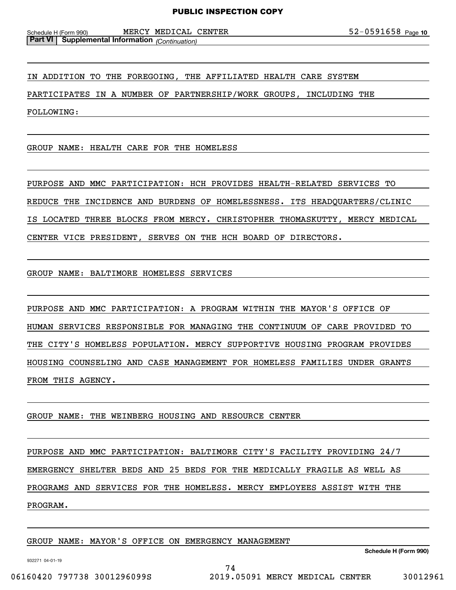Schedule H (Form 990) MERCY MEDICAL CENTER 5 2 – 0 5 9 1 6 5 8 Page **Part VI Supplemental Information** *(Continuation)*

IN ADDITION TO THE FOREGOING, THE AFFILIATED HEALTH CARE SYSTEM

PARTICIPATES IN A NUMBER OF PARTNERSHIP/WORK GROUPS, INCLUDING THE

FOLLOWING:

GROUP NAME: HEALTH CARE FOR THE HOMELESS

PURPOSE AND MMC PARTICIPATION: HCH PROVIDES HEALTH-RELATED SERVICES TO REDUCE THE INCIDENCE AND BURDENS OF HOMELESSNESS. ITS HEADQUARTERS/CLINIC IS LOCATED THREE BLOCKS FROM MERCY. CHRISTOPHER THOMASKUTTY, MERCY MEDICAL CENTER VICE PRESIDENT, SERVES ON THE HCH BOARD OF DIRECTORS.

GROUP NAME: BALTIMORE HOMELESS SERVICES

PURPOSE AND MMC PARTICIPATION: A PROGRAM WITHIN THE MAYOR'S OFFICE OF HUMAN SERVICES RESPONSIBLE FOR MANAGING THE CONTINUUM OF CARE PROVIDED TO THE CITY'S HOMELESS POPULATION. MERCY SUPPORTIVE HOUSING PROGRAM PROVIDES HOUSING COUNSELING AND CASE MANAGEMENT FOR HOMELESS FAMILIES UNDER GRANTS FROM THIS AGENCY.

GROUP NAME: THE WEINBERG HOUSING AND RESOURCE CENTER

PURPOSE AND MMC PARTICIPATION: BALTIMORE CITY'S FACILITY PROVIDING 24/7 EMERGENCY SHELTER BEDS AND 25 BEDS FOR THE MEDICALLY FRAGILE AS WELL AS PROGRAMS AND SERVICES FOR THE HOMELESS. MERCY EMPLOYEES ASSIST WITH THE PROGRAM.

74

GROUP NAME: MAYOR'S OFFICE ON EMERGENCY MANAGEMENT

**Schedule H (Form 990)**

932271 04-01-19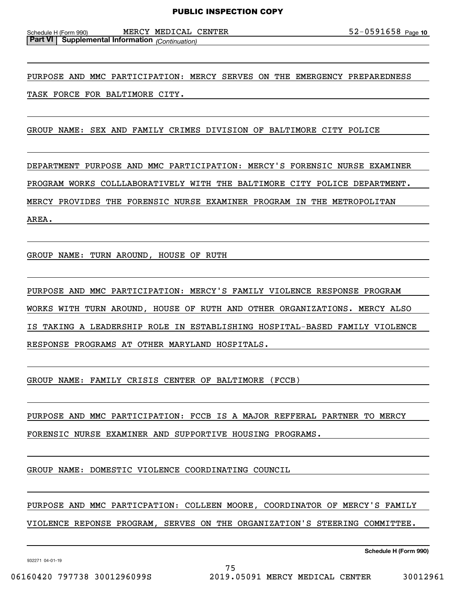Schedule H (Form 990) MERCY MEDICAL CENTER 5 2 – 0 5 9 1 6 5 8 Page **Part VI Supplemental Information** *(Continuation)*

PURPOSE AND MMC PARTICIPATION: MERCY SERVES ON THE EMERGENCY PREPAREDNESS TASK FORCE FOR BALTIMORE CITY.

GROUP NAME: SEX AND FAMILY CRIMES DIVISION OF BALTIMORE CITY POLICE

DEPARTMENT PURPOSE AND MMC PARTICIPATION: MERCY'S FORENSIC NURSE EXAMINER PROGRAM WORKS COLLLABORATIVELY WITH THE BALTIMORE CITY POLICE DEPARTMENT. MERCY PROVIDES THE FORENSIC NURSE EXAMINER PROGRAM IN THE METROPOLITAN AREA.

GROUP NAME: TURN AROUND, HOUSE OF RUTH

PURPOSE AND MMC PARTICIPATION: MERCY'S FAMILY VIOLENCE RESPONSE PROGRAM WORKS WITH TURN AROUND, HOUSE OF RUTH AND OTHER ORGANIZATIONS. MERCY ALSO IS TAKING A LEADERSHIP ROLE IN ESTABLISHING HOSPITAL-BASED FAMILY VIOLENCE RESPONSE PROGRAMS AT OTHER MARYLAND HOSPITALS.

GROUP NAME: FAMILY CRISIS CENTER OF BALTIMORE (FCCB)

PURPOSE AND MMC PARTICIPATION: FCCB IS A MAJOR REFFERAL PARTNER TO MERCY FORENSIC NURSE EXAMINER AND SUPPORTIVE HOUSING PROGRAMS.

GROUP NAME: DOMESTIC VIOLENCE COORDINATING COUNCIL

PURPOSE AND MMC PARTICPATION: COLLEEN MOORE, COORDINATOR OF MERCY'S FAMILY VIOLENCE REPONSE PROGRAM, SERVES ON THE ORGANIZATION'S STEERING COMMITTEE.

932271 04-01-19

**Schedule H (Form 990)**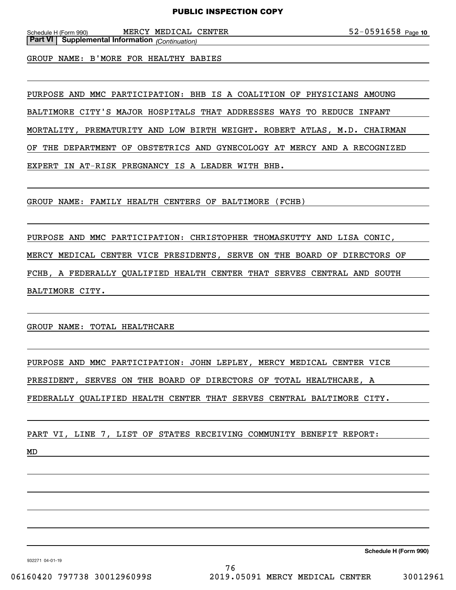Schedule H (Form 990) MERCY MEDICAL CENTER 5 2 – 0 5 9 1 6 5 8 Page **Part VI Supplemental Information** *(Continuation)*

GROUP NAME: B'MORE FOR HEALTHY BABIES

PURPOSE AND MMC PARTICIPATION: BHB IS A COALITION OF PHYSICIANS AMOUNG

BALTIMORE CITY'S MAJOR HOSPITALS THAT ADDRESSES WAYS TO REDUCE INFANT

MORTALITY, PREMATURITY AND LOW BIRTH WEIGHT. ROBERT ATLAS, M.D. CHAIRMAN

OF THE DEPARTMENT OF OBSTETRICS AND GYNECOLOGY AT MERCY AND A RECOGNIZED

EXPERT IN AT-RISK PREGNANCY IS A LEADER WITH BHB.

GROUP NAME: FAMILY HEALTH CENTERS OF BALTIMORE (FCHB)

PURPOSE AND MMC PARTICIPATION: CHRISTOPHER THOMASKUTTY AND LISA CONIC, MERCY MEDICAL CENTER VICE PRESIDENTS, SERVE ON THE BOARD OF DIRECTORS OF FCHB, A FEDERALLY QUALIFIED HEALTH CENTER THAT SERVES CENTRAL AND SOUTH BALTIMORE CITY.

GROUP NAME: TOTAL HEALTHCARE

PURPOSE AND MMC PARTICIPATION: JOHN LEPLEY, MERCY MEDICAL CENTER VICE

PRESIDENT, SERVES ON THE BOARD OF DIRECTORS OF TOTAL HEALTHCARE, A

FEDERALLY QUALIFIED HEALTH CENTER THAT SERVES CENTRAL BALTIMORE CITY.

PART VI, LINE 7, LIST OF STATES RECEIVING COMMUNITY BENEFIT REPORT:

MD

**Schedule H (Form 990)**

932271 04-01-19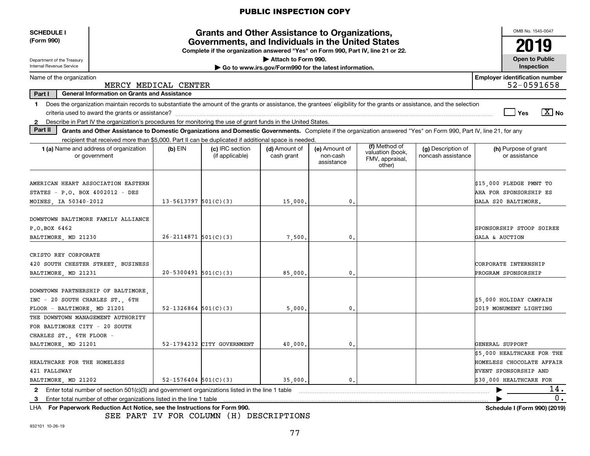| <b>SCHEDULE I</b><br>(Form 990)                                                                                                                                                                                                                                                                    |                                                                                                                                                                                                                                                                                           | OMB No. 1545-0047<br>2019  |                            |                                                                              |              |  |  |                                                                                                      |  |  |  |
|----------------------------------------------------------------------------------------------------------------------------------------------------------------------------------------------------------------------------------------------------------------------------------------------------|-------------------------------------------------------------------------------------------------------------------------------------------------------------------------------------------------------------------------------------------------------------------------------------------|----------------------------|----------------------------|------------------------------------------------------------------------------|--------------|--|--|------------------------------------------------------------------------------------------------------|--|--|--|
| Department of the Treasury<br>Internal Revenue Service                                                                                                                                                                                                                                             |                                                                                                                                                                                                                                                                                           |                            |                            | Attach to Form 990.<br>Go to www.irs.gov/Form990 for the latest information. |              |  |  | <b>Open to Public</b><br>Inspection                                                                  |  |  |  |
| Name of the organization                                                                                                                                                                                                                                                                           | MERCY MEDICAL CENTER                                                                                                                                                                                                                                                                      |                            |                            |                                                                              |              |  |  | <b>Employer identification number</b><br>52-0591658                                                  |  |  |  |
| Part I                                                                                                                                                                                                                                                                                             | <b>General Information on Grants and Assistance</b>                                                                                                                                                                                                                                       |                            |                            |                                                                              |              |  |  |                                                                                                      |  |  |  |
| $\mathbf 1$<br>$\mathbf{2}$                                                                                                                                                                                                                                                                        | Does the organization maintain records to substantiate the amount of the grants or assistance, the grantees' eligibility for the grants or assistance, and the selection<br>Describe in Part IV the organization's procedures for monitoring the use of grant funds in the United States. |                            |                            |                                                                              |              |  |  | $\boxed{\text{X}}$ No<br>Yes                                                                         |  |  |  |
| Part II                                                                                                                                                                                                                                                                                            | Grants and Other Assistance to Domestic Organizations and Domestic Governments. Complete if the organization answered "Yes" on Form 990, Part IV, line 21, for any                                                                                                                        |                            |                            |                                                                              |              |  |  |                                                                                                      |  |  |  |
|                                                                                                                                                                                                                                                                                                    | recipient that received more than \$5,000. Part II can be duplicated if additional space is needed.<br>(f) Method of<br>(h) Purpose of grant                                                                                                                                              |                            |                            |                                                                              |              |  |  |                                                                                                      |  |  |  |
| 1 (a) Name and address of organization<br>$(b)$ EIN<br>(c) IRC section<br>(d) Amount of<br>(e) Amount of<br>(g) Description of<br>valuation (book,<br>or government<br>(if applicable)<br>cash grant<br>non-cash<br>noncash assistance<br>or assistance<br>FMV, appraisal,<br>assistance<br>other) |                                                                                                                                                                                                                                                                                           |                            |                            |                                                                              |              |  |  |                                                                                                      |  |  |  |
| AMERICAN HEART ASSOCIATION EASTERN<br>STATES - P.O. BOX 4002012 - DES<br>MOINES, IA 50340-2012                                                                                                                                                                                                     |                                                                                                                                                                                                                                                                                           | $13 - 5613797$ $501(C)(3)$ |                            | 15,000,                                                                      | 0.           |  |  | \$15,000 PLEDGE PMNT TO<br>AHA FOR SPONSORSHIP ES<br>GALA S20 BALTIMORE.                             |  |  |  |
| DOWNTOWN BALTIMORE FAMILY ALLIANCE<br>P.O.BOX 6462<br>BALTIMORE, MD 21230                                                                                                                                                                                                                          |                                                                                                                                                                                                                                                                                           | $26 - 2114871$ 501(C)(3)   |                            | 7,500                                                                        | $\mathbf{0}$ |  |  | SPONSORSHIP STOOP SOIREE<br>GALA & AUCTION                                                           |  |  |  |
| CRISTO REY CORPORATE<br>420 SOUTH CHESTER STREET, BUSINESS<br>BALTIMORE, MD 21231                                                                                                                                                                                                                  |                                                                                                                                                                                                                                                                                           | $20 - 5300491$ 501(C)(3)   |                            | 85,000,                                                                      | 0.           |  |  | CORPORATE INTERNSHIP<br>PROGRAM SPONSORSHIP                                                          |  |  |  |
| DOWNTOWN PARTNERSHIP OF BALTIMORE<br>INC - 20 SOUTH CHARLES ST., 6TH<br>FLOOR - BALTIMORE, MD 21201                                                                                                                                                                                                |                                                                                                                                                                                                                                                                                           | $52 - 1326864$ $501(C)(3)$ |                            | 5,000                                                                        | 0.           |  |  | \$5,000 HOLIDAY CAMPAIN<br>2019 MONUMENT LIGHTING                                                    |  |  |  |
| THE DOWNTOWN MANAGEMENT AUTHORITY<br>FOR BALTIMORE CITY - 20 SOUTH<br>CHARLES ST., 6TH FLOOR -                                                                                                                                                                                                     |                                                                                                                                                                                                                                                                                           |                            |                            |                                                                              |              |  |  |                                                                                                      |  |  |  |
| BALTIMORE, MD 21201<br>HEALTHCARE FOR THE HOMELESS<br>421 FALLSWAY                                                                                                                                                                                                                                 |                                                                                                                                                                                                                                                                                           |                            | 52-1794232 CITY GOVERNMENT | 40,000                                                                       | $\mathbf{0}$ |  |  | GENERAL SUPPORT<br>$$5,000$ HEALTHCARE FOR THE<br>HOMELESS CHOCOLATE AFFAIR<br>EVENT SPONSORSHIP AND |  |  |  |
| BALTIMORE, MD 21202                                                                                                                                                                                                                                                                                |                                                                                                                                                                                                                                                                                           | $52 - 1576404$ $501(C)(3)$ |                            | 35,000,                                                                      | $\mathbf{0}$ |  |  | \$30.000 HEALTHCARE FOR                                                                              |  |  |  |
| $\mathbf{2}$                                                                                                                                                                                                                                                                                       | Enter total number of section 501(c)(3) and government organizations listed in the line 1 table                                                                                                                                                                                           |                            |                            |                                                                              |              |  |  | 14.                                                                                                  |  |  |  |
|                                                                                                                                                                                                                                                                                                    | 0.<br>Enter total number of other organizations listed in the line 1 table<br>3<br>Schedule I (Form 990) (2019)<br>LHA For Paperwork Reduction Act Notice, see the Instructions for Form 990.                                                                                             |                            |                            |                                                                              |              |  |  |                                                                                                      |  |  |  |

SEE PART IV FOR COLUMN (H) DESCRIPTIONS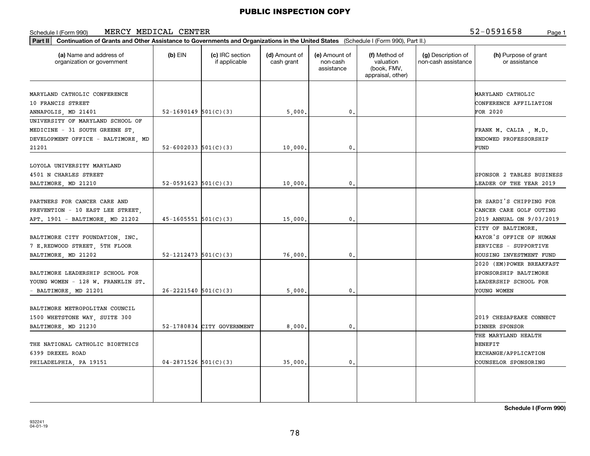#### Schedule I (Form 990) Page 1 MERCY MEDICAL CENTER

52-0591658

| $(b)$ EIN<br>52-1690149 $501(C)(3)$ | (c) IRC section<br>if applicable<br>52-6002033 $501(C)(3)$ | (d) Amount of<br>cash grant<br>5,000                                                                                                         | (e) Amount of<br>non-cash<br>assistance<br>0. | (f) Method of<br>valuation<br>(book, FMV,<br>appraisal, other) | (g) Description of<br>non-cash assistance | (h) Purpose of grant<br>or assistance<br>MARYLAND CATHOLIC<br>CONFERENCE AFFILIATION<br>FOR 2020         |
|-------------------------------------|------------------------------------------------------------|----------------------------------------------------------------------------------------------------------------------------------------------|-----------------------------------------------|----------------------------------------------------------------|-------------------------------------------|----------------------------------------------------------------------------------------------------------|
|                                     |                                                            |                                                                                                                                              |                                               |                                                                |                                           |                                                                                                          |
|                                     |                                                            |                                                                                                                                              |                                               |                                                                |                                           |                                                                                                          |
|                                     |                                                            |                                                                                                                                              |                                               |                                                                |                                           |                                                                                                          |
|                                     |                                                            |                                                                                                                                              |                                               |                                                                |                                           |                                                                                                          |
|                                     |                                                            |                                                                                                                                              |                                               |                                                                |                                           | FRANK M. CALIA, M.D.<br>ENDOWED PROFESSORSHIP                                                            |
|                                     |                                                            | 10,000                                                                                                                                       | 0.                                            |                                                                |                                           | FUND                                                                                                     |
|                                     | 52-0591623 $501(C)(3)$                                     | 10,000                                                                                                                                       | 0.                                            |                                                                |                                           | SPONSOR 2 TABLES BUSINESS<br><b>LEADER OF THE YEAR 2019</b>                                              |
|                                     |                                                            | 15,000                                                                                                                                       | $\mathfrak o$ .                               |                                                                |                                           | DR SARDI'S CHIPPING FOR<br>CANCER CARE GOLF OUTING<br>2019 ANNUAL ON 9/03/2019                           |
|                                     |                                                            |                                                                                                                                              |                                               |                                                                |                                           | CITY OF BALTIMORE.<br><b>MAYOR'S OFFICE OF HUMAN</b><br>SERVICES - SUPPORTIVE<br>HOUSING INVESTMENT FUND |
|                                     |                                                            | 5,000                                                                                                                                        | $\mathbf{0}$                                  |                                                                |                                           | 2020 (EM)POWER BREAKFAST<br>SPONSORSHIP BALTIMORE<br>LEADERSHIP SCHOOL FOR<br>YOUNG WOMEN                |
|                                     |                                                            | 8,000                                                                                                                                        | 0.                                            |                                                                |                                           | 2019 CHESAPEAKE CONNECT<br>DINNER SPONSOR                                                                |
|                                     |                                                            | 35,000                                                                                                                                       | 0.                                            |                                                                |                                           | THE MARYLAND HEALTH<br>BENEFIT<br>EXCHANGE/APPLICATION<br>COUNSELOR SPONSORING                           |
|                                     |                                                            | $45-1605551$ $501(C)(3)$<br>$52 - 1212473$ $501(C)(3)$<br>$26 - 2221540$ 501(C)(3)<br>52-1780834 CITY GOVERNMENT<br>$04 - 2871526$ 501(C)(3) | 76,000                                        | $\mathbf{0}$                                                   |                                           |                                                                                                          |

**Schedule I (Form 990)**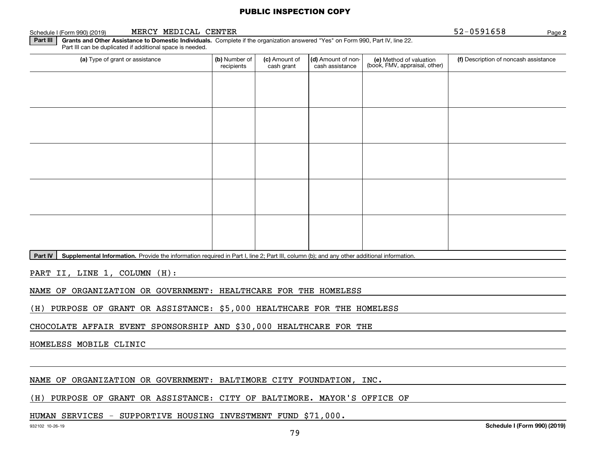#### Schedule I (Form 990) (2019) **MERCY MEDICAL CENTER** 5 2-0 5 9 1 6 5 8 Page

**2**

**Part III | Grants and Other Assistance to Domestic Individuals. Complete if the organization answered "Yes" on Form 990, Part IV, line 22.** Part III can be duplicated if additional space is needed.

| (a) Type of grant or assistance | (b) Number of<br>recipients | (c) Amount of<br>cash grant | (d) Amount of non-<br>cash assistance | (e) Method of valuation<br>(book, FMV, appraisal, other) | (f) Description of noncash assistance |
|---------------------------------|-----------------------------|-----------------------------|---------------------------------------|----------------------------------------------------------|---------------------------------------|
|                                 |                             |                             |                                       |                                                          |                                       |
|                                 |                             |                             |                                       |                                                          |                                       |
|                                 |                             |                             |                                       |                                                          |                                       |
|                                 |                             |                             |                                       |                                                          |                                       |
|                                 |                             |                             |                                       |                                                          |                                       |
|                                 |                             |                             |                                       |                                                          |                                       |
|                                 |                             |                             |                                       |                                                          |                                       |
|                                 |                             |                             |                                       |                                                          |                                       |
|                                 |                             |                             |                                       |                                                          |                                       |
|                                 |                             |                             |                                       |                                                          |                                       |

**Part IV** | Supplemental Information. Provide the information required in Part I, line 2; Part III, column (b); and any other additional information.<br>

PART II, LINE 1, COLUMN (H):

NAME OF ORGANIZATION OR GOVERNMENT: HEALTHCARE FOR THE HOMELESS

(H) PURPOSE OF GRANT OR ASSISTANCE: \$5,000 HEALTHCARE FOR THE HOMELESS

CHOCOLATE AFFAIR EVENT SPONSORSHIP AND \$30,000 HEALTHCARE FOR THE

HOMELESS MOBILE CLINIC

NAME OF ORGANIZATION OR GOVERNMENT: BALTIMORE CITY FOUNDATION, INC.

(H) PURPOSE OF GRANT OR ASSISTANCE: CITY OF BALTIMORE. MAYOR'S OFFICE OF

# HUMAN SERVICES - SUPPORTIVE HOUSING INVESTMENT FUND \$71,000.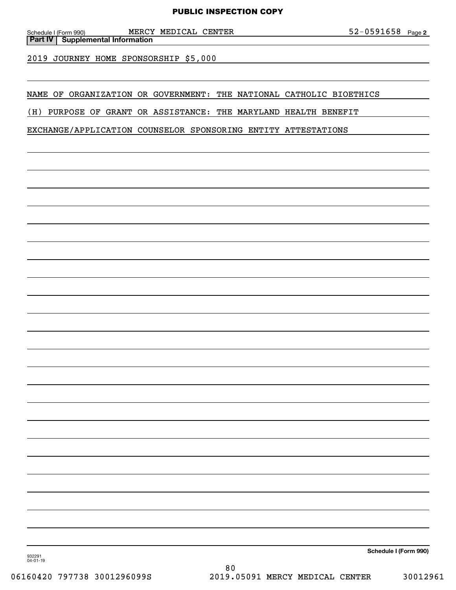**Part IV Supplemental Information**

2019 JOURNEY HOME SPONSORSHIP \$5,000

NAME OF ORGANIZATION OR GOVERNMENT: THE NATIONAL CATHOLIC BIOETHICS

(H) PURPOSE OF GRANT OR ASSISTANCE: THE MARYLAND HEALTH BENEFIT

EXCHANGE/APPLICATION COUNSELOR SPONSORING ENTITY ATTESTATIONS

**Schedule I (Form 990)**

932291 04-01-19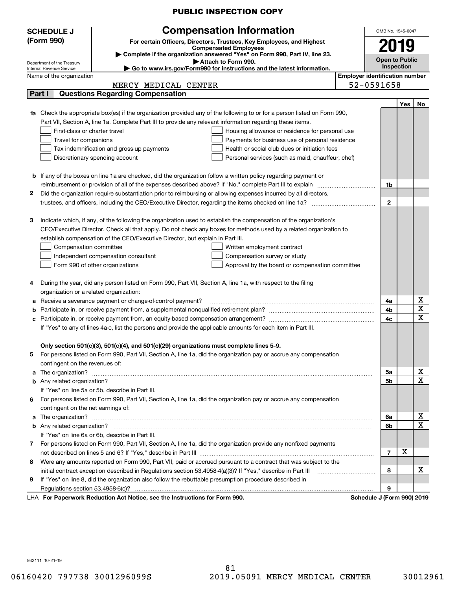|                                                                                                                        |                                                                                                                        | <b>PUBLIC INSPECTION COPY</b>                                                                                                                                                                                                        |                                       |                         |     |             |  |
|------------------------------------------------------------------------------------------------------------------------|------------------------------------------------------------------------------------------------------------------------|--------------------------------------------------------------------------------------------------------------------------------------------------------------------------------------------------------------------------------------|---------------------------------------|-------------------------|-----|-------------|--|
| <b>SCHEDULE J</b>                                                                                                      |                                                                                                                        | <b>Compensation Information</b>                                                                                                                                                                                                      |                                       | OMB No. 1545-0047       |     |             |  |
| (Form 990)                                                                                                             |                                                                                                                        | For certain Officers, Directors, Trustees, Key Employees, and Highest                                                                                                                                                                |                                       |                         |     |             |  |
|                                                                                                                        |                                                                                                                        | <b>Compensated Employees</b>                                                                                                                                                                                                         |                                       |                         |     |             |  |
| Department of the Treasury                                                                                             |                                                                                                                        | Complete if the organization answered "Yes" on Form 990, Part IV, line 23.<br>Attach to Form 990.                                                                                                                                    |                                       | <b>Open to Public</b>   |     |             |  |
| Internal Revenue Service                                                                                               |                                                                                                                        | Go to www.irs.gov/Form990 for instructions and the latest information.                                                                                                                                                               |                                       | Inspection              |     |             |  |
| Name of the organization                                                                                               |                                                                                                                        |                                                                                                                                                                                                                                      | <b>Employer identification number</b> |                         |     |             |  |
|                                                                                                                        | MERCY MEDICAL CENTER                                                                                                   |                                                                                                                                                                                                                                      | 52-0591658                            |                         |     |             |  |
| Part I                                                                                                                 | <b>Questions Regarding Compensation</b>                                                                                |                                                                                                                                                                                                                                      |                                       |                         |     |             |  |
|                                                                                                                        |                                                                                                                        |                                                                                                                                                                                                                                      |                                       |                         | Yes | No          |  |
|                                                                                                                        |                                                                                                                        | <b>1a</b> Check the appropriate box(es) if the organization provided any of the following to or for a person listed on Form 990,                                                                                                     |                                       |                         |     |             |  |
|                                                                                                                        | Part VII, Section A, line 1a. Complete Part III to provide any relevant information regarding these items.             |                                                                                                                                                                                                                                      |                                       |                         |     |             |  |
|                                                                                                                        | First-class or charter travel                                                                                          | Housing allowance or residence for personal use                                                                                                                                                                                      |                                       |                         |     |             |  |
| Travel for companions                                                                                                  |                                                                                                                        | Payments for business use of personal residence                                                                                                                                                                                      |                                       |                         |     |             |  |
|                                                                                                                        | Health or social club dues or initiation fees<br>Tax indemnification and gross-up payments                             |                                                                                                                                                                                                                                      |                                       |                         |     |             |  |
|                                                                                                                        | Discretionary spending account                                                                                         | Personal services (such as maid, chauffeur, chef)                                                                                                                                                                                    |                                       |                         |     |             |  |
|                                                                                                                        |                                                                                                                        |                                                                                                                                                                                                                                      |                                       |                         |     |             |  |
|                                                                                                                        | <b>b</b> If any of the boxes on line 1a are checked, did the organization follow a written policy regarding payment or |                                                                                                                                                                                                                                      |                                       |                         |     |             |  |
|                                                                                                                        | reimbursement or provision of all of the expenses described above? If "No," complete Part III to explain               |                                                                                                                                                                                                                                      |                                       | 1b                      |     |             |  |
| 2.<br>Did the organization require substantiation prior to reimbursing or allowing expenses incurred by all directors, |                                                                                                                        |                                                                                                                                                                                                                                      |                                       |                         |     |             |  |
|                                                                                                                        | trustees, and officers, including the CEO/Executive Director, regarding the items checked on line 1a?                  |                                                                                                                                                                                                                                      |                                       |                         |     |             |  |
|                                                                                                                        |                                                                                                                        |                                                                                                                                                                                                                                      |                                       |                         |     |             |  |
| З                                                                                                                      |                                                                                                                        | Indicate which, if any, of the following the organization used to establish the compensation of the organization's                                                                                                                   |                                       |                         |     |             |  |
|                                                                                                                        |                                                                                                                        | CEO/Executive Director. Check all that apply. Do not check any boxes for methods used by a related organization to                                                                                                                   |                                       |                         |     |             |  |
|                                                                                                                        | establish compensation of the CEO/Executive Director, but explain in Part III.                                         |                                                                                                                                                                                                                                      |                                       |                         |     |             |  |
| Compensation committee                                                                                                 |                                                                                                                        | Written employment contract                                                                                                                                                                                                          |                                       |                         |     |             |  |
|                                                                                                                        | Independent compensation consultant                                                                                    | Compensation survey or study                                                                                                                                                                                                         |                                       |                         |     |             |  |
|                                                                                                                        | Form 990 of other organizations                                                                                        | Approval by the board or compensation committee                                                                                                                                                                                      |                                       |                         |     |             |  |
| 4                                                                                                                      | During the year, did any person listed on Form 990, Part VII, Section A, line 1a, with respect to the filing           |                                                                                                                                                                                                                                      |                                       |                         |     |             |  |
|                                                                                                                        | organization or a related organization:                                                                                |                                                                                                                                                                                                                                      |                                       |                         |     |             |  |
| а                                                                                                                      | Receive a severance payment or change-of-control payment?                                                              |                                                                                                                                                                                                                                      |                                       | 4a                      |     | х           |  |
| b                                                                                                                      | Participate in, or receive payment from, a supplemental nonqualified retirement plan?                                  |                                                                                                                                                                                                                                      |                                       | 4b                      |     | X           |  |
|                                                                                                                        |                                                                                                                        |                                                                                                                                                                                                                                      |                                       | 4с                      |     | $\mathbf X$ |  |
|                                                                                                                        | If "Yes" to any of lines 4a-c, list the persons and provide the applicable amounts for each item in Part III.          |                                                                                                                                                                                                                                      |                                       |                         |     |             |  |
|                                                                                                                        |                                                                                                                        |                                                                                                                                                                                                                                      |                                       |                         |     |             |  |
|                                                                                                                        | Only section 501(c)(3), 501(c)(4), and 501(c)(29) organizations must complete lines 5-9.                               |                                                                                                                                                                                                                                      |                                       |                         |     |             |  |
| 5                                                                                                                      |                                                                                                                        | For persons listed on Form 990, Part VII, Section A, line 1a, did the organization pay or accrue any compensation                                                                                                                    |                                       |                         |     |             |  |
| contingent on the revenues of:                                                                                         |                                                                                                                        |                                                                                                                                                                                                                                      |                                       |                         |     | х           |  |
| a                                                                                                                      |                                                                                                                        | The organization? <b>William Commission Commission Commission</b> Commission Commission Commission Commission Commission                                                                                                             |                                       | 5a                      |     | X           |  |
|                                                                                                                        | If "Yes" on line 5a or 5b, describe in Part III.                                                                       |                                                                                                                                                                                                                                      |                                       | 5b                      |     |             |  |
|                                                                                                                        |                                                                                                                        |                                                                                                                                                                                                                                      |                                       |                         |     |             |  |
| 6.                                                                                                                     |                                                                                                                        | For persons listed on Form 990, Part VII, Section A, line 1a, did the organization pay or accrue any compensation                                                                                                                    |                                       |                         |     |             |  |
| contingent on the net earnings of:                                                                                     |                                                                                                                        |                                                                                                                                                                                                                                      |                                       |                         |     | х           |  |
|                                                                                                                        |                                                                                                                        | a The organization? <b>With the contract of the contract of the contract of the contract of the contract of the contract of the contract of the contract of the contract of the contract of the contract of the contract of the </b> |                                       | 6a                      |     | х           |  |
|                                                                                                                        |                                                                                                                        |                                                                                                                                                                                                                                      |                                       | 6b                      |     |             |  |
|                                                                                                                        | If "Yes" on line 6a or 6b, describe in Part III.                                                                       |                                                                                                                                                                                                                                      |                                       |                         |     |             |  |
|                                                                                                                        |                                                                                                                        | 7 For persons listed on Form 990, Part VII, Section A, line 1a, did the organization provide any nonfixed payments                                                                                                                   |                                       | $\overline{\mathbf{r}}$ | х   |             |  |
|                                                                                                                        |                                                                                                                        |                                                                                                                                                                                                                                      |                                       |                         |     |             |  |
| Were any amounts reported on Form 990, Part VII, paid or accrued pursuant to a contract that was subject to the<br>8   |                                                                                                                        |                                                                                                                                                                                                                                      |                                       |                         |     |             |  |
| If "Yes" on line 8, did the organization also follow the rebuttable presumption procedure described in                 |                                                                                                                        |                                                                                                                                                                                                                                      |                                       |                         |     | x           |  |
| 9                                                                                                                      |                                                                                                                        |                                                                                                                                                                                                                                      |                                       |                         |     |             |  |
|                                                                                                                        |                                                                                                                        |                                                                                                                                                                                                                                      |                                       | 9                       |     |             |  |
|                                                                                                                        | LHA For Paperwork Reduction Act Notice, see the Instructions for Form 990.                                             |                                                                                                                                                                                                                                      | Schedule J (Form 990) 2019            |                         |     |             |  |

932111 10-21-19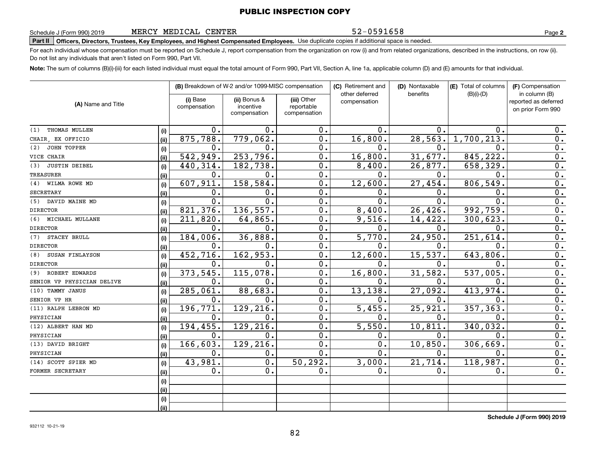MERCY MEDICAL CENTER

52-0591658

**2**

**Part II Officers, Directors, Trustees, Key Employees, and Highest Compensated Employees.**  Schedule J (Form 990) 2019 Page Use duplicate copies if additional space is needed.

For each individual whose compensation must be reported on Schedule J, report compensation from the organization on row (i) and from related organizations, described in the instructions, on row (ii). Do not list any individuals that aren't listed on Form 990, Part VII.

**Note:**  The sum of columns (B)(i)-(iii) for each listed individual must equal the total amount of Form 990, Part VII, Section A, line 1a, applicable column (D) and (E) amounts for that individual.

|                             |      |                          | (B) Breakdown of W-2 and/or 1099-MISC compensation |                                           | (C) Retirement and<br>other deferred | (D) Nontaxable<br>benefits | (E) Total of columns<br>$(B)(i)-(D)$ | (F) Compensation<br>in column (B)         |
|-----------------------------|------|--------------------------|----------------------------------------------------|-------------------------------------------|--------------------------------------|----------------------------|--------------------------------------|-------------------------------------------|
| (A) Name and Title          |      | (i) Base<br>compensation | (ii) Bonus &<br>incentive<br>compensation          | (iii) Other<br>reportable<br>compensation | compensation                         |                            |                                      | reported as deferred<br>on prior Form 990 |
| THOMAS MULLEN<br>(1)        | (i)  | $0$ .                    | $\mathbf{0}$ .                                     | 0.                                        | $\mathbf 0$ .                        | 0.                         | $\Omega$ .                           | 0.                                        |
| CHAIR EX OFFICIO            | (ii) | 875,788.                 | 779,062.                                           | 0.                                        | 16,800.                              | 28,563.                    | 1,700,213                            | 0.                                        |
| <b>JOHN TOPPER</b><br>(2)   | (i)  | 0.                       | 0.                                                 | 0.                                        | $\mathbf{0}$ .                       | $\mathbf{0}$ .             | $\mathbf{0}$ .                       | $\overline{0}$ .                          |
| VICE CHAIR                  | (ii) | 542,949.                 | 253,796.                                           | 0.                                        | 16,800.                              | 31,677.                    | 845, 222.                            | $\overline{0}$ .                          |
| <b>JUSTIN DEIBEL</b><br>(3) | (i)  | 440,314.                 | 182,738.                                           | 0.                                        | 8,400.                               | 26,877.                    | 658,329.                             | 0.                                        |
| <b>TREASURER</b>            | (ii) | 0.                       | 0.                                                 | 0.                                        | $\mathbf{0}$ .                       | $\mathbf 0$ .              | $\mathbf 0$ .                        | 0.                                        |
| WILMA ROWE MD<br>(4)        | (i)  | 607,911.                 | 158, 584.                                          | $\overline{0}$ .                          | 12,600.                              | 27,454.                    | 806,549.                             | $\overline{0}$ .                          |
| <b>SECRETARY</b>            | (ii) | 0.                       | 0.                                                 | $\overline{0}$ .                          | 0.                                   | 0.                         | 0.                                   | $\overline{0}$ .                          |
| DAVID MAINE MD<br>(5)       | (i)  | 0.                       | $\overline{0}$ .                                   | $\overline{0}$ .                          | $\overline{0}$ .                     | 0.                         | $\mathbf 0$ .                        | $\overline{0}$ .                          |
| <b>DIRECTOR</b>             | (ii) | 821,376.                 | 136,557.                                           | $\overline{0}$ .                          | 8,400.                               | 26,426.                    | 992,759.                             | 0.                                        |
| (6)<br>MICHAEL MULLANE      | (i)  | 211,820.                 | 64,865.                                            | 0.                                        | 9,516.                               | 14, 422.                   | 300, 623.                            | 0.                                        |
| <b>DIRECTOR</b>             | (ii) | $\mathbf 0$ .            | О.                                                 | $\overline{0}$ .                          | 0.                                   | 0.                         | $\mathbf 0$ .                        | $\overline{0}$ .                          |
| STACEY BRULL<br>(7)         | (i)  | 184,006.                 | 36,888.                                            | $\overline{0}$ .                          | $\overline{5,770}$ .                 | 24,950.                    | 251,614                              | 0.                                        |
| <b>DIRECTOR</b>             | (ii) | 0.                       | О.                                                 | $\overline{0}$ .                          | 0.                                   | $\mathbf 0$ .              | 0.                                   | 0.                                        |
| (8)<br>SUSAN FINLAYSON      | (i)  | 452,716.                 | 162,953.                                           | 0.                                        | 12,600.                              | 15,537.                    | 643,806                              | 0.                                        |
| <b>DIRECTOR</b>             | (ii) | 0.                       | О.                                                 | 0.                                        | Ο.                                   | 0.                         | $\mathbf 0$ .                        | 0.                                        |
| (9) ROBERT EDWARDS          | (i)  | 373,545.                 | 115,078.                                           | $\overline{0}$ .                          | 16,800.                              | 31,582.                    | 537,005                              | $\overline{0}$ .                          |
| SENIOR VP PHYSICIAN DELIVE  | (ii) | 0.                       | $\mathbf 0$ .                                      | $\overline{0}$ .                          | 0.                                   | $\mathbf{0}$ .             | 0.                                   | $\overline{0}$ .                          |
| (10) TAMMY JANUS            | (i)  | 285,061.                 | 88,683.                                            | $\overline{0}$ .                          | 13, 138.                             | 27,092.                    | 413,974.                             | 0.                                        |
| SENIOR VP HR                | (ii) | 0.                       | О.                                                 | $\overline{0}$ .                          | 0.                                   | $\mathbf{0}$ .             | 0.                                   | 0.                                        |
| (11) RALPH LEBRON MD        | (i)  | 196, 771.                | 129,216.                                           | 0.                                        | 5,455.                               | 25,921.                    | 357, 363.                            | 0.                                        |
| PHYSICIAN                   | (ii) | 0.                       | О.                                                 | 0.                                        | 0.                                   | $\mathbf 0$ .              | $\Omega$ .                           | $\mathbf 0$ .                             |
| (12) ALBERT HAN MD          | (i)  | 194, 455.                | 129, 216                                           | $\overline{0}$ .                          | 5,550.                               | 10, 811.                   | 340,032                              | $\overline{0}$ .                          |
| PHYSICIAN                   | (ii) | 0.                       | $\mathbf 0$ .                                      | $\overline{0}$ .                          | 0.                                   | $\mathbf 0$ .              | $\mathbf 0$ .                        | $\overline{0}$ .                          |
| (13) DAVID BRIGHT           | (i)  | 166,603.                 | 129,216                                            | $\overline{0}$ .                          | 0.                                   | 10,850.                    | 306,669                              | $\mathbf 0$ .                             |
| PHYSICIAN                   | (ii) | 0.                       | О.                                                 | $\overline{0}$ .                          | 0.                                   | $\mathbf{0}$ .             | 0.                                   | 0.                                        |
| (14) SCOTT SPIER MD         | (i)  | 43,981.                  | 0.                                                 | 50, 292.                                  | 3,000.                               | 21,714.                    | 118,987.                             | 0.                                        |
| FORMER SECRETARY            | (ii) | 0.                       | $\overline{0}$ .                                   | $\overline{0}$ .                          | 0.                                   | $\mathbf 0$ .              | $\mathbf 0$ .                        | $\overline{0}$ .                          |
|                             | (i)  |                          |                                                    |                                           |                                      |                            |                                      |                                           |
|                             | (i)  |                          |                                                    |                                           |                                      |                            |                                      |                                           |
|                             | (i)  |                          |                                                    |                                           |                                      |                            |                                      |                                           |
|                             | (ii) |                          |                                                    |                                           |                                      |                            |                                      |                                           |

**Schedule J (Form 990) 2019**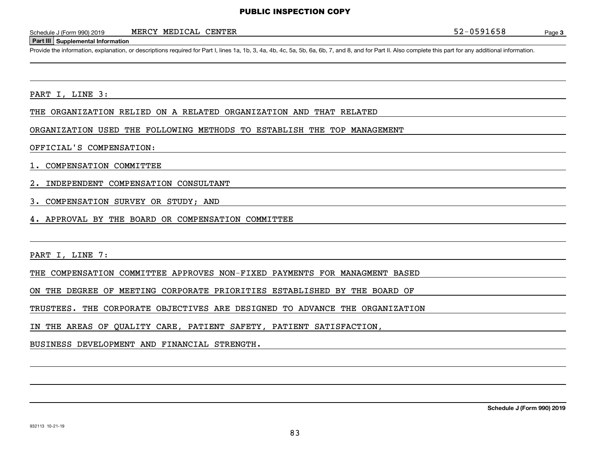MERCY MEDICAL CENTER

#### **Part III Supplemental Information**

Schedule J (Form 990) 2019 MERCY MEDICAL CENTER<br>
Part III Supplemental Information<br>
Provide the information, explanation, or descriptions required for Part I, lines 1a, 1b, 3, 4a, 4b, 4c, 5a, 5b, 6a, 6b, 7, and 8, and for

#### PART I, LINE 3:

THE ORGANIZATION RELIED ON A RELATED ORGANIZATION AND THAT RELATED

#### ORGANIZATION USED THE FOLLOWING METHODS TO ESTABLISH THE TOP MANAGEMENT

#### OFFICIAL'S COMPENSATION:

#### 1. COMPENSATION COMMITTEE

- 2. INDEPENDENT COMPENSATION CONSULTANT
- 3. COMPENSATION SURVEY OR STUDY; AND
- 4. APPROVAL BY THE BOARD OR COMPENSATION COMMITTEE

PART I, LINE 7:

THE COMPENSATION COMMITTEE APPROVES NON-FIXED PAYMENTS FOR MANAGMENT BASED

ON THE DEGREE OF MEETING CORPORATE PRIORITIES ESTABLISHED BY THE BOARD OF

TRUSTEES. THE CORPORATE OBJECTIVES ARE DESIGNED TO ADVANCE THE ORGANIZATION

IN THE AREAS OF QUALITY CARE, PATIENT SAFETY, PATIENT SATISFACTION,

BUSINESS DEVELOPMENT AND FINANCIAL STRENGTH.

**Schedule J (Form 990) 2019**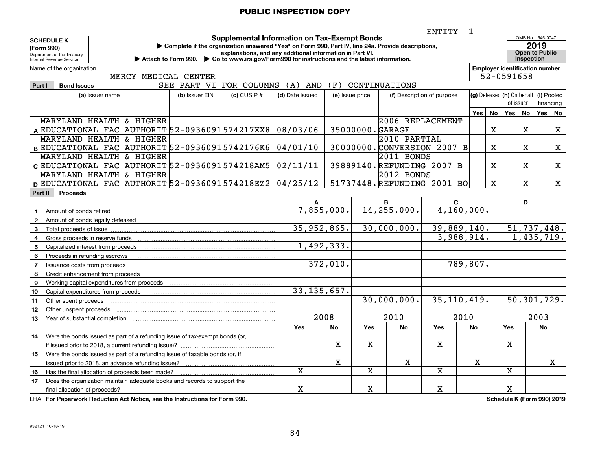|                                                                                   | ENTITY<br>1<br>OMB No. 1545-0047<br><b>Supplemental Information on Tax-Exempt Bonds</b>                           |                                                          |                 |               |                                               |                           |                             |                                         |             |                                       |                                     |           |    |
|-----------------------------------------------------------------------------------|-------------------------------------------------------------------------------------------------------------------|----------------------------------------------------------|-----------------|---------------|-----------------------------------------------|---------------------------|-----------------------------|-----------------------------------------|-------------|---------------------------------------|-------------------------------------|-----------|----|
| <b>SCHEDULE K</b><br>(Form 990)                                                   | Complete if the organization answered "Yes" on Form 990, Part IV, line 24a. Provide descriptions,                 |                                                          |                 |               |                                               |                           |                             |                                         |             |                                       | 2019                                |           |    |
| Department of the Treasury<br>Internal Revenue Service                            | Attach to Form 990. $\blacktriangleright$ Go to www.irs.gov/Form 990 for instructions and the latest information. | explanations, and any additional information in Part VI. |                 |               |                                               |                           |                             |                                         |             |                                       | <b>Open to Public</b><br>Inspection |           |    |
| Name of the organization                                                          |                                                                                                                   |                                                          |                 |               |                                               |                           |                             |                                         |             | <b>Employer identification number</b> |                                     |           |    |
| MERCY MEDICAL CENTER                                                              |                                                                                                                   |                                                          |                 |               |                                               |                           |                             |                                         |             | 52-0591658                            |                                     |           |    |
| Part I<br><b>Bond Issues</b>                                                      | SEE PART VI FOR COLUMNS                                                                                           |                                                          | (A)<br>AND      | (F)           |                                               | CONTINUATIONS             |                             |                                         |             |                                       |                                     |           |    |
| (a) Issuer name                                                                   | (b) Issuer EIN                                                                                                    | $(c)$ CUSIP $#$                                          | (d) Date issued |               | (e) Issue price<br>(f) Description of purpose |                           |                             | (g) Defeased (h) On behalf<br>of issuer |             |                                       | (i) Pooled<br>financing             |           |    |
|                                                                                   |                                                                                                                   |                                                          |                 |               |                                               |                           |                             | Yes I                                   | No          | Yes No                                |                                     | Yes       | No |
| MARYLAND HEALTH & HIGHER                                                          |                                                                                                                   |                                                          |                 |               |                                               | 2006 REPLACEMENT          |                             |                                         |             |                                       |                                     |           |    |
| A EDUCATIONAL FAC AUTHORIT 52-0936091574217XX8                                    |                                                                                                                   |                                                          | 08/03/06        |               |                                               | 35000000. GARAGE          |                             |                                         | $\mathbf X$ |                                       | X                                   |           | X  |
| MARYLAND HEALTH & HIGHER                                                          |                                                                                                                   |                                                          |                 |               |                                               | $2010$ PARTIAL            |                             |                                         |             |                                       |                                     |           |    |
| B EDUCATIONAL FAC AUTHORIT 52-09360915742176K6                                    |                                                                                                                   |                                                          | 04/01/10        |               |                                               |                           | 30000000. CONVERSION 2007 B |                                         | X           |                                       | х                                   |           | X  |
| MARYLAND HEALTH & HIGHER                                                          |                                                                                                                   |                                                          |                 |               |                                               | 2011 BONDS                |                             |                                         |             |                                       |                                     |           |    |
| c EDUCATIONAL FAC AUTHORIT 52-0936091574218AM5                                    |                                                                                                                   |                                                          | 02/11/11        |               |                                               | 39889140.REFUNDING 2007 B |                             |                                         | X           |                                       | X                                   |           | X  |
| MARYLAND HEALTH & HIGHER                                                          |                                                                                                                   |                                                          |                 |               |                                               | 2012 BONDS                |                             |                                         |             |                                       |                                     |           |    |
| D EDUCATIONAL FAC AUTHORIT 52-0936091 574218EZ2 04/25/12                          |                                                                                                                   |                                                          |                 |               |                                               |                           | 51737448. REFUNDING 2001 BO |                                         | X           |                                       | X                                   |           | X  |
| Part II<br><b>Proceeds</b>                                                        |                                                                                                                   |                                                          |                 |               |                                               |                           |                             |                                         |             |                                       |                                     |           |    |
|                                                                                   |                                                                                                                   |                                                          | A               |               |                                               | B                         | C                           |                                         |             |                                       | D                                   |           |    |
| Amount of bonds retired<br>$\mathbf{1}$                                           |                                                                                                                   |                                                          |                 | 7,855,000.    |                                               | 14,255,000.               | 4,160,000.                  |                                         |             |                                       |                                     |           |    |
| $\overline{2}$<br>Amount of bonds legally defeased                                |                                                                                                                   |                                                          |                 |               |                                               |                           |                             |                                         |             |                                       |                                     |           |    |
| Total proceeds of issue<br>3                                                      |                                                                                                                   |                                                          |                 | 35,952,865.   |                                               | 30,000,000.               | 39,889,140.                 |                                         |             | 51,737,448.                           |                                     |           |    |
| Gross proceeds in reserve funds<br>4                                              |                                                                                                                   |                                                          |                 |               |                                               |                           | 3,988,914.                  |                                         |             |                                       | 1,435,719.                          |           |    |
| 5<br>Capitalized interest from proceeds                                           |                                                                                                                   |                                                          |                 | 1,492,333.    |                                               |                           |                             |                                         |             |                                       |                                     |           |    |
| 6<br>Proceeds in refunding escrows                                                |                                                                                                                   |                                                          |                 |               |                                               |                           |                             |                                         |             |                                       |                                     |           |    |
| Issuance costs from proceeds<br>$\overline{7}$                                    |                                                                                                                   |                                                          |                 | 372,010.      |                                               |                           | 789,807.                    |                                         |             |                                       |                                     |           |    |
| Credit enhancement from proceeds<br>8                                             |                                                                                                                   |                                                          |                 |               |                                               |                           |                             |                                         |             |                                       |                                     |           |    |
| Working capital expenditures from proceeds<br>9                                   |                                                                                                                   |                                                          |                 | 33, 135, 657. |                                               |                           |                             |                                         |             |                                       |                                     |           |    |
| 10<br>Capital expenditures from proceeds                                          |                                                                                                                   |                                                          |                 |               |                                               | 30,000,000.               | 35, 110, 419.               |                                         |             | 50,301,729.                           |                                     |           |    |
| 11<br>Other spent proceeds<br>12<br>Other unspent proceeds                        |                                                                                                                   |                                                          |                 |               |                                               |                           |                             |                                         |             |                                       |                                     |           |    |
| 13<br>Year of substantial completion                                              |                                                                                                                   |                                                          |                 | 2008          |                                               | 2010                      | 2010                        |                                         |             |                                       |                                     | 2003      |    |
|                                                                                   |                                                                                                                   |                                                          | Yes             | <b>No</b>     | <b>Yes</b>                                    | <b>No</b>                 | Yes                         | <b>No</b>                               |             | <b>Yes</b>                            |                                     | <b>No</b> |    |
| Were the bonds issued as part of a refunding issue of tax-exempt bonds (or,<br>14 |                                                                                                                   |                                                          |                 |               |                                               |                           |                             |                                         |             |                                       |                                     |           |    |
|                                                                                   |                                                                                                                   |                                                          |                 | х             | х                                             |                           | $\mathbf X$                 |                                         |             | X                                     |                                     |           |    |
| Were the bonds issued as part of a refunding issue of taxable bonds (or, if<br>15 |                                                                                                                   |                                                          |                 |               |                                               |                           |                             |                                         |             |                                       |                                     |           |    |
| issued prior to 2018, an advance refunding issue)?                                |                                                                                                                   |                                                          |                 | $\mathbf X$   |                                               | х                         |                             | X                                       |             |                                       |                                     |           | X  |
| Has the final allocation of proceeds been made?<br>16                             |                                                                                                                   |                                                          | $\mathbf x$     |               | $\mathbf x$                                   |                           | $\overline{\mathbf{x}}$     |                                         |             | $\mathbf x$                           |                                     |           |    |
| Does the organization maintain adequate books and records to support the<br>17    |                                                                                                                   |                                                          |                 |               |                                               |                           |                             |                                         |             |                                       |                                     |           |    |
| final allocation of proceeds?                                                     |                                                                                                                   |                                                          | X               |               | х                                             |                           | $\mathbf X$                 |                                         |             | X                                     |                                     |           |    |

**For Paperwork Reduction Act Notice, see the Instructions for Form 990. Schedule K (Form 990) 2019** LHA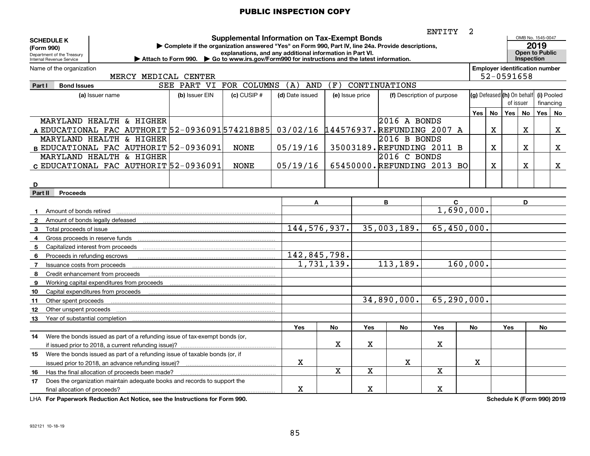|                                                                                    | 2<br>ENTITY<br>OMB No. 1545-0047<br><b>Supplemental Information on Tax-Exempt Bonds</b>           |                 |                                                          |                         |     |                            |                            |     |                                       |           |                       |            |             |
|------------------------------------------------------------------------------------|---------------------------------------------------------------------------------------------------|-----------------|----------------------------------------------------------|-------------------------|-----|----------------------------|----------------------------|-----|---------------------------------------|-----------|-----------------------|------------|-------------|
| <b>SCHEDULE K</b>                                                                  | Complete if the organization answered "Yes" on Form 990, Part IV, line 24a. Provide descriptions, |                 |                                                          |                         |     |                            |                            |     |                                       |           |                       | 2019       |             |
| (Form 990)<br>Department of the Treasury                                           |                                                                                                   |                 | explanations, and any additional information in Part VI. |                         |     |                            |                            |     |                                       |           | <b>Open to Public</b> |            |             |
| Internal Revenue Service                                                           | Attach to Form 990. Go to www.irs.gov/Form990 for instructions and the latest information.        |                 |                                                          |                         |     |                            |                            |     |                                       |           | <b>Inspection</b>     |            |             |
| Name of the organization                                                           |                                                                                                   |                 |                                                          |                         |     |                            |                            |     | <b>Employer identification number</b> |           |                       |            |             |
| MERCY MEDICAL CENTER                                                               |                                                                                                   |                 |                                                          |                         |     |                            |                            |     | 52-0591658                            |           |                       |            |             |
| <b>Bond Issues</b><br>Part I                                                       | SEE PART VI FOR COLUMNS<br>(F)<br>CONTINUATIONS<br>(A)<br><b>AND</b>                              |                 |                                                          |                         |     |                            |                            |     |                                       |           |                       |            |             |
| (a) Issuer name                                                                    | (b) Issuer EIN                                                                                    | $(c)$ CUSIP $#$ | (d) Date issued                                          | (e) Issue price         |     |                            | (f) Description of purpose |     | (g) Defeased (h) On behalf            |           |                       | (i) Pooled |             |
|                                                                                    |                                                                                                   |                 |                                                          |                         |     |                            |                            |     |                                       | of issuer |                       | financing  |             |
|                                                                                    |                                                                                                   |                 |                                                          |                         |     |                            |                            | Yes | No                                    | Yes I     | <b>No</b>             | Yes   No   |             |
| MARYLAND HEALTH & HIGHER                                                           |                                                                                                   |                 |                                                          |                         |     | $2016$ A BONDS             |                            |     |                                       |           |                       |            |             |
| A EDUCATIONAL FAC AUTHORIT 52-0936091574218B85                                     |                                                                                                   |                 | 03/02/16 144576937. REFUNDING 2007 A                     |                         |     |                            |                            |     | $\mathbf X$                           |           | $\mathbf X$           |            | $\mathbf X$ |
| MARYLAND HEALTH & HIGHER                                                           |                                                                                                   |                 |                                                          |                         |     | 2016 B BONDS               |                            |     |                                       |           |                       |            |             |
| B EDUCATIONAL FAC AUTHORIT 52-0936091                                              |                                                                                                   | <b>NONE</b>     | 05/19/16                                                 |                         |     | 35003189. REFUNDING 2011 B |                            |     | Х                                     |           | х                     |            | X           |
| MARYLAND HEALTH & HIGHER                                                           |                                                                                                   |                 |                                                          |                         |     | $2016$ C BONDS             |                            |     |                                       |           |                       |            |             |
| c EDUCATIONAL FAC AUTHORIT 52-0936091                                              |                                                                                                   | <b>NONE</b>     | 05/19/16                                                 |                         |     | 65450000.REFUNDING 2013 BO |                            |     | X                                     |           | X                     |            | X           |
|                                                                                    |                                                                                                   |                 |                                                          |                         |     |                            |                            |     |                                       |           |                       |            |             |
| D                                                                                  |                                                                                                   |                 |                                                          |                         |     |                            |                            |     |                                       |           |                       |            |             |
| Part II<br><b>Proceeds</b>                                                         |                                                                                                   |                 |                                                          |                         |     |                            |                            |     |                                       |           |                       |            |             |
|                                                                                    |                                                                                                   |                 | A                                                        |                         |     | В                          | C<br>1,690,000.            |     |                                       |           | D                     |            |             |
| Amount of bonds retired<br>$\mathbf 1$                                             |                                                                                                   |                 |                                                          |                         |     |                            |                            |     |                                       |           |                       |            |             |
| Amount of bonds legally defeased<br>$\mathbf{2}$<br>Total proceeds of issue        |                                                                                                   |                 | 144, 576, 937.                                           |                         |     | 35,003,189.                | 65,450,000.                |     |                                       |           |                       |            |             |
| -3<br>Gross proceeds in reserve funds<br>4                                         |                                                                                                   |                 |                                                          |                         |     |                            |                            |     |                                       |           |                       |            |             |
| 5<br>Capitalized interest from proceeds                                            |                                                                                                   |                 |                                                          |                         |     |                            |                            |     |                                       |           |                       |            |             |
| Proceeds in refunding escrows<br>6                                                 |                                                                                                   |                 | 142,845,798.                                             |                         |     |                            |                            |     |                                       |           |                       |            |             |
| Issuance costs from proceeds<br>$\overline{7}$                                     |                                                                                                   |                 | $\overline{1,731,139}$ .                                 |                         |     | 113,189.                   | 160,000.                   |     |                                       |           |                       |            |             |
| 8<br>Credit enhancement from proceeds                                              |                                                                                                   |                 |                                                          |                         |     |                            |                            |     |                                       |           |                       |            |             |
| 9<br>Working capital expenditures from proceeds                                    |                                                                                                   |                 |                                                          |                         |     |                            |                            |     |                                       |           |                       |            |             |
| 10<br>Capital expenditures from proceeds                                           |                                                                                                   |                 |                                                          |                         |     |                            |                            |     |                                       |           |                       |            |             |
| 11<br>Other spent proceeds                                                         |                                                                                                   |                 |                                                          |                         |     | 34,890,000.                | 65,290,000.                |     |                                       |           |                       |            |             |
| 12<br>Other unspent proceeds                                                       |                                                                                                   |                 |                                                          |                         |     |                            |                            |     |                                       |           |                       |            |             |
| Year of substantial completion<br>13                                               |                                                                                                   |                 |                                                          |                         |     |                            |                            |     |                                       |           |                       |            |             |
|                                                                                    |                                                                                                   |                 | Yes                                                      | No                      | Yes | No                         | Yes                        | No  |                                       | Yes       |                       | No         |             |
| Were the bonds issued as part of a refunding issue of tax-exempt bonds (or,<br>14. |                                                                                                   |                 |                                                          |                         |     |                            |                            |     |                                       |           |                       |            |             |
|                                                                                    |                                                                                                   |                 |                                                          | X                       | x   |                            | X                          |     |                                       |           |                       |            |             |
| Were the bonds issued as part of a refunding issue of taxable bonds (or, if<br>15  |                                                                                                   |                 |                                                          |                         |     |                            |                            |     |                                       |           |                       |            |             |
| issued prior to 2018, an advance refunding issue)?                                 |                                                                                                   |                 | x                                                        |                         |     | x                          |                            | x   |                                       |           |                       |            |             |
| Has the final allocation of proceeds been made?<br>16                              |                                                                                                   |                 |                                                          | $\overline{\mathbf{x}}$ | X   |                            | $\mathbf x$                |     |                                       |           |                       |            |             |
| Does the organization maintain adequate books and records to support the<br>17     |                                                                                                   |                 |                                                          |                         |     |                            |                            |     |                                       |           |                       |            |             |
| final allocation of proceeds?                                                      |                                                                                                   |                 | x                                                        |                         | X   |                            | x                          |     |                                       |           |                       |            |             |

**For Paperwork Reduction Act Notice, see the Instructions for Form 990. Schedule K (Form 990) 2019** LHA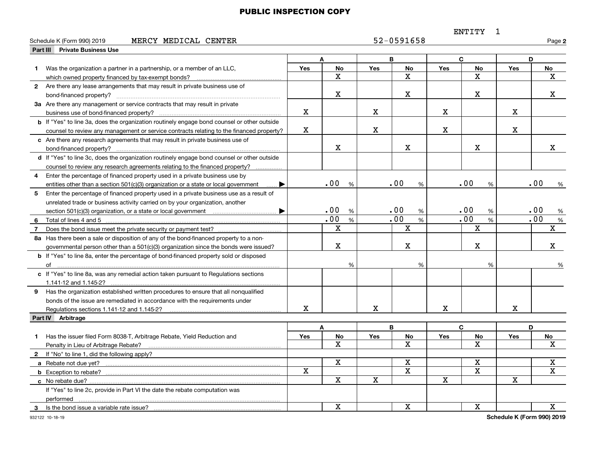## ENTITY 1

|    | MERCY MEDICAL CENTER<br>Schedule K (Form 990) 2019                                                 |             |                         |             | 52-0591658              |             |                         |             | Page 2                     |
|----|----------------------------------------------------------------------------------------------------|-------------|-------------------------|-------------|-------------------------|-------------|-------------------------|-------------|----------------------------|
|    | <b>Part III Private Business Use</b>                                                               |             |                         |             |                         |             |                         |             |                            |
|    |                                                                                                    |             | A                       |             | B                       |             | $\mathbf{C}$            |             | D                          |
| 1  | Was the organization a partner in a partnership, or a member of an LLC,                            | Yes         | <b>No</b>               | <b>Yes</b>  | <b>No</b>               | <b>Yes</b>  | <b>No</b>               | Yes         | No                         |
|    | which owned property financed by tax-exempt bonds?                                                 |             | $\mathbf X$             |             | $\mathbf X$             |             | $\mathbf X$             |             | х                          |
|    | 2 Are there any lease arrangements that may result in private business use of                      |             |                         |             |                         |             |                         |             |                            |
|    |                                                                                                    |             | х                       |             | X                       |             | X                       |             | x                          |
|    | 3a Are there any management or service contracts that may result in private                        |             |                         |             |                         |             |                         |             |                            |
|    | business use of bond-financed property?                                                            | $\mathbf X$ |                         | $\mathbf X$ |                         | $\mathbf X$ |                         | $\mathbf X$ |                            |
|    | <b>b</b> If "Yes" to line 3a, does the organization routinely engage bond counsel or other outside |             |                         |             |                         |             |                         |             |                            |
|    | counsel to review any management or service contracts relating to the financed property?           | X           |                         | $\mathbf X$ |                         | $\mathbf X$ |                         | X           |                            |
|    | c Are there any research agreements that may result in private business use of                     |             |                         |             |                         |             |                         |             |                            |
|    | bond-financed property?                                                                            |             | X                       |             | X                       |             | $\mathbf X$             |             | X.                         |
|    | d If "Yes" to line 3c, does the organization routinely engage bond counsel or other outside        |             |                         |             |                         |             |                         |             |                            |
|    | counsel to review any research agreements relating to the financed property?                       |             |                         |             |                         |             |                         |             |                            |
| 4  | Enter the percentage of financed property used in a private business use by                        |             |                         |             |                         |             |                         |             |                            |
|    | entities other than a section 501(c)(3) organization or a state or local government                |             | .00<br>%                |             | .00<br>%                |             | .00<br>%                |             | .00<br>%                   |
|    | 5 Enter the percentage of financed property used in a private business use as a result of          |             |                         |             |                         |             |                         |             |                            |
|    | unrelated trade or business activity carried on by your organization, another                      |             |                         |             |                         |             |                         |             |                            |
|    | ▶                                                                                                  |             | .00<br>%                |             | .00<br>%                |             | .00<br>%                |             | .00<br>%                   |
| 6  | Total of lines 4 and 5.                                                                            |             | .00<br>%                |             | .00<br>%                |             | .00<br>%                |             | .00<br>$\%$                |
| 7  |                                                                                                    |             | $\mathbf X$             |             | $\overline{\mathbf{x}}$ |             | $\overline{\mathbf{x}}$ |             | $\mathbf X$                |
|    | 8a Has there been a sale or disposition of any of the bond-financed property to a non-             |             |                         |             |                         |             |                         |             |                            |
|    | governmental person other than a 501(c)(3) organization since the bonds were issued?               |             | X                       |             | X                       |             | X                       |             | x                          |
|    | b If "Yes" to line 8a, enter the percentage of bond-financed property sold or disposed             |             |                         |             |                         |             |                         |             |                            |
|    |                                                                                                    |             | %                       |             | %                       |             | %                       |             | %                          |
|    | c If "Yes" to line 8a, was any remedial action taken pursuant to Regulations sections              |             |                         |             |                         |             |                         |             |                            |
|    |                                                                                                    |             |                         |             |                         |             |                         |             |                            |
|    | 9 Has the organization established written procedures to ensure that all nonqualified              |             |                         |             |                         |             |                         |             |                            |
|    | bonds of the issue are remediated in accordance with the requirements under                        |             |                         |             |                         |             |                         |             |                            |
|    | Regulations sections 1.141-12 and 1.145-2?                                                         | x           |                         | $\mathbf X$ |                         | $\mathbf X$ |                         | X           |                            |
|    | Part IV Arbitrage                                                                                  |             |                         |             |                         |             |                         |             |                            |
|    |                                                                                                    |             | A                       |             | В                       |             | C                       |             | D                          |
| 1. | Has the issuer filed Form 8038-T, Arbitrage Rebate, Yield Reduction and                            | <b>Yes</b>  | No                      | <b>Yes</b>  | No                      | <b>Yes</b>  | No                      | <b>Yes</b>  | No                         |
|    | Penalty in Lieu of Arbitrage Rebate?                                                               |             | x                       |             | $\overline{\mathbf{x}}$ |             | X                       |             | х                          |
|    | 2 If "No" to line 1, did the following apply?                                                      |             |                         |             |                         |             |                         |             |                            |
|    |                                                                                                    |             | $\mathbf x$             |             | $\mathbf X$             |             | X                       |             | X                          |
|    |                                                                                                    | X           |                         |             | $\overline{\mathbf{x}}$ |             | $\overline{\mathbf{x}}$ |             | $\overline{\mathbf{x}}$    |
|    | c No rebate due?                                                                                   |             | $\overline{\mathbf{x}}$ | $\mathbf X$ |                         | $\mathbf X$ |                         | $\mathbf X$ |                            |
|    | If "Yes" to line 2c, provide in Part VI the date the rebate computation was                        |             |                         |             |                         |             |                         |             |                            |
|    | performed                                                                                          |             |                         |             |                         |             |                         |             |                            |
|    |                                                                                                    |             | X                       |             | $\overline{\mathbf{x}}$ |             | $\overline{\mathbf{x}}$ |             | х                          |
|    | $\overline{a}$                                                                                     |             |                         |             |                         |             |                         |             | Cahadula V (Faum 000) 0040 |

**Schedule K (Form 990) 2019**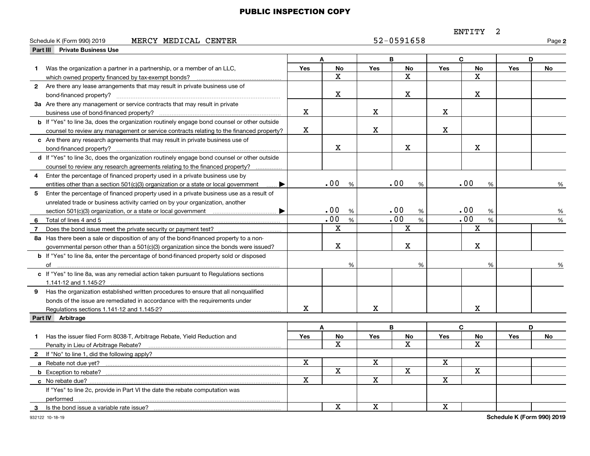## ENTITY 2

|             | MERCY MEDICAL CENTER<br>Schedule K (Form 990) 2019                                                 |                         |                         |                         | 52-0591658              |                         |                         |            | Page 2                      |
|-------------|----------------------------------------------------------------------------------------------------|-------------------------|-------------------------|-------------------------|-------------------------|-------------------------|-------------------------|------------|-----------------------------|
|             | Part III Private Business Use                                                                      |                         |                         |                         |                         |                         |                         |            |                             |
|             |                                                                                                    |                         | A                       |                         | В                       |                         | C                       |            | D                           |
| $\mathbf 1$ | Was the organization a partner in a partnership, or a member of an LLC,                            | <b>Yes</b>              | No                      | <b>Yes</b>              | No                      | <b>Yes</b>              | No                      | Yes        | No                          |
|             | which owned property financed by tax-exempt bonds?                                                 |                         | X                       |                         | $\overline{\mathbf{x}}$ |                         | x                       |            |                             |
|             | 2 Are there any lease arrangements that may result in private business use of                      |                         |                         |                         |                         |                         |                         |            |                             |
|             |                                                                                                    |                         | X                       |                         | $\mathbf X$             |                         | X                       |            |                             |
|             | 3a Are there any management or service contracts that may result in private                        |                         |                         |                         |                         |                         |                         |            |                             |
|             |                                                                                                    | $\mathbf X$             |                         | $\mathbf X$             |                         | $\mathbf X$             |                         |            |                             |
|             | <b>b</b> If "Yes" to line 3a, does the organization routinely engage bond counsel or other outside |                         |                         |                         |                         |                         |                         |            |                             |
|             | counsel to review any management or service contracts relating to the financed property?           | $\mathbf X$             |                         | $\mathbf X$             |                         | $\mathbf X$             |                         |            |                             |
|             | c Are there any research agreements that may result in private business use of                     |                         |                         |                         |                         |                         |                         |            |                             |
|             |                                                                                                    |                         | $\mathbf X$             |                         | X                       |                         | $\mathbf X$             |            |                             |
|             | d If "Yes" to line 3c, does the organization routinely engage bond counsel or other outside        |                         |                         |                         |                         |                         |                         |            |                             |
|             | counsel to review any research agreements relating to the financed property?                       |                         |                         |                         |                         |                         |                         |            |                             |
| 4           | Enter the percentage of financed property used in a private business use by                        |                         |                         |                         |                         |                         |                         |            |                             |
|             | entities other than a section 501(c)(3) organization or a state or local government                |                         | .00<br>%                |                         | .00<br>%                |                         | .00<br>%                |            | %                           |
| 5           | Enter the percentage of financed property used in a private business use as a result of            |                         |                         |                         |                         |                         |                         |            |                             |
|             | unrelated trade or business activity carried on by your organization, another                      |                         |                         |                         |                         |                         |                         |            |                             |
|             |                                                                                                    |                         | .00<br>%                |                         | .00<br>%                |                         | .00<br>%                |            | %                           |
| 6           | Total of lines 4 and 5                                                                             |                         | .00<br>%                |                         | .00<br>%                |                         | .00<br>%                |            | %                           |
| 7           |                                                                                                    |                         | $\mathbf X$             |                         | $\mathbf X$             |                         | $\mathbf X$             |            |                             |
|             | 8a Has there been a sale or disposition of any of the bond-financed property to a non-             |                         |                         |                         |                         |                         |                         |            |                             |
|             | governmental person other than a 501(c)(3) organization since the bonds were issued?               |                         | x                       |                         | $\mathbf X$             |                         | $\mathbf X$             |            |                             |
|             | <b>b</b> If "Yes" to line 8a, enter the percentage of bond-financed property sold or disposed      |                         |                         |                         |                         |                         |                         |            |                             |
|             |                                                                                                    |                         | %                       |                         | %                       |                         | %                       |            | %                           |
|             | c If "Yes" to line 8a, was any remedial action taken pursuant to Regulations sections              |                         |                         |                         |                         |                         |                         |            |                             |
|             | 1.141-12 and 1.145-2?                                                                              |                         |                         |                         |                         |                         |                         |            |                             |
|             | 9 Has the organization established written procedures to ensure that all nonqualified              |                         |                         |                         |                         |                         |                         |            |                             |
|             | bonds of the issue are remediated in accordance with the requirements under                        |                         |                         |                         |                         |                         |                         |            |                             |
|             | Regulations sections 1.141-12 and 1.145-2?                                                         | x                       |                         | x                       |                         |                         | x                       |            |                             |
|             | Part IV Arbitrage                                                                                  |                         |                         |                         |                         |                         |                         |            |                             |
|             |                                                                                                    |                         | A                       |                         | B                       |                         | C                       |            | D                           |
| 1           | Has the issuer filed Form 8038-T, Arbitrage Rebate, Yield Reduction and                            | Yes                     | No                      | Yes                     | No                      | <b>Yes</b>              | No                      | <b>Yes</b> | No                          |
|             | Penalty in Lieu of Arbitrage Rebate?                                                               |                         | $\mathbf{x}$            |                         | X                       |                         | x                       |            |                             |
| $2^{\circ}$ | If "No" to line 1, did the following apply?                                                        |                         |                         |                         |                         |                         |                         |            |                             |
|             |                                                                                                    | $\overline{\mathbf{x}}$ |                         | X                       |                         | X                       |                         |            |                             |
|             |                                                                                                    |                         | $\overline{\mathbf{X}}$ |                         | $\overline{\mathbf{x}}$ |                         | $\overline{\mathbf{X}}$ |            |                             |
|             |                                                                                                    | $\overline{\mathbf{x}}$ |                         | $\overline{\textbf{X}}$ |                         | $\overline{\mathbf{x}}$ |                         |            |                             |
|             | If "Yes" to line 2c, provide in Part VI the date the rebate computation was                        |                         |                         |                         |                         |                         |                         |            |                             |
|             | performed                                                                                          |                         |                         |                         |                         |                         |                         |            |                             |
| 3           |                                                                                                    |                         | X                       | x                       |                         | $\mathbf X$             |                         |            |                             |
|             |                                                                                                    |                         |                         |                         |                         |                         |                         |            | Cahadula V (Faunt 000) 0040 |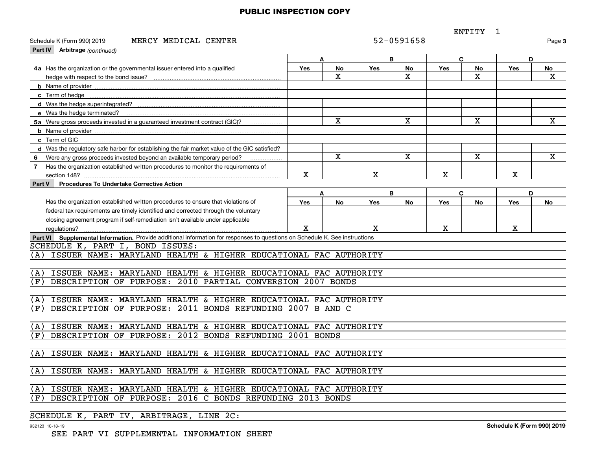ENTITY 1

| MERCY MEDICAL CENTER<br>Schedule K (Form 990) 2019                                                                                          |            |                         |              | 52-0591658              |             |             |            | Page 3      |  |  |
|---------------------------------------------------------------------------------------------------------------------------------------------|------------|-------------------------|--------------|-------------------------|-------------|-------------|------------|-------------|--|--|
| Part IV Arbitrage (continued)                                                                                                               |            |                         |              |                         |             |             |            |             |  |  |
|                                                                                                                                             |            | A                       |              | B                       |             | C           | D          |             |  |  |
| 4a Has the organization or the governmental issuer entered into a qualified                                                                 | <b>Yes</b> | No                      | <b>Yes</b>   | No                      | <b>Yes</b>  | No          | <b>Yes</b> | No          |  |  |
| hedge with respect to the bond issue?                                                                                                       |            | $\mathbf{x}$            |              | X                       |             | X           |            | X           |  |  |
|                                                                                                                                             |            |                         |              |                         |             |             |            |             |  |  |
| c Term of hedge                                                                                                                             |            |                         |              |                         |             |             |            |             |  |  |
|                                                                                                                                             |            |                         |              |                         |             |             |            |             |  |  |
| e Was the hedge terminated?                                                                                                                 |            |                         |              |                         |             |             |            |             |  |  |
| $\overline{\mathbf{x}}$<br>X<br>X<br>5a Were gross proceeds invested in a quaranteed investment contract (GIC)?                             |            |                         |              |                         |             |             |            | $\mathbf X$ |  |  |
|                                                                                                                                             |            |                         |              |                         |             |             |            |             |  |  |
| c Term of GIC                                                                                                                               |            |                         |              |                         |             |             |            |             |  |  |
| d Was the regulatory safe harbor for establishing the fair market value of the GIC satisfied?                                               |            |                         |              |                         |             |             |            |             |  |  |
| Were any gross proceeds invested beyond an available temporary period?<br>6                                                                 |            | $\overline{\mathbf{x}}$ |              | $\overline{\mathbf{x}}$ |             | $\mathbf X$ |            | $\mathbf X$ |  |  |
| Has the organization established written procedures to monitor the requirements of<br>$\overline{7}$                                        |            |                         |              |                         |             |             |            |             |  |  |
|                                                                                                                                             | x          |                         | $\mathbf{x}$ |                         | X           |             | X          |             |  |  |
| <b>Procedures To Undertake Corrective Action</b><br><b>Part V</b>                                                                           |            |                         |              |                         |             |             |            |             |  |  |
|                                                                                                                                             |            | A                       |              | B                       |             | C           | D          |             |  |  |
| Has the organization established written procedures to ensure that violations of                                                            | Yes        | <b>No</b>               | <b>Yes</b>   | <b>No</b>               | Yes         | <b>No</b>   | <b>Yes</b> | No          |  |  |
| federal tax requirements are timely identified and corrected through the voluntary                                                          |            |                         |              |                         |             |             |            |             |  |  |
| closing agreement program if self-remediation isn't available under applicable                                                              | X          |                         | x            |                         | $\mathbf X$ |             | x          |             |  |  |
| requlations?<br>Part VI Supplemental Information. Provide additional information for responses to questions on Schedule K. See instructions |            |                         |              |                         |             |             |            |             |  |  |
| SCHEDULE K, PART I, BOND ISSUES:                                                                                                            |            |                         |              |                         |             |             |            |             |  |  |
| ISSUER NAME: MARYLAND HEALTH & HIGHER EDUCATIONAL FAC AUTHORITY<br>(A)                                                                      |            |                         |              |                         |             |             |            |             |  |  |
|                                                                                                                                             |            |                         |              |                         |             |             |            |             |  |  |
| ISSUER NAME: MARYLAND HEALTH & HIGHER EDUCATIONAL FAC AUTHORITY<br>(A)                                                                      |            |                         |              |                         |             |             |            |             |  |  |
| (F)<br>DESCRIPTION OF PURPOSE: 2010 PARTIAL CONVERSION 2007 BONDS                                                                           |            |                         |              |                         |             |             |            |             |  |  |
|                                                                                                                                             |            |                         |              |                         |             |             |            |             |  |  |
| ISSUER NAME: MARYLAND HEALTH & HIGHER EDUCATIONAL FAC AUTHORITY<br>(A)                                                                      |            |                         |              |                         |             |             |            |             |  |  |
| DESCRIPTION OF PURPOSE: 2011 BONDS REFUNDING 2007 B AND C<br>(F)                                                                            |            |                         |              |                         |             |             |            |             |  |  |
|                                                                                                                                             |            |                         |              |                         |             |             |            |             |  |  |
| ISSUER NAME: MARYLAND HEALTH & HIGHER EDUCATIONAL FAC AUTHORITY<br>(A)                                                                      |            |                         |              |                         |             |             |            |             |  |  |
| DESCRIPTION OF PURPOSE: 2012 BONDS REFUNDING 2001 BONDS<br>(F)                                                                              |            |                         |              |                         |             |             |            |             |  |  |
|                                                                                                                                             |            |                         |              |                         |             |             |            |             |  |  |
| ISSUER NAME: MARYLAND HEALTH & HIGHER EDUCATIONAL FAC AUTHORITY<br>(A)                                                                      |            |                         |              |                         |             |             |            |             |  |  |
|                                                                                                                                             |            |                         |              |                         |             |             |            |             |  |  |
| ISSUER NAME: MARYLAND HEALTH & HIGHER EDUCATIONAL FAC AUTHORITY<br>(A)                                                                      |            |                         |              |                         |             |             |            |             |  |  |
|                                                                                                                                             |            |                         |              |                         |             |             |            |             |  |  |
| ISSUER NAME: MARYLAND HEALTH & HIGHER EDUCATIONAL FAC AUTHORITY<br>(A)                                                                      |            |                         |              |                         |             |             |            |             |  |  |
| (F)<br>DESCRIPTION OF PURPOSE: 2016 C BONDS REFUNDING 2013 BONDS                                                                            |            |                         |              |                         |             |             |            |             |  |  |
|                                                                                                                                             |            |                         |              |                         |             |             |            |             |  |  |
| SCHEDULE K, PART IV, ARBITRAGE, LINE 2C:                                                                                                    |            |                         |              |                         |             |             |            |             |  |  |

932123 10-18-19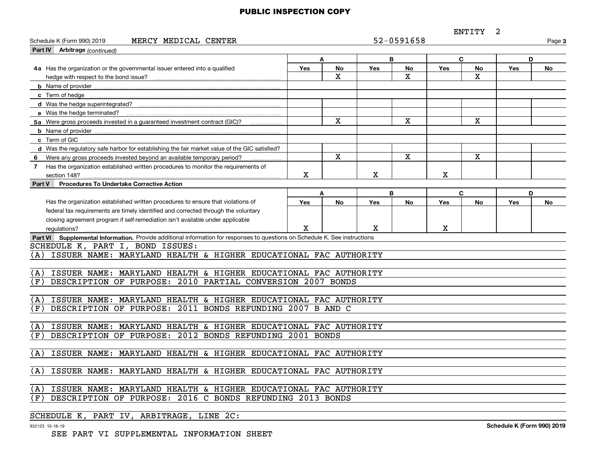ENTITY 2

| 52-0591658<br>MERCY MEDICAL CENTER<br>Schedule K (Form 990) 2019<br>Page 3                                                  |     |                         |     |                         |     |             |     |    |
|-----------------------------------------------------------------------------------------------------------------------------|-----|-------------------------|-----|-------------------------|-----|-------------|-----|----|
| Part IV Arbitrage (continued)                                                                                               |     |                         |     |                         |     |             |     |    |
|                                                                                                                             |     | A                       |     | B                       |     | C           |     | D  |
| 4a Has the organization or the governmental issuer entered into a qualified                                                 | Yes | No                      | Yes | <b>No</b>               | Yes | <b>No</b>   | Yes | No |
| hedge with respect to the bond issue?                                                                                       |     | $\mathbf X$             |     | $\mathbf X$             |     | X           |     |    |
|                                                                                                                             |     |                         |     |                         |     |             |     |    |
|                                                                                                                             |     |                         |     |                         |     |             |     |    |
|                                                                                                                             |     |                         |     |                         |     |             |     |    |
|                                                                                                                             |     |                         |     |                         |     |             |     |    |
| 5a Were gross proceeds invested in a guaranteed investment contract (GIC)?                                                  |     | X                       |     | X                       |     | $\mathbf X$ |     |    |
|                                                                                                                             |     |                         |     |                         |     |             |     |    |
| c Term of GIC                                                                                                               |     |                         |     |                         |     |             |     |    |
| d Was the requlatory safe harbor for establishing the fair market value of the GIC satisfied?                               |     |                         |     |                         |     |             |     |    |
| Were any gross proceeds invested beyond an available temporary period?<br>6                                                 |     | $\overline{\mathbf{x}}$ |     | $\overline{\mathbf{x}}$ |     | $\mathbf X$ |     |    |
| Has the organization established written procedures to monitor the requirements of<br>$\overline{7}$                        |     |                         |     |                         |     |             |     |    |
| section 148?                                                                                                                | Х   |                         | Χ   |                         | X   |             |     |    |
| <b>Procedures To Undertake Corrective Action</b><br>Part V                                                                  |     |                         |     |                         |     |             |     |    |
|                                                                                                                             |     | A                       |     | B                       |     | C           |     | D  |
| Has the organization established written procedures to ensure that violations of                                            | Yes | No                      | Yes | No                      | Yes | No          | Yes | No |
| federal tax requirements are timely identified and corrected through the voluntary                                          |     |                         |     |                         |     |             |     |    |
| closing agreement program if self-remediation isn't available under applicable                                              |     |                         |     |                         |     |             |     |    |
| requlations?                                                                                                                | X   |                         | x   |                         | x   |             |     |    |
| Part VI Supplemental Information. Provide additional information for responses to questions on Schedule K. See instructions |     |                         |     |                         |     |             |     |    |
| SCHEDULE K, PART I, BOND ISSUES:                                                                                            |     |                         |     |                         |     |             |     |    |
| ISSUER NAME: MARYLAND HEALTH & HIGHER EDUCATIONAL FAC AUTHORITY<br>(A)                                                      |     |                         |     |                         |     |             |     |    |
|                                                                                                                             |     |                         |     |                         |     |             |     |    |
| ISSUER NAME: MARYLAND HEALTH & HIGHER EDUCATIONAL FAC AUTHORITY<br>(A)                                                      |     |                         |     |                         |     |             |     |    |
| DESCRIPTION OF PURPOSE: 2010 PARTIAL CONVERSION 2007 BONDS<br>(F)                                                           |     |                         |     |                         |     |             |     |    |
|                                                                                                                             |     |                         |     |                         |     |             |     |    |
| ISSUER NAME: MARYLAND HEALTH & HIGHER EDUCATIONAL FAC AUTHORITY<br>(A)                                                      |     |                         |     |                         |     |             |     |    |
| DESCRIPTION OF PURPOSE: 2011 BONDS REFUNDING 2007 B AND C<br>(F)                                                            |     |                         |     |                         |     |             |     |    |
|                                                                                                                             |     |                         |     |                         |     |             |     |    |
| ISSUER NAME: MARYLAND HEALTH & HIGHER EDUCATIONAL FAC AUTHORITY<br>(A)                                                      |     |                         |     |                         |     |             |     |    |
| (F)<br>DESCRIPTION OF PURPOSE: 2012 BONDS REFUNDING 2001 BONDS                                                              |     |                         |     |                         |     |             |     |    |
|                                                                                                                             |     |                         |     |                         |     |             |     |    |
| (A)<br>ISSUER NAME: MARYLAND HEALTH & HIGHER EDUCATIONAL FAC AUTHORITY                                                      |     |                         |     |                         |     |             |     |    |
|                                                                                                                             |     |                         |     |                         |     |             |     |    |
| (A)<br>ISSUER NAME: MARYLAND HEALTH & HIGHER EDUCATIONAL FAC AUTHORITY                                                      |     |                         |     |                         |     |             |     |    |
|                                                                                                                             |     |                         |     |                         |     |             |     |    |
| ISSUER NAME: MARYLAND HEALTH & HIGHER EDUCATIONAL FAC AUTHORITY<br>(A)                                                      |     |                         |     |                         |     |             |     |    |
| DESCRIPTION OF PURPOSE: 2016 C BONDS REFUNDING 2013 BONDS<br>(F)                                                            |     |                         |     |                         |     |             |     |    |
|                                                                                                                             |     |                         |     |                         |     |             |     |    |
| SCHEDULE K, PART IV, ARBITRAGE, LINE 2C:                                                                                    |     |                         |     |                         |     |             |     |    |

932123 10-18-19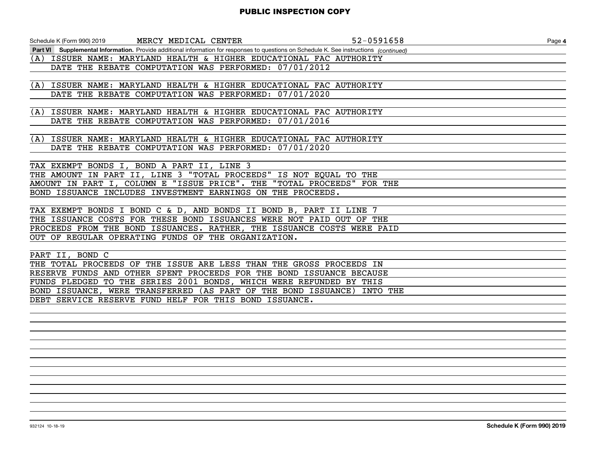| Schedule K (Form 990) 2019                                           | MERCY MEDICAL CENTER                                  | 52-0591658                                                                                                                              | Page 4 |
|----------------------------------------------------------------------|-------------------------------------------------------|-----------------------------------------------------------------------------------------------------------------------------------------|--------|
|                                                                      |                                                       | Part VI Supplemental Information. Provide additional information for responses to questions on Schedule K. See instructions (continued) |        |
| (A) ISSUER NAME: MARYLAND HEALTH & HIGHER EDUCATIONAL FAC AUTHORITY  |                                                       |                                                                                                                                         |        |
|                                                                      | DATE THE REBATE COMPUTATION WAS PERFORMED: 07/01/2012 |                                                                                                                                         |        |
|                                                                      |                                                       |                                                                                                                                         |        |
| (A) ISSUER NAME: MARYLAND HEALTH & HIGHER EDUCATIONAL FAC AUTHORITY  |                                                       |                                                                                                                                         |        |
|                                                                      | DATE THE REBATE COMPUTATION WAS PERFORMED: 07/01/2020 |                                                                                                                                         |        |
|                                                                      |                                                       |                                                                                                                                         |        |
| (A) ISSUER NAME: MARYLAND HEALTH & HIGHER EDUCATIONAL FAC AUTHORITY  |                                                       |                                                                                                                                         |        |
|                                                                      | DATE THE REBATE COMPUTATION WAS PERFORMED: 07/01/2016 |                                                                                                                                         |        |
|                                                                      |                                                       |                                                                                                                                         |        |
| (A) ISSUER NAME: MARYLAND HEALTH & HIGHER EDUCATIONAL FAC AUTHORITY  |                                                       |                                                                                                                                         |        |
|                                                                      | DATE THE REBATE COMPUTATION WAS PERFORMED: 07/01/2020 |                                                                                                                                         |        |
|                                                                      |                                                       |                                                                                                                                         |        |
| TAX EXEMPT BONDS I, BOND A PART II, LINE 3                           |                                                       |                                                                                                                                         |        |
| THE AMOUNT IN PART II, LINE 3 "TOTAL PROCEEDS" IS NOT EQUAL TO THE   |                                                       |                                                                                                                                         |        |
| AMOUNT IN PART I, COLUMN E "ISSUE PRICE". THE                        |                                                       | "TOTAL PROCEEDS" FOR THE                                                                                                                |        |
| BOND ISSUANCE INCLUDES INVESTMENT EARNINGS ON THE PROCEEDS.          |                                                       |                                                                                                                                         |        |
|                                                                      |                                                       |                                                                                                                                         |        |
| TAX EXEMPT BONDS I BOND C & D, AND BONDS II BOND B, PART II LINE 7   |                                                       |                                                                                                                                         |        |
| THE ISSUANCE COSTS FOR THESE BOND ISSUANCES WERE NOT PAID OUT OF THE |                                                       |                                                                                                                                         |        |
|                                                                      |                                                       | PROCEEDS FROM THE BOND ISSUANCES. RATHER, THE ISSUANCE COSTS WERE PAID                                                                  |        |
| OUT OF REGULAR OPERATING FUNDS OF THE ORGANIZATION.                  |                                                       |                                                                                                                                         |        |
|                                                                      |                                                       |                                                                                                                                         |        |
| PART II, BOND C                                                      |                                                       |                                                                                                                                         |        |
| THE TOTAL PROCEEDS OF THE ISSUE ARE LESS THAN THE GROSS PROCEEDS IN  |                                                       |                                                                                                                                         |        |
| RESERVE FUNDS AND OTHER SPENT PROCEEDS FOR THE BOND ISSUANCE BECAUSE |                                                       |                                                                                                                                         |        |
| FUNDS PLEDGED TO THE SERIES 2001 BONDS, WHICH WERE REFUNDED BY THIS  |                                                       |                                                                                                                                         |        |

BOND ISSUANCE, WERE TRANSFERRED (AS PART OF THE BOND ISSUANCE) INTO THE

DEBT SERVICE RESERVE FUND HELF FOR THIS BOND ISSUANCE.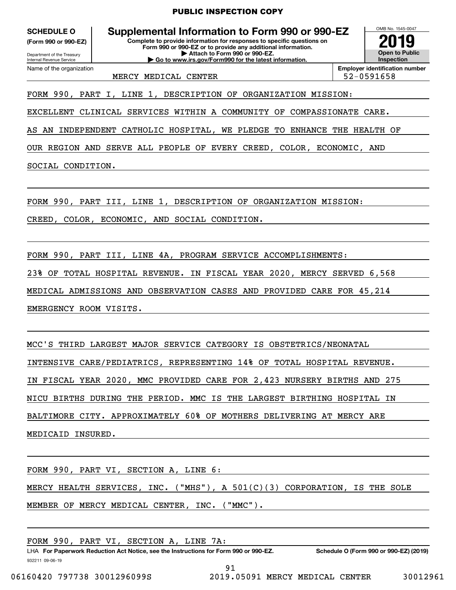**(Form 990 or 990-EZ)**

Department of the Treasury Internal Revenue Service Name of the organization

**Complete to provide information for responses to specific questions on Form 990 or 990-EZ or to provide any additional information. | Attach to Form 990 or 990-EZ. | Go to www.irs.gov/Form990 for the latest information. SCHEDULE O Supplemental Information to Form 990 or 990-EZ**



MERCY MEDICAL CENTER  $\vert$  52-0591658

FORM 990, PART I, LINE 1, DESCRIPTION OF ORGANIZATION MISSION:

EXCELLENT CLINICAL SERVICES WITHIN A COMMUNITY OF COMPASSIONATE CARE.

AS AN INDEPENDENT CATHOLIC HOSPITAL, WE PLEDGE TO ENHANCE THE HEALTH OF

OUR REGION AND SERVE ALL PEOPLE OF EVERY CREED, COLOR, ECONOMIC, AND

SOCIAL CONDITION.

FORM 990, PART III, LINE 1, DESCRIPTION OF ORGANIZATION MISSION:

CREED, COLOR, ECONOMIC, AND SOCIAL CONDITION.

FORM 990, PART III, LINE 4A, PROGRAM SERVICE ACCOMPLISHMENTS:

23% OF TOTAL HOSPITAL REVENUE. IN FISCAL YEAR 2020, MERCY SERVED 6,568

MEDICAL ADMISSIONS AND OBSERVATION CASES AND PROVIDED CARE FOR 45,214

EMERGENCY ROOM VISITS.

MCC'S THIRD LARGEST MAJOR SERVICE CATEGORY IS OBSTETRICS/NEONATAL INTENSIVE CARE/PEDIATRICS, REPRESENTING 14% OF TOTAL HOSPITAL REVENUE. IN FISCAL YEAR 2020, MMC PROVIDED CARE FOR 2,423 NURSERY BIRTHS AND 275 NICU BIRTHS DURING THE PERIOD. MMC IS THE LARGEST BIRTHING HOSPITAL IN BALTIMORE CITY. APPROXIMATELY 60% OF MOTHERS DELIVERING AT MERCY ARE MEDICAID INSURED.

FORM 990, PART VI, SECTION A, LINE 6: MERCY HEALTH SERVICES, INC. ("MHS"), A 501(C)(3) CORPORATION, IS THE SOLE MEMBER OF MERCY MEDICAL CENTER, INC. ("MMC").

FORM 990, PART VI, SECTION A, LINE 7A:

932211 09-06-19 LHA For Paperwork Reduction Act Notice, see the Instructions for Form 990 or 990-EZ. Schedule O (Form 990 or 990-EZ) (2019) 91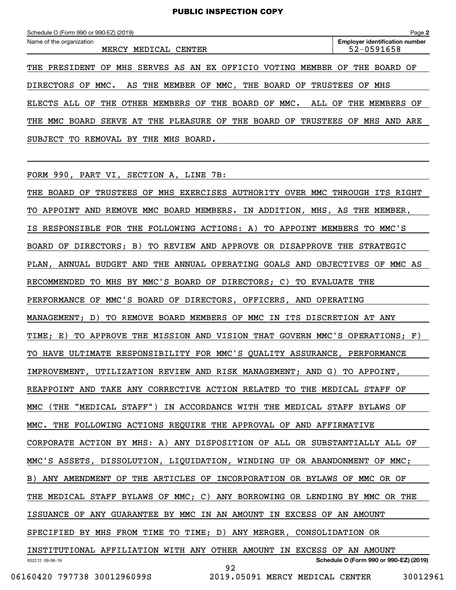| Schedule O (Form 990 or 990-EZ) (2019)                                                           | Page 2                                              |
|--------------------------------------------------------------------------------------------------|-----------------------------------------------------|
| Name of the organization<br>MERCY<br>MEDICAL<br>CENTER                                           | <b>Employer identification number</b><br>52-0591658 |
| SERVES AS AN EX OFFICIO<br>VOTING<br>PRESIDENT<br>MHS<br>MEMBER<br>OF<br>THE                     | BOARD OF<br>THE<br>OF                               |
| <b>DIRECTORS</b><br>MMC ,<br>THE<br>MMC.<br>MEMBER OF<br>BOARD<br>TRUSTEES<br>AS THE<br>ΟF<br>OF | MHS<br>ОF                                           |
| MEMBERS OF<br>MMC.<br>OTHER<br>THE<br>BOARD<br>OF<br>THE<br>OF<br>ALL<br>ELECTS<br>ALL           | MEMBERS OF<br>OF<br>THE                             |
| SERVE AT THE PLEASURE OF THE BOARD OF<br>TRUSTEES OF<br>MMC BOARD<br>THE                         | MHS AND ARE                                         |
| SUBJECT<br>REMOVAL<br>ВY<br>THE<br>MHS<br>BOARD.<br>TО                                           |                                                     |

FORM 990, PART VI, SECTION A, LINE 7B:

932212 09-06-19 **Schedule O (Form 990 or 990-EZ) (2019)** THE BOARD OF TRUSTEES OF MHS EXERCISES AUTHORITY OVER MMC THROUGH ITS RIGHT TO APPOINT AND REMOVE MMC BOARD MEMBERS. IN ADDITION, MHS, AS THE MEMBER, IS RESPONSIBLE FOR THE FOLLOWING ACTIONS: A) TO APPOINT MEMBERS TO MMC'S BOARD OF DIRECTORS; B) TO REVIEW AND APPROVE OR DISAPPROVE THE STRATEGIC PLAN, ANNUAL BUDGET AND THE ANNUAL OPERATING GOALS AND OBJECTIVES OF MMC AS RECOMMENDED TO MHS BY MMC'S BOARD OF DIRECTORS; C) TO EVALUATE THE PERFORMANCE OF MMC'S BOARD OF DIRECTORS, OFFICERS, AND OPERATING MANAGEMENT; D) TO REMOVE BOARD MEMBERS OF MMC IN ITS DISCRETION AT ANY TIME; E) TO APPROVE THE MISSION AND VISION THAT GOVERN MMC'S OPERATIONS; F) TO HAVE ULTIMATE RESPONSIBILITY FOR MMC'S QUALITY ASSURANCE, PERFORMANCE IMPROVEMENT, UTILIZATION REVIEW AND RISK MANAGEMENT; AND G) TO APPOINT, REAPPOINT AND TAKE ANY CORRECTIVE ACTION RELATED TO THE MEDICAL STAFF OF MMC (THE "MEDICAL STAFF") IN ACCORDANCE WITH THE MEDICAL STAFF BYLAWS OF MMC. THE FOLLOWING ACTIONS REQUIRE THE APPROVAL OF AND AFFIRMATIVE CORPORATE ACTION BY MHS: A) ANY DISPOSITION OF ALL OR SUBSTANTIALLY ALL OF MMC'S ASSETS, DISSOLUTION, LIQUIDATION, WINDING UP OR ABANDONMENT OF MMC; B) ANY AMENDMENT OF THE ARTICLES OF INCORPORATION OR BYLAWS OF MMC OR OF THE MEDICAL STAFF BYLAWS OF MMC; C) ANY BORROWING OR LENDING BY MMC OR THE ISSUANCE OF ANY GUARANTEE BY MMC IN AN AMOUNT IN EXCESS OF AN AMOUNT SPECIFIED BY MHS FROM TIME TO TIME; D) ANY MERGER, CONSOLIDATION OR INSTITUTIONAL AFFILIATION WITH ANY OTHER AMOUNT IN EXCESS OF AN AMOUNT 92

06160420 797738 3001296099S 2019.05091 MERCY MEDICAL CENTER 30012961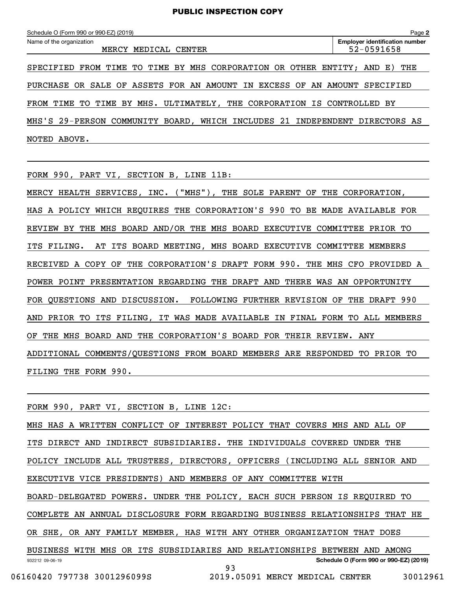| Schedule O (Form 990 or 990-EZ) (2019)                                      | Page 2                                              |
|-----------------------------------------------------------------------------|-----------------------------------------------------|
| Name of the organization<br>MERCY<br>MEDICAL<br>CENTER                      | <b>Employer identification number</b><br>52-0591658 |
| SPECIFIED FROM TIME TO TIME BY MHS CORPORATION OR OTHER ENTITY; AND E) THE  |                                                     |
| PURCHASE OR SALE OF ASSETS FOR AN AMOUNT IN EXCESS OF AN AMOUNT SPECIFIED   |                                                     |
| FROM TIME TO TIME BY MHS. ULTIMATELY, THE CORPORATION IS CONTROLLED BY      |                                                     |
| MHS'S 29-PERSON COMMUNITY BOARD, WHICH INCLUDES 21 INDEPENDENT DIRECTORS AS |                                                     |

NOTED ABOVE.

FORM 990, PART VI, SECTION B, LINE 11B:

MERCY HEALTH SERVICES, INC. ("MHS"), THE SOLE PARENT OF THE CORPORATION, HAS A POLICY WHICH REQUIRES THE CORPORATION'S 990 TO BE MADE AVAILABLE FOR REVIEW BY THE MHS BOARD AND/OR THE MHS BOARD EXECUTIVE COMMITTEE PRIOR TO ITS FILING. AT ITS BOARD MEETING, MHS BOARD EXECUTIVE COMMITTEE MEMBERS RECEIVED A COPY OF THE CORPORATION'S DRAFT FORM 990. THE MHS CFO PROVIDED A POWER POINT PRESENTATION REGARDING THE DRAFT AND THERE WAS AN OPPORTUNITY FOR QUESTIONS AND DISCUSSION. FOLLOWING FURTHER REVISION OF THE DRAFT 990 AND PRIOR TO ITS FILING, IT WAS MADE AVAILABLE IN FINAL FORM TO ALL MEMBERS OF THE MHS BOARD AND THE CORPORATION'S BOARD FOR THEIR REVIEW. ANY ADDITIONAL COMMENTS/QUESTIONS FROM BOARD MEMBERS ARE RESPONDED TO PRIOR TO FILING THE FORM 990.

932212 09-06-19 **Schedule O (Form 990 or 990-EZ) (2019)** FORM 990, PART VI, SECTION B, LINE 12C: MHS HAS A WRITTEN CONFLICT OF INTEREST POLICY THAT COVERS MHS AND ALL OF ITS DIRECT AND INDIRECT SUBSIDIARIES. THE INDIVIDUALS COVERED UNDER THE POLICY INCLUDE ALL TRUSTEES, DIRECTORS, OFFICERS (INCLUDING ALL SENIOR AND EXECUTIVE VICE PRESIDENTS) AND MEMBERS OF ANY COMMITTEE WITH BOARD-DELEGATED POWERS. UNDER THE POLICY, EACH SUCH PERSON IS REQUIRED TO COMPLETE AN ANNUAL DISCLOSURE FORM REGARDING BUSINESS RELATIONSHIPS THAT HE OR SHE, OR ANY FAMILY MEMBER, HAS WITH ANY OTHER ORGANIZATION THAT DOES BUSINESS WITH MHS OR ITS SUBSIDIARIES AND RELATIONSHIPS BETWEEN AND AMONG

06160420 797738 3001296099S 2019.05091 MERCY MEDICAL CENTER 30012961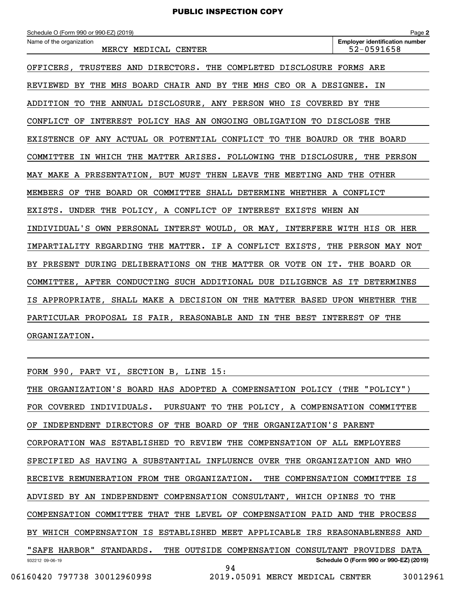**2**Echedule O (Form 990 or 990-EZ) (2019)<br>Name of the organization **number** Name of the organization **page Name of the organization number** OFFICERS, TRUSTEES AND DIRECTORS. THE COMPLETED DISCLOSURE FORMS ARE REVIEWED BY THE MHS BOARD CHAIR AND BY THE MHS CEO OR A DESIGNEE. IN ADDITION TO THE ANNUAL DISCLOSURE, ANY PERSON WHO IS COVERED BY THE CONFLICT OF INTEREST POLICY HAS AN ONGOING OBLIGATION TO DISCLOSE THE EXISTENCE OF ANY ACTUAL OR POTENTIAL CONFLICT TO THE BOAURD OR THE BOARD COMMITTEE IN WHICH THE MATTER ARISES. FOLLOWING THE DISCLOSURE, THE PERSON MAY MAKE A PRESENTATION, BUT MUST THEN LEAVE THE MEETING AND THE OTHER MEMBERS OF THE BOARD OR COMMITTEE SHALL DETERMINE WHETHER A CONFLICT EXISTS. UNDER THE POLICY, A CONFLICT OF INTEREST EXISTS WHEN AN INDIVIDUAL'S OWN PERSONAL INTERST WOULD, OR MAY, INTERFERE WITH HIS OR HER IMPARTIALITY REGARDING THE MATTER. IF A CONFLICT EXISTS, THE PERSON MAY NOT BY PRESENT DURING DELIBERATIONS ON THE MATTER OR VOTE ON IT. THE BOARD OR COMMITTEE, AFTER CONDUCTING SUCH ADDITIONAL DUE DILIGENCE AS IT DETERMINES IS APPROPRIATE, SHALL MAKE A DECISION ON THE MATTER BASED UPON WHETHER THE PARTICULAR PROPOSAL IS FAIR, REASONABLE AND IN THE BEST INTEREST OF THE ORGANIZATION. MERCY MEDICAL CENTER 1999 1999 1999 1999 10 12 13 14 152 - 0591658

FORM 990, PART VI, SECTION B, LINE 15:

932212 09-06-19 **Schedule O (Form 990 or 990-EZ) (2019)** THE ORGANIZATION'S BOARD HAS ADOPTED A COMPENSATION POLICY (THE "POLICY") FOR COVERED INDIVIDUALS. PURSUANT TO THE POLICY, A COMPENSATION COMMITTEE OF INDEPENDENT DIRECTORS OF THE BOARD OF THE ORGANIZATION'S PARENT CORPORATION WAS ESTABLISHED TO REVIEW THE COMPENSATION OF ALL EMPLOYEES SPECIFIED AS HAVING A SUBSTANTIAL INFLUENCE OVER THE ORGANIZATION AND WHO RECEIVE REMUNERATION FROM THE ORGANIZATION. THE COMPENSATION COMMITTEE IS ADVISED BY AN INDEPENDENT COMPENSATION CONSULTANT, WHICH OPINES TO THE COMPENSATION COMMITTEE THAT THE LEVEL OF COMPENSATION PAID AND THE PROCESS BY WHICH COMPENSATION IS ESTABLISHED MEET APPLICABLE IRS REASONABLENESS AND "SAFE HARBOR" STANDARDS. THE OUTSIDE COMPENSATION CONSULTANT PROVIDES DATA 94 06160420 797738 3001296099S 2019.05091 MERCY MEDICAL CENTER 30012961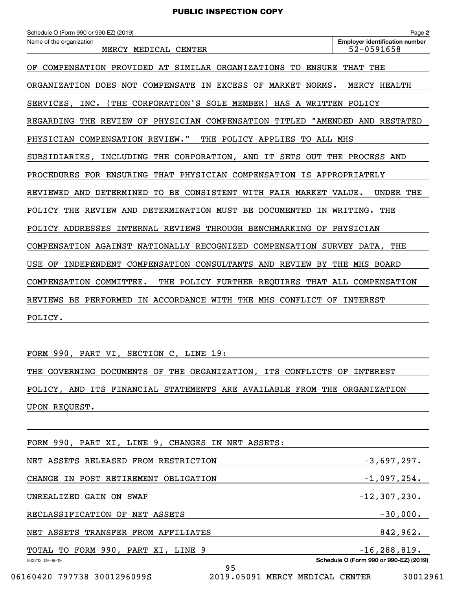**2Employer identification number** Schedule O (Form 990 or 990-EZ) (2019)<br>Name of the organization **purplement of the organization number** Name of the organization **Page Name of the organization** OF COMPENSATION PROVIDED AT SIMILAR ORGANIZATIONS TO ENSURE THAT THE ORGANIZATION DOES NOT COMPENSATE IN EXCESS OF MARKET NORMS. MERCY HEALTH SERVICES, INC. (THE CORPORATION'S SOLE MEMBER) HAS A WRITTEN POLICY REGARDING THE REVIEW OF PHYSICIAN COMPENSATION TITLED "AMENDED AND RESTATED PHYSICIAN COMPENSATION REVIEW." THE POLICY APPLIES TO ALL MHS SUBSIDIARIES, INCLUDING THE CORPORATION, AND IT SETS OUT THE PROCESS AND PROCEDURES FOR ENSURING THAT PHYSICIAN COMPENSATION IS APPROPRIATELY REVIEWED AND DETERMINED TO BE CONSISTENT WITH FAIR MARKET VALUE. UNDER THE POLICY THE REVIEW AND DETERMINATION MUST BE DOCUMENTED IN WRITING. THE POLICY ADDRESSES INTERNAL REVIEWS THROUGH BENCHMARKING OF PHYSICIAN COMPENSATION AGAINST NATIONALLY RECOGNIZED COMPENSATION SURVEY DATA, THE USE OF INDEPENDENT COMPENSATION CONSULTANTS AND REVIEW BY THE MHS BOARD COMPENSATION COMMITTEE. THE POLICY FURTHER REQUIRES THAT ALL COMPENSATION REVIEWS BE PERFORMED IN ACCORDANCE WITH THE MHS CONFLICT OF INTEREST POLICY. MERCY MEDICAL CENTER  $\vert$  52-0591658

FORM 990, PART VI, SECTION C, LINE 19:

THE GOVERNING DOCUMENTS OF THE ORGANIZATION, ITS CONFLICTS OF INTEREST POLICY, AND ITS FINANCIAL STATEMENTS ARE AVAILABLE FROM THE ORGANIZATION UPON REQUEST.

| FORM 990, PART XI, LINE 9, CHANGES IN NET ASSETS: |                                        |
|---------------------------------------------------|----------------------------------------|
| NET ASSETS RELEASED FROM RESTRICTION              | $-3,697,297.$                          |
| CHANGE IN POST RETIREMENT OBLIGATION              | $-1,097,254.$                          |
| UNREALIZED GAIN ON SWAP                           | $-12, 307, 230.$                       |
| RECLASSIFICATION OF NET ASSETS                    | $-30,000.$                             |
| NET ASSETS TRANSFER FROM AFFILIATES               | 842,962.                               |
| TOTAL TO FORM 990, PART XI, LINE 9                | $-16, 288, 819.$                       |
| 932212 09-06-19<br>95                             | Schedule O (Form 990 or 990-EZ) (2019) |
| 06160420 797738 3001296099S<br>2019.05091         | 30012961<br>MERCY MEDICAL CENTER       |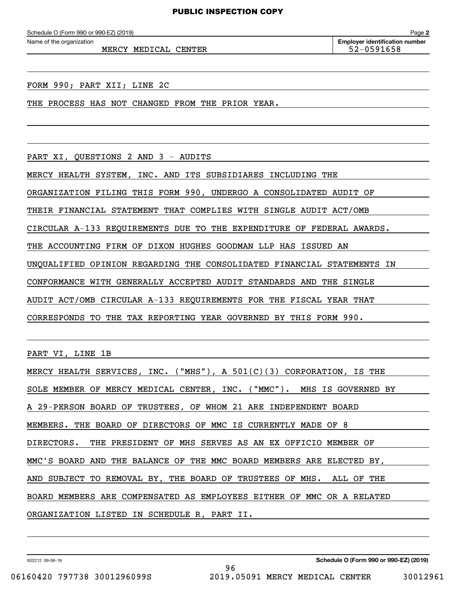MERCY MEDICAL CENTER **1999** 122-0591658

**2**Echedule O (Form 990 or 990-EZ) (2019)<br>Name of the organization **number** Name of the organization **page Name of the organization number** 

FORM 990; PART XII; LINE 2C

THE PROCESS HAS NOT CHANGED FROM THE PRIOR YEAR.

PART XI, QUESTIONS 2 AND 3 - AUDITS

MERCY HEALTH SYSTEM, INC. AND ITS SUBSIDIARES INCLUDING THE

ORGANIZATION FILING THIS FORM 990, UNDERGO A CONSOLIDATED AUDIT OF

THEIR FINANCIAL STATEMENT THAT COMPLIES WITH SINGLE AUDIT ACT/OMB

CIRCULAR A-133 REQUIREMENTS DUE TO THE EXPENDITURE OF FEDERAL AWARDS.

THE ACCOUNTING FIRM OF DIXON HUGHES GOODMAN LLP HAS ISSUED AN

UNQUALIFIED OPINION REGARDING THE CONSOLIDATED FINANCIAL STATEMENTS IN

CONFORMANCE WITH GENERALLY ACCEPTED AUDIT STANDARDS AND THE SINGLE

AUDIT ACT/OMB CIRCULAR A-133 REQUIREMENTS FOR THE FISCAL YEAR THAT

CORRESPONDS TO THE TAX REPORTING YEAR GOVERNED BY THIS FORM 990.

PART VI, LINE 1B

| MERCY HEALTH SERVICES, INC. ("MHS"), A 501(C)(3) CORPORATION, IS THE  |
|-----------------------------------------------------------------------|
| SOLE MEMBER OF MERCY MEDICAL CENTER, INC. ("MMC"). MHS IS GOVERNED BY |
| A 29-PERSON BOARD OF TRUSTEES, OF WHOM 21 ARE INDEPENDENT BOARD       |
| MEMBERS. THE BOARD OF DIRECTORS OF MMC IS CURRENTLY MADE OF 8         |
| DIRECTORS. THE PRESIDENT OF MHS SERVES AS AN EX OFFICIO MEMBER OF     |
| MMC'S BOARD AND THE BALANCE OF THE MMC BOARD MEMBERS ARE ELECTED BY,  |
| AND SUBJECT TO REMOVAL BY, THE BOARD OF TRUSTEES OF MHS. ALL OF THE   |
| BOARD MEMBERS ARE COMPENSATED AS EMPLOYEES EITHER OF MMC OR A RELATED |
| ORGANIZATION LISTED IN SCHEDULE R, PART II.                           |

96

932212 09-06-19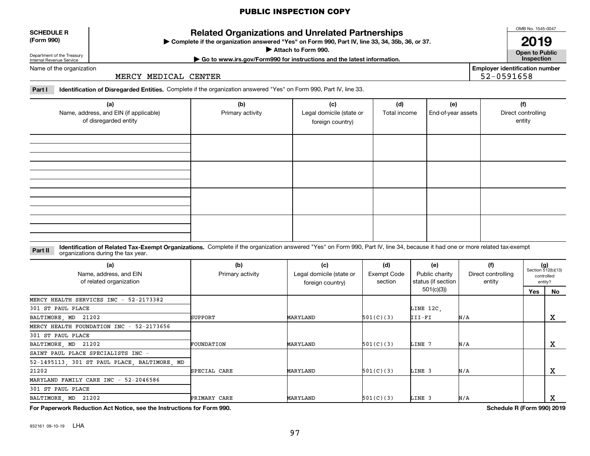#### **SCHEDULE R (Form 990)**

**Related Organizations and Unrelated Partnerships**

**Complete if the organization answered "Yes" on Form 990, Part IV, line 33, 34, 35b, 36, or 37.** |

**Attach to Form 990.**  |

OMB No. 1545-0047

**Open to Public | Go to www.irs.gov/Form990 for instructions and the latest information. Inspection 2019**

**Employer identification number**

52-0591658

Department of the Treasury Internal Revenue Service Name of the organization

MERCY MEDICAL CENTER

**Part I Identification of Disregarded Entities.**  Complete if the organization answered "Yes" on Form 990, Part IV, line 33.

| (a)<br>Name, address, and EIN (if applicable)<br>of disregarded entity | (b)<br>Primary activity | (c)<br>Legal domicile (state or<br>foreign country) | (d)<br>Total income | (e)<br>End-of-year assets | (f)<br>Direct controlling<br>entity |
|------------------------------------------------------------------------|-------------------------|-----------------------------------------------------|---------------------|---------------------------|-------------------------------------|
|                                                                        |                         |                                                     |                     |                           |                                     |
|                                                                        |                         |                                                     |                     |                           |                                     |
|                                                                        |                         |                                                     |                     |                           |                                     |
|                                                                        |                         |                                                     |                     |                           |                                     |

**Identification of Related Tax-Exempt Organizations.** Complete if the organization answered "Yes" on Form 990, Part IV, line 34, because it had one or more related tax-exempt **Part II** organizations during the tax year.

| (a)<br>Name, address, and EIN<br>of related organization | (b)<br>Primary activity | (c)<br>Legal domicile (state or<br>foreign country) | (d)<br><b>Exempt Code</b><br>section | (e)<br>Public charity<br>status (if section | (f)<br>Direct controlling<br>entity |     | $(g)$<br>Section 512(b)(13)<br>controlled<br>entity? |
|----------------------------------------------------------|-------------------------|-----------------------------------------------------|--------------------------------------|---------------------------------------------|-------------------------------------|-----|------------------------------------------------------|
|                                                          |                         |                                                     |                                      | 501(c)(3)                                   |                                     | Yes | No                                                   |
| MERCY HEALTH SERVICES INC - 52-2173382                   |                         |                                                     |                                      |                                             |                                     |     |                                                      |
| 301 ST PAUL PLACE                                        |                         |                                                     |                                      | LINE 12C,                                   |                                     |     |                                                      |
| BALTIMORE, MD 21202                                      | SUPPORT                 | MARYLAND                                            | 501(C)(3)                            | III-FI                                      | N/A                                 |     | X                                                    |
| MERCY HEALTH FOUNDATION INC - 52-2173656                 |                         |                                                     |                                      |                                             |                                     |     |                                                      |
| 301 ST PAUL PLACE                                        |                         |                                                     |                                      |                                             |                                     |     |                                                      |
| BALTIMORE, MD 21202                                      | FOUNDATION              | MARYLAND                                            | 501(C)(3)                            | LINE 7                                      | N/A                                 |     | х                                                    |
| SAINT PAUL PLACE SPECIALISTS INC -                       |                         |                                                     |                                      |                                             |                                     |     |                                                      |
| 52-1495113, 301 ST PAUL PLACE, BALTIMORE, MD             |                         |                                                     |                                      |                                             |                                     |     |                                                      |
| 21202                                                    | SPECIAL CARE            | MARYLAND                                            | 501(C)(3)                            | LINE 3                                      | N/A                                 |     | х                                                    |
| MARYLAND FAMILY CARE INC - 52-2046586                    |                         |                                                     |                                      |                                             |                                     |     |                                                      |
| 301 ST PAUL PLACE                                        |                         |                                                     |                                      |                                             |                                     |     |                                                      |
| BALTIMORE, MD 21202                                      | PRIMARY CARE            | MARYLAND                                            | 501(C)(3)                            | LINE 3                                      | N/A                                 |     | v                                                    |
|                                                          |                         |                                                     |                                      |                                             | . <i>.</i>                          |     | 0.001001                                             |

**For Paperwork Reduction Act Notice, see the Instructions for Form 990. Schedule R (Form 990) 2019**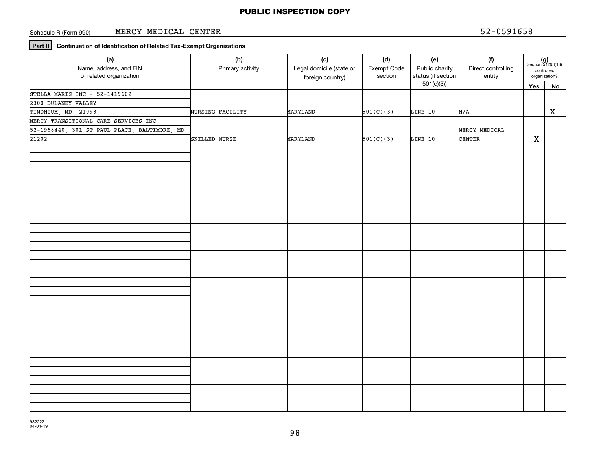#### Schedule R (Form 990) MERCY MEDICAL CENTER 52-0591658

## **Part II Continuation of Identification of Related Tax-Exempt Organizations**

| (a)<br>Name, address, and EIN<br>of related organization     | (b)<br>Primary activity | (c)<br>Legal domicile (state or<br>foreign country) | (d)<br>Exempt Code<br>section | (e)<br>Public charity<br>status (if section<br>501(c)(3) | (f)<br>Direct controlling<br>entity | $(g)$<br>Section 512(b)(13)<br>controlled<br>organization? |              |
|--------------------------------------------------------------|-------------------------|-----------------------------------------------------|-------------------------------|----------------------------------------------------------|-------------------------------------|------------------------------------------------------------|--------------|
|                                                              |                         |                                                     |                               |                                                          |                                     | Yes                                                        | No           |
| STELLA MARIS INC - $52-1419602$                              |                         |                                                     |                               |                                                          |                                     |                                                            |              |
| 2300 DULANEY VALLEY                                          |                         |                                                     |                               |                                                          |                                     |                                                            |              |
| TIMONIUM, MD 21093<br>MERCY TRANSITIONAL CARE SERVICES INC - | NURSING FACILITY        | MARYLAND                                            | 501(C)(3)                     | LINE 10                                                  | N/A                                 |                                                            | $\mathbf{x}$ |
|                                                              |                         |                                                     |                               |                                                          |                                     |                                                            |              |
| 52-1968440, 301 ST PAUL PLACE, BALTIMORE, MD                 |                         |                                                     |                               |                                                          | MERCY MEDICAL                       |                                                            |              |
| 21202                                                        | SKILLED NURSE           | MARYLAND                                            | 501(C)(3)                     | LINE 10                                                  | CENTER                              | $\mathbf X$                                                |              |
|                                                              |                         |                                                     |                               |                                                          |                                     |                                                            |              |
|                                                              |                         |                                                     |                               |                                                          |                                     |                                                            |              |
|                                                              |                         |                                                     |                               |                                                          |                                     |                                                            |              |
|                                                              |                         |                                                     |                               |                                                          |                                     |                                                            |              |
|                                                              |                         |                                                     |                               |                                                          |                                     |                                                            |              |
|                                                              |                         |                                                     |                               |                                                          |                                     |                                                            |              |
|                                                              |                         |                                                     |                               |                                                          |                                     |                                                            |              |
|                                                              |                         |                                                     |                               |                                                          |                                     |                                                            |              |
|                                                              |                         |                                                     |                               |                                                          |                                     |                                                            |              |
|                                                              |                         |                                                     |                               |                                                          |                                     |                                                            |              |
|                                                              |                         |                                                     |                               |                                                          |                                     |                                                            |              |
|                                                              |                         |                                                     |                               |                                                          |                                     |                                                            |              |
|                                                              |                         |                                                     |                               |                                                          |                                     |                                                            |              |
|                                                              |                         |                                                     |                               |                                                          |                                     |                                                            |              |
|                                                              |                         |                                                     |                               |                                                          |                                     |                                                            |              |
|                                                              |                         |                                                     |                               |                                                          |                                     |                                                            |              |
|                                                              |                         |                                                     |                               |                                                          |                                     |                                                            |              |
|                                                              |                         |                                                     |                               |                                                          |                                     |                                                            |              |
|                                                              |                         |                                                     |                               |                                                          |                                     |                                                            |              |
|                                                              |                         |                                                     |                               |                                                          |                                     |                                                            |              |
|                                                              |                         |                                                     |                               |                                                          |                                     |                                                            |              |
|                                                              |                         |                                                     |                               |                                                          |                                     |                                                            |              |
|                                                              |                         |                                                     |                               |                                                          |                                     |                                                            |              |
|                                                              |                         |                                                     |                               |                                                          |                                     |                                                            |              |
|                                                              |                         |                                                     |                               |                                                          |                                     |                                                            |              |
|                                                              |                         |                                                     |                               |                                                          |                                     |                                                            |              |
|                                                              |                         |                                                     |                               |                                                          |                                     |                                                            |              |
|                                                              |                         |                                                     |                               |                                                          |                                     |                                                            |              |
|                                                              |                         |                                                     |                               |                                                          |                                     |                                                            |              |
|                                                              |                         |                                                     |                               |                                                          |                                     |                                                            |              |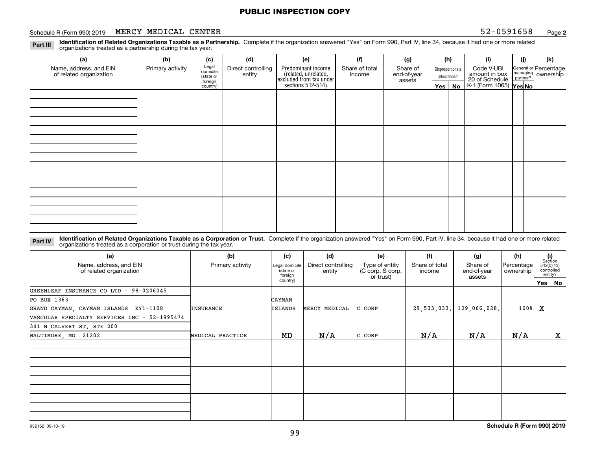#### Schedule R (Form 990) 2019 **MERCY MEDICAL CENTER** 52-0591658 <sub>Page</sub>

**2**

**Identification of Related Organizations Taxable as a Partnership.** Complete if the organization answered "Yes" on Form 990, Part IV, line 34, because it had one or more related **Part III** organizations treated as a partnership during the tax year.

| (a)                                               | (b)              | (c)                  | (d)                          | (e)                                                                 | (f) | (g)    |              | (h) | (i)                                                       | (j)                     | (k)                |                  |            |  |                       |
|---------------------------------------------------|------------------|----------------------|------------------------------|---------------------------------------------------------------------|-----|--------|--------------|-----|-----------------------------------------------------------|-------------------------|--------------------|------------------|------------|--|-----------------------|
| Name, address, and EIN<br>of related organization | Primary activity | Legal<br>domicile    | Direct controlling<br>entity | Predominant income                                                  |     |        |              |     | Share of total<br>income                                  | Share of<br>end-of-year |                    | Disproportionate | Code V-UBI |  | General or Percentage |
|                                                   |                  | (state or<br>foreign |                              | related, unrelated,<br>excluded from tax under<br>sections 512-514) |     | assets | allocations? |     | amount in box<br>20 of Schedule<br>K-1 (Form 1065) Yes No |                         | managing ownership |                  |            |  |                       |
|                                                   |                  | country)             |                              |                                                                     |     |        | Yes          | No  |                                                           |                         |                    |                  |            |  |                       |
|                                                   |                  |                      |                              |                                                                     |     |        |              |     |                                                           |                         |                    |                  |            |  |                       |
|                                                   |                  |                      |                              |                                                                     |     |        |              |     |                                                           |                         |                    |                  |            |  |                       |
|                                                   |                  |                      |                              |                                                                     |     |        |              |     |                                                           |                         |                    |                  |            |  |                       |
|                                                   |                  |                      |                              |                                                                     |     |        |              |     |                                                           |                         |                    |                  |            |  |                       |
|                                                   |                  |                      |                              |                                                                     |     |        |              |     |                                                           |                         |                    |                  |            |  |                       |
|                                                   |                  |                      |                              |                                                                     |     |        |              |     |                                                           |                         |                    |                  |            |  |                       |
|                                                   |                  |                      |                              |                                                                     |     |        |              |     |                                                           |                         |                    |                  |            |  |                       |
|                                                   |                  |                      |                              |                                                                     |     |        |              |     |                                                           |                         |                    |                  |            |  |                       |
|                                                   |                  |                      |                              |                                                                     |     |        |              |     |                                                           |                         |                    |                  |            |  |                       |
|                                                   |                  |                      |                              |                                                                     |     |        |              |     |                                                           |                         |                    |                  |            |  |                       |
|                                                   |                  |                      |                              |                                                                     |     |        |              |     |                                                           |                         |                    |                  |            |  |                       |
|                                                   |                  |                      |                              |                                                                     |     |        |              |     |                                                           |                         |                    |                  |            |  |                       |
|                                                   |                  |                      |                              |                                                                     |     |        |              |     |                                                           |                         |                    |                  |            |  |                       |
|                                                   |                  |                      |                              |                                                                     |     |        |              |     |                                                           |                         |                    |                  |            |  |                       |
|                                                   |                  |                      |                              |                                                                     |     |        |              |     |                                                           |                         |                    |                  |            |  |                       |
|                                                   |                  |                      |                              |                                                                     |     |        |              |     |                                                           |                         |                    |                  |            |  |                       |
|                                                   |                  |                      |                              |                                                                     |     |        |              |     |                                                           |                         |                    |                  |            |  |                       |

**Identification of Related Organizations Taxable as a Corporation or Trust.** Complete if the organization answered "Yes" on Form 990, Part IV, line 34, because it had one or more related **Part IV** organizations treated as a corporation or trust during the tax year.

| (a)<br>Name, address, and EIN<br>of related organization | (b)<br>Primary activity | (c)<br>Legal domicile<br>(state or<br>foreign | (d)<br>Direct controlling<br>entity | (e)<br>Type of entity<br>(C corp, S corp,<br>or trust) | (f)<br>Share of total<br>income | (g)<br>Share of<br>end-of-year<br>assets | (h)<br>Percentage<br>ownership |   | (i)<br>Section<br>512(b)(13)<br>controlled<br>entity? |
|----------------------------------------------------------|-------------------------|-----------------------------------------------|-------------------------------------|--------------------------------------------------------|---------------------------------|------------------------------------------|--------------------------------|---|-------------------------------------------------------|
|                                                          |                         | country)                                      |                                     |                                                        |                                 |                                          |                                |   | Yes   No                                              |
| GREENLEAF INSURANCE CO LTD - 98-0206045                  |                         |                                               |                                     |                                                        |                                 |                                          |                                |   |                                                       |
| PO BOX 1363                                              |                         | <b>CAYMAN</b>                                 |                                     |                                                        |                                 |                                          |                                |   |                                                       |
| GRAND CAYMAN, CAYMAN ISLANDS<br>KY1-1108                 | <b>INSURANCE</b>        | ISLANDS                                       | MERCY MEDICAL                       | C CORP                                                 | 29,533,033.                     | 129,066,028.                             | $100$ <sup>8</sup>             | X |                                                       |
| VASCULAR SPECIALTY SERVICES INC - 52-1995474             |                         |                                               |                                     |                                                        |                                 |                                          |                                |   |                                                       |
| 341 N CALVERT ST. STE 200                                |                         |                                               |                                     |                                                        |                                 |                                          |                                |   |                                                       |
| BALTIMORE, MD 21202                                      | MEDICAL PRACTICE        | MD                                            | N/A                                 | C CORP                                                 | N/A                             | N/A                                      | N/A                            |   | X                                                     |
|                                                          |                         |                                               |                                     |                                                        |                                 |                                          |                                |   |                                                       |
|                                                          |                         |                                               |                                     |                                                        |                                 |                                          |                                |   |                                                       |
|                                                          |                         |                                               |                                     |                                                        |                                 |                                          |                                |   |                                                       |
|                                                          |                         |                                               |                                     |                                                        |                                 |                                          |                                |   |                                                       |
|                                                          |                         |                                               |                                     |                                                        |                                 |                                          |                                |   |                                                       |
|                                                          |                         |                                               |                                     |                                                        |                                 |                                          |                                |   |                                                       |
|                                                          |                         |                                               |                                     |                                                        |                                 |                                          |                                |   |                                                       |
|                                                          |                         |                                               |                                     |                                                        |                                 |                                          |                                |   |                                                       |
|                                                          |                         |                                               |                                     |                                                        |                                 |                                          |                                |   |                                                       |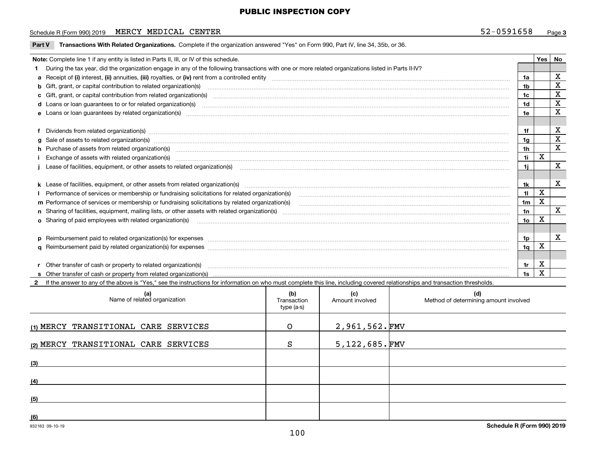#### Schedule R (Form 990) 2019 **MERCY MEDICAL CENTER** 52-0591658 <sub>Page</sub>

| Part V | Transactions With Related Organizations. Complete if the organization answered "Yes" on Form 990, Part IV, line 34, 35b, or 36.                                                                                                |                 |             |             |  |  |  |  |  |
|--------|--------------------------------------------------------------------------------------------------------------------------------------------------------------------------------------------------------------------------------|-----------------|-------------|-------------|--|--|--|--|--|
|        | Note: Complete line 1 if any entity is listed in Parts II, III, or IV of this schedule.                                                                                                                                        |                 |             |             |  |  |  |  |  |
|        | During the tax year, did the organization engage in any of the following transactions with one or more related organizations listed in Parts II-IV?                                                                            |                 |             |             |  |  |  |  |  |
|        | 1a                                                                                                                                                                                                                             |                 |             |             |  |  |  |  |  |
|        | b Gift, grant, or capital contribution to related organization(s) manufaction(s) and content to related organization(s) manufaction manufacture contribution to related organization(s) manufacture content content content of | 1 <sub>b</sub>  |             | X           |  |  |  |  |  |
|        |                                                                                                                                                                                                                                | 1c              |             | X           |  |  |  |  |  |
|        |                                                                                                                                                                                                                                | 1d              |             | X           |  |  |  |  |  |
|        |                                                                                                                                                                                                                                | 1e              |             | X           |  |  |  |  |  |
|        |                                                                                                                                                                                                                                |                 |             |             |  |  |  |  |  |
|        | Dividends from related organization(s) manufactured and contract and contract or produced and contract and contract and contract and contract and contract and contract and contract and contract and contract and contract an | 1f              |             | X           |  |  |  |  |  |
|        | g Sale of assets to related organization(s) manufactured and content to the content of the set of assets to related organization(s) manufactured and content of the set of assets to related organization(s) manufactured and  | 1g              |             | X           |  |  |  |  |  |
|        | h Purchase of assets from related organization(s) www.assettion.com/www.assettion.com/www.assettion.com/www.assettion.com/www.assettion.com/www.assettion.com/www.assettion.com/www.assettion.com/www.assettion.com/www.assett | 1 <sub>h</sub>  |             | X           |  |  |  |  |  |
|        |                                                                                                                                                                                                                                | 11              | X           |             |  |  |  |  |  |
|        | Lease of facilities, equipment, or other assets to related organization(s) [11] manufactured content in the set of facilities, equipment, or other assets to related organization(s) [11] manufactured content in the set of f | 1j              |             | $\mathbf X$ |  |  |  |  |  |
|        |                                                                                                                                                                                                                                |                 |             |             |  |  |  |  |  |
|        |                                                                                                                                                                                                                                | 1k              |             | х           |  |  |  |  |  |
|        |                                                                                                                                                                                                                                | 11              | X           |             |  |  |  |  |  |
|        | m Performance of services or membership or fundraising solicitations by related organization(s)                                                                                                                                | 1 <sub>m</sub>  | X           |             |  |  |  |  |  |
|        |                                                                                                                                                                                                                                | 1n              |             | X           |  |  |  |  |  |
|        |                                                                                                                                                                                                                                | 10 <sub>o</sub> | х           |             |  |  |  |  |  |
|        |                                                                                                                                                                                                                                |                 |             |             |  |  |  |  |  |
|        | p Reimbursement paid to related organization(s) for expenses [1111] and the content of the content of the content of the content of the content of the content of the content of the content of the content of the content of  | 1p              |             | x           |  |  |  |  |  |
|        |                                                                                                                                                                                                                                | 1 <sub>q</sub>  | х           |             |  |  |  |  |  |
|        |                                                                                                                                                                                                                                |                 |             |             |  |  |  |  |  |
|        | Other transfer of cash or property to related organization(s)                                                                                                                                                                  | 1r              | x           |             |  |  |  |  |  |
|        |                                                                                                                                                                                                                                | 1s              | $\mathbf x$ |             |  |  |  |  |  |
|        | If the answer to any of the above is "Yes," see the instructions for information on who must complete this line, including covered relationships and transaction thresholds.                                                   |                 |             |             |  |  |  |  |  |

| (a)<br>Name of related organization  | (b)<br>Transaction<br>type (a-s) | (c)<br>Amount involved | (d)<br>Method of determining amount involved |
|--------------------------------------|----------------------------------|------------------------|----------------------------------------------|
| (1) MERCY TRANSITIONAL CARE SERVICES | $\Omega$                         | $2,961,562.\text{FMV}$ |                                              |
| (2) MERCY TRANSITIONAL CARE SERVICES | S                                | $5,122,685.\,$ FMV     |                                              |
| (3)                                  |                                  |                        |                                              |
| (4)                                  |                                  |                        |                                              |
| (5)                                  |                                  |                        |                                              |
| (6)                                  |                                  |                        |                                              |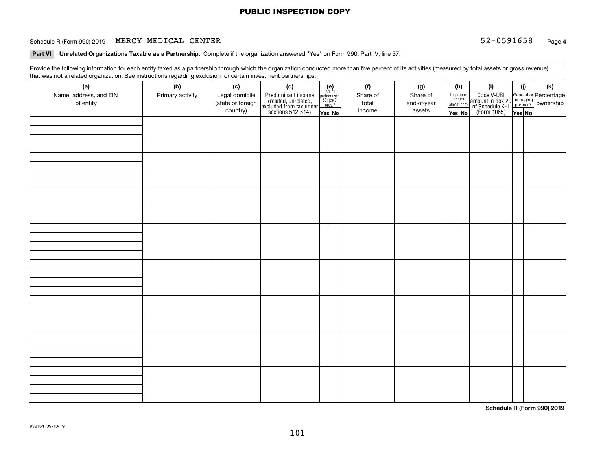#### Schedule R (Form 990) 2019 **MERCY MEDICAL CENTER** 52-0591658 <sub>Page</sub>

### **4**

**Part VI Unrelated Organizations Taxable as a Partnership.**  Complete if the organization answered "Yes" on Form 990, Part IV, line 37.

Provide the following information for each entity taxed as a partnership through which the organization conducted more than five percent of its activities (measured by total assets or gross revenue) that was not a related organization. See instructions regarding exclusion for certain investment partnerships.

| (a)                    | (b)              | (c)               | (d)                                                                                        |                                                          |  | (f)      | (g)         |  | (h)                   | (i)                                                                                          | (i) | (k) |
|------------------------|------------------|-------------------|--------------------------------------------------------------------------------------------|----------------------------------------------------------|--|----------|-------------|--|-----------------------|----------------------------------------------------------------------------------------------|-----|-----|
| Name, address, and EIN | Primary activity | Legal domicile    |                                                                                            | (e)<br>Are all<br>partners sec.<br>$501(c)(3)$<br>orgs.? |  | Share of | Share of    |  | Dispropor-<br>tionate |                                                                                              |     |     |
| of entity              |                  | (state or foreign |                                                                                            |                                                          |  | total    | end-of-year |  | allocations?          |                                                                                              |     |     |
|                        |                  | country)          | Predominant income<br>(related, unrelated,<br>excluded from tax under<br>sections 512-514) | Yes No                                                   |  | income   | assets      |  | Yes No                | Code V-UBI<br>amount in box 20 managing<br>of Schedule K-1 partner?<br>(Form 1065)<br>ves No |     |     |
|                        |                  |                   |                                                                                            |                                                          |  |          |             |  |                       |                                                                                              |     |     |
|                        |                  |                   |                                                                                            |                                                          |  |          |             |  |                       |                                                                                              |     |     |
|                        |                  |                   |                                                                                            |                                                          |  |          |             |  |                       |                                                                                              |     |     |
|                        |                  |                   |                                                                                            |                                                          |  |          |             |  |                       |                                                                                              |     |     |
|                        |                  |                   |                                                                                            |                                                          |  |          |             |  |                       |                                                                                              |     |     |
|                        |                  |                   |                                                                                            |                                                          |  |          |             |  |                       |                                                                                              |     |     |
|                        |                  |                   |                                                                                            |                                                          |  |          |             |  |                       |                                                                                              |     |     |
|                        |                  |                   |                                                                                            |                                                          |  |          |             |  |                       |                                                                                              |     |     |
|                        |                  |                   |                                                                                            |                                                          |  |          |             |  |                       |                                                                                              |     |     |
|                        |                  |                   |                                                                                            |                                                          |  |          |             |  |                       |                                                                                              |     |     |
|                        |                  |                   |                                                                                            |                                                          |  |          |             |  |                       |                                                                                              |     |     |
|                        |                  |                   |                                                                                            |                                                          |  |          |             |  |                       |                                                                                              |     |     |
|                        |                  |                   |                                                                                            |                                                          |  |          |             |  |                       |                                                                                              |     |     |
|                        |                  |                   |                                                                                            |                                                          |  |          |             |  |                       |                                                                                              |     |     |
|                        |                  |                   |                                                                                            |                                                          |  |          |             |  |                       |                                                                                              |     |     |
|                        |                  |                   |                                                                                            |                                                          |  |          |             |  |                       |                                                                                              |     |     |
|                        |                  |                   |                                                                                            |                                                          |  |          |             |  |                       |                                                                                              |     |     |
|                        |                  |                   |                                                                                            |                                                          |  |          |             |  |                       |                                                                                              |     |     |
|                        |                  |                   |                                                                                            |                                                          |  |          |             |  |                       |                                                                                              |     |     |
|                        |                  |                   |                                                                                            |                                                          |  |          |             |  |                       |                                                                                              |     |     |
|                        |                  |                   |                                                                                            |                                                          |  |          |             |  |                       |                                                                                              |     |     |
|                        |                  |                   |                                                                                            |                                                          |  |          |             |  |                       |                                                                                              |     |     |
|                        |                  |                   |                                                                                            |                                                          |  |          |             |  |                       |                                                                                              |     |     |
|                        |                  |                   |                                                                                            |                                                          |  |          |             |  |                       |                                                                                              |     |     |
|                        |                  |                   |                                                                                            |                                                          |  |          |             |  |                       |                                                                                              |     |     |
|                        |                  |                   |                                                                                            |                                                          |  |          |             |  |                       |                                                                                              |     |     |
|                        |                  |                   |                                                                                            |                                                          |  |          |             |  |                       |                                                                                              |     |     |
|                        |                  |                   |                                                                                            |                                                          |  |          |             |  |                       |                                                                                              |     |     |
|                        |                  |                   |                                                                                            |                                                          |  |          |             |  |                       |                                                                                              |     |     |
|                        |                  |                   |                                                                                            |                                                          |  |          |             |  |                       |                                                                                              |     |     |
|                        |                  |                   |                                                                                            |                                                          |  |          |             |  |                       |                                                                                              |     |     |
|                        |                  |                   |                                                                                            |                                                          |  |          |             |  |                       |                                                                                              |     |     |

**Schedule R (Form 990) 2019**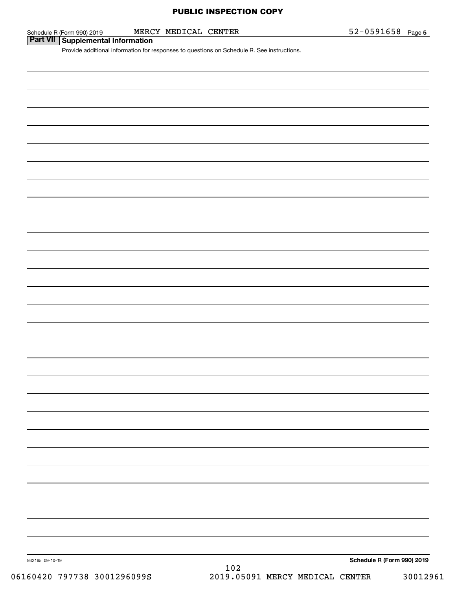|                 | MERCY MEDICAL CENTER                                                                       | $52 - 0591658$ Page 5      |
|-----------------|--------------------------------------------------------------------------------------------|----------------------------|
|                 | Schedule R (Form 990) 2019 MERC<br><b>Part VII</b> Supplemental Information                |                            |
|                 | Provide additional information for responses to questions on Schedule R. See instructions. |                            |
|                 |                                                                                            |                            |
|                 |                                                                                            |                            |
|                 |                                                                                            |                            |
|                 |                                                                                            |                            |
|                 |                                                                                            |                            |
|                 |                                                                                            |                            |
|                 |                                                                                            |                            |
|                 |                                                                                            |                            |
|                 |                                                                                            |                            |
|                 |                                                                                            |                            |
|                 |                                                                                            |                            |
|                 |                                                                                            |                            |
|                 |                                                                                            |                            |
|                 |                                                                                            |                            |
|                 |                                                                                            |                            |
|                 |                                                                                            |                            |
|                 |                                                                                            |                            |
|                 |                                                                                            |                            |
|                 |                                                                                            |                            |
|                 |                                                                                            |                            |
|                 |                                                                                            |                            |
|                 |                                                                                            |                            |
|                 |                                                                                            |                            |
|                 |                                                                                            |                            |
|                 |                                                                                            |                            |
|                 |                                                                                            |                            |
|                 |                                                                                            |                            |
|                 |                                                                                            |                            |
|                 |                                                                                            |                            |
|                 |                                                                                            |                            |
|                 |                                                                                            |                            |
|                 |                                                                                            |                            |
|                 |                                                                                            |                            |
|                 |                                                                                            |                            |
|                 |                                                                                            |                            |
|                 |                                                                                            |                            |
|                 |                                                                                            |                            |
|                 |                                                                                            |                            |
|                 |                                                                                            |                            |
|                 |                                                                                            |                            |
|                 |                                                                                            |                            |
|                 |                                                                                            |                            |
|                 |                                                                                            |                            |
|                 |                                                                                            |                            |
|                 |                                                                                            |                            |
|                 |                                                                                            |                            |
|                 |                                                                                            |                            |
| 932165 09-10-19 | 102                                                                                        | Schedule R (Form 990) 2019 |
|                 |                                                                                            |                            |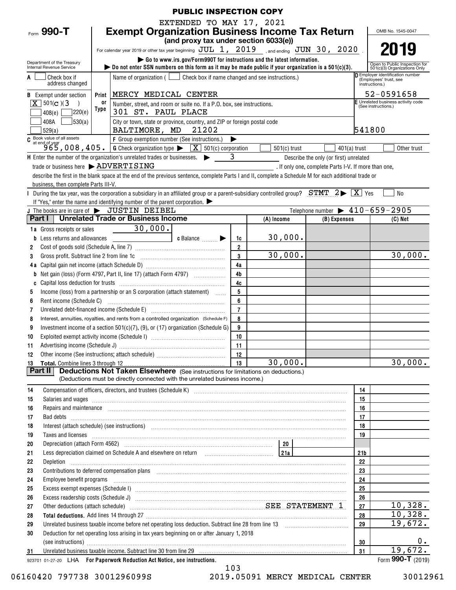|                                                        |                                      |       | <b>PUBLIC INSPECTION COPY</b>                                                                                                                                                                                                      |                      |                |                                                      |                 |                                                                   |
|--------------------------------------------------------|--------------------------------------|-------|------------------------------------------------------------------------------------------------------------------------------------------------------------------------------------------------------------------------------------|----------------------|----------------|------------------------------------------------------|-----------------|-------------------------------------------------------------------|
|                                                        |                                      |       | EXTENDED TO MAY 17, 2021                                                                                                                                                                                                           |                      |                |                                                      |                 |                                                                   |
| Form $990 - T$                                         |                                      |       | <b>Exempt Organization Business Income Tax Return</b>                                                                                                                                                                              |                      |                |                                                      |                 | OMB No. 1545-0047                                                 |
|                                                        |                                      |       | (and proxy tax under section 6033(e))                                                                                                                                                                                              |                      |                |                                                      |                 |                                                                   |
|                                                        |                                      |       | For calendar year 2019 or other tax year beginning $JUL$ 1, 2019 sand ending $JUN$ 30, 2020                                                                                                                                        |                      |                |                                                      |                 | 2019                                                              |
|                                                        |                                      |       | Go to www.irs.gov/Form990T for instructions and the latest information.                                                                                                                                                            |                      |                |                                                      |                 |                                                                   |
| Department of the Treasury<br>Internal Revenue Service |                                      |       | $\triangleright$ Do not enter SSN numbers on this form as it may be made public if your organization is a 501(c)(3).                                                                                                               |                      |                |                                                      |                 | Open to Public Inspection for<br>501(c)(3) Organizations Only     |
| Check box if                                           |                                      |       | Name of organization ( $\Box$ Check box if name changed and see instructions.)                                                                                                                                                     |                      |                |                                                      |                 | <b>D</b> Employer identification number<br>(Employees' trust, see |
|                                                        | address changed                      |       |                                                                                                                                                                                                                                    |                      |                |                                                      |                 | instructions.)                                                    |
| <b>B</b> Exempt under section                          |                                      | Print | MERCY MEDICAL CENTER                                                                                                                                                                                                               |                      |                |                                                      |                 | 52-0591658                                                        |
| $X \mid 501(c)$ (3)                                    |                                      | or    | Number, street, and room or suite no. If a P.O. box, see instructions.                                                                                                                                                             |                      |                |                                                      |                 | E Unrelated business activity code<br>(See instructions.)         |
| 408(e)                                                 | 220(e)                               | Type  | 301 ST. PAUL PLACE                                                                                                                                                                                                                 |                      |                |                                                      |                 |                                                                   |
| 408A                                                   | 30(a)                                |       | City or town, state or province, country, and ZIP or foreign postal code                                                                                                                                                           |                      |                |                                                      |                 |                                                                   |
| 529(a)                                                 |                                      |       | BALTIMORE, MD 21202                                                                                                                                                                                                                |                      |                |                                                      | 541800          |                                                                   |
|                                                        |                                      |       | C Book value of all assets<br>$965,008,405.$ G Check organization type $\sqrt{\frac{X}{N}}$ 501(c) corporation                                                                                                                     |                      |                |                                                      |                 |                                                                   |
|                                                        |                                      |       |                                                                                                                                                                                                                                    |                      | $501(c)$ trust | $401(a)$ trust                                       |                 | Other trust                                                       |
|                                                        |                                      |       | H Enter the number of the organization's unrelated trades or businesses. $\blacktriangleright$ 3                                                                                                                                   |                      |                | Describe the only (or first) unrelated               |                 |                                                                   |
|                                                        |                                      |       | trade or business here > ADVERTISING                                                                                                                                                                                               |                      |                | . If only one, complete Parts I-V. If more than one, |                 |                                                                   |
|                                                        |                                      |       | describe the first in the blank space at the end of the previous sentence, complete Parts I and II, complete a Schedule M for each additional trade or                                                                             |                      |                |                                                      |                 |                                                                   |
|                                                        | business, then complete Parts III-V. |       |                                                                                                                                                                                                                                    |                      |                |                                                      |                 |                                                                   |
|                                                        |                                      |       | During the tax year, was the corporation a subsidiary in an affiliated group or a parent-subsidiary controlled group? STMT $2 \triangleright \boxed{X}$ Yes                                                                        |                      |                |                                                      |                 | <b>No</b>                                                         |
|                                                        |                                      |       | If "Yes," enter the name and identifying number of the parent corporation.                                                                                                                                                         |                      |                |                                                      |                 |                                                                   |
|                                                        |                                      |       | J The books are in care of $\blacktriangleright$ JUSTIN DEIBEL<br>Part I   Unrelated Trade or Business Income                                                                                                                      |                      |                | Telephone number $\blacktriangleright$ 410-659-2905  |                 |                                                                   |
|                                                        |                                      |       |                                                                                                                                                                                                                                    |                      | (A) Income     | (B) Expenses                                         |                 | $(C)$ Net                                                         |
| 1a Gross receipts or sales                             |                                      |       | $-30,000.$                                                                                                                                                                                                                         |                      | 30,000.        |                                                      |                 |                                                                   |
|                                                        | Less returns and allowances          |       | c Balance $\ldots$                                                                                                                                                                                                                 | 1c<br>$\overline{2}$ |                |                                                      |                 |                                                                   |
| 2                                                      |                                      |       |                                                                                                                                                                                                                                    | 3                    | 30,000.        |                                                      |                 | 30,000.                                                           |
| 3                                                      |                                      |       | Gross profit. Subtract line 2 from line 1c [11] [11] [12] [12] [13] [14] [15] [15] [15] [15] [15] [15] [15] [1                                                                                                                     | 4a                   |                |                                                      |                 |                                                                   |
|                                                        |                                      |       | Net gain (loss) (Form 4797, Part II, line 17) (attach Form 4797)                                                                                                                                                                   | 4 <sub>b</sub>       |                |                                                      |                 |                                                                   |
| b                                                      |                                      |       |                                                                                                                                                                                                                                    | 4c                   |                |                                                      |                 |                                                                   |
| C<br>5                                                 |                                      |       | Income (loss) from a partnership or an S corporation (attach statement)                                                                                                                                                            | 5                    |                |                                                      |                 |                                                                   |
| 6                                                      | Rent income (Schedule C)             |       |                                                                                                                                                                                                                                    | 6                    |                |                                                      |                 |                                                                   |
| 7                                                      |                                      |       | Unrelated debt-financed income (Schedule E) [11] [2010] [2010] [2010] [2010] [2010] [2010] [2010] [2010] [2010                                                                                                                     | $\overline{7}$       |                |                                                      |                 |                                                                   |
| 8                                                      |                                      |       | Interest, annuities, royalties, and rents from a controlled organization (Schedule F)                                                                                                                                              | 8                    |                |                                                      |                 |                                                                   |
| 9                                                      |                                      |       | Investment income of a section 501(c)(7), (9), or (17) organization (Schedule G)                                                                                                                                                   | 9                    |                |                                                      |                 |                                                                   |
| 10                                                     |                                      |       |                                                                                                                                                                                                                                    | 10                   |                |                                                      |                 |                                                                   |
| 11                                                     |                                      |       |                                                                                                                                                                                                                                    | -11                  |                |                                                      |                 |                                                                   |
| 12                                                     |                                      |       |                                                                                                                                                                                                                                    | 12                   |                |                                                      |                 |                                                                   |
| 13                                                     |                                      |       |                                                                                                                                                                                                                                    | 13                   | 30,000.        |                                                      |                 | 30,000.                                                           |
| Part II                                                |                                      |       | <b>Deductions Not Taken Elsewhere</b> (See instructions for limitations on deductions.)                                                                                                                                            |                      |                |                                                      |                 |                                                                   |
|                                                        |                                      |       | (Deductions must be directly connected with the unrelated business income.)                                                                                                                                                        |                      |                |                                                      |                 |                                                                   |
| 14                                                     |                                      |       | Compensation of officers, directors, and trustees (Schedule K) [11] [2000] [2000] [2000] [2000] [2000] [2000] [3000] [3000] [3000] [3000] [3000] [3000] [3000] [3000] [3000] [3000] [3000] [3000] [3000] [3000] [3000] [3000]      |                      |                |                                                      | 14              |                                                                   |
| 15                                                     |                                      |       | Salaries and wages <i>[11] marror marror marror marror marror marror marror marror marror marror marror</i> marror marror marror marror marror marror marror marror marror marror marror marror marror marror marror marror marror |                      |                |                                                      | 15              |                                                                   |
| 16                                                     |                                      |       | Repairs and maintenance <i>[1] [1] [1] [1] [1] [1] [1] [1] [1] [1]</i> [1] <b>[1] [1] [1] [1] [1] [1] [1] [1] [1] [1] [1] [1] [1] [1] [1] [1] [1] [1] [1] [1] [1] [1] [1] [1] [1] [</b>                                            |                      |                |                                                      | 16              |                                                                   |
| 17                                                     |                                      |       |                                                                                                                                                                                                                                    |                      |                |                                                      | 17              |                                                                   |
| 18                                                     |                                      |       | Interest (attach schedule) (see instructions) www.communicalisations.communicalisations.communicalisations.com                                                                                                                     |                      |                |                                                      | 18              |                                                                   |
| 19                                                     |                                      |       | Taxes and licenses <b>Entrarrow Constructs</b> and all censors and licenses <b>and licenses Entrarrow Constructs and licenses</b>                                                                                                  |                      |                |                                                      | 19              |                                                                   |
| 20                                                     |                                      |       |                                                                                                                                                                                                                                    |                      |                |                                                      |                 |                                                                   |
| 21                                                     |                                      |       |                                                                                                                                                                                                                                    |                      |                |                                                      | 21 <sub>b</sub> |                                                                   |
| 22<br>Depletion                                        |                                      |       |                                                                                                                                                                                                                                    |                      |                |                                                      | 22              |                                                                   |
| 23                                                     |                                      |       | Contributions to deferred compensation plans [11] manufactured contributions to deferred compensation plans [11] manufactured compensation plans [11] manufactured compensation plans [11] manufactured contributions to defer     |                      |                |                                                      | 23              |                                                                   |
| 24                                                     |                                      |       | Employee benefit programs in the continuum contract of the contract of the contract of the contract of the contract of the contract of the contract of the contract of the contract of the contract of the contract of the con     |                      |                |                                                      | 24              |                                                                   |
| 25                                                     |                                      |       |                                                                                                                                                                                                                                    |                      |                |                                                      | 25              |                                                                   |
| 26                                                     |                                      |       |                                                                                                                                                                                                                                    |                      |                |                                                      | 26              |                                                                   |
| 27                                                     |                                      |       | Other deductions (attach schedule) material material material material state STATEMENT 1                                                                                                                                           |                      |                |                                                      | 27              | 10,328.                                                           |
| 28                                                     |                                      |       |                                                                                                                                                                                                                                    |                      |                |                                                      | 28              | 10,328.                                                           |
| 29                                                     |                                      |       |                                                                                                                                                                                                                                    |                      |                |                                                      | 29              | 19,672.                                                           |
| 30                                                     |                                      |       | Deduction for net operating loss arising in tax years beginning on or after January 1, 2018                                                                                                                                        |                      |                |                                                      |                 |                                                                   |
|                                                        |                                      |       | (see instructions) www.communications.com/inductions/inductions/inductions/inductions/inductions/inductions/inductions/inductions/inductions/inductions/inductions/inductions/inductions/inductions/inductions/inductions/indu     |                      |                |                                                      | 30              | 0.<br>19,672.                                                     |
| 31                                                     |                                      |       | 923701 01-27-20 LHA For Paperwork Reduction Act Notice, see instructions.                                                                                                                                                          |                      |                |                                                      | 31              | Form 990-T (2019)                                                 |
|                                                        |                                      |       |                                                                                                                                                                                                                                    |                      |                |                                                      |                 |                                                                   |

06160420 797738 3001296099S 2019.05091 MERCY MEDICAL CENTER 30012961

103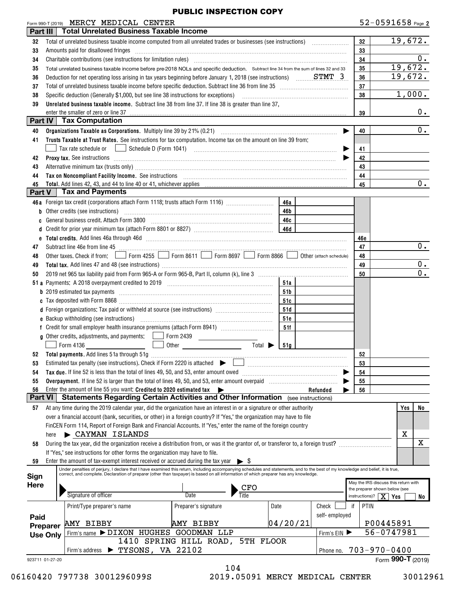| $52 - 0591658$ Page 2 |  |  |
|-----------------------|--|--|
|-----------------------|--|--|

|                 |      | Form 990-T (2019) MERCY MEDICAL CENTER                                                                                                                                                                                                                                                                                    |                                                                                         |          |          |               |    | $52 - 0591658$ Page 2                |         |                  |
|-----------------|------|---------------------------------------------------------------------------------------------------------------------------------------------------------------------------------------------------------------------------------------------------------------------------------------------------------------------------|-----------------------------------------------------------------------------------------|----------|----------|---------------|----|--------------------------------------|---------|------------------|
| Part III        |      | <b>Total Unrelated Business Taxable Income</b>                                                                                                                                                                                                                                                                            |                                                                                         |          |          |               |    |                                      |         |                  |
| 32              |      |                                                                                                                                                                                                                                                                                                                           |                                                                                         |          |          |               |    | 32                                   |         | 19,672.          |
| 33              |      | Amounts paid for disallowed fringes encouragement and an amount of the final state of the set of the set of the                                                                                                                                                                                                           |                                                                                         |          |          |               |    | 33                                   |         |                  |
| 34              |      |                                                                                                                                                                                                                                                                                                                           |                                                                                         |          |          |               |    | 34                                   |         | $0$ .            |
| 35              |      | Total unrelated business taxable income before pre-2018 NOLs and specific deduction. Subtract line 34 from the sum of lines 32 and 33                                                                                                                                                                                     |                                                                                         |          |          |               |    | 35                                   | 19,672. |                  |
| 36              |      | Deduction for net operating loss arising in tax years beginning before January 1, 2018 (see instructions) STMT 3                                                                                                                                                                                                          |                                                                                         |          |          |               |    | 36                                   | 19,672. |                  |
| 37              |      | Total of unrelated business taxable income before specific deduction. Subtract line 36 from line 35 [11] [11] Total of unrelated business taxable income before specific deduction. Subtract line 36 [11] $\cdot$                                                                                                         |                                                                                         |          |          |               |    | 37                                   |         |                  |
| 38              |      | Specific deduction (Generally \$1,000, but see line 38 instructions for exceptions)                                                                                                                                                                                                                                       |                                                                                         |          |          |               |    | 38                                   |         | 1,000.           |
| 39              |      | Unrelated business taxable income. Subtract line 38 from line 37. If line 38 is greater than line 37,                                                                                                                                                                                                                     |                                                                                         |          |          |               |    |                                      |         |                  |
|                 |      | enter the smaller of zero or line 37                                                                                                                                                                                                                                                                                      |                                                                                         |          |          |               |    | 39                                   |         | $0$ .            |
|                 |      | <b>Part IV   Tax Computation</b>                                                                                                                                                                                                                                                                                          |                                                                                         |          |          |               |    |                                      |         |                  |
| 40              |      |                                                                                                                                                                                                                                                                                                                           |                                                                                         |          |          |               |    | 40                                   |         | 0.               |
| 41              |      | Trusts Taxable at Trust Rates. See instructions for tax computation. Income tax on the amount on line 39 from:                                                                                                                                                                                                            |                                                                                         |          |          |               |    |                                      |         |                  |
|                 |      | Tax rate schedule or                                                                                                                                                                                                                                                                                                      |                                                                                         |          |          |               |    | 41                                   |         |                  |
| 42              |      | Proxy tax. See instructions information and contact the set of the set of the set of the set of the set of the set of the set of the set of the set of the set of the set of the set of the set of the set of the set of the s                                                                                            |                                                                                         |          |          |               |    | 42                                   |         |                  |
| 43              |      | Alternative minimum tax (trusts only) manufactured and an according to the state of the state of the state of the state of the state of the state of the state of the state of the state of the state of the state of the stat                                                                                            |                                                                                         |          |          |               |    | 43                                   |         |                  |
| 44              |      | Tax on Noncompliant Facility Income. See instructions [11] The manufacture material contracts and the material contracts and the material contracts and the material contracts and the material contracts are material contrac                                                                                            |                                                                                         |          |          |               |    | 44                                   |         |                  |
| 45              |      |                                                                                                                                                                                                                                                                                                                           |                                                                                         |          |          |               |    | 45                                   |         | $\overline{0}$ . |
| Part V          |      | <b>Tax and Payments</b>                                                                                                                                                                                                                                                                                                   |                                                                                         |          |          |               |    |                                      |         |                  |
|                 |      | 46a Foreign tax credit (corporations attach Form 1118; trusts attach Form 1116) [                                                                                                                                                                                                                                         |                                                                                         | 46a      |          |               |    |                                      |         |                  |
|                 |      | b Other credits (see instructions) manufactured contains and all other credits (see instructions)                                                                                                                                                                                                                         |                                                                                         | 46b      |          |               |    |                                      |         |                  |
| C               |      | General business credit. Attach Form 3800 [11] [11] Contract the substitution of the Seneral District Tennes (                                                                                                                                                                                                            |                                                                                         | 46с      |          |               |    |                                      |         |                  |
|                 |      |                                                                                                                                                                                                                                                                                                                           |                                                                                         |          |          |               |    |                                      |         |                  |
|                 |      |                                                                                                                                                                                                                                                                                                                           |                                                                                         |          |          |               |    | 46e                                  |         | 0.               |
| 47              |      | Other taxes. Check if from: Form 4255 Form 8611 Form 8697 Form 8866 Other (attach schedule)                                                                                                                                                                                                                               |                                                                                         |          |          |               |    | 47                                   |         |                  |
| 48              |      |                                                                                                                                                                                                                                                                                                                           |                                                                                         |          |          |               |    | 48<br>49                             |         | $0$ .            |
| 49<br>50        |      |                                                                                                                                                                                                                                                                                                                           |                                                                                         |          |          |               |    | 50                                   |         | $\overline{0}$ . |
|                 |      |                                                                                                                                                                                                                                                                                                                           |                                                                                         | 51a      |          |               |    |                                      |         |                  |
|                 |      |                                                                                                                                                                                                                                                                                                                           |                                                                                         | 51b      |          |               |    |                                      |         |                  |
|                 |      |                                                                                                                                                                                                                                                                                                                           |                                                                                         | 51 C     |          |               |    |                                      |         |                  |
|                 |      | d Foreign organizations: Tax paid or withheld at source (see instructions) [1001111111111111111111111111111111                                                                                                                                                                                                            |                                                                                         | 51d      |          |               |    |                                      |         |                  |
|                 |      |                                                                                                                                                                                                                                                                                                                           |                                                                                         | 51e      |          |               |    |                                      |         |                  |
|                 |      |                                                                                                                                                                                                                                                                                                                           |                                                                                         | 51f      |          |               |    |                                      |         |                  |
|                 |      | <b>g</b> Other credits, adjustments, and payments: $\Box$ Form 2439                                                                                                                                                                                                                                                       | $\mathcal{L}^{\text{max}}_{\text{max}}$ , where $\mathcal{L}^{\text{max}}_{\text{max}}$ |          |          |               |    |                                      |         |                  |
|                 |      |                                                                                                                                                                                                                                                                                                                           | Total $\blacktriangleright$                                                             | 51g      |          |               |    |                                      |         |                  |
| 52              |      |                                                                                                                                                                                                                                                                                                                           |                                                                                         |          |          |               |    | 52                                   |         |                  |
| 53              |      | Estimated tax penalty (see instructions). Check if Form 2220 is attached                                                                                                                                                                                                                                                  |                                                                                         |          |          |               |    | 53                                   |         |                  |
| 54              |      | Tax due. If line 52 is less than the total of lines 49, 50, and 53, enter amount owed                                                                                                                                                                                                                                     |                                                                                         |          |          |               |    | 54                                   |         |                  |
| 55              |      | Overpayment. If line 52 is larger than the total of lines 49, 50, and 53, enter amount overpaid                                                                                                                                                                                                                           |                                                                                         |          |          |               |    | 55                                   |         |                  |
| 56              |      | Enter the amount of line 55 you want: Credited to 2020 estimated tax $\blacktriangleright$                                                                                                                                                                                                                                |                                                                                         |          | Refunded |               |    | 56                                   |         |                  |
| <b>Part VI</b>  |      | <b>Statements Regarding Certain Activities and Other Information</b> (see instructions)                                                                                                                                                                                                                                   |                                                                                         |          |          |               |    |                                      |         |                  |
| 57              |      | At any time during the 2019 calendar year, did the organization have an interest in or a signature or other authority                                                                                                                                                                                                     |                                                                                         |          |          |               |    |                                      | Yes     | No               |
|                 |      | over a financial account (bank, securities, or other) in a foreign country? If "Yes," the organization may have to file                                                                                                                                                                                                   |                                                                                         |          |          |               |    |                                      |         |                  |
|                 |      | FinCEN Form 114, Report of Foreign Bank and Financial Accounts. If "Yes," enter the name of the foreign country                                                                                                                                                                                                           |                                                                                         |          |          |               |    |                                      |         |                  |
|                 | here | $\blacktriangleright$ CAYMAN ISLANDS                                                                                                                                                                                                                                                                                      |                                                                                         |          |          |               |    |                                      | X       |                  |
| 58              |      | During the tax year, did the organization receive a distribution from, or was it the grantor of, or transferor to, a foreign trust?                                                                                                                                                                                       |                                                                                         |          |          |               |    |                                      |         | X                |
|                 |      | If "Yes," see instructions for other forms the organization may have to file.                                                                                                                                                                                                                                             |                                                                                         |          |          |               |    |                                      |         |                  |
| 59              |      | Enter the amount of tax-exempt interest received or accrued during the tax year $\triangleright$ \$                                                                                                                                                                                                                       |                                                                                         |          |          |               |    |                                      |         |                  |
| Sign            |      | Under penalties of perjury, I declare that I have examined this return, including accompanying schedules and statements, and to the best of my knowledge and belief, it is true,<br>correct, and complete. Declaration of preparer (other than taxpayer) is based on all information of which preparer has any knowledge. |                                                                                         |          |          |               |    |                                      |         |                  |
| <b>Here</b>     |      |                                                                                                                                                                                                                                                                                                                           |                                                                                         |          |          |               |    | May the IRS discuss this return with |         |                  |
|                 |      | Signature of officer                                                                                                                                                                                                                                                                                                      | <u>CFO</u><br>Title<br>Date                                                             |          |          |               |    | the preparer shown below (see        |         |                  |
|                 |      |                                                                                                                                                                                                                                                                                                                           |                                                                                         |          |          |               |    | instructions)? $\mid X \mid Yes$     |         | No l             |
|                 |      | Print/Type preparer's name                                                                                                                                                                                                                                                                                                | Preparer's signature                                                                    | Date     |          | Check         | if | PTIN                                 |         |                  |
| Paid            |      |                                                                                                                                                                                                                                                                                                                           |                                                                                         |          |          | self-employed |    |                                      |         |                  |
| Preparer        |      | AMY BIBBY                                                                                                                                                                                                                                                                                                                 | AMY BIBBY                                                                               | 04/20/21 |          |               |    | P00445891                            |         |                  |
| <b>Use Only</b> |      | Firm's name > DIXON HUGHES GOODMAN LLP                                                                                                                                                                                                                                                                                    |                                                                                         |          |          | Firm's EIN    |    | 56-0747981                           |         |                  |
|                 |      | $\blacktriangleright$ TYSONS, VA 22102                                                                                                                                                                                                                                                                                    | 1410 SPRING HILL ROAD, 5TH FLOOR                                                        |          |          |               |    | $703 - 970 - 0400$                   |         |                  |
| 923711 01-27-20 |      | Firm's address                                                                                                                                                                                                                                                                                                            |                                                                                         |          |          | Phone no.     |    | Form 990-T (2019)                    |         |                  |
|                 |      |                                                                                                                                                                                                                                                                                                                           | 104                                                                                     |          |          |               |    |                                      |         |                  |

06160420 797738 3001296099S 2019.05091 MERCY MEDICAL CENTER 30012961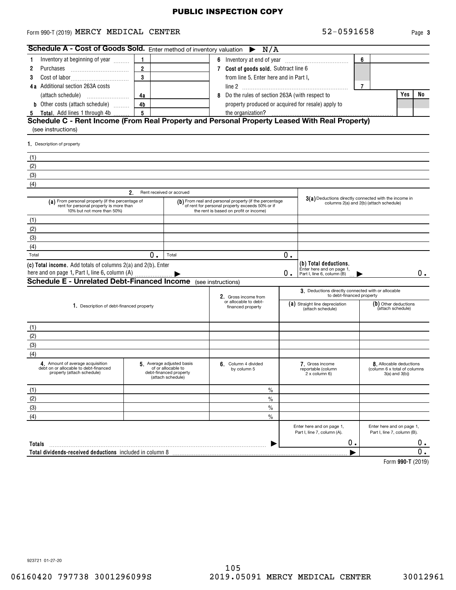#### <code>Form</code> 990-T (2019) <code>MERCY MEDICAL CENTER</code>  $52-0591658$   $_{\text{Page}}$

**3**

| <b>Schedule A - Cost of Goods Sold.</b> Enter method of inventory valuation $\triangleright N/A$                          |                |                                                                                                |   |                                                                                                                                                     |    |                                                                                  |   |                                                                                |       |
|---------------------------------------------------------------------------------------------------------------------------|----------------|------------------------------------------------------------------------------------------------|---|-----------------------------------------------------------------------------------------------------------------------------------------------------|----|----------------------------------------------------------------------------------|---|--------------------------------------------------------------------------------|-------|
| Inventory at beginning of year                                                                                            | $\mathbf{1}$   |                                                                                                |   | 6 Inventory at end of year                                                                                                                          |    |                                                                                  | 6 |                                                                                |       |
| Purchases<br>2                                                                                                            | $\overline{2}$ |                                                                                                |   | 7 Cost of goods sold. Subtract line 6                                                                                                               |    |                                                                                  |   |                                                                                |       |
| 3                                                                                                                         | 3              |                                                                                                |   | from line 5. Enter here and in Part I,                                                                                                              |    |                                                                                  |   |                                                                                |       |
| 4a Additional section 263A costs                                                                                          |                |                                                                                                |   |                                                                                                                                                     |    |                                                                                  | 7 |                                                                                |       |
| (attach schedule)                                                                                                         | 4a             |                                                                                                | 8 | Do the rules of section 263A (with respect to                                                                                                       |    |                                                                                  |   | Yes                                                                            | No    |
| <b>b</b> Other costs (attach schedule)                                                                                    | 4 <sub>b</sub> |                                                                                                |   | property produced or acquired for resale) apply to                                                                                                  |    |                                                                                  |   |                                                                                |       |
| <b>Total.</b> Add lines 1 through 4b<br>$\overline{5}$                                                                    | 5              |                                                                                                |   | the organization?                                                                                                                                   |    |                                                                                  |   |                                                                                |       |
| Schedule C - Rent Income (From Real Property and Personal Property Leased With Real Property)                             |                |                                                                                                |   |                                                                                                                                                     |    |                                                                                  |   |                                                                                |       |
| (see instructions)                                                                                                        |                |                                                                                                |   |                                                                                                                                                     |    |                                                                                  |   |                                                                                |       |
| 1. Description of property                                                                                                |                |                                                                                                |   |                                                                                                                                                     |    |                                                                                  |   |                                                                                |       |
| (1)                                                                                                                       |                |                                                                                                |   |                                                                                                                                                     |    |                                                                                  |   |                                                                                |       |
| (2)                                                                                                                       |                |                                                                                                |   |                                                                                                                                                     |    |                                                                                  |   |                                                                                |       |
| (3)                                                                                                                       |                |                                                                                                |   |                                                                                                                                                     |    |                                                                                  |   |                                                                                |       |
| (4)                                                                                                                       |                |                                                                                                |   |                                                                                                                                                     |    |                                                                                  |   |                                                                                |       |
|                                                                                                                           | 2.             | Rent received or accrued                                                                       |   |                                                                                                                                                     |    |                                                                                  |   |                                                                                |       |
| (a) From personal property (if the percentage of<br>rent for personal property is more than<br>10% but not more than 50%) |                |                                                                                                |   | (b) From real and personal property (if the percentage<br>of rent for personal property exceeds 50% or if<br>the rent is based on profit or income) |    | 3(a) Deductions directly connected with the income in                            |   | columns 2(a) and 2(b) (attach schedule)                                        |       |
| (1)                                                                                                                       |                |                                                                                                |   |                                                                                                                                                     |    |                                                                                  |   |                                                                                |       |
| (2)                                                                                                                       |                |                                                                                                |   |                                                                                                                                                     |    |                                                                                  |   |                                                                                |       |
| (3)                                                                                                                       |                |                                                                                                |   |                                                                                                                                                     |    |                                                                                  |   |                                                                                |       |
| (4)                                                                                                                       |                |                                                                                                |   |                                                                                                                                                     |    |                                                                                  |   |                                                                                |       |
| Total                                                                                                                     | 0.             | Total                                                                                          |   |                                                                                                                                                     | 0. |                                                                                  |   |                                                                                |       |
| (c) Total income. Add totals of columns 2(a) and 2(b). Enter<br>here and on page 1, Part I, line 6, column (A)            |                |                                                                                                |   |                                                                                                                                                     | 0. | (b) Total deductions.<br>Enter here and on page 1,<br>Part I, line 6, column (B) |   |                                                                                | $0$ . |
| <b>Schedule E - Unrelated Debt-Financed Income</b> (see instructions)                                                     |                |                                                                                                |   |                                                                                                                                                     |    |                                                                                  |   |                                                                                |       |
|                                                                                                                           |                |                                                                                                |   | 2. Gross income from                                                                                                                                |    | 3. Deductions directly connected with or allocable<br>to debt-financed property  |   |                                                                                |       |
| 1. Description of debt-financed property                                                                                  |                |                                                                                                |   | or allocable to debt-<br>financed property                                                                                                          |    | (a) Straight line depreciation<br>(attach schedule)                              |   | (b) Other deductions<br>(attach schedule)                                      |       |
| (1)                                                                                                                       |                |                                                                                                |   |                                                                                                                                                     |    |                                                                                  |   |                                                                                |       |
| (2)                                                                                                                       |                |                                                                                                |   |                                                                                                                                                     |    |                                                                                  |   |                                                                                |       |
| (3)                                                                                                                       |                |                                                                                                |   |                                                                                                                                                     |    |                                                                                  |   |                                                                                |       |
| (4)                                                                                                                       |                |                                                                                                |   |                                                                                                                                                     |    |                                                                                  |   |                                                                                |       |
| 4. Amount of average acquisition<br>debt on or allocable to debt-financed<br>property (attach schedule)                   |                | 5. Average adjusted basis<br>of or allocable to<br>debt-financed property<br>(attach schedule) |   | 6. Column 4 divided<br>by column 5                                                                                                                  |    | 7. Gross income<br>reportable (column<br>2 x column 6)                           |   | 8. Allocable deductions<br>(column 6 x total of columns<br>$3(a)$ and $3(b)$ ) |       |
| (1)                                                                                                                       |                |                                                                                                |   | %                                                                                                                                                   |    |                                                                                  |   |                                                                                |       |
| (2)                                                                                                                       |                |                                                                                                |   | $\frac{0}{0}$                                                                                                                                       |    |                                                                                  |   |                                                                                |       |
| (3)                                                                                                                       |                |                                                                                                |   | $\%$                                                                                                                                                |    |                                                                                  |   |                                                                                |       |
| (4)                                                                                                                       |                |                                                                                                |   | $\frac{0}{0}$                                                                                                                                       |    |                                                                                  |   |                                                                                |       |
|                                                                                                                           |                |                                                                                                |   |                                                                                                                                                     |    | Enter here and on page 1,<br>Part I, line 7, column (A).                         |   | Enter here and on page 1,<br>Part I, line 7, column (B).                       |       |
| Totals                                                                                                                    |                |                                                                                                |   |                                                                                                                                                     |    | 0.                                                                               |   |                                                                                | 0.    |
| Total dividends-received deductions included in column 8                                                                  |                |                                                                                                |   |                                                                                                                                                     |    |                                                                                  |   |                                                                                | О.    |
|                                                                                                                           |                |                                                                                                |   |                                                                                                                                                     |    |                                                                                  |   | $Lorm$ 000 T (9010)                                                            |       |

**990-T**  Form (2019)

923721 01-27-20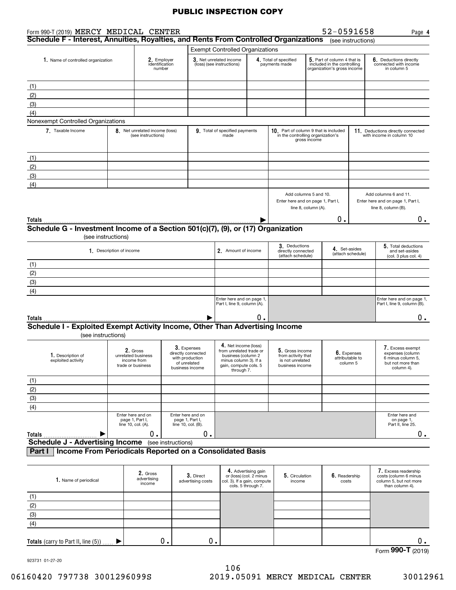| Form 990-T (2019) MERCY MEDICAL CENTER                                                             |                                                |                                                                    |                                                                                         |                                                                                                                                       |                                                                      |                                                                              |                     | 52-0591658                                                                                |                    | Page 4                                                                                       |
|----------------------------------------------------------------------------------------------------|------------------------------------------------|--------------------------------------------------------------------|-----------------------------------------------------------------------------------------|---------------------------------------------------------------------------------------------------------------------------------------|----------------------------------------------------------------------|------------------------------------------------------------------------------|---------------------|-------------------------------------------------------------------------------------------|--------------------|----------------------------------------------------------------------------------------------|
| Schedule F - Interest, Annuities, Royalties, and Rents From Controlled Organizations               |                                                |                                                                    |                                                                                         |                                                                                                                                       |                                                                      |                                                                              |                     |                                                                                           | (see instructions) |                                                                                              |
|                                                                                                    |                                                |                                                                    |                                                                                         | <b>Exempt Controlled Organizations</b>                                                                                                |                                                                      |                                                                              |                     |                                                                                           |                    |                                                                                              |
| 1. Name of controlled organization                                                                 |                                                | 2. Employer<br>identification<br>number                            |                                                                                         | 3. Net unrelated income<br>(loss) (see instructions)                                                                                  |                                                                      | 4. Total of specified<br>payments made                                       |                     | 5. Part of column 4 that is<br>included in the controlling<br>organization's gross income |                    | <b>6.</b> Deductions directly<br>connected with income<br>in column 5                        |
| (1)                                                                                                |                                                |                                                                    |                                                                                         |                                                                                                                                       |                                                                      |                                                                              |                     |                                                                                           |                    |                                                                                              |
| (2)                                                                                                |                                                |                                                                    |                                                                                         |                                                                                                                                       |                                                                      |                                                                              |                     |                                                                                           |                    |                                                                                              |
| (3)                                                                                                |                                                |                                                                    |                                                                                         |                                                                                                                                       |                                                                      |                                                                              |                     |                                                                                           |                    |                                                                                              |
| (4)                                                                                                |                                                |                                                                    |                                                                                         |                                                                                                                                       |                                                                      |                                                                              |                     |                                                                                           |                    |                                                                                              |
| Nonexempt Controlled Organizations                                                                 |                                                |                                                                    |                                                                                         |                                                                                                                                       |                                                                      |                                                                              |                     |                                                                                           |                    |                                                                                              |
| 7. Taxable Income                                                                                  |                                                | 8. Net unrelated income (loss)<br>(see instructions)               |                                                                                         | 9. Total of specified payments<br>made                                                                                                |                                                                      | 10. Part of column 9 that is included<br>in the controlling organization's   | gross income        |                                                                                           |                    | 11. Deductions directly connected<br>with income in column 10                                |
| (1)                                                                                                |                                                |                                                                    |                                                                                         |                                                                                                                                       |                                                                      |                                                                              |                     |                                                                                           |                    |                                                                                              |
| (2)                                                                                                |                                                |                                                                    |                                                                                         |                                                                                                                                       |                                                                      |                                                                              |                     |                                                                                           |                    |                                                                                              |
| (3)                                                                                                |                                                |                                                                    |                                                                                         |                                                                                                                                       |                                                                      |                                                                              |                     |                                                                                           |                    |                                                                                              |
| (4)                                                                                                |                                                |                                                                    |                                                                                         |                                                                                                                                       |                                                                      |                                                                              |                     |                                                                                           |                    |                                                                                              |
|                                                                                                    |                                                |                                                                    |                                                                                         |                                                                                                                                       |                                                                      | Add columns 5 and 10.<br>Enter here and on page 1, Part I,                   | line 8, column (A). |                                                                                           |                    | Add columns 6 and 11.<br>Enter here and on page 1, Part I,<br>line 8, column (B).            |
| Totals                                                                                             |                                                |                                                                    |                                                                                         |                                                                                                                                       |                                                                      |                                                                              |                     | 0.                                                                                        |                    | 0.                                                                                           |
| Schedule G - Investment Income of a Section 501(c)(7), (9), or (17) Organization                   |                                                |                                                                    |                                                                                         |                                                                                                                                       |                                                                      |                                                                              |                     |                                                                                           |                    |                                                                                              |
|                                                                                                    | (see instructions)<br>1. Description of income |                                                                    |                                                                                         | 2. Amount of income                                                                                                                   |                                                                      | 3. Deductions<br>directly connected                                          |                     | 4. Set-asides                                                                             |                    | 5. Total deductions<br>and set-asides                                                        |
|                                                                                                    |                                                |                                                                    |                                                                                         |                                                                                                                                       |                                                                      | (attach schedule)                                                            |                     |                                                                                           | (attach schedule)  | (col. 3 plus col. 4)                                                                         |
| (1)<br>(2)                                                                                         |                                                |                                                                    |                                                                                         |                                                                                                                                       |                                                                      |                                                                              |                     |                                                                                           |                    |                                                                                              |
| (3)                                                                                                |                                                |                                                                    |                                                                                         |                                                                                                                                       |                                                                      |                                                                              |                     |                                                                                           |                    |                                                                                              |
| (4)                                                                                                |                                                |                                                                    |                                                                                         |                                                                                                                                       |                                                                      |                                                                              |                     |                                                                                           |                    |                                                                                              |
|                                                                                                    |                                                |                                                                    |                                                                                         | Enter here and on page 1,<br>Part I, line 9, column (A).                                                                              |                                                                      |                                                                              |                     |                                                                                           |                    | Enter here and on page 1,<br>Part I, line 9, column (B).                                     |
| Totals                                                                                             |                                                |                                                                    |                                                                                         |                                                                                                                                       | 0                                                                    |                                                                              |                     |                                                                                           |                    | 0.                                                                                           |
| Schedule I - Exploited Exempt Activity Income, Other Than Advertising Income<br>(see instructions) |                                                |                                                                    |                                                                                         |                                                                                                                                       |                                                                      |                                                                              |                     |                                                                                           |                    |                                                                                              |
| 1. Description of<br>exploited activity                                                            |                                                | 2. Gross<br>unrelated business<br>income from<br>trade or business | 3. Expenses<br>directly connected<br>with production<br>of unrelated<br>business income | 4. Net income (loss)<br>from unrelated trade or<br>business (column 2<br>minus column 3). If a<br>gain, compute cols. 5<br>through 7. |                                                                      | 5. Gross income<br>from activity that<br>is not unrelated<br>business income |                     | 6. Expenses<br>attributable to<br>column 5                                                |                    | 7. Excess exempt<br>expenses (column<br>6 minus column 5,<br>but not more than<br>column 4). |
| (1)                                                                                                |                                                |                                                                    |                                                                                         |                                                                                                                                       |                                                                      |                                                                              |                     |                                                                                           |                    |                                                                                              |
| (2)                                                                                                |                                                |                                                                    |                                                                                         |                                                                                                                                       |                                                                      |                                                                              |                     |                                                                                           |                    |                                                                                              |
| (3)                                                                                                |                                                |                                                                    |                                                                                         |                                                                                                                                       |                                                                      |                                                                              |                     |                                                                                           |                    |                                                                                              |
| (4)                                                                                                |                                                |                                                                    |                                                                                         |                                                                                                                                       |                                                                      |                                                                              |                     |                                                                                           |                    |                                                                                              |
|                                                                                                    | line 10, col. (A).                             | Enter here and on<br>page 1, Part I,                               | Enter here and on<br>page 1, Part I,<br>line 10, col. (B).                              |                                                                                                                                       |                                                                      |                                                                              |                     |                                                                                           |                    | Enter here and<br>on page 1,<br>Part II, line 25.                                            |
| Totals<br><b>Schedule J - Advertising Income</b> (see instructions)                                |                                                | 0.                                                                 | 0.                                                                                      |                                                                                                                                       |                                                                      |                                                                              |                     |                                                                                           |                    | 0.                                                                                           |
| Income From Periodicals Reported on a Consolidated Basis<br>Part I                                 |                                                |                                                                    |                                                                                         |                                                                                                                                       |                                                                      |                                                                              |                     |                                                                                           |                    |                                                                                              |
| 1. Name of periodical                                                                              |                                                | 2. Gross<br>advertising<br>income                                  | 3. Direct<br>advertising costs                                                          | col. 3). If a gain, compute                                                                                                           | 4. Advertising gain<br>or (loss) (col. 2 minus<br>cols. 5 through 7. | 5. Circulation<br>income                                                     |                     | 6. Readership<br>costs                                                                    |                    | 7. Excess readership<br>costs (column 6 minus<br>column 5, but not more<br>than column 4).   |
| (1)                                                                                                |                                                |                                                                    |                                                                                         |                                                                                                                                       |                                                                      |                                                                              |                     |                                                                                           |                    |                                                                                              |
| (2)                                                                                                |                                                |                                                                    |                                                                                         |                                                                                                                                       |                                                                      |                                                                              |                     |                                                                                           |                    |                                                                                              |
| (3)                                                                                                |                                                |                                                                    |                                                                                         |                                                                                                                                       |                                                                      |                                                                              |                     |                                                                                           |                    |                                                                                              |
| (4)                                                                                                |                                                |                                                                    |                                                                                         |                                                                                                                                       |                                                                      |                                                                              |                     |                                                                                           |                    |                                                                                              |
| Totals (carry to Part II, line (5))                                                                |                                                | 0.                                                                 | 0.                                                                                      |                                                                                                                                       |                                                                      |                                                                              |                     |                                                                                           |                    | $0$ .                                                                                        |

Form (2019) **990-T**

923731 01-27-20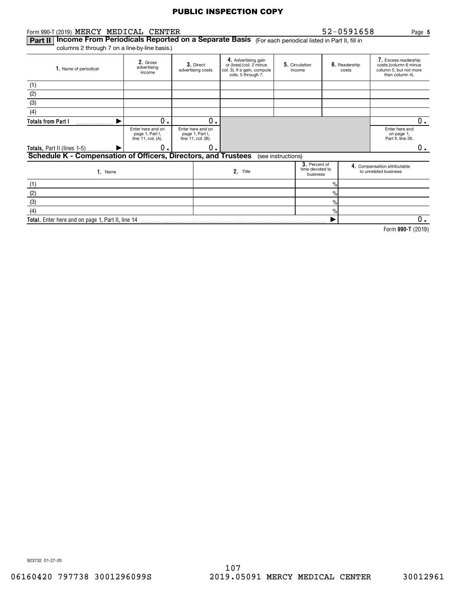| Form 990-T (2019) MERCY MEDICAL CENTER                                                                          |                                                            |  |                                                            |                                                                                                     |                          |                                              |                        | 52-0591658<br>Page 5                                                                       |
|-----------------------------------------------------------------------------------------------------------------|------------------------------------------------------------|--|------------------------------------------------------------|-----------------------------------------------------------------------------------------------------|--------------------------|----------------------------------------------|------------------------|--------------------------------------------------------------------------------------------|
| Income From Periodicals Reported on a Separate Basis (For each periodical listed in Part II, fill in<br>Part II |                                                            |  |                                                            |                                                                                                     |                          |                                              |                        |                                                                                            |
| columns 2 through 7 on a line-by-line basis.)                                                                   |                                                            |  |                                                            |                                                                                                     |                          |                                              |                        |                                                                                            |
| 1. Name of periodical                                                                                           | 2. Gross<br>advertising<br>income                          |  | 3. Direct<br>advertising costs                             | 4. Advertising gain<br>or (loss) (col. 2 minus<br>col. 3). If a gain, compute<br>cols. 5 through 7. | 5. Circulation<br>income |                                              | 6. Readership<br>costs | 7. Excess readership<br>costs (column 6 minus<br>column 5, but not more<br>than column 4). |
| (1)                                                                                                             |                                                            |  |                                                            |                                                                                                     |                          |                                              |                        |                                                                                            |
| (2)                                                                                                             |                                                            |  |                                                            |                                                                                                     |                          |                                              |                        |                                                                                            |
| (3)                                                                                                             |                                                            |  |                                                            |                                                                                                     |                          |                                              |                        |                                                                                            |
| (4)                                                                                                             |                                                            |  |                                                            |                                                                                                     |                          |                                              |                        |                                                                                            |
| <b>Totals from Part I</b>                                                                                       | о.                                                         |  | О.                                                         |                                                                                                     |                          |                                              |                        | 0.                                                                                         |
|                                                                                                                 | Enter here and on<br>page 1, Part I,<br>line 11, col. (A). |  | Enter here and on<br>page 1, Part I,<br>line 11, col. (B). |                                                                                                     |                          |                                              |                        | Enter here and<br>on page 1,<br>Part II, line 26.                                          |
| Totals, Part II (lines 1-5)                                                                                     | 0.                                                         |  | О.                                                         |                                                                                                     |                          |                                              |                        | 0.                                                                                         |
| Schedule K - Compensation of Officers, Directors, and Trustees                                                  |                                                            |  |                                                            |                                                                                                     | (see instructions)       |                                              |                        |                                                                                            |
| 1. Name                                                                                                         |                                                            |  |                                                            | 2. Title                                                                                            |                          | 3. Percent of<br>time devoted to<br>business |                        | 4. Compensation attributable<br>to unrelated business                                      |
| (1)                                                                                                             |                                                            |  |                                                            |                                                                                                     |                          | $\frac{0}{0}$                                |                        |                                                                                            |
| (2)                                                                                                             |                                                            |  |                                                            |                                                                                                     |                          | $\frac{0}{0}$                                |                        |                                                                                            |
| (3)                                                                                                             |                                                            |  |                                                            |                                                                                                     |                          | $\%$                                         |                        |                                                                                            |
| (4)                                                                                                             |                                                            |  |                                                            |                                                                                                     |                          | $\frac{0}{0}$                                |                        |                                                                                            |
| Total. Enter here and on page 1, Part II, line 14                                                               |                                                            |  |                                                            |                                                                                                     |                          |                                              |                        | $0$ .                                                                                      |
|                                                                                                                 |                                                            |  |                                                            |                                                                                                     |                          |                                              |                        | Form 990-T (2019)                                                                          |
|                                                                                                                 |                                                            |  |                                                            |                                                                                                     |                          |                                              |                        |                                                                                            |
|                                                                                                                 |                                                            |  |                                                            |                                                                                                     |                          |                                              |                        |                                                                                            |

923732 01-27-20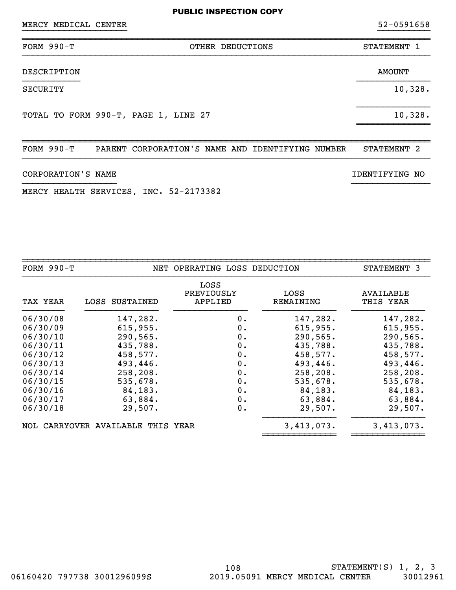~~~~~~~~~~~~~~~~~~~~~~~~~~~~~~~~~~~~~~~~~~~~~~~~~~~~~~~~~~~~~~~~~~~~~~~~~~~~~~

}}}}}}}}}}}}}}}}}} }}}}}}}}}}}}}}}

~~~~~~~~~~~~~~~~~~~~~~~~~~~~~~~~~~~~~~~~~~~~~~~~~~~~~~~~~~~~~~~~~~~~~~~~~~~~~~FORM 990-T NET OPERATING LOSS DEDUCTION STATEMENT 3

| TAX YEAR | LOSS SUSTAINED | LOSS<br>PREVIOUSLY<br>APPLIED | LOSS<br>REMAINING | AVAILABLE<br>THIS YEAR |
|----------|----------------|-------------------------------|-------------------|------------------------|
| 06/30/08 | 147,282.       | 0.                            | 147,282.          | 147,282.               |
| 06/30/09 | 615,955.       | 0.                            | 615,955.          | 615,955.               |
| 06/30/10 | 290, 565.      | 0.                            | 290,565.          | 290,565.               |
| 06/30/11 | 435,788.       | $0$ .                         | 435,788.          | 435,788.               |
| 06/30/12 | 458,577.       | 0.                            | 458,577.          | 458,577.               |
| 06/30/13 | 493,446.       | 0.                            | 493,446.          | 493,446.               |

06/30/14 258,208. 0. 258,208. 258,208. 06/30/15 535,678. 0. 535,678. 535,678. 06/30/16 84,183. 0. 84,183. 84,183. 06/30/17 63,884. 0. 63,884. 63,884. 06/30/18 29,507. 0. 29,507. 29,507.

~~~~~~~~~~~~~~ ~~~~~~~~~~~~~~

NOL CARRYOVER AVAILABLE THIS YEAR 3,413,073.

| FORM $990-T$ | PARENT | CORPORATION'S NAME AND | IDENTIFYING | NUMBER | <b>STATEMENT</b> |  |
|--------------|--------|------------------------|-------------|--------|------------------|--|

#### CORPORATION'S NAME **IDENTIFYING** NO

MERCY HEALTH SERVICES, INC. 52-2173382

| TOTAL TO FORM 990-T, PAGE 1, LINE 27 | 10,328. |
|--------------------------------------|---------|
|                                      |         |
|                                      |         |

FORM 990-T OTHER DEDUCTIONS STATEMENT 1

DESCRIPTION AMOUNT }}}}}}}}}}} }}}}}}}}}}}}}}

SECURITY 10,328.

}}}}}}}}}}}}}}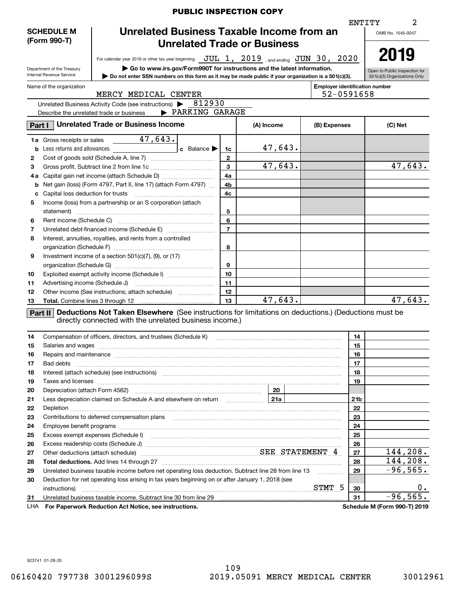|                                                                |                                                        | <b>PUBLIC INSPECTION COPY</b>                                                                                                                                                                                                  |                |  |            |              |                                                     |                                                               |
|----------------------------------------------------------------|--------------------------------------------------------|--------------------------------------------------------------------------------------------------------------------------------------------------------------------------------------------------------------------------------|----------------|--|------------|--------------|-----------------------------------------------------|---------------------------------------------------------------|
|                                                                |                                                        |                                                                                                                                                                                                                                |                |  |            |              |                                                     | ENTITY<br>2                                                   |
| Unrelated Business Taxable Income from an<br><b>SCHEDULE M</b> |                                                        |                                                                                                                                                                                                                                |                |  |            |              |                                                     | OMB No. 1545-0047                                             |
| (Form 990-T)<br><b>Unrelated Trade or Business</b>             |                                                        |                                                                                                                                                                                                                                |                |  |            |              |                                                     |                                                               |
|                                                                |                                                        |                                                                                                                                                                                                                                |                |  |            |              |                                                     |                                                               |
|                                                                |                                                        | For calendar year 2019 or other tax year beginning $JUL$ 1, $2019$ and ending $JUN$ 30, $2020$                                                                                                                                 |                |  |            |              |                                                     | 2019                                                          |
|                                                                | Department of the Treasury<br>Internal Revenue Service | Go to www.irs.gov/Form990T for instructions and the latest information.                                                                                                                                                        |                |  |            |              |                                                     | Open to Public Inspection for<br>501(c)(3) Organizations Only |
|                                                                |                                                        | Do not enter SSN numbers on this form as it may be made public if your organization is a 501(c)(3).                                                                                                                            |                |  |            |              |                                                     |                                                               |
|                                                                | Name of the organization                               | MERCY MEDICAL CENTER                                                                                                                                                                                                           |                |  |            |              | <b>Employer identification number</b><br>52-0591658 |                                                               |
|                                                                |                                                        | Unrelated Business Activity Code (see instructions) > 812930                                                                                                                                                                   |                |  |            |              |                                                     |                                                               |
|                                                                |                                                        | PARKING GARAGE<br>Describe the unrelated trade or business                                                                                                                                                                     |                |  |            |              |                                                     |                                                               |
|                                                                |                                                        |                                                                                                                                                                                                                                |                |  |            |              |                                                     |                                                               |
| Part I                                                         |                                                        | <b>Unrelated Trade or Business Income</b>                                                                                                                                                                                      |                |  | (A) Income | (B) Expenses |                                                     | (C) Net                                                       |
|                                                                | 1a Gross receipts or sales                             | 47,643.                                                                                                                                                                                                                        |                |  |            |              |                                                     |                                                               |
|                                                                |                                                        | c Balance<br><b>b</b> Less returns and allowances                                                                                                                                                                              | 1c             |  | 47,643.    |              |                                                     |                                                               |
| 2                                                              |                                                        |                                                                                                                                                                                                                                | $\mathbf{2}$   |  |            |              |                                                     |                                                               |
| з                                                              |                                                        |                                                                                                                                                                                                                                | $\mathbf{3}$   |  | 47,643.    |              |                                                     | $\overline{47,643}$ .                                         |
| 4а                                                             |                                                        |                                                                                                                                                                                                                                | 4a             |  |            |              |                                                     |                                                               |
| b                                                              |                                                        | Net gain (loss) (Form 4797, Part II, line 17) (attach Form 4797)                                                                                                                                                               | 4b             |  |            |              |                                                     |                                                               |
| c                                                              |                                                        |                                                                                                                                                                                                                                | 4c             |  |            |              |                                                     |                                                               |
| 5                                                              |                                                        | Income (loss) from a partnership or an S corporation (attach                                                                                                                                                                   |                |  |            |              |                                                     |                                                               |
|                                                                |                                                        |                                                                                                                                                                                                                                | 5              |  |            |              |                                                     |                                                               |
| 6                                                              |                                                        |                                                                                                                                                                                                                                | 6              |  |            |              |                                                     |                                                               |
| 7                                                              |                                                        |                                                                                                                                                                                                                                | $\overline{7}$ |  |            |              |                                                     |                                                               |
| 8                                                              |                                                        | Interest, annuities, royalties, and rents from a controlled                                                                                                                                                                    |                |  |            |              |                                                     |                                                               |
|                                                                |                                                        |                                                                                                                                                                                                                                | 8              |  |            |              |                                                     |                                                               |
| 9                                                              |                                                        | Investment income of a section 501(c)(7), (9), or (17)                                                                                                                                                                         |                |  |            |              |                                                     |                                                               |
|                                                                |                                                        |                                                                                                                                                                                                                                | 9              |  |            |              |                                                     |                                                               |
| 10                                                             |                                                        | Exploited exempt activity income (Schedule I)                                                                                                                                                                                  | 10             |  |            |              |                                                     |                                                               |
| 11                                                             |                                                        |                                                                                                                                                                                                                                | 11             |  |            |              |                                                     |                                                               |
| 12                                                             |                                                        | Other income (See instructions; attach schedule)                                                                                                                                                                               | 12             |  |            |              |                                                     |                                                               |
| 13                                                             |                                                        |                                                                                                                                                                                                                                | 13             |  | 47,643.    |              |                                                     | $\overline{47,643}$ .                                         |
|                                                                |                                                        | <b>Part II</b> Deductions Not Taken Elsewhere (See instructions for limitations on deductions.) (Deductions must be                                                                                                            |                |  |            |              |                                                     |                                                               |
|                                                                |                                                        | directly connected with the unrelated business income.)                                                                                                                                                                        |                |  |            |              |                                                     |                                                               |
|                                                                |                                                        |                                                                                                                                                                                                                                |                |  |            |              |                                                     |                                                               |
| 14                                                             |                                                        | Compensation of officers, directors, and trustees (Schedule K)                                                                                                                                                                 |                |  |            |              | 14                                                  |                                                               |
| 15                                                             |                                                        | Salaries and wages with the continuum contract of the contract of the contract of the contract of the contract of the contract of the contract of the contract of the contract of the contract of the contract of the contract |                |  |            |              | 15                                                  |                                                               |
| 16                                                             |                                                        | Repairs and maintenance material content content and all the content of the content of the content of the content of the content of the content of the content of the content of the content of the content of the content of  |                |  |            |              | 16                                                  |                                                               |
| 17                                                             |                                                        |                                                                                                                                                                                                                                |                |  |            |              | 17                                                  |                                                               |
| 18                                                             |                                                        | Interest (attach schedule) (see instructions) material content in the content of the content of the content of                                                                                                                 |                |  |            |              | 18                                                  |                                                               |
| 19                                                             |                                                        | Taxes and licenses <b>construction and construction of the construction of the construction of the construction</b>                                                                                                            |                |  |            |              | 19                                                  |                                                               |
| 20                                                             |                                                        |                                                                                                                                                                                                                                |                |  | 20         |              |                                                     |                                                               |
| 21                                                             |                                                        |                                                                                                                                                                                                                                |                |  |            |              | 21 <sub>b</sub>                                     |                                                               |
| 22                                                             |                                                        |                                                                                                                                                                                                                                |                |  |            |              | 22                                                  |                                                               |
| 23                                                             |                                                        |                                                                                                                                                                                                                                |                |  |            |              | 23                                                  |                                                               |
| 24                                                             |                                                        |                                                                                                                                                                                                                                |                |  |            |              | 24                                                  |                                                               |
| 25                                                             |                                                        |                                                                                                                                                                                                                                |                |  |            |              | 25                                                  |                                                               |
| 26                                                             |                                                        |                                                                                                                                                                                                                                |                |  |            |              | 26                                                  |                                                               |
| 27                                                             |                                                        | Other deductions (attach schedule) measurement material states SEE STATEMENT 4                                                                                                                                                 |                |  |            |              | 27                                                  | 144, 208.                                                     |
| 28                                                             |                                                        |                                                                                                                                                                                                                                |                |  |            |              | 28                                                  | 144,208.                                                      |
| 29                                                             |                                                        | Unrelated business taxable income before net operating loss deduction. Subtract line 28 from line 13                                                                                                                           |                |  |            |              | 29                                                  | $-96,565.$                                                    |
| 30                                                             |                                                        | Deduction for net operating loss arising in tax years beginning on or after January 1, 2018 (see                                                                                                                               |                |  |            |              |                                                     |                                                               |
|                                                                |                                                        |                                                                                                                                                                                                                                |                |  |            |              | 30                                                  | 0.                                                            |
| 31                                                             |                                                        | Unrelated business taxable income. Subtract line 30 from line 29 [11] manuscription of the state of the Unrelated business taxable income. Subtract line 30 from line 29                                                       |                |  |            |              | 31                                                  | $-96,565.$                                                    |
| LHA                                                            |                                                        | For Paperwork Reduction Act Notice, see instructions.                                                                                                                                                                          |                |  |            |              |                                                     | Schedule M (Form 990-T) 2019                                  |

923741 01-28-20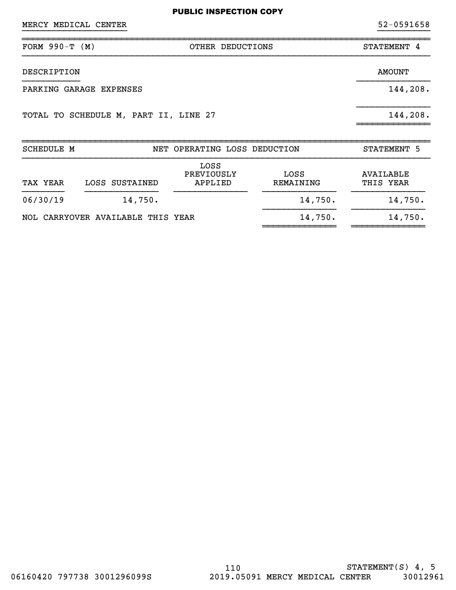| MERCY MEDICAL CENTER                  |                                 | 52-0591658    |  |  |
|---------------------------------------|---------------------------------|---------------|--|--|
| FORM $990-T (M)$                      | OTHER DEDUCTIONS                | STATEMENT 4   |  |  |
| DESCRIPTION                           |                                 | <b>AMOUNT</b> |  |  |
| PARKING GARAGE EXPENSES               | 144,208.                        |               |  |  |
| TOTAL TO SCHEDULE M, PART II, LINE 27 |                                 | 144,208.      |  |  |
| <b>SCHEDULE M</b>                     | OPERATING LOSS DEDUCTION<br>NET | STATEMENT 5   |  |  |

| TAX YEAR | LOSS SUSTAINED                    | LOSS<br>PREVIOUSLY<br>APPLIED | LOSS<br>REMAINING | AVAILABLE<br>THIS YEAR |  |  |
|----------|-----------------------------------|-------------------------------|-------------------|------------------------|--|--|
| 06/30/19 | 14,750.                           |                               | 14,750.           | 14,750.                |  |  |
|          | NOL CARRYOVER AVAILABLE THIS YEAR |                               | 14,750.           | 14,750.                |  |  |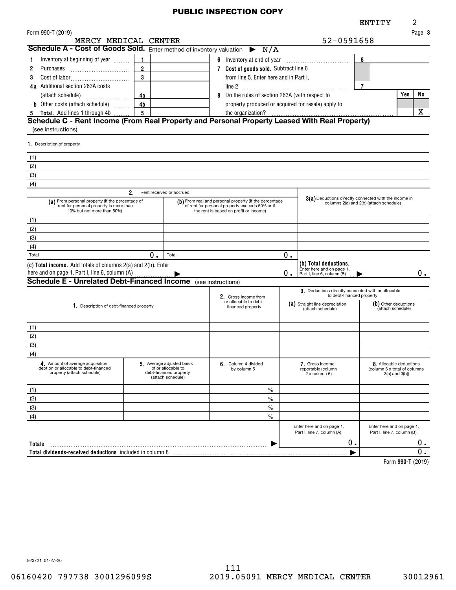|                                                                                                                                  |                                                                                                                                                                                                                                                    |                                                                                                |                                            |    |                                                                                                  | ENTITY                                                   |                   | 2      |
|----------------------------------------------------------------------------------------------------------------------------------|----------------------------------------------------------------------------------------------------------------------------------------------------------------------------------------------------------------------------------------------------|------------------------------------------------------------------------------------------------|--------------------------------------------|----|--------------------------------------------------------------------------------------------------|----------------------------------------------------------|-------------------|--------|
| Form 990-T (2019)                                                                                                                |                                                                                                                                                                                                                                                    |                                                                                                |                                            |    |                                                                                                  |                                                          |                   | Page 3 |
| MERCY MEDICAL CENTER                                                                                                             |                                                                                                                                                                                                                                                    |                                                                                                |                                            |    | 52-0591658                                                                                       |                                                          |                   |        |
| Schedule A - Cost of Goods Sold. Enter method of inventory valuation $\triangleright N/A$                                        |                                                                                                                                                                                                                                                    |                                                                                                |                                            |    |                                                                                                  |                                                          |                   |        |
| Inventory at beginning of year                                                                                                   |                                                                                                                                                                                                                                                    |                                                                                                |                                            |    |                                                                                                  | 6                                                        |                   |        |
| 2<br><b>Purchases</b>                                                                                                            | $\overline{2}$                                                                                                                                                                                                                                     |                                                                                                | 7 Cost of goods sold. Subtract line 6      |    |                                                                                                  |                                                          |                   |        |
| 3                                                                                                                                | $\mathbf{3}$                                                                                                                                                                                                                                       |                                                                                                | from line 5. Enter here and in Part I,     |    |                                                                                                  |                                                          |                   |        |
| 4a Additional section 263A costs                                                                                                 |                                                                                                                                                                                                                                                    |                                                                                                |                                            |    |                                                                                                  | $\overline{7}$                                           |                   |        |
|                                                                                                                                  | Do the rules of section 263A (with respect to<br>8<br>4a<br>property produced or acquired for resale) apply to                                                                                                                                     |                                                                                                |                                            |    |                                                                                                  |                                                          | Yes               | No     |
| <b>b</b> Other costs (attach schedule)                                                                                           | 4 <sub>b</sub>                                                                                                                                                                                                                                     |                                                                                                |                                            |    |                                                                                                  |                                                          |                   |        |
| 5 Total. Add lines 1 through 4b<br>Schedule C - Rent Income (From Real Property and Personal Property Leased With Real Property) | 5                                                                                                                                                                                                                                                  |                                                                                                | the organization?                          |    |                                                                                                  |                                                          |                   | x      |
| (see instructions)                                                                                                               |                                                                                                                                                                                                                                                    |                                                                                                |                                            |    |                                                                                                  |                                                          |                   |        |
|                                                                                                                                  |                                                                                                                                                                                                                                                    |                                                                                                |                                            |    |                                                                                                  |                                                          |                   |        |
| 1. Description of property                                                                                                       |                                                                                                                                                                                                                                                    |                                                                                                |                                            |    |                                                                                                  |                                                          |                   |        |
| (1)                                                                                                                              |                                                                                                                                                                                                                                                    |                                                                                                |                                            |    |                                                                                                  |                                                          |                   |        |
| (2)                                                                                                                              |                                                                                                                                                                                                                                                    |                                                                                                |                                            |    |                                                                                                  |                                                          |                   |        |
| (3)                                                                                                                              |                                                                                                                                                                                                                                                    |                                                                                                |                                            |    |                                                                                                  |                                                          |                   |        |
| (4)                                                                                                                              |                                                                                                                                                                                                                                                    |                                                                                                |                                            |    |                                                                                                  |                                                          |                   |        |
|                                                                                                                                  | 2.                                                                                                                                                                                                                                                 | Rent received or accrued                                                                       |                                            |    |                                                                                                  |                                                          |                   |        |
| 10% but not more than 50%)                                                                                                       | (a) From personal property (if the percentage of<br>(b) From real and personal property (if the percentage<br>of rent for personal property exceeds 50% or if<br>rent for personal property is more than<br>the rent is based on profit or income) |                                                                                                |                                            |    | 3(a) Deductions directly connected with the income in<br>columns 2(a) and 2(b) (attach schedule) |                                                          |                   |        |
| (1)                                                                                                                              |                                                                                                                                                                                                                                                    |                                                                                                |                                            |    |                                                                                                  |                                                          |                   |        |
| (2)                                                                                                                              |                                                                                                                                                                                                                                                    |                                                                                                |                                            |    |                                                                                                  |                                                          |                   |        |
| (3)                                                                                                                              |                                                                                                                                                                                                                                                    |                                                                                                |                                            |    |                                                                                                  |                                                          |                   |        |
| (4)                                                                                                                              |                                                                                                                                                                                                                                                    |                                                                                                |                                            |    |                                                                                                  |                                                          |                   |        |
| Total                                                                                                                            | 0.                                                                                                                                                                                                                                                 | Total                                                                                          |                                            | О. |                                                                                                  |                                                          |                   |        |
| (c) Total income. Add totals of columns 2(a) and 2(b). Enter                                                                     |                                                                                                                                                                                                                                                    |                                                                                                |                                            |    | (b) Total deductions.<br>Enter here and on page 1,                                               |                                                          |                   |        |
| here and on page 1, Part I, line 6, column (A)                                                                                   |                                                                                                                                                                                                                                                    |                                                                                                |                                            | О. | Part I, line 6, column (B)                                                                       |                                                          |                   | 0.     |
| <b>Schedule E - Unrelated Debt-Financed Income</b> (see instructions)                                                            |                                                                                                                                                                                                                                                    |                                                                                                |                                            |    |                                                                                                  |                                                          |                   |        |
|                                                                                                                                  |                                                                                                                                                                                                                                                    |                                                                                                | 2. Gross income from                       |    | 3. Deductions directly connected with or allocable<br>to debt-financed property                  |                                                          |                   |        |
| 1. Description of debt-financed property                                                                                         |                                                                                                                                                                                                                                                    |                                                                                                | or allocable to debt-<br>financed property |    | (a) Straight line depreciation<br>(attach schedule)                                              | (b) Other deductions<br>(attach schedule)                |                   |        |
|                                                                                                                                  |                                                                                                                                                                                                                                                    |                                                                                                |                                            |    |                                                                                                  |                                                          |                   |        |
| (1)                                                                                                                              |                                                                                                                                                                                                                                                    |                                                                                                |                                            |    |                                                                                                  |                                                          |                   |        |
| (2)                                                                                                                              |                                                                                                                                                                                                                                                    |                                                                                                |                                            |    |                                                                                                  |                                                          |                   |        |
| (3)                                                                                                                              |                                                                                                                                                                                                                                                    |                                                                                                |                                            |    |                                                                                                  |                                                          |                   |        |
| (4)                                                                                                                              |                                                                                                                                                                                                                                                    |                                                                                                |                                            |    |                                                                                                  |                                                          |                   |        |
| 4. Amount of average acquisition<br>debt on or allocable to debt-financed<br>property (attach schedule)                          |                                                                                                                                                                                                                                                    | 5. Average adjusted basis<br>of or allocable to<br>debt-financed property<br>(attach schedule) | 6. Column 4 divided<br>by column 5         |    | 7. Gross income<br>reportable (column<br>2 x column 6)                                           | 8. Allocable deductions<br>(column 6 x total of columns  | $3(a)$ and $3(b)$ |        |
| (1)                                                                                                                              |                                                                                                                                                                                                                                                    |                                                                                                | $\%$                                       |    |                                                                                                  |                                                          |                   |        |
| (2)                                                                                                                              |                                                                                                                                                                                                                                                    |                                                                                                | $\%$                                       |    |                                                                                                  |                                                          |                   |        |
| (3)                                                                                                                              |                                                                                                                                                                                                                                                    |                                                                                                | $\%$                                       |    |                                                                                                  |                                                          |                   |        |
| (4)                                                                                                                              |                                                                                                                                                                                                                                                    |                                                                                                | $\%$                                       |    |                                                                                                  |                                                          |                   |        |
|                                                                                                                                  |                                                                                                                                                                                                                                                    |                                                                                                |                                            |    | Enter here and on page 1,<br>Part I, line 7, column (A).                                         | Enter here and on page 1,<br>Part I, line 7, column (B). |                   |        |
| Totals                                                                                                                           |                                                                                                                                                                                                                                                    |                                                                                                |                                            |    | 0.                                                                                               |                                                          |                   | 0.     |
| Total dividends-received deductions included in column 8                                                                         |                                                                                                                                                                                                                                                    |                                                                                                |                                            |    |                                                                                                  |                                                          |                   | 0.     |
|                                                                                                                                  |                                                                                                                                                                                                                                                    |                                                                                                |                                            |    |                                                                                                  |                                                          | Form 990-T (2019) |        |

923721 01-27-20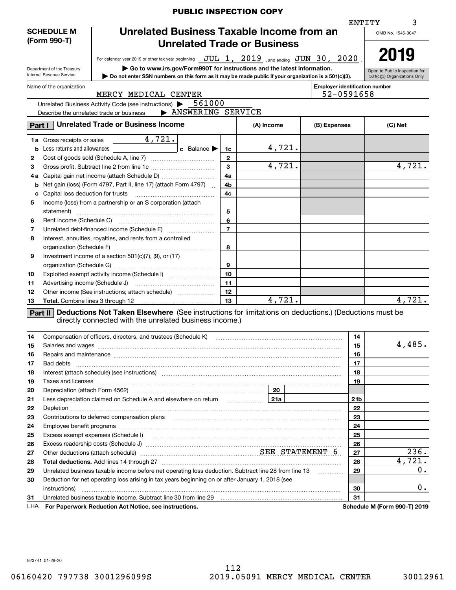|                                                                |                                                        |                                                                                                                                                                                                                                      | <b>PUBLIC INSPECTION COPY</b> |                |                |                      |  |                                                     |                   |                                                               |
|----------------------------------------------------------------|--------------------------------------------------------|--------------------------------------------------------------------------------------------------------------------------------------------------------------------------------------------------------------------------------------|-------------------------------|----------------|----------------|----------------------|--|-----------------------------------------------------|-------------------|---------------------------------------------------------------|
|                                                                |                                                        |                                                                                                                                                                                                                                      |                               |                |                |                      |  |                                                     | ENTITY            |                                                               |
| Unrelated Business Taxable Income from an<br><b>SCHEDULE M</b> |                                                        |                                                                                                                                                                                                                                      |                               |                |                |                      |  |                                                     | OMB No. 1545-0047 |                                                               |
| (Form 990-T)<br><b>Unrelated Trade or Business</b>             |                                                        |                                                                                                                                                                                                                                      |                               |                |                |                      |  |                                                     |                   |                                                               |
|                                                                |                                                        |                                                                                                                                                                                                                                      |                               |                |                |                      |  |                                                     |                   |                                                               |
|                                                                |                                                        | For calendar year 2019 or other tax year beginning $JUL$ $1, 2019$ , and ending $JUN$ $30$ , $2020$                                                                                                                                  |                               |                |                |                      |  |                                                     |                   | 2019                                                          |
|                                                                | Department of the Treasury<br>Internal Revenue Service | Go to www.irs.gov/Form990T for instructions and the latest information.<br>Do not enter SSN numbers on this form as it may be made public if your organization is a 501(c)(3).                                                       |                               |                |                |                      |  |                                                     |                   | Open to Public Inspection for<br>501(c)(3) Organizations Only |
|                                                                |                                                        |                                                                                                                                                                                                                                      |                               |                |                |                      |  |                                                     |                   |                                                               |
|                                                                | Name of the organization                               | MERCY MEDICAL CENTER                                                                                                                                                                                                                 |                               |                |                |                      |  | <b>Employer identification number</b><br>52-0591658 |                   |                                                               |
|                                                                |                                                        | Unrelated Business Activity Code (see instructions) $\blacktriangleright$ 561000                                                                                                                                                     |                               |                |                |                      |  |                                                     |                   |                                                               |
|                                                                |                                                        | Describe the unrelated trade or business                                                                                                                                                                                             | > ANSWERING SERVICE           |                |                |                      |  |                                                     |                   |                                                               |
|                                                                |                                                        |                                                                                                                                                                                                                                      |                               |                |                |                      |  |                                                     |                   |                                                               |
| Part I                                                         |                                                        | <b>Unrelated Trade or Business Income</b>                                                                                                                                                                                            |                               |                |                | (A) Income           |  | (B) Expenses                                        |                   | (C) Net                                                       |
|                                                                | 1a Gross receipts or sales                             | $\frac{4,721}{.}$                                                                                                                                                                                                                    |                               |                |                |                      |  |                                                     |                   |                                                               |
|                                                                | <b>b</b> Less returns and allowances                   | <u>and the company of the company of the company of the company of the company of the company of the company of the company of the company of the company of the company of the company of the company of the company of the com</u> | $c$ Balance                   | 1c             |                | 4,721.               |  |                                                     |                   |                                                               |
| 2                                                              |                                                        |                                                                                                                                                                                                                                      |                               | $\mathbf{2}$   |                |                      |  |                                                     |                   |                                                               |
| З                                                              |                                                        |                                                                                                                                                                                                                                      |                               | $\mathbf{3}$   |                | $\overline{4,721}$ . |  |                                                     |                   | 4,721.                                                        |
| 4а                                                             |                                                        |                                                                                                                                                                                                                                      |                               | 4a             |                |                      |  |                                                     |                   |                                                               |
| b                                                              |                                                        | Net gain (loss) (Form 4797, Part II, line 17) (attach Form 4797)                                                                                                                                                                     |                               | 4b             |                |                      |  |                                                     |                   |                                                               |
| c                                                              | Capital loss deduction for trusts                      |                                                                                                                                                                                                                                      |                               | 4c             |                |                      |  |                                                     |                   |                                                               |
| 5                                                              |                                                        | Income (loss) from a partnership or an S corporation (attach                                                                                                                                                                         |                               |                |                |                      |  |                                                     |                   |                                                               |
|                                                                |                                                        |                                                                                                                                                                                                                                      |                               | 5              |                |                      |  |                                                     |                   |                                                               |
| 6                                                              |                                                        |                                                                                                                                                                                                                                      |                               | 6              |                |                      |  |                                                     |                   |                                                               |
| 7                                                              |                                                        |                                                                                                                                                                                                                                      |                               | $\overline{7}$ |                |                      |  |                                                     |                   |                                                               |
| 8                                                              |                                                        | Interest, annuities, royalties, and rents from a controlled                                                                                                                                                                          |                               |                |                |                      |  |                                                     |                   |                                                               |
|                                                                |                                                        |                                                                                                                                                                                                                                      |                               | 8              |                |                      |  |                                                     |                   |                                                               |
| 9                                                              |                                                        | Investment income of a section 501(c)(7), (9), or (17)                                                                                                                                                                               |                               |                |                |                      |  |                                                     |                   |                                                               |
|                                                                |                                                        |                                                                                                                                                                                                                                      |                               | 9              |                |                      |  |                                                     |                   |                                                               |
| 10                                                             |                                                        | Exploited exempt activity income (Schedule I)                                                                                                                                                                                        |                               | 10             |                |                      |  |                                                     |                   |                                                               |
| 11                                                             |                                                        |                                                                                                                                                                                                                                      |                               | 11             |                |                      |  |                                                     |                   |                                                               |
| 12                                                             |                                                        | Other income (See instructions; attach schedule)                                                                                                                                                                                     |                               | 12             |                |                      |  |                                                     |                   |                                                               |
| 13                                                             |                                                        |                                                                                                                                                                                                                                      |                               | 13             |                | 4,721.               |  |                                                     |                   | 4,721.                                                        |
|                                                                |                                                        | Part II Deductions Not Taken Elsewhere (See instructions for limitations on deductions.) (Deductions must be                                                                                                                         |                               |                |                |                      |  |                                                     |                   |                                                               |
|                                                                |                                                        | directly connected with the unrelated business income.)                                                                                                                                                                              |                               |                |                |                      |  |                                                     |                   |                                                               |
|                                                                |                                                        |                                                                                                                                                                                                                                      |                               |                |                |                      |  |                                                     |                   |                                                               |
| 14                                                             |                                                        | Compensation of officers, directors, and trustees (Schedule K)                                                                                                                                                                       |                               |                |                |                      |  |                                                     | 14                |                                                               |
| 15                                                             |                                                        | Salaries and wages with the continuum control of the control of the control of the control of the control of the control of the control of the control of the control of the control of the control of the control of the cont       |                               |                |                |                      |  |                                                     | 15                | 4,485.                                                        |
| 16                                                             |                                                        | Repairs and maintenance measurement contains and a state of the state of the state of the state of the state of                                                                                                                      |                               |                |                |                      |  |                                                     | 16                |                                                               |
| 17                                                             |                                                        |                                                                                                                                                                                                                                      |                               |                |                |                      |  |                                                     | 17                |                                                               |
| 18                                                             |                                                        |                                                                                                                                                                                                                                      |                               |                |                |                      |  |                                                     | 18                |                                                               |
| 19                                                             |                                                        | Taxes and licenses <b>communications</b> and constructions are all the constructions and licenses <b>constructions</b>                                                                                                               |                               |                |                |                      |  |                                                     | 19                |                                                               |
| 20                                                             |                                                        |                                                                                                                                                                                                                                      |                               |                |                | 20                   |  |                                                     |                   |                                                               |
| 21                                                             |                                                        | Less depreciation claimed on Schedule A and elsewhere on return                                                                                                                                                                      |                               |                | <u>  21a  </u> |                      |  |                                                     | 21 <sub>b</sub>   |                                                               |
| 22                                                             |                                                        |                                                                                                                                                                                                                                      |                               |                |                |                      |  |                                                     | 22                |                                                               |
| 23                                                             |                                                        |                                                                                                                                                                                                                                      |                               |                |                |                      |  |                                                     | 23                |                                                               |
| 24                                                             |                                                        |                                                                                                                                                                                                                                      |                               |                |                |                      |  |                                                     | 24                |                                                               |
| 25                                                             |                                                        | Excess exempt expenses (Schedule I) <b>macuity contract the contract of the contract of the contract of the contract of the contract of the contract of the contract of the contract of the contract of the contract of the cont</b> |                               |                |                |                      |  |                                                     | 25                |                                                               |
| 26                                                             |                                                        |                                                                                                                                                                                                                                      |                               |                |                |                      |  |                                                     | 26                |                                                               |
| 27                                                             |                                                        | Other deductions (attach schedule) measurement material SEE STATEMENT 6                                                                                                                                                              |                               |                |                |                      |  |                                                     | 27                | 236.                                                          |
| 28                                                             |                                                        |                                                                                                                                                                                                                                      |                               |                |                |                      |  |                                                     | 28                | 4,721.                                                        |
| 29                                                             |                                                        | Unrelated business taxable income before net operating loss deduction. Subtract line 28 from line 13                                                                                                                                 |                               |                |                |                      |  | .                                                   | 29                | 0.                                                            |
| 30                                                             |                                                        | Deduction for net operating loss arising in tax years beginning on or after January 1, 2018 (see                                                                                                                                     |                               |                |                |                      |  |                                                     |                   |                                                               |
|                                                                |                                                        |                                                                                                                                                                                                                                      |                               |                |                |                      |  |                                                     | 30                | $0$ .                                                         |
| 31                                                             |                                                        |                                                                                                                                                                                                                                      |                               |                |                |                      |  |                                                     | 31                |                                                               |
| LHA                                                            |                                                        | For Paperwork Reduction Act Notice, see instructions.                                                                                                                                                                                |                               |                |                |                      |  |                                                     |                   | Schedule M (Form 990-T) 2019                                  |

923741 01-28-20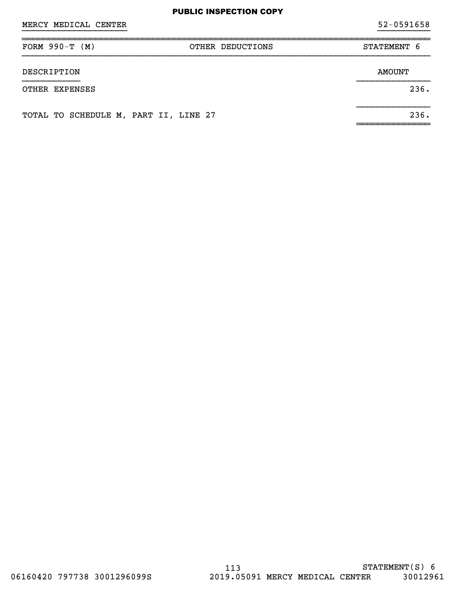| MERCY MEDICAL CENTER |                  | $52 - 0591658$ |
|----------------------|------------------|----------------|
| FORM $990-T (M)$     | OTHER DEDUCTIONS | STATEMENT 6    |
| DESCRIPTION          |                  | <b>AMOUNT</b>  |
| OTHER EXPENSES       |                  | 236.           |
|                      |                  |                |

~~~~~~~~~~~~~~

TOTAL TO SCHEDULE M, PART II, LINE 27 236.